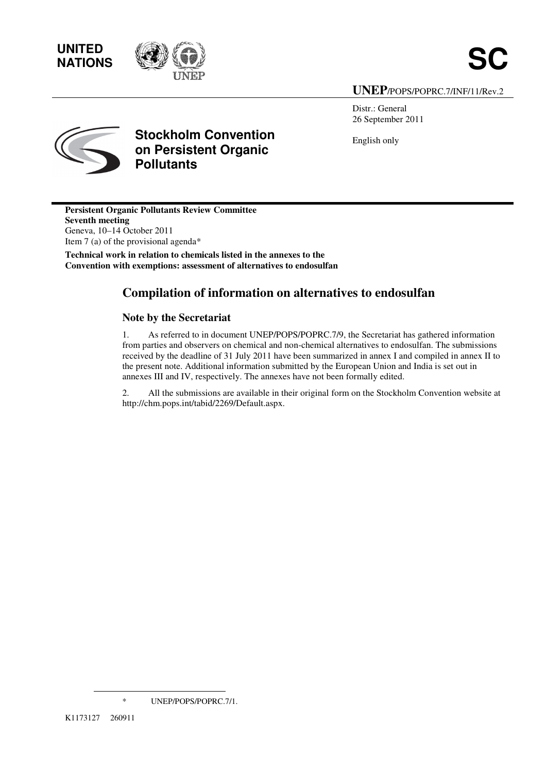# **UNITED**



#### **UNEP**/POPS/POPRC.7/INF/11/Rev.2

Distr.: General 26 September 2011

English only



### **Stockholm Convention on Persistent Organic Pollutants**

**Persistent Organic Pollutants Review Committee Seventh meeting**  Geneva, 10–14 October 2011 Item 7 (a) of the provisional agenda\*

**Technical work in relation to chemicals listed in the annexes to the Convention with exemptions: assessment of alternatives to endosulfan** 

#### **Compilation of information on alternatives to endosulfan**

#### **Note by the Secretariat**

1. As referred to in document UNEP/POPS/POPRC.7/9, the Secretariat has gathered information from parties and observers on chemical and non-chemical alternatives to endosulfan. The submissions received by the deadline of 31 July 2011 have been summarized in annex I and compiled in annex II to the present note. Additional information submitted by the European Union and India is set out in annexes III and IV, respectively. The annexes have not been formally edited.

2. All the submissions are available in their original form on the Stockholm Convention website at http://chm.pops.int/tabid/2269/Default.aspx.

\* UNEP/POPS/POPRC.7/1.

l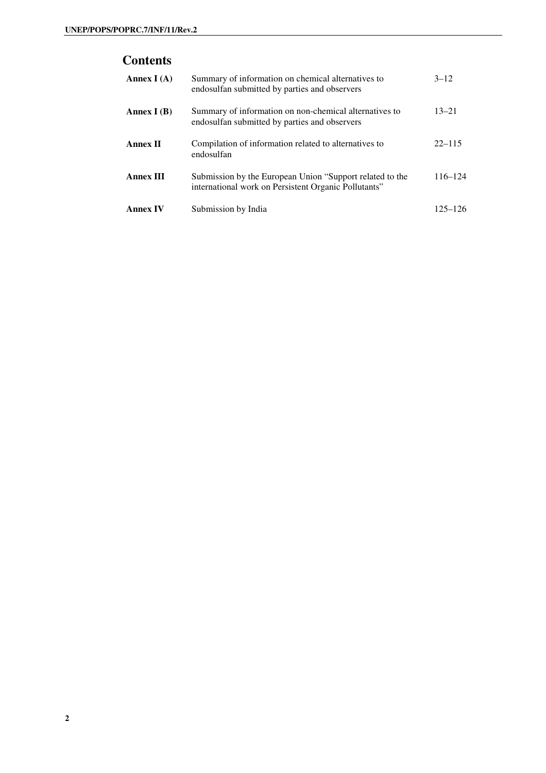#### **Contents**

| Annex $I(A)$     | Summary of information on chemical alternatives to<br>endosulfan submitted by parties and observers              | $3 - 12$    |
|------------------|------------------------------------------------------------------------------------------------------------------|-------------|
| Annex $I(B)$     | Summary of information on non-chemical alternatives to<br>endosulfan submitted by parties and observers          | $13 - 21$   |
| <b>Annex II</b>  | Compilation of information related to alternatives to<br>endosulfan                                              | $22 - 115$  |
| <b>Annex III</b> | Submission by the European Union "Support related to the<br>international work on Persistent Organic Pollutants" | $116 - 124$ |
| <b>Annex IV</b>  | Submission by India                                                                                              | $125 - 126$ |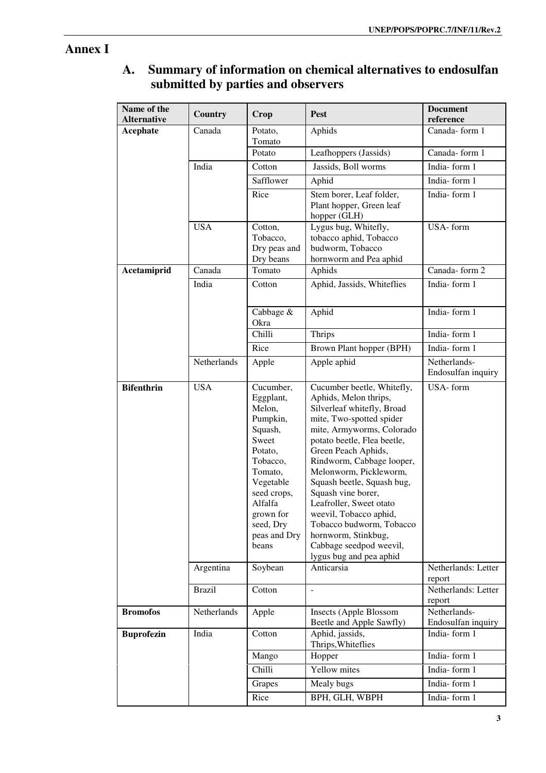## **Annex I**

#### **A. Summary of information on chemical alternatives to endosulfan submitted by parties and observers**

| Name of the<br><b>Alternative</b> | <b>Country</b>                           | Crop                                                                                                                                                                                                              | <b>Pest</b>                                                                                                                                                                                                                                                                                                                                                                                                                                                                                               | <b>Document</b><br>reference                                     |
|-----------------------------------|------------------------------------------|-------------------------------------------------------------------------------------------------------------------------------------------------------------------------------------------------------------------|-----------------------------------------------------------------------------------------------------------------------------------------------------------------------------------------------------------------------------------------------------------------------------------------------------------------------------------------------------------------------------------------------------------------------------------------------------------------------------------------------------------|------------------------------------------------------------------|
| <b>Acephate</b>                   | Canada                                   | Potato,<br>Tomato                                                                                                                                                                                                 | Aphids                                                                                                                                                                                                                                                                                                                                                                                                                                                                                                    | Canada-form 1                                                    |
|                                   |                                          | Potato                                                                                                                                                                                                            | Leafhoppers (Jassids)                                                                                                                                                                                                                                                                                                                                                                                                                                                                                     | Canada-form 1                                                    |
|                                   | India                                    | Cotton                                                                                                                                                                                                            | Jassids, Boll worms                                                                                                                                                                                                                                                                                                                                                                                                                                                                                       | India-form 1                                                     |
|                                   |                                          | Safflower                                                                                                                                                                                                         | Aphid                                                                                                                                                                                                                                                                                                                                                                                                                                                                                                     | India-form 1                                                     |
|                                   |                                          | Rice                                                                                                                                                                                                              | Stem borer, Leaf folder,<br>Plant hopper, Green leaf<br>hopper (GLH)                                                                                                                                                                                                                                                                                                                                                                                                                                      | India-form 1                                                     |
|                                   | <b>USA</b>                               | Cotton,<br>Tobacco,<br>Dry peas and<br>Dry beans                                                                                                                                                                  | Lygus bug, Whitefly,<br>tobacco aphid, Tobacco<br>budworm, Tobacco<br>hornworm and Pea aphid                                                                                                                                                                                                                                                                                                                                                                                                              | USA-form                                                         |
| Acetamiprid                       | Canada                                   | Tomato                                                                                                                                                                                                            | Aphids                                                                                                                                                                                                                                                                                                                                                                                                                                                                                                    | Canada-form 2                                                    |
|                                   | India                                    | Cotton                                                                                                                                                                                                            | Aphid, Jassids, Whiteflies                                                                                                                                                                                                                                                                                                                                                                                                                                                                                | India-form 1                                                     |
|                                   |                                          | Cabbage &<br>Okra                                                                                                                                                                                                 | Aphid                                                                                                                                                                                                                                                                                                                                                                                                                                                                                                     | India-form 1                                                     |
|                                   |                                          | Chilli                                                                                                                                                                                                            | <b>Thrips</b>                                                                                                                                                                                                                                                                                                                                                                                                                                                                                             | India-form 1                                                     |
|                                   |                                          | Rice                                                                                                                                                                                                              | Brown Plant hopper (BPH)                                                                                                                                                                                                                                                                                                                                                                                                                                                                                  | India-form 1                                                     |
|                                   | Netherlands                              | Apple                                                                                                                                                                                                             | Apple aphid                                                                                                                                                                                                                                                                                                                                                                                                                                                                                               | Netherlands-<br>Endosulfan inquiry                               |
| <b>Bifenthrin</b>                 | <b>USA</b><br>Argentina<br><b>Brazil</b> | Cucumber,<br>Eggplant,<br>Melon,<br>Pumpkin,<br>Squash,<br>Sweet<br>Potato,<br>Tobacco,<br>Tomato,<br>Vegetable<br>seed crops,<br>Alfalfa<br>grown for<br>seed, Dry<br>peas and Dry<br>beans<br>Soybean<br>Cotton | Cucumber beetle, Whitefly,<br>Aphids, Melon thrips,<br>Silverleaf whitefly, Broad<br>mite, Two-spotted spider<br>mite, Armyworms, Colorado<br>potato beetle, Flea beetle,<br>Green Peach Aphids,<br>Rindworm, Cabbage looper,<br>Melonworm, Pickleworm,<br>Squash beetle, Squash bug,<br>Squash vine borer,<br>Leafroller, Sweet otato<br>weevil, Tobacco aphid,<br>Tobacco budworm, Tobacco<br>hornworm, Stinkbug,<br>Cabbage seedpod weevil,<br>lygus bug and pea aphid<br>Anticarsia<br>$\blacksquare$ | USA-form<br>Netherlands: Letter<br>report<br>Netherlands: Letter |
| <b>Bromofos</b>                   | Netherlands                              | Apple                                                                                                                                                                                                             | <b>Insects (Apple Blossom</b>                                                                                                                                                                                                                                                                                                                                                                                                                                                                             | report<br>Netherlands-                                           |
| <b>Buprofezin</b>                 | India                                    | Cotton                                                                                                                                                                                                            | Beetle and Apple Sawfly)<br>Aphid, jassids,<br>Thrips, Whiteflies                                                                                                                                                                                                                                                                                                                                                                                                                                         | Endosulfan inquiry<br>India-form 1                               |
|                                   |                                          | Mango                                                                                                                                                                                                             | Hopper                                                                                                                                                                                                                                                                                                                                                                                                                                                                                                    | India-form 1                                                     |
|                                   |                                          | Chilli                                                                                                                                                                                                            | Yellow mites                                                                                                                                                                                                                                                                                                                                                                                                                                                                                              | India-form 1                                                     |
|                                   |                                          | Grapes                                                                                                                                                                                                            | Mealy bugs                                                                                                                                                                                                                                                                                                                                                                                                                                                                                                | India-form 1                                                     |
|                                   |                                          | Rice                                                                                                                                                                                                              | BPH, GLH, WBPH                                                                                                                                                                                                                                                                                                                                                                                                                                                                                            | India-form 1                                                     |
|                                   |                                          |                                                                                                                                                                                                                   |                                                                                                                                                                                                                                                                                                                                                                                                                                                                                                           |                                                                  |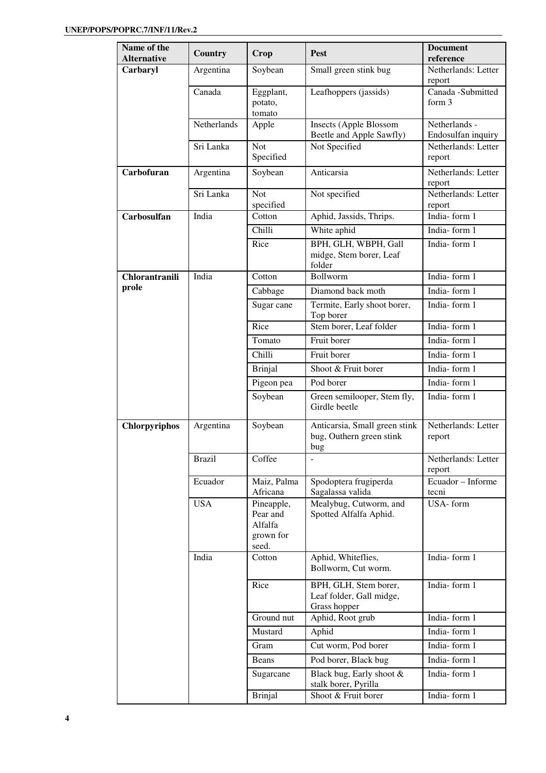| Name of the<br><b>Alternative</b> | Country       | Crop                                                    | Pest                                                              | <b>Document</b><br>reference        |
|-----------------------------------|---------------|---------------------------------------------------------|-------------------------------------------------------------------|-------------------------------------|
| Carbaryl                          | Argentina     | Soybean                                                 | Small green stink bug                                             | Netherlands: Letter<br>report       |
|                                   | Canada        | Eggplant,<br>potato,<br>tomato                          | Leafhoppers (jassids)                                             | Canada -Submitted<br>form $3$       |
|                                   | Netherlands   | Apple                                                   | <b>Insects (Apple Blossom</b><br>Beetle and Apple Sawfly)         | Netherlands -<br>Endosulfan inquiry |
|                                   | Sri Lanka     | <b>Not</b><br>Specified                                 | Not Specified                                                     | Netherlands: Letter<br>report       |
| Carbofuran                        | Argentina     | Soybean                                                 | Anticarsia                                                        | Netherlands: Letter<br>report       |
|                                   | Sri Lanka     | <b>Not</b><br>specified                                 | Not specified                                                     | Netherlands: Letter<br>report       |
| Carbosulfan                       | India         | Cotton                                                  | Aphid, Jassids, Thrips.                                           | India-form 1                        |
|                                   |               | Chilli                                                  | White aphid                                                       | India-form 1                        |
|                                   |               | Rice                                                    | BPH, GLH, WBPH, Gall<br>midge, Stem borer, Leaf<br>folder         | India-form 1                        |
| Chlorantranili                    | India         | Cotton                                                  | Bollworm                                                          | India-form 1                        |
| prole                             |               | Cabbage                                                 | Diamond back moth                                                 | India-form 1                        |
|                                   |               | Sugar cane                                              | Termite, Early shoot borer,<br>Top borer                          | India-form 1                        |
|                                   |               | Rice                                                    | Stem borer, Leaf folder                                           | India-form 1                        |
|                                   |               | Tomato                                                  | Fruit borer                                                       | India-form 1                        |
|                                   |               | Chilli                                                  | Fruit borer                                                       | India-form 1                        |
|                                   |               | <b>Brinjal</b>                                          | Shoot & Fruit borer                                               | India-form 1                        |
|                                   |               | Pigeon pea                                              | Pod borer                                                         | India-form 1                        |
|                                   |               | Soybean                                                 | Green semilooper, Stem fly,<br>Girdle beetle                      | India-form 1                        |
| <b>Chlorpyriphos</b>              | Argentina     | Soybean                                                 | Anticarsia, Small green stink<br>bug, Outhern green stink<br>bug  | Netherlands: Letter<br>report       |
|                                   | <b>Brazil</b> | Coffee                                                  | $\overline{\phantom{a}}$                                          | Netherlands: Letter<br>report       |
|                                   | Ecuador       | Maiz, Palma<br>Africana                                 | Spodoptera frugiperda<br>Sagalassa valida                         | Ecuador - Informe<br>tecni          |
|                                   | <b>USA</b>    | Pineapple,<br>Pear and<br>Alfalfa<br>grown for<br>seed. | Mealybug, Cutworm, and<br>Spotted Alfalfa Aphid.                  | USA-form                            |
|                                   | India         | Cotton                                                  | Aphid, Whiteflies,<br>Bollworm, Cut worm.                         | India-form 1                        |
|                                   |               | Rice                                                    | BPH, GLH, Stem borer,<br>Leaf folder, Gall midge,<br>Grass hopper | India-form 1                        |
|                                   |               | Ground nut                                              | Aphid, Root grub                                                  | India-form 1                        |
|                                   |               | Mustard                                                 | Aphid                                                             | India-form 1                        |
|                                   |               | Gram                                                    | Cut worm, Pod borer                                               | India-form 1                        |
|                                   |               | Beans                                                   | Pod borer, Black bug                                              | India-form 1                        |
|                                   |               | Sugarcane                                               | Black bug, Early shoot &<br>stalk borer, Pyrilla                  | India-form 1                        |
|                                   |               | <b>Brinjal</b>                                          | Shoot & Fruit borer                                               | India-form 1                        |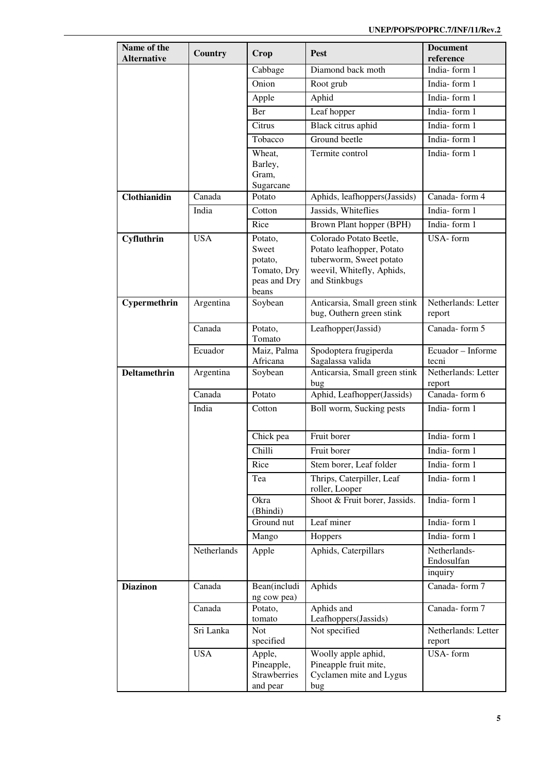| Name of the<br><b>Alternative</b> | <b>Country</b> | Crop                                                                | <b>Pest</b>                                                                                                                   | <b>Document</b><br>reference          |
|-----------------------------------|----------------|---------------------------------------------------------------------|-------------------------------------------------------------------------------------------------------------------------------|---------------------------------------|
|                                   |                | Cabbage                                                             | Diamond back moth                                                                                                             | India-form 1                          |
|                                   |                | Onion                                                               | Root grub                                                                                                                     | India-form 1                          |
|                                   |                | Apple                                                               | Aphid                                                                                                                         | India-form 1                          |
|                                   |                | Ber                                                                 | Leaf hopper                                                                                                                   | India-form 1                          |
|                                   |                | Citrus                                                              | Black citrus aphid                                                                                                            | India-form 1                          |
|                                   |                | Tobacco                                                             | Ground beetle                                                                                                                 | India-form 1                          |
|                                   |                | Wheat,<br>Barley,<br>Gram,<br>Sugarcane                             | Termite control                                                                                                               | India-form 1                          |
| Clothianidin                      | Canada         | Potato                                                              | Aphids, leafhoppers(Jassids)                                                                                                  | Canada-form 4                         |
|                                   | India          | Cotton                                                              | Jassids, Whiteflies                                                                                                           | India-form 1                          |
|                                   |                | Rice                                                                | Brown Plant hopper (BPH)                                                                                                      | India-form 1                          |
| Cyfluthrin                        | <b>USA</b>     | Potato,<br>Sweet<br>potato,<br>Tomato, Dry<br>peas and Dry<br>beans | Colorado Potato Beetle,<br>Potato leafhopper, Potato<br>tuberworm, Sweet potato<br>weevil, Whitefly, Aphids,<br>and Stinkbugs | USA-form                              |
| Cypermethrin                      | Argentina      | Soybean                                                             | Anticarsia, Small green stink<br>bug, Outhern green stink                                                                     | Netherlands: Letter<br>report         |
|                                   | Canada         | Potato,<br>Tomato                                                   | Leafhopper(Jassid)                                                                                                            | Canada-form 5                         |
|                                   | Ecuador        | Maiz, Palma<br>Africana                                             | Spodoptera frugiperda<br>Sagalassa valida                                                                                     | Ecuador - Informe<br>tecni            |
| <b>Deltamethrin</b>               | Argentina      | Soybean                                                             | Anticarsia, Small green stink<br>bug                                                                                          | Netherlands: Letter<br>report         |
|                                   | Canada         | Potato                                                              | Aphid, Leafhopper(Jassids)                                                                                                    | Canada-form 6                         |
|                                   | India          | Cotton                                                              | Boll worm, Sucking pests                                                                                                      | India-form 1                          |
|                                   |                | Chick pea                                                           | Fruit borer                                                                                                                   | India-form 1                          |
|                                   |                | Chilli                                                              | Fruit borer                                                                                                                   | India-form 1                          |
|                                   |                | Rice                                                                | Stem borer, Leaf folder                                                                                                       | India-form 1                          |
|                                   |                | Tea                                                                 | Thrips, Caterpiller, Leaf<br>roller, Looper                                                                                   | India-form 1                          |
|                                   |                | Okra<br>(Bhindi)                                                    | Shoot & Fruit borer, Jassids.                                                                                                 | India-form 1                          |
|                                   |                | Ground nut                                                          | Leaf miner                                                                                                                    | India-form 1                          |
|                                   |                | Mango                                                               | Hoppers                                                                                                                       | India-form 1                          |
|                                   | Netherlands    | Apple                                                               | Aphids, Caterpillars                                                                                                          | Netherlands-<br>Endosulfan<br>inquiry |
| <b>Diazinon</b>                   | Canada         | Bean(includi                                                        | Aphids                                                                                                                        | Canada-form 7                         |
|                                   |                | ng cow pea)                                                         |                                                                                                                               |                                       |
|                                   | Canada         | Potato,<br>tomato                                                   | Aphids and<br>Leafhoppers(Jassids)                                                                                            | Canada-form 7                         |
|                                   | Sri Lanka      | Not<br>specified                                                    | Not specified                                                                                                                 | Netherlands: Letter<br>report         |
|                                   | <b>USA</b>     | Apple,<br>Pineapple,<br><b>Strawberries</b><br>and pear             | Woolly apple aphid,<br>Pineapple fruit mite,<br>Cyclamen mite and Lygus<br>bug                                                | USA-form                              |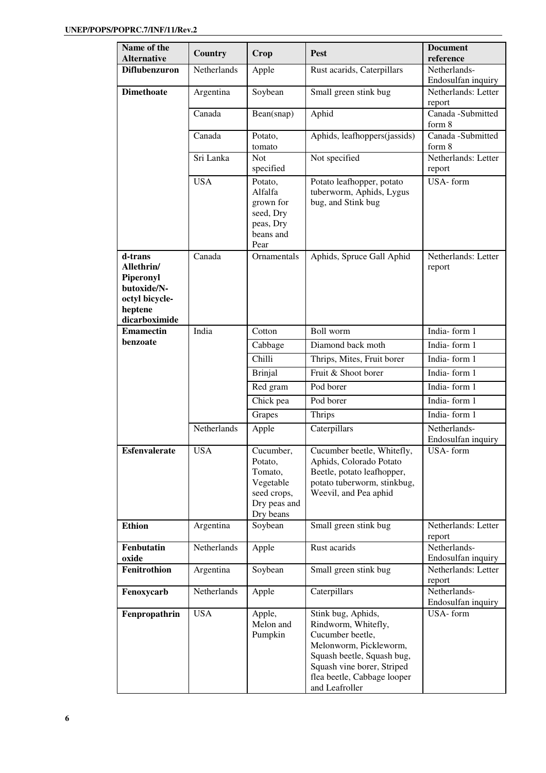| Name of the<br><b>Alternative</b> | <b>Country</b>     | Crop                      | Pest                                                  | <b>Document</b><br>reference              |
|-----------------------------------|--------------------|---------------------------|-------------------------------------------------------|-------------------------------------------|
| <b>Diflubenzuron</b>              | <b>Netherlands</b> | Apple                     | Rust acarids, Caterpillars                            | Netherlands-                              |
|                                   |                    |                           |                                                       | Endosulfan inquiry                        |
| <b>Dimethoate</b>                 | Argentina          | Soybean                   | Small green stink bug                                 | Netherlands: Letter                       |
|                                   |                    |                           |                                                       | report                                    |
|                                   | Canada             | Bean(snap)                | Aphid                                                 | Canada - Submitted<br>form 8              |
|                                   | Canada             | Potato,                   | Aphids, leafhoppers(jassids)                          | Canada - Submitted                        |
|                                   |                    | tomato                    |                                                       | form 8                                    |
|                                   | Sri Lanka          | <b>Not</b>                | Not specified                                         | Netherlands: Letter                       |
|                                   |                    | specified                 |                                                       | report                                    |
|                                   | <b>USA</b>         | Potato,<br>Alfalfa        | Potato leafhopper, potato<br>tuberworm, Aphids, Lygus | USA-form                                  |
|                                   |                    | grown for                 | bug, and Stink bug                                    |                                           |
|                                   |                    | seed, Dry                 |                                                       |                                           |
|                                   |                    | peas, Dry                 |                                                       |                                           |
|                                   |                    | beans and<br>Pear         |                                                       |                                           |
| d-trans                           | Canada             | Ornamentals               | Aphids, Spruce Gall Aphid                             | Netherlands: Letter                       |
| Allethrin/                        |                    |                           |                                                       | report                                    |
| Piperonyl                         |                    |                           |                                                       |                                           |
| butoxide/N-<br>octyl bicycle-     |                    |                           |                                                       |                                           |
| heptene                           |                    |                           |                                                       |                                           |
| dicarboximide                     |                    |                           |                                                       |                                           |
| <b>Emamectin</b>                  | India              | Cotton                    | Boll worm                                             | India-form 1                              |
| benzoate                          |                    | Cabbage                   | Diamond back moth                                     | India-form 1                              |
|                                   |                    | Chilli                    | Thrips, Mites, Fruit borer                            | India-form 1                              |
|                                   |                    | <b>Brinjal</b>            | Fruit & Shoot borer                                   | India-form 1                              |
|                                   |                    | Red gram                  | Pod borer                                             | India-form 1                              |
|                                   |                    | Chick pea                 | Pod borer                                             | India-form 1                              |
|                                   |                    | Grapes                    | <b>Thrips</b>                                         | India-form 1                              |
|                                   | Netherlands        | Apple                     | Caterpillars                                          | Netherlands-                              |
|                                   | <b>USA</b>         |                           |                                                       | Endosulfan inquiry                        |
| <b>Esfenvalerate</b>              |                    | Cucumber,<br>Potato,      | Cucumber beetle, Whitefly,<br>Aphids, Colorado Potato | $\overline{USA}$ - form                   |
|                                   |                    | Tomato,                   | Beetle, potato leafhopper,                            |                                           |
|                                   |                    | Vegetable                 | potato tuberworm, stinkbug,                           |                                           |
|                                   |                    | seed crops,               | Weevil, and Pea aphid                                 |                                           |
|                                   |                    | Dry peas and<br>Dry beans |                                                       |                                           |
| <b>Ethion</b>                     | Argentina          | Soybean                   | Small green stink bug                                 | Netherlands: Letter                       |
|                                   |                    |                           |                                                       | report                                    |
| Fenbutatin                        | Netherlands        | Apple                     | Rust acarids                                          | Netherlands-                              |
| oxide<br>Fenitrothion             | Argentina          | Soybean                   | Small green stink bug                                 | Endosulfan inquiry<br>Netherlands: Letter |
|                                   |                    |                           |                                                       | report                                    |
| Fenoxycarb                        | Netherlands        | Apple                     | Caterpillars                                          | Netherlands-                              |
|                                   |                    |                           |                                                       | Endosulfan inquiry                        |
| Fenpropathrin                     | <b>USA</b>         | Apple,<br>Melon and       | Stink bug, Aphids,                                    | USA-form                                  |
|                                   |                    | Pumpkin                   | Rindworm, Whitefly,<br>Cucumber beetle,               |                                           |
|                                   |                    |                           | Melonworm, Pickleworm,                                |                                           |
|                                   |                    |                           | Squash beetle, Squash bug,                            |                                           |
|                                   |                    |                           | Squash vine borer, Striped                            |                                           |
|                                   |                    |                           | flea beetle, Cabbage looper<br>and Leafroller         |                                           |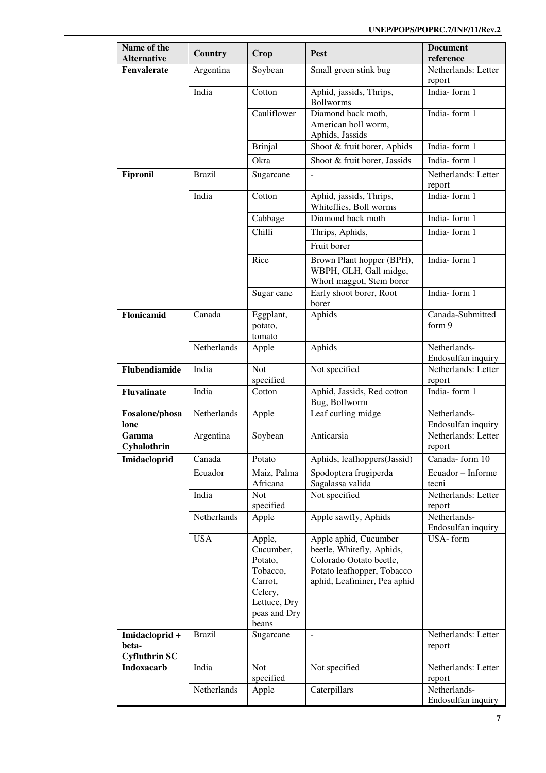| Name of the<br><b>Alternative</b>               | <b>Country</b> | Crop                                                                                                      | Pest                                                                                                                                       | <b>Document</b><br>reference       |
|-------------------------------------------------|----------------|-----------------------------------------------------------------------------------------------------------|--------------------------------------------------------------------------------------------------------------------------------------------|------------------------------------|
| Fenvalerate                                     |                |                                                                                                           |                                                                                                                                            | Netherlands: Letter                |
|                                                 | Argentina      | Soybean                                                                                                   | Small green stink bug                                                                                                                      | report                             |
|                                                 | India          | Cotton                                                                                                    | Aphid, jassids, Thrips,<br><b>Bollworms</b>                                                                                                | India-form 1                       |
|                                                 |                | Cauliflower                                                                                               | Diamond back moth,<br>American boll worm,<br>Aphids, Jassids                                                                               | India-form 1                       |
|                                                 |                | <b>Brinjal</b>                                                                                            | Shoot & fruit borer, Aphids                                                                                                                | India-form 1                       |
|                                                 |                | Okra                                                                                                      | Shoot & fruit borer, Jassids                                                                                                               | India-form 1                       |
| Fipronil                                        | <b>Brazil</b>  | Sugarcane                                                                                                 |                                                                                                                                            | Netherlands: Letter<br>report      |
|                                                 | India          | Cotton                                                                                                    | Aphid, jassids, Thrips,<br>Whiteflies, Boll worms                                                                                          | India-form 1                       |
|                                                 |                | Cabbage                                                                                                   | Diamond back moth                                                                                                                          | India-form 1                       |
|                                                 |                | Chilli                                                                                                    | Thrips, Aphids,                                                                                                                            | India-form 1                       |
|                                                 |                |                                                                                                           | Fruit borer                                                                                                                                |                                    |
|                                                 |                | Rice                                                                                                      | Brown Plant hopper (BPH),<br>WBPH, GLH, Gall midge,<br>Whorl maggot, Stem borer                                                            | India-form $1$                     |
|                                                 |                | Sugar cane                                                                                                | Early shoot borer, Root<br>borer                                                                                                           | India-form 1                       |
| Flonicamid                                      | Canada         | Eggplant,<br>potato,<br>tomato                                                                            | Aphids                                                                                                                                     | Canada-Submitted<br>form 9         |
|                                                 | Netherlands    | Apple                                                                                                     | Aphids                                                                                                                                     | Netherlands-<br>Endosulfan inquiry |
| Flubendiamide                                   | India          | Not<br>specified                                                                                          | Not specified                                                                                                                              | Netherlands: Letter<br>report      |
| <b>Fluvalinate</b>                              | India          | Cotton                                                                                                    | Aphid, Jassids, Red cotton<br>Bug, Bollworm                                                                                                | India-form 1                       |
| Fosalone/phosa<br>lone                          | Netherlands    | Apple                                                                                                     | Leaf curling midge                                                                                                                         | Netherlands-<br>Endosulfan inquiry |
| Gamma<br>Cyhalothrin                            | Argentina      | Soybean                                                                                                   | Anticarsia                                                                                                                                 | Netherlands: Letter<br>report      |
| Imidacloprid                                    | Canada         | Potato                                                                                                    | Aphids, leafhoppers(Jassid)                                                                                                                | Canada-form 10                     |
|                                                 | Ecuador        | Maiz, Palma<br>Africana                                                                                   | Spodoptera frugiperda<br>Sagalassa valida                                                                                                  | Ecuador - Informe<br>tecni         |
|                                                 | India          | Not<br>specified                                                                                          | Not specified                                                                                                                              | Netherlands: Letter<br>report      |
|                                                 | Netherlands    | Apple                                                                                                     | Apple sawfly, Aphids                                                                                                                       | Netherlands-<br>Endosulfan inquiry |
|                                                 | <b>USA</b>     | Apple,<br>Cucumber,<br>Potato,<br>Tobacco,<br>Carrot,<br>Celery,<br>Lettuce, Dry<br>peas and Dry<br>beans | Apple aphid, Cucumber<br>beetle, Whitefly, Aphids,<br>Colorado Ootato beetle,<br>Potato leafhopper, Tobacco<br>aphid, Leafminer, Pea aphid | USA-form                           |
| Imidacloprid +<br>beta-<br><b>Cyfluthrin SC</b> | <b>Brazil</b>  | Sugarcane                                                                                                 | $\bar{\phantom{a}}$                                                                                                                        | Netherlands: Letter<br>report      |
| <b>Indoxacarb</b>                               | India          | Not<br>specified                                                                                          | Not specified                                                                                                                              | Netherlands: Letter<br>report      |
|                                                 | Netherlands    | Apple                                                                                                     | Caterpillars                                                                                                                               | Netherlands-<br>Endosulfan inquiry |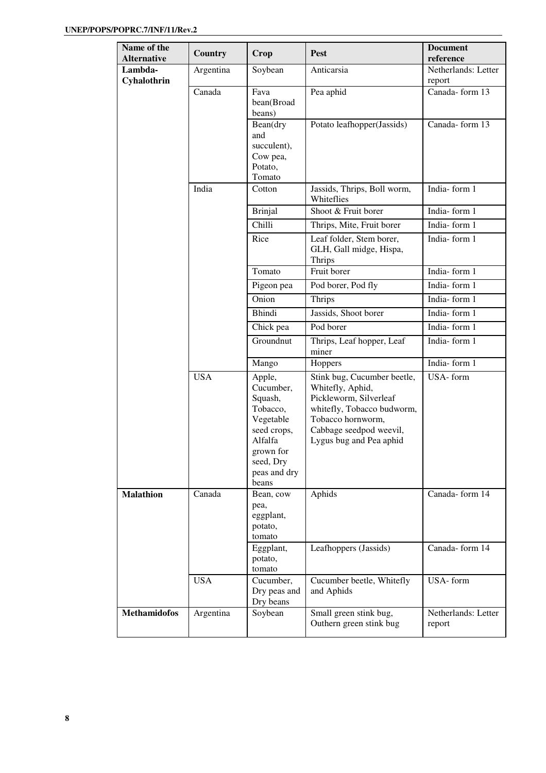| Name of the<br><b>Alternative</b> | <b>Country</b> | Crop                                                                                                                                 | <b>Pest</b>                                                                                                                                                                        | <b>Document</b><br>reference  |
|-----------------------------------|----------------|--------------------------------------------------------------------------------------------------------------------------------------|------------------------------------------------------------------------------------------------------------------------------------------------------------------------------------|-------------------------------|
| Lambda-<br>Cyhalothrin            | Argentina      | Soybean                                                                                                                              | Anticarsia                                                                                                                                                                         | Netherlands: Letter<br>report |
|                                   | Canada         | Fava<br>bean(Broad<br>beans)                                                                                                         | Pea aphid                                                                                                                                                                          | Canada-form 13                |
|                                   |                | Bean(dry<br>and<br>succulent),<br>Cow pea,<br>Potato,<br>Tomato                                                                      | Potato leafhopper(Jassids)                                                                                                                                                         | Canada-form 13                |
|                                   | India          | Cotton                                                                                                                               | Jassids, Thrips, Boll worm,<br>Whiteflies                                                                                                                                          | India-form 1                  |
|                                   |                | <b>Brinjal</b>                                                                                                                       | Shoot & Fruit borer                                                                                                                                                                | India-form 1                  |
|                                   |                | Chilli                                                                                                                               | Thrips, Mite, Fruit borer                                                                                                                                                          | India-form 1                  |
|                                   |                | Rice                                                                                                                                 | Leaf folder, Stem borer,<br>GLH, Gall midge, Hispa,<br>Thrips                                                                                                                      | India-form 1                  |
|                                   |                | Tomato                                                                                                                               | Fruit borer                                                                                                                                                                        | India-form 1                  |
|                                   |                | Pigeon pea                                                                                                                           | Pod borer, Pod fly                                                                                                                                                                 | India-form 1                  |
|                                   |                | Onion                                                                                                                                | Thrips                                                                                                                                                                             | India-form 1                  |
|                                   |                | <b>Bhindi</b>                                                                                                                        | Jassids, Shoot borer                                                                                                                                                               | India-form 1                  |
|                                   |                | Chick pea                                                                                                                            | Pod borer                                                                                                                                                                          | India-form 1                  |
|                                   |                | Groundnut                                                                                                                            | Thrips, Leaf hopper, Leaf<br>miner                                                                                                                                                 | India-form 1                  |
|                                   |                | Mango                                                                                                                                | Hoppers                                                                                                                                                                            | India-form 1                  |
|                                   | <b>USA</b>     | Apple,<br>Cucumber,<br>Squash,<br>Tobacco,<br>Vegetable<br>seed crops,<br>Alfalfa<br>grown for<br>seed, Dry<br>peas and dry<br>beans | Stink bug, Cucumber beetle,<br>Whitefly, Aphid,<br>Pickleworm, Silverleaf<br>whitefly, Tobacco budworm,<br>Tobacco hornworm,<br>Cabbage seedpod weevil,<br>Lygus bug and Pea aphid | USA-form                      |
| <b>Malathion</b>                  | Canada         | Bean, cow<br>pea,<br>eggplant,<br>potato,<br>tomato                                                                                  | Aphids                                                                                                                                                                             | Canada-form 14                |
|                                   |                | Eggplant,<br>potato,<br>tomato                                                                                                       | Leafhoppers (Jassids)                                                                                                                                                              | Canada-form 14                |
|                                   | <b>USA</b>     | Cucumber,<br>Dry peas and<br>Dry beans                                                                                               | Cucumber beetle, Whitefly<br>and Aphids                                                                                                                                            | USA-form                      |
| <b>Methamidofos</b>               | Argentina      | Soybean                                                                                                                              | Small green stink bug,<br>Outhern green stink bug                                                                                                                                  | Netherlands: Letter<br>report |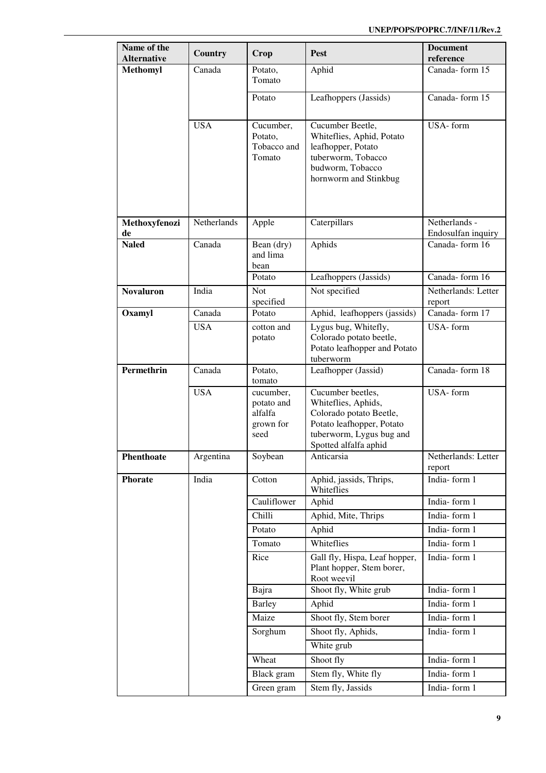| Name of the         | Country     | Crop                                                    | Pest                                                                                                                                                  | <b>Document</b>                     |
|---------------------|-------------|---------------------------------------------------------|-------------------------------------------------------------------------------------------------------------------------------------------------------|-------------------------------------|
| <b>Alternative</b>  |             |                                                         |                                                                                                                                                       | reference                           |
| <b>Methomyl</b>     | Canada      | Potato.<br>Tomato                                       | Aphid                                                                                                                                                 | Canada-form 15                      |
|                     |             | Potato                                                  | Leafhoppers (Jassids)                                                                                                                                 | Canada-form 15                      |
|                     | <b>USA</b>  | Cucumber,<br>Potato,<br>Tobacco and<br>Tomato           | Cucumber Beetle,<br>Whiteflies, Aphid, Potato<br>leafhopper, Potato<br>tuberworm, Tobacco<br>budworm, Tobacco<br>hornworm and Stinkbug                | USA-form                            |
| Methoxyfenozi<br>de | Netherlands | Apple                                                   | Caterpillars                                                                                                                                          | Netherlands -<br>Endosulfan inquiry |
| <b>Naled</b>        | Canada      | Bean (dry)<br>and lima<br>bean                          | Aphids                                                                                                                                                | Canada-form 16                      |
|                     |             | Potato                                                  | Leafhoppers (Jassids)                                                                                                                                 | Canada-form 16                      |
| <b>Novaluron</b>    | India       | Not<br>specified                                        | Not specified                                                                                                                                         | Netherlands: Letter<br>report       |
| Oxamyl              | Canada      | Potato                                                  | Aphid, leafhoppers (jassids)                                                                                                                          | Canada-form 17                      |
|                     | <b>USA</b>  | cotton and<br>potato                                    | Lygus bug, Whitefly,<br>Colorado potato beetle,<br>Potato leafhopper and Potato<br>tuberworm                                                          | USA-form                            |
| Permethrin          | Canada      | Potato,<br>tomato                                       | Leafhopper (Jassid)                                                                                                                                   | Canada-form 18                      |
|                     | <b>USA</b>  | cucumber,<br>potato and<br>alfalfa<br>grown for<br>seed | Cucumber beetles,<br>Whiteflies, Aphids,<br>Colorado potato Beetle,<br>Potato leafhopper, Potato<br>tuberworm, Lygus bug and<br>Spotted alfalfa aphid | USA-form                            |
| Phenthoate          | Argentina   | Soybean                                                 | Anticarsia                                                                                                                                            | Netherlands: Letter<br>report       |
| <b>Phorate</b>      | India       | Cotton                                                  | Aphid, jassids, Thrips,<br>Whiteflies                                                                                                                 | India-form 1                        |
|                     |             | Cauliflower                                             | Aphid                                                                                                                                                 | India-form 1                        |
|                     |             | Chilli                                                  | Aphid, Mite, Thrips                                                                                                                                   | India-form 1                        |
|                     |             | Potato                                                  | Aphid                                                                                                                                                 | India-form 1                        |
|                     |             | Tomato                                                  | Whiteflies                                                                                                                                            | India-form 1                        |
|                     |             | Rice                                                    | Gall fly, Hispa, Leaf hopper,<br>Plant hopper, Stem borer,<br>Root weevil                                                                             | India-form 1                        |
|                     |             | Bajra                                                   | Shoot fly, White grub                                                                                                                                 | India-form 1                        |
|                     |             | <b>Barley</b>                                           | Aphid                                                                                                                                                 | India-form 1                        |
|                     |             | Maize                                                   | Shoot fly, Stem borer                                                                                                                                 | India-form 1                        |
|                     |             | Sorghum                                                 | Shoot fly, Aphids,<br>White grub                                                                                                                      | India-form 1                        |
|                     |             | Wheat                                                   | Shoot fly                                                                                                                                             | India-form 1                        |
|                     |             | Black gram                                              | Stem fly, White fly                                                                                                                                   | India-form 1                        |
|                     |             | Green gram                                              | Stem fly, Jassids                                                                                                                                     | India-form 1                        |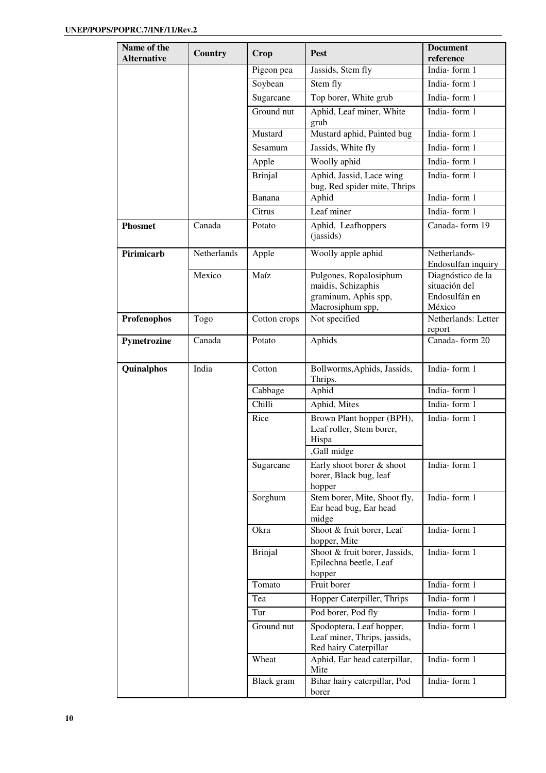| Name of the<br><b>Alternative</b> | <b>Country</b> | Crop           | <b>Pest</b>                                                                              | <b>Document</b><br>reference                                  |
|-----------------------------------|----------------|----------------|------------------------------------------------------------------------------------------|---------------------------------------------------------------|
|                                   |                | Pigeon pea     | Jassids, Stem fly                                                                        | India-form 1                                                  |
|                                   |                | Soybean        | Stem fly                                                                                 | India-form 1                                                  |
|                                   |                | Sugarcane      | Top borer, White grub                                                                    | India-form 1                                                  |
|                                   |                | Ground nut     | Aphid, Leaf miner, White<br>grub                                                         | India-form 1                                                  |
|                                   |                | Mustard        | Mustard aphid, Painted bug                                                               | India-form 1                                                  |
|                                   |                | Sesamum        | Jassids, White fly                                                                       | India-form 1                                                  |
|                                   |                | Apple          | Woolly aphid                                                                             | India-form 1                                                  |
|                                   |                | <b>Brinjal</b> | Aphid, Jassid, Lace wing<br>bug, Red spider mite, Thrips                                 | India-form 1                                                  |
|                                   |                | Banana         | Aphid                                                                                    | India-form 1                                                  |
|                                   |                | Citrus         | Leaf miner                                                                               | India-form 1                                                  |
| <b>Phosmet</b>                    | Canada         | Potato         | Aphid, Leafhoppers<br>(jassids)                                                          | Canada-form 19                                                |
| Pirimicarb                        | Netherlands    | Apple          | Woolly apple aphid                                                                       | Netherlands-<br>Endosulfan inquiry                            |
|                                   | Mexico         | Maíz           | Pulgones, Ropalosiphum<br>maidis, Schizaphis<br>graminum, Aphis spp,<br>Macrosiphum spp, | Diagnóstico de la<br>situación del<br>Endosulfán en<br>México |
| Profenophos                       | Togo           | Cotton crops   | Not specified                                                                            | Netherlands: Letter<br>report                                 |
| Pymetrozine                       | Canada         | Potato         | Aphids                                                                                   | Canada-form 20                                                |
| Quinalphos                        | India          | Cotton         | Bollworms, Aphids, Jassids,<br>Thrips.                                                   | India-form 1                                                  |
|                                   |                | Cabbage        | Aphid                                                                                    | India-form 1                                                  |
|                                   |                | Chilli         | Aphid, Mites                                                                             | India-form 1                                                  |
|                                   |                | Rice           | Brown Plant hopper (BPH),<br>Leaf roller, Stem borer,<br>Hispa<br>,Gall midge            | India-form 1                                                  |
|                                   |                | Sugarcane      | Early shoot borer & shoot<br>borer, Black bug, leaf<br>hopper                            | India-form 1                                                  |
|                                   |                | Sorghum        | Stem borer, Mite, Shoot fly,<br>Ear head bug, Ear head<br>midge                          | India-form 1                                                  |
|                                   |                | Okra           | Shoot & fruit borer, Leaf<br>hopper, Mite                                                | India-form 1                                                  |
|                                   |                | <b>Brinjal</b> | Shoot & fruit borer, Jassids,<br>Epilechna beetle, Leaf<br>hopper                        | India-form 1                                                  |
|                                   |                | Tomato         | Fruit borer                                                                              | India-form 1                                                  |
|                                   |                | Tea            | Hopper Caterpiller, Thrips                                                               | India-form 1                                                  |
|                                   |                | Tur            | Pod borer, Pod fly                                                                       | India-form 1                                                  |
|                                   |                | Ground nut     | Spodoptera, Leaf hopper,<br>Leaf miner, Thrips, jassids,<br>Red hairy Caterpillar        | India-form 1                                                  |
|                                   |                | Wheat          | Aphid, Ear head caterpillar,<br>Mite                                                     | India-form 1                                                  |
|                                   |                | Black gram     | Bihar hairy caterpillar, Pod<br>borer                                                    | India-form 1                                                  |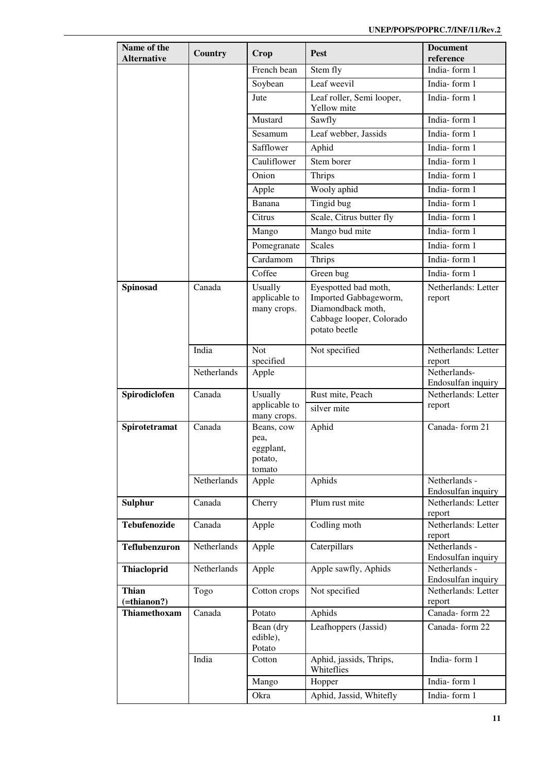| Name of the<br><b>Alternative</b>    | Country     | Crop                                                 | Pest                                                                                    | <b>Document</b><br>reference              |
|--------------------------------------|-------------|------------------------------------------------------|-----------------------------------------------------------------------------------------|-------------------------------------------|
|                                      |             | French bean                                          | Stem fly                                                                                | India-form 1                              |
|                                      |             | Soybean                                              | Leaf weevil                                                                             | India-form 1                              |
|                                      |             | Jute                                                 | Leaf roller, Semi looper,<br>Yellow mite                                                | India-form 1                              |
|                                      |             | Mustard                                              | Sawfly                                                                                  | India-form 1                              |
|                                      |             | Sesamum                                              | Leaf webber, Jassids                                                                    | India-form 1                              |
|                                      |             | Safflower                                            | Aphid                                                                                   | India-form 1                              |
|                                      |             | Cauliflower                                          | Stem borer                                                                              | India-form 1                              |
|                                      |             | Onion                                                | <b>Thrips</b>                                                                           | India-form 1                              |
|                                      |             | Apple                                                | Wooly aphid                                                                             | India-form 1                              |
|                                      |             | Banana                                               | Tingid bug                                                                              | India-form 1                              |
|                                      |             | Citrus                                               | Scale, Citrus butter fly                                                                | India-form 1                              |
|                                      |             | Mango                                                | Mango bud mite                                                                          | India-form 1                              |
|                                      |             | Pomegranate                                          | <b>Scales</b>                                                                           | India-form 1                              |
|                                      |             | Cardamom                                             | <b>Thrips</b>                                                                           | India-form 1                              |
|                                      |             | Coffee                                               | Green bug                                                                               | India-form 1                              |
| <b>Spinosad</b>                      | Canada      | Usually                                              | Eyespotted bad moth,                                                                    | Netherlands: Letter                       |
|                                      |             | applicable to<br>many crops.                         | Imported Gabbageworm,<br>Diamondback moth,<br>Cabbage looper, Colorado<br>potato beetle | report                                    |
|                                      | India       | Not<br>specified                                     | Not specified                                                                           | Netherlands: Letter<br>report             |
|                                      | Netherlands | Apple                                                |                                                                                         | Netherlands-                              |
|                                      |             |                                                      |                                                                                         | Endosulfan inquiry                        |
| Spirodiclofen                        | Canada      | Usually<br>applicable to                             | Rust mite, Peach                                                                        | Netherlands: Letter<br>report             |
|                                      |             | many crops.                                          | silver mite                                                                             |                                           |
| Spirotetramat                        | Canada      | Beans, cow<br>pea,<br>eggplant,<br>potato,<br>tomato | Aphid                                                                                   | Canada-form 21                            |
|                                      | Netherlands | Apple                                                | Aphids                                                                                  | Netherlands -                             |
| <b>Sulphur</b>                       | Canada      | Cherry                                               | Plum rust mite                                                                          | Endosulfan inquiry<br>Netherlands: Letter |
|                                      |             |                                                      |                                                                                         | report                                    |
| <b>Tebufenozide</b>                  | Canada      | Apple                                                | Codling moth                                                                            | Netherlands: Letter<br>report             |
| <b>Teflubenzuron</b>                 | Netherlands | Apple                                                | Caterpillars                                                                            | Netherlands -<br>Endosulfan inquiry       |
| <b>Thiacloprid</b>                   | Netherlands | Apple                                                | Apple sawfly, Aphids                                                                    | Netherlands -<br>Endosulfan inquiry       |
| <b>Thian</b><br>$(=\text{thianon?})$ | Togo        | Cotton crops                                         | Not specified                                                                           | Netherlands: Letter<br>report             |
| Thiamethoxam                         | Canada      | Potato                                               | Aphids                                                                                  | Canada-form 22                            |
|                                      |             | Bean (dry<br>edible),<br>Potato                      | Leafhoppers (Jassid)                                                                    | Canada-form 22                            |
|                                      | India       | Cotton                                               | Aphid, jassids, Thrips,<br>Whiteflies                                                   | India-form 1                              |
|                                      |             | Mango                                                | Hopper                                                                                  | India-form 1                              |
|                                      |             | Okra                                                 | Aphid, Jassid, Whitefly                                                                 | India-form 1                              |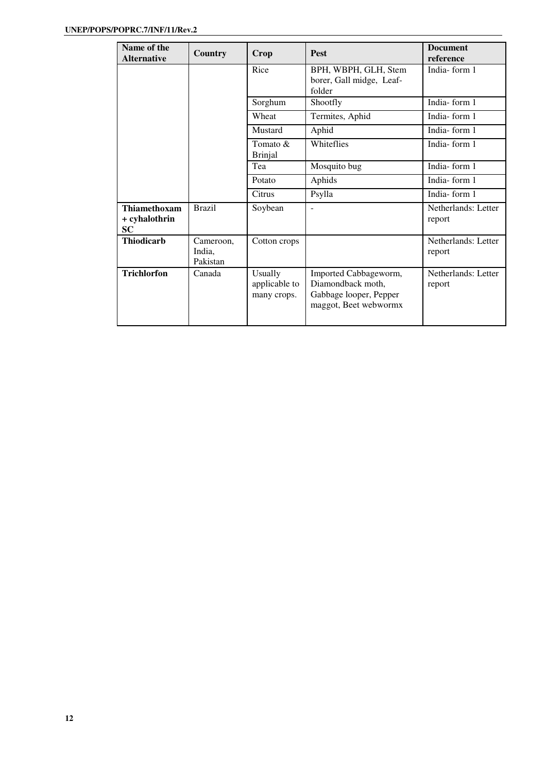| Name of the<br><b>Alternative</b>          | <b>Country</b>                  | Crop                                    | <b>Pest</b>                                                                                   | <b>Document</b><br>reference  |
|--------------------------------------------|---------------------------------|-----------------------------------------|-----------------------------------------------------------------------------------------------|-------------------------------|
|                                            |                                 | Rice                                    | BPH, WBPH, GLH, Stem<br>borer, Gall midge, Leaf-<br>folder                                    | India-form 1                  |
|                                            |                                 | Sorghum                                 | Shootfly                                                                                      | India-form 1                  |
|                                            |                                 | Wheat                                   | Termites, Aphid                                                                               | India-form 1                  |
|                                            |                                 | Mustard                                 | Aphid                                                                                         | India-form 1                  |
|                                            |                                 | Tomato $\&$<br><b>Brinjal</b>           | Whiteflies                                                                                    | India-form 1                  |
|                                            |                                 | Tea                                     | Mosquito bug                                                                                  | India-form 1                  |
|                                            |                                 | Potato                                  | Aphids                                                                                        | India-form 1                  |
|                                            |                                 | Citrus                                  | Psylla                                                                                        | India-form 1                  |
| Thiamethoxam<br>+ cyhalothrin<br><b>SC</b> | <b>Brazil</b>                   | Soybean                                 | $\sim$                                                                                        | Netherlands: Letter<br>report |
| <b>Thiodicarb</b>                          | Cameroon,<br>India,<br>Pakistan | Cotton crops                            |                                                                                               | Netherlands: Letter<br>report |
| <b>Trichlorfon</b>                         | Canada                          | Usually<br>applicable to<br>many crops. | Imported Cabbageworm,<br>Diamondback moth,<br>Gabbage looper, Pepper<br>maggot, Beet webwormx | Netherlands: Letter<br>report |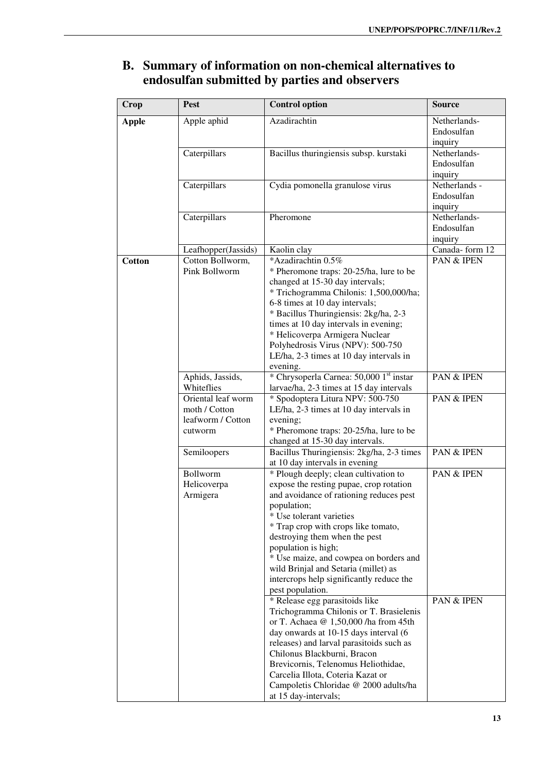| Azadirachtin<br>Netherlands-<br><b>Apple</b><br>Apple aphid<br>Endosulfan<br>inquiry<br>Caterpillars<br>Bacillus thuringiensis subsp. kurstaki<br>Netherlands-<br>Endosulfan<br>inquiry<br>Cydia pomonella granulose virus<br>Caterpillars<br>Netherlands -<br>Endosulfan<br>inquiry<br>Netherlands-<br>Caterpillars<br>Pheromone<br>Endosulfan<br>inquiry<br>Canada-form 12<br>Leafhopper(Jassids)<br>Kaolin clay<br>*Azadirachtin 0.5%<br>PAN & IPEN<br>Cotton Bollworm,<br><b>Cotton</b><br>Pink Bollworm<br>* Pheromone traps: 20-25/ha, lure to be<br>changed at 15-30 day intervals;<br>* Trichogramma Chilonis: 1,500,000/ha;<br>6-8 times at 10 day intervals;<br>* Bacillus Thuringiensis: 2kg/ha, 2-3<br>times at 10 day intervals in evening;<br>* Helicoverpa Armigera Nuclear<br>Polyhedrosis Virus (NPV): 500-750<br>LE/ha, 2-3 times at 10 day intervals in<br>evening.<br>* Chrysoperla Carnea: 50,000 1st instar<br>Aphids, Jassids,<br>PAN & IPEN<br>Whiteflies<br>larvae/ha, 2-3 times at 15 day intervals<br>* Spodoptera Litura NPV: 500-750<br>Oriental leaf worm<br>PAN & IPEN<br>moth / Cotton<br>LE/ha, 2-3 times at 10 day intervals in<br>leafworm / Cotton<br>evening;<br>* Pheromone traps: 20-25/ha, lure to be<br>cutworm<br>changed at 15-30 day intervals.<br>Semiloopers<br>Bacillus Thuringiensis: 2kg/ha, 2-3 times<br>PAN & IPEN<br>at 10 day intervals in evening<br><b>Bollworm</b><br>* Plough deeply; clean cultivation to<br>PAN & IPEN<br>Helicoverpa<br>expose the resting pupae, crop rotation<br>Armigera<br>and avoidance of rationing reduces pest<br>population;<br>* Use tolerant varieties<br>* Trap crop with crops like tomato,<br>destroying them when the pest<br>population is high;<br>* Use maize, and cowpea on borders and<br>wild Brinjal and Setaria (millet) as | Crop | <b>Pest</b> | <b>Control option</b> | <b>Source</b> |
|--------------------------------------------------------------------------------------------------------------------------------------------------------------------------------------------------------------------------------------------------------------------------------------------------------------------------------------------------------------------------------------------------------------------------------------------------------------------------------------------------------------------------------------------------------------------------------------------------------------------------------------------------------------------------------------------------------------------------------------------------------------------------------------------------------------------------------------------------------------------------------------------------------------------------------------------------------------------------------------------------------------------------------------------------------------------------------------------------------------------------------------------------------------------------------------------------------------------------------------------------------------------------------------------------------------------------------------------------------------------------------------------------------------------------------------------------------------------------------------------------------------------------------------------------------------------------------------------------------------------------------------------------------------------------------------------------------------------------------------------------------------------------------------------------------------------------------|------|-------------|-----------------------|---------------|
|                                                                                                                                                                                                                                                                                                                                                                                                                                                                                                                                                                                                                                                                                                                                                                                                                                                                                                                                                                                                                                                                                                                                                                                                                                                                                                                                                                                                                                                                                                                                                                                                                                                                                                                                                                                                                                |      |             |                       |               |
|                                                                                                                                                                                                                                                                                                                                                                                                                                                                                                                                                                                                                                                                                                                                                                                                                                                                                                                                                                                                                                                                                                                                                                                                                                                                                                                                                                                                                                                                                                                                                                                                                                                                                                                                                                                                                                |      |             |                       |               |
|                                                                                                                                                                                                                                                                                                                                                                                                                                                                                                                                                                                                                                                                                                                                                                                                                                                                                                                                                                                                                                                                                                                                                                                                                                                                                                                                                                                                                                                                                                                                                                                                                                                                                                                                                                                                                                |      |             |                       |               |
|                                                                                                                                                                                                                                                                                                                                                                                                                                                                                                                                                                                                                                                                                                                                                                                                                                                                                                                                                                                                                                                                                                                                                                                                                                                                                                                                                                                                                                                                                                                                                                                                                                                                                                                                                                                                                                |      |             |                       |               |
|                                                                                                                                                                                                                                                                                                                                                                                                                                                                                                                                                                                                                                                                                                                                                                                                                                                                                                                                                                                                                                                                                                                                                                                                                                                                                                                                                                                                                                                                                                                                                                                                                                                                                                                                                                                                                                |      |             |                       |               |
|                                                                                                                                                                                                                                                                                                                                                                                                                                                                                                                                                                                                                                                                                                                                                                                                                                                                                                                                                                                                                                                                                                                                                                                                                                                                                                                                                                                                                                                                                                                                                                                                                                                                                                                                                                                                                                |      |             |                       |               |
|                                                                                                                                                                                                                                                                                                                                                                                                                                                                                                                                                                                                                                                                                                                                                                                                                                                                                                                                                                                                                                                                                                                                                                                                                                                                                                                                                                                                                                                                                                                                                                                                                                                                                                                                                                                                                                |      |             |                       |               |
|                                                                                                                                                                                                                                                                                                                                                                                                                                                                                                                                                                                                                                                                                                                                                                                                                                                                                                                                                                                                                                                                                                                                                                                                                                                                                                                                                                                                                                                                                                                                                                                                                                                                                                                                                                                                                                |      |             |                       |               |
|                                                                                                                                                                                                                                                                                                                                                                                                                                                                                                                                                                                                                                                                                                                                                                                                                                                                                                                                                                                                                                                                                                                                                                                                                                                                                                                                                                                                                                                                                                                                                                                                                                                                                                                                                                                                                                |      |             |                       |               |
|                                                                                                                                                                                                                                                                                                                                                                                                                                                                                                                                                                                                                                                                                                                                                                                                                                                                                                                                                                                                                                                                                                                                                                                                                                                                                                                                                                                                                                                                                                                                                                                                                                                                                                                                                                                                                                |      |             |                       |               |
|                                                                                                                                                                                                                                                                                                                                                                                                                                                                                                                                                                                                                                                                                                                                                                                                                                                                                                                                                                                                                                                                                                                                                                                                                                                                                                                                                                                                                                                                                                                                                                                                                                                                                                                                                                                                                                |      |             |                       |               |
|                                                                                                                                                                                                                                                                                                                                                                                                                                                                                                                                                                                                                                                                                                                                                                                                                                                                                                                                                                                                                                                                                                                                                                                                                                                                                                                                                                                                                                                                                                                                                                                                                                                                                                                                                                                                                                |      |             |                       |               |
|                                                                                                                                                                                                                                                                                                                                                                                                                                                                                                                                                                                                                                                                                                                                                                                                                                                                                                                                                                                                                                                                                                                                                                                                                                                                                                                                                                                                                                                                                                                                                                                                                                                                                                                                                                                                                                |      |             |                       |               |
|                                                                                                                                                                                                                                                                                                                                                                                                                                                                                                                                                                                                                                                                                                                                                                                                                                                                                                                                                                                                                                                                                                                                                                                                                                                                                                                                                                                                                                                                                                                                                                                                                                                                                                                                                                                                                                |      |             |                       |               |
|                                                                                                                                                                                                                                                                                                                                                                                                                                                                                                                                                                                                                                                                                                                                                                                                                                                                                                                                                                                                                                                                                                                                                                                                                                                                                                                                                                                                                                                                                                                                                                                                                                                                                                                                                                                                                                |      |             |                       |               |
|                                                                                                                                                                                                                                                                                                                                                                                                                                                                                                                                                                                                                                                                                                                                                                                                                                                                                                                                                                                                                                                                                                                                                                                                                                                                                                                                                                                                                                                                                                                                                                                                                                                                                                                                                                                                                                |      |             |                       |               |
|                                                                                                                                                                                                                                                                                                                                                                                                                                                                                                                                                                                                                                                                                                                                                                                                                                                                                                                                                                                                                                                                                                                                                                                                                                                                                                                                                                                                                                                                                                                                                                                                                                                                                                                                                                                                                                |      |             |                       |               |
|                                                                                                                                                                                                                                                                                                                                                                                                                                                                                                                                                                                                                                                                                                                                                                                                                                                                                                                                                                                                                                                                                                                                                                                                                                                                                                                                                                                                                                                                                                                                                                                                                                                                                                                                                                                                                                |      |             |                       |               |
|                                                                                                                                                                                                                                                                                                                                                                                                                                                                                                                                                                                                                                                                                                                                                                                                                                                                                                                                                                                                                                                                                                                                                                                                                                                                                                                                                                                                                                                                                                                                                                                                                                                                                                                                                                                                                                |      |             |                       |               |
|                                                                                                                                                                                                                                                                                                                                                                                                                                                                                                                                                                                                                                                                                                                                                                                                                                                                                                                                                                                                                                                                                                                                                                                                                                                                                                                                                                                                                                                                                                                                                                                                                                                                                                                                                                                                                                |      |             |                       |               |
|                                                                                                                                                                                                                                                                                                                                                                                                                                                                                                                                                                                                                                                                                                                                                                                                                                                                                                                                                                                                                                                                                                                                                                                                                                                                                                                                                                                                                                                                                                                                                                                                                                                                                                                                                                                                                                |      |             |                       |               |
|                                                                                                                                                                                                                                                                                                                                                                                                                                                                                                                                                                                                                                                                                                                                                                                                                                                                                                                                                                                                                                                                                                                                                                                                                                                                                                                                                                                                                                                                                                                                                                                                                                                                                                                                                                                                                                |      |             |                       |               |
|                                                                                                                                                                                                                                                                                                                                                                                                                                                                                                                                                                                                                                                                                                                                                                                                                                                                                                                                                                                                                                                                                                                                                                                                                                                                                                                                                                                                                                                                                                                                                                                                                                                                                                                                                                                                                                |      |             |                       |               |
|                                                                                                                                                                                                                                                                                                                                                                                                                                                                                                                                                                                                                                                                                                                                                                                                                                                                                                                                                                                                                                                                                                                                                                                                                                                                                                                                                                                                                                                                                                                                                                                                                                                                                                                                                                                                                                |      |             |                       |               |
|                                                                                                                                                                                                                                                                                                                                                                                                                                                                                                                                                                                                                                                                                                                                                                                                                                                                                                                                                                                                                                                                                                                                                                                                                                                                                                                                                                                                                                                                                                                                                                                                                                                                                                                                                                                                                                |      |             |                       |               |
|                                                                                                                                                                                                                                                                                                                                                                                                                                                                                                                                                                                                                                                                                                                                                                                                                                                                                                                                                                                                                                                                                                                                                                                                                                                                                                                                                                                                                                                                                                                                                                                                                                                                                                                                                                                                                                |      |             |                       |               |
|                                                                                                                                                                                                                                                                                                                                                                                                                                                                                                                                                                                                                                                                                                                                                                                                                                                                                                                                                                                                                                                                                                                                                                                                                                                                                                                                                                                                                                                                                                                                                                                                                                                                                                                                                                                                                                |      |             |                       |               |
|                                                                                                                                                                                                                                                                                                                                                                                                                                                                                                                                                                                                                                                                                                                                                                                                                                                                                                                                                                                                                                                                                                                                                                                                                                                                                                                                                                                                                                                                                                                                                                                                                                                                                                                                                                                                                                |      |             |                       |               |
|                                                                                                                                                                                                                                                                                                                                                                                                                                                                                                                                                                                                                                                                                                                                                                                                                                                                                                                                                                                                                                                                                                                                                                                                                                                                                                                                                                                                                                                                                                                                                                                                                                                                                                                                                                                                                                |      |             |                       |               |
|                                                                                                                                                                                                                                                                                                                                                                                                                                                                                                                                                                                                                                                                                                                                                                                                                                                                                                                                                                                                                                                                                                                                                                                                                                                                                                                                                                                                                                                                                                                                                                                                                                                                                                                                                                                                                                |      |             |                       |               |
|                                                                                                                                                                                                                                                                                                                                                                                                                                                                                                                                                                                                                                                                                                                                                                                                                                                                                                                                                                                                                                                                                                                                                                                                                                                                                                                                                                                                                                                                                                                                                                                                                                                                                                                                                                                                                                |      |             |                       |               |
|                                                                                                                                                                                                                                                                                                                                                                                                                                                                                                                                                                                                                                                                                                                                                                                                                                                                                                                                                                                                                                                                                                                                                                                                                                                                                                                                                                                                                                                                                                                                                                                                                                                                                                                                                                                                                                |      |             |                       |               |
|                                                                                                                                                                                                                                                                                                                                                                                                                                                                                                                                                                                                                                                                                                                                                                                                                                                                                                                                                                                                                                                                                                                                                                                                                                                                                                                                                                                                                                                                                                                                                                                                                                                                                                                                                                                                                                |      |             |                       |               |
|                                                                                                                                                                                                                                                                                                                                                                                                                                                                                                                                                                                                                                                                                                                                                                                                                                                                                                                                                                                                                                                                                                                                                                                                                                                                                                                                                                                                                                                                                                                                                                                                                                                                                                                                                                                                                                |      |             |                       |               |
|                                                                                                                                                                                                                                                                                                                                                                                                                                                                                                                                                                                                                                                                                                                                                                                                                                                                                                                                                                                                                                                                                                                                                                                                                                                                                                                                                                                                                                                                                                                                                                                                                                                                                                                                                                                                                                |      |             |                       |               |
|                                                                                                                                                                                                                                                                                                                                                                                                                                                                                                                                                                                                                                                                                                                                                                                                                                                                                                                                                                                                                                                                                                                                                                                                                                                                                                                                                                                                                                                                                                                                                                                                                                                                                                                                                                                                                                |      |             |                       |               |
|                                                                                                                                                                                                                                                                                                                                                                                                                                                                                                                                                                                                                                                                                                                                                                                                                                                                                                                                                                                                                                                                                                                                                                                                                                                                                                                                                                                                                                                                                                                                                                                                                                                                                                                                                                                                                                |      |             |                       |               |
|                                                                                                                                                                                                                                                                                                                                                                                                                                                                                                                                                                                                                                                                                                                                                                                                                                                                                                                                                                                                                                                                                                                                                                                                                                                                                                                                                                                                                                                                                                                                                                                                                                                                                                                                                                                                                                |      |             |                       |               |
|                                                                                                                                                                                                                                                                                                                                                                                                                                                                                                                                                                                                                                                                                                                                                                                                                                                                                                                                                                                                                                                                                                                                                                                                                                                                                                                                                                                                                                                                                                                                                                                                                                                                                                                                                                                                                                |      |             |                       |               |
|                                                                                                                                                                                                                                                                                                                                                                                                                                                                                                                                                                                                                                                                                                                                                                                                                                                                                                                                                                                                                                                                                                                                                                                                                                                                                                                                                                                                                                                                                                                                                                                                                                                                                                                                                                                                                                |      |             |                       |               |
|                                                                                                                                                                                                                                                                                                                                                                                                                                                                                                                                                                                                                                                                                                                                                                                                                                                                                                                                                                                                                                                                                                                                                                                                                                                                                                                                                                                                                                                                                                                                                                                                                                                                                                                                                                                                                                |      |             |                       |               |
|                                                                                                                                                                                                                                                                                                                                                                                                                                                                                                                                                                                                                                                                                                                                                                                                                                                                                                                                                                                                                                                                                                                                                                                                                                                                                                                                                                                                                                                                                                                                                                                                                                                                                                                                                                                                                                |      |             |                       |               |
|                                                                                                                                                                                                                                                                                                                                                                                                                                                                                                                                                                                                                                                                                                                                                                                                                                                                                                                                                                                                                                                                                                                                                                                                                                                                                                                                                                                                                                                                                                                                                                                                                                                                                                                                                                                                                                |      |             |                       |               |
| intercrops help significantly reduce the                                                                                                                                                                                                                                                                                                                                                                                                                                                                                                                                                                                                                                                                                                                                                                                                                                                                                                                                                                                                                                                                                                                                                                                                                                                                                                                                                                                                                                                                                                                                                                                                                                                                                                                                                                                       |      |             |                       |               |
| pest population.                                                                                                                                                                                                                                                                                                                                                                                                                                                                                                                                                                                                                                                                                                                                                                                                                                                                                                                                                                                                                                                                                                                                                                                                                                                                                                                                                                                                                                                                                                                                                                                                                                                                                                                                                                                                               |      |             |                       |               |
| * Release egg parasitoids like<br>PAN & IPEN                                                                                                                                                                                                                                                                                                                                                                                                                                                                                                                                                                                                                                                                                                                                                                                                                                                                                                                                                                                                                                                                                                                                                                                                                                                                                                                                                                                                                                                                                                                                                                                                                                                                                                                                                                                   |      |             |                       |               |
| Trichogramma Chilonis or T. Brasielenis                                                                                                                                                                                                                                                                                                                                                                                                                                                                                                                                                                                                                                                                                                                                                                                                                                                                                                                                                                                                                                                                                                                                                                                                                                                                                                                                                                                                                                                                                                                                                                                                                                                                                                                                                                                        |      |             |                       |               |
| or T. Achaea $@1,50,000$ /ha from 45th                                                                                                                                                                                                                                                                                                                                                                                                                                                                                                                                                                                                                                                                                                                                                                                                                                                                                                                                                                                                                                                                                                                                                                                                                                                                                                                                                                                                                                                                                                                                                                                                                                                                                                                                                                                         |      |             |                       |               |
| day onwards at 10-15 days interval (6                                                                                                                                                                                                                                                                                                                                                                                                                                                                                                                                                                                                                                                                                                                                                                                                                                                                                                                                                                                                                                                                                                                                                                                                                                                                                                                                                                                                                                                                                                                                                                                                                                                                                                                                                                                          |      |             |                       |               |
| releases) and larval parasitoids such as                                                                                                                                                                                                                                                                                                                                                                                                                                                                                                                                                                                                                                                                                                                                                                                                                                                                                                                                                                                                                                                                                                                                                                                                                                                                                                                                                                                                                                                                                                                                                                                                                                                                                                                                                                                       |      |             |                       |               |
| Chilonus Blackburni, Bracon                                                                                                                                                                                                                                                                                                                                                                                                                                                                                                                                                                                                                                                                                                                                                                                                                                                                                                                                                                                                                                                                                                                                                                                                                                                                                                                                                                                                                                                                                                                                                                                                                                                                                                                                                                                                    |      |             |                       |               |
| Brevicornis, Telenomus Heliothidae,                                                                                                                                                                                                                                                                                                                                                                                                                                                                                                                                                                                                                                                                                                                                                                                                                                                                                                                                                                                                                                                                                                                                                                                                                                                                                                                                                                                                                                                                                                                                                                                                                                                                                                                                                                                            |      |             |                       |               |
| Carcelia Illota, Coteria Kazat or                                                                                                                                                                                                                                                                                                                                                                                                                                                                                                                                                                                                                                                                                                                                                                                                                                                                                                                                                                                                                                                                                                                                                                                                                                                                                                                                                                                                                                                                                                                                                                                                                                                                                                                                                                                              |      |             |                       |               |
| Campoletis Chloridae @ 2000 adults/ha                                                                                                                                                                                                                                                                                                                                                                                                                                                                                                                                                                                                                                                                                                                                                                                                                                                                                                                                                                                                                                                                                                                                                                                                                                                                                                                                                                                                                                                                                                                                                                                                                                                                                                                                                                                          |      |             |                       |               |
| at 15 day-intervals;                                                                                                                                                                                                                                                                                                                                                                                                                                                                                                                                                                                                                                                                                                                                                                                                                                                                                                                                                                                                                                                                                                                                                                                                                                                                                                                                                                                                                                                                                                                                                                                                                                                                                                                                                                                                           |      |             |                       |               |

## **B. Summary of information on non-chemical alternatives to endosulfan submitted by parties and observers**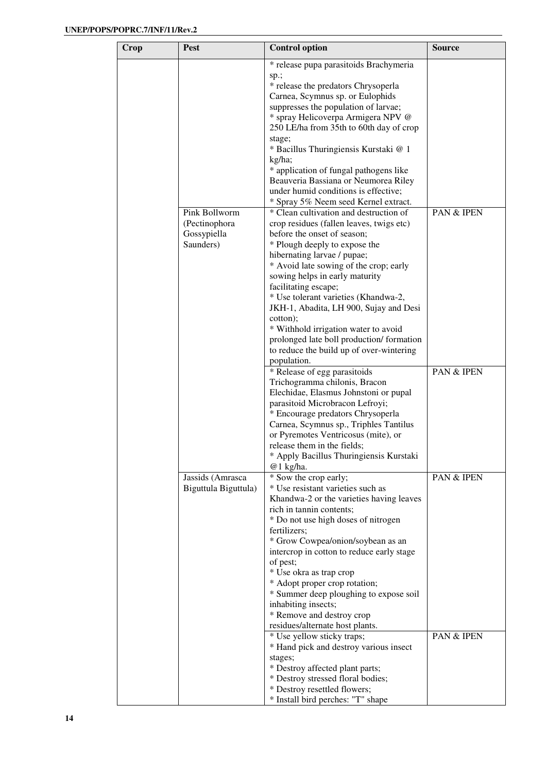| Crop | <b>Pest</b>              | <b>Control option</b>                                                   | <b>Source</b>         |
|------|--------------------------|-------------------------------------------------------------------------|-----------------------|
|      |                          | * release pupa parasitoids Brachymeria                                  |                       |
|      |                          | sp.;                                                                    |                       |
|      |                          | * release the predators Chrysoperla<br>Carnea, Scymnus sp. or Eulophids |                       |
|      |                          | suppresses the population of larvae;                                    |                       |
|      |                          | * spray Helicoverpa Armigera NPV @                                      |                       |
|      |                          | 250 LE/ha from 35th to 60th day of crop                                 |                       |
|      |                          | stage;                                                                  |                       |
|      |                          | * Bacillus Thuringiensis Kurstaki @ 1                                   |                       |
|      |                          | kg/ha;<br>* application of fungal pathogens like                        |                       |
|      |                          | Beauveria Bassiana or Neumorea Riley                                    |                       |
|      |                          | under humid conditions is effective;                                    |                       |
|      |                          | * Spray 5% Neem seed Kernel extract.                                    |                       |
|      | Pink Bollworm            | * Clean cultivation and destruction of                                  | PAN & IPEN            |
|      | (Pectinophora            | crop residues (fallen leaves, twigs etc)                                |                       |
|      | Gossypiella<br>Saunders) | before the onset of season;<br>* Plough deeply to expose the            |                       |
|      |                          | hibernating larvae / pupae;                                             |                       |
|      |                          | * Avoid late sowing of the crop; early                                  |                       |
|      |                          | sowing helps in early maturity                                          |                       |
|      |                          | facilitating escape;                                                    |                       |
|      |                          | * Use tolerant varieties (Khandwa-2,                                    |                       |
|      |                          | JKH-1, Abadita, LH 900, Sujay and Desi<br>cotton);                      |                       |
|      |                          | * Withhold irrigation water to avoid                                    |                       |
|      |                          | prolonged late boll production/formation                                |                       |
|      |                          | to reduce the build up of over-wintering                                |                       |
|      |                          | population.                                                             |                       |
|      |                          | * Release of egg parasitoids<br>Trichogramma chilonis, Bracon           | <b>PAN &amp; IPEN</b> |
|      |                          | Elechidae, Elasmus Johnstoni or pupal                                   |                       |
|      |                          | parasitoid Microbracon Lefroyi;                                         |                       |
|      |                          | * Encourage predators Chrysoperla                                       |                       |
|      |                          | Carnea, Scymnus sp., Triphles Tantilus                                  |                       |
|      |                          | or Pyremotes Ventricosus (mite), or<br>release them in the fields;      |                       |
|      |                          | * Apply Bacillus Thuringiensis Kurstaki                                 |                       |
|      |                          | @1 kg/ha.                                                               |                       |
|      | Jassids (Amrasca         | * Sow the crop early;                                                   | PAN & IPEN            |
|      | Biguttula Biguttula)     | * Use resistant varieties such as                                       |                       |
|      |                          | Khandwa-2 or the varieties having leaves<br>rich in tannin contents;    |                       |
|      |                          | * Do not use high doses of nitrogen                                     |                       |
|      |                          | fertilizers;                                                            |                       |
|      |                          | * Grow Cowpea/onion/soybean as an                                       |                       |
|      |                          | intercrop in cotton to reduce early stage                               |                       |
|      |                          | of pest;                                                                |                       |
|      |                          | * Use okra as trap crop<br>* Adopt proper crop rotation;                |                       |
|      |                          | * Summer deep ploughing to expose soil                                  |                       |
|      |                          | inhabiting insects;                                                     |                       |
|      |                          | * Remove and destroy crop                                               |                       |
|      |                          | residues/alternate host plants.                                         |                       |
|      |                          | * Use yellow sticky traps;                                              | PAN & IPEN            |
|      |                          | * Hand pick and destroy various insect<br>stages;                       |                       |
|      |                          | * Destroy affected plant parts;                                         |                       |
|      |                          | * Destroy stressed floral bodies;                                       |                       |
|      |                          | * Destroy resettled flowers;                                            |                       |
|      |                          | * Install bird perches: "T" shape                                       |                       |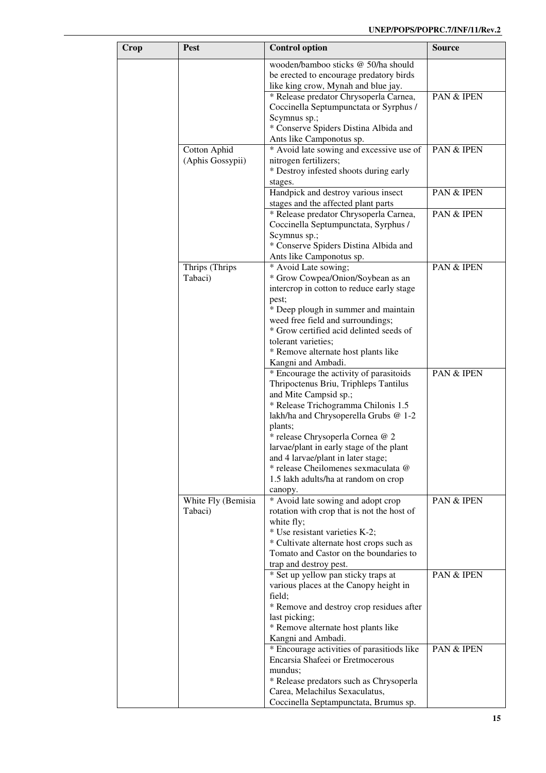| Crop | <b>Pest</b>                      | <b>Control option</b>                                                          | <b>Source</b> |
|------|----------------------------------|--------------------------------------------------------------------------------|---------------|
|      |                                  | wooden/bamboo sticks @ 50/ha should                                            |               |
|      |                                  | be erected to encourage predatory birds                                        |               |
|      |                                  | like king crow, Mynah and blue jay.                                            |               |
|      |                                  | * Release predator Chrysoperla Carnea,                                         | PAN & IPEN    |
|      |                                  | Coccinella Septumpunctata or Syrphus /                                         |               |
|      |                                  | Scymnus sp.;                                                                   |               |
|      |                                  | * Conserve Spiders Distina Albida and                                          |               |
|      |                                  | Ants like Camponotus sp.<br>* Avoid late sowing and excessive use of           | PAN & IPEN    |
|      | Cotton Aphid<br>(Aphis Gossypii) | nitrogen fertilizers;                                                          |               |
|      |                                  | * Destroy infested shoots during early                                         |               |
|      |                                  | stages.                                                                        |               |
|      |                                  | Handpick and destroy various insect                                            | PAN & IPEN    |
|      |                                  | stages and the affected plant parts                                            |               |
|      |                                  | * Release predator Chrysoperla Carnea,                                         | PAN & IPEN    |
|      |                                  | Coccinella Septumpunctata, Syrphus /                                           |               |
|      |                                  | Scymnus sp.;                                                                   |               |
|      |                                  | * Conserve Spiders Distina Albida and                                          |               |
|      |                                  | Ants like Camponotus sp.                                                       |               |
|      | Thrips (Thrips                   | * Avoid Late sowing;                                                           | PAN & IPEN    |
|      | Tabaci)                          | * Grow Cowpea/Onion/Soybean as an                                              |               |
|      |                                  | intercrop in cotton to reduce early stage                                      |               |
|      |                                  | pest;                                                                          |               |
|      |                                  | * Deep plough in summer and maintain<br>weed free field and surroundings;      |               |
|      |                                  | * Grow certified acid delinted seeds of                                        |               |
|      |                                  | tolerant varieties;                                                            |               |
|      |                                  | * Remove alternate host plants like                                            |               |
|      |                                  | Kangni and Ambadi.                                                             |               |
|      |                                  | * Encourage the activity of parasitoids                                        | PAN & IPEN    |
|      |                                  | Thripoctenus Briu, Triphleps Tantilus                                          |               |
|      |                                  | and Mite Campsid sp.;                                                          |               |
|      |                                  | * Release Trichogramma Chilonis 1.5                                            |               |
|      |                                  | lakh/ha and Chrysoperella Grubs @ 1-2                                          |               |
|      |                                  | plants;                                                                        |               |
|      |                                  | * release Chrysoperla Cornea @ 2                                               |               |
|      |                                  | larvae/plant in early stage of the plant<br>and 4 larvae/plant in later stage; |               |
|      |                                  | * release Cheilomenes sexmaculata @                                            |               |
|      |                                  | 1.5 lakh adults/ha at random on crop                                           |               |
|      |                                  | canopy.                                                                        |               |
|      | White Fly (Bemisia               | * Avoid late sowing and adopt crop                                             | PAN & IPEN    |
|      | Tabaci)                          | rotation with crop that is not the host of                                     |               |
|      |                                  | white fly;                                                                     |               |
|      |                                  | * Use resistant varieties K-2;                                                 |               |
|      |                                  | * Cultivate alternate host crops such as                                       |               |
|      |                                  | Tomato and Castor on the boundaries to                                         |               |
|      |                                  | trap and destroy pest.                                                         |               |
|      |                                  | * Set up yellow pan sticky traps at<br>various places at the Canopy height in  | PAN & IPEN    |
|      |                                  | field;                                                                         |               |
|      |                                  | * Remove and destroy crop residues after                                       |               |
|      |                                  | last picking;                                                                  |               |
|      |                                  | * Remove alternate host plants like                                            |               |
|      |                                  | Kangni and Ambadi.                                                             |               |
|      |                                  | * Encourage activities of parasitiods like                                     | PAN & IPEN    |
|      |                                  | Encarsia Shafeei or Eretmocerous                                               |               |
|      |                                  | mundus;                                                                        |               |
|      |                                  | * Release predators such as Chrysoperla                                        |               |
|      |                                  | Carea, Melachilus Sexaculatus,                                                 |               |
|      |                                  | Coccinella Septampunctata, Brumus sp.                                          |               |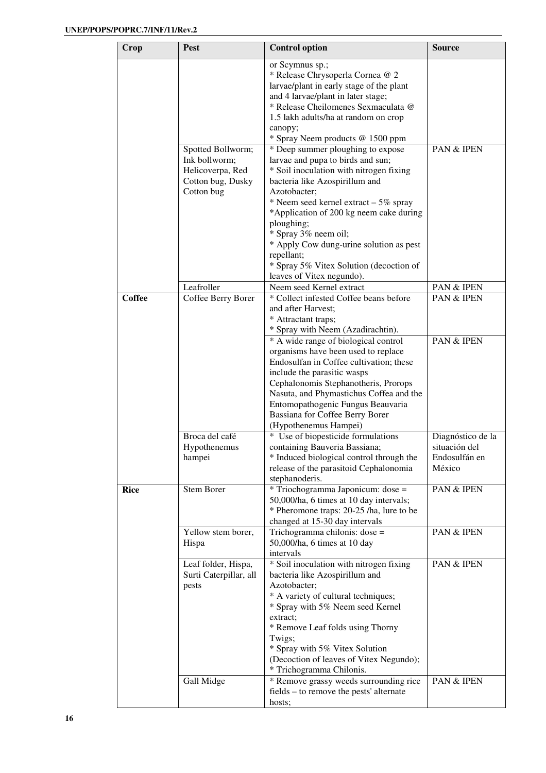| Crop          | <b>Pest</b>                        | <b>Control option</b>                                                       | <b>Source</b>                      |
|---------------|------------------------------------|-----------------------------------------------------------------------------|------------------------------------|
|               |                                    | or Scymnus sp.;                                                             |                                    |
|               |                                    | * Release Chrysoperla Cornea @ 2                                            |                                    |
|               |                                    | larvae/plant in early stage of the plant                                    |                                    |
|               |                                    | and 4 larvae/plant in later stage;                                          |                                    |
|               |                                    | * Release Cheilomenes Sexmaculata @                                         |                                    |
|               |                                    | 1.5 lakh adults/ha at random on crop                                        |                                    |
|               |                                    | canopy;                                                                     |                                    |
|               |                                    | * Spray Neem products @ 1500 ppm                                            |                                    |
|               | Spotted Bollworm;<br>Ink bollworm; | * Deep summer ploughing to expose<br>larvae and pupa to birds and sun;      | PAN & IPEN                         |
|               | Helicoverpa, Red                   | * Soil inoculation with nitrogen fixing                                     |                                    |
|               | Cotton bug, Dusky                  | bacteria like Azospirillum and                                              |                                    |
|               | Cotton bug                         | Azotobacter;                                                                |                                    |
|               |                                    | * Neem seed kernel extract - 5% spray                                       |                                    |
|               |                                    | *Application of 200 kg neem cake during                                     |                                    |
|               |                                    | ploughing;                                                                  |                                    |
|               |                                    | * Spray 3% neem oil;                                                        |                                    |
|               |                                    | * Apply Cow dung-urine solution as pest                                     |                                    |
|               |                                    | repellant;<br>* Spray 5% Vitex Solution (decoction of                       |                                    |
|               |                                    | leaves of Vitex negundo).                                                   |                                    |
|               | Leafroller                         | Neem seed Kernel extract                                                    | PAN & IPEN                         |
| <b>Coffee</b> | Coffee Berry Borer                 | * Collect infested Coffee beans before                                      | <b>PAN &amp; IPEN</b>              |
|               |                                    | and after Harvest;                                                          |                                    |
|               |                                    | * Attractant traps;                                                         |                                    |
|               |                                    | * Spray with Neem (Azadirachtin).                                           |                                    |
|               |                                    | * A wide range of biological control<br>organisms have been used to replace | PAN & IPEN                         |
|               |                                    | Endosulfan in Coffee cultivation; these                                     |                                    |
|               |                                    | include the parasitic wasps                                                 |                                    |
|               |                                    | Cephalonomis Stephanotheris, Prorops                                        |                                    |
|               |                                    | Nasuta, and Phymastichus Coffea and the                                     |                                    |
|               |                                    | Entomopathogenic Fungus Beauvaria                                           |                                    |
|               |                                    | Bassiana for Coffee Berry Borer                                             |                                    |
|               |                                    | (Hypothenemus Hampei)                                                       |                                    |
|               | Broca del café                     | * Use of biopesticide formulations<br>containing Bauveria Bassiana;         | Diagnóstico de la<br>situación del |
|               | Hypothenemus<br>hampei             | * Induced biological control through the                                    | Endosulfán en                      |
|               |                                    | release of the parasitoid Cephalonomia                                      | México                             |
|               |                                    | stephanoderis.                                                              |                                    |
| <b>Rice</b>   | Stem Borer                         | * Triochogramma Japonicum: dose =                                           | PAN & IPEN                         |
|               |                                    | 50,000/ha, 6 times at 10 day intervals;                                     |                                    |
|               |                                    | * Pheromone traps: 20-25 /ha, lure to be                                    |                                    |
|               | Yellow stem borer,                 | changed at 15-30 day intervals                                              | PAN & IPEN                         |
|               | Hispa                              | Trichogramma chilonis: dose =<br>50,000/ha, 6 times at 10 day               |                                    |
|               |                                    | intervals                                                                   |                                    |
|               | Leaf folder, Hispa,                | * Soil inoculation with nitrogen fixing                                     | PAN & IPEN                         |
|               | Surti Caterpillar, all             | bacteria like Azospirillum and                                              |                                    |
|               | pests                              | Azotobacter;                                                                |                                    |
|               |                                    | * A variety of cultural techniques;                                         |                                    |
|               |                                    | * Spray with 5% Neem seed Kernel                                            |                                    |
|               |                                    | extract;<br>* Remove Leaf folds using Thorny                                |                                    |
|               |                                    | Twigs;                                                                      |                                    |
|               |                                    | * Spray with 5% Vitex Solution                                              |                                    |
|               |                                    | (Decoction of leaves of Vitex Negundo);                                     |                                    |
|               |                                    | * Trichogramma Chilonis.                                                    |                                    |
|               | Gall Midge                         | * Remove grassy weeds surrounding rice                                      | PAN & IPEN                         |
|               |                                    | fields – to remove the pests' alternate                                     |                                    |
|               |                                    | hosts;                                                                      |                                    |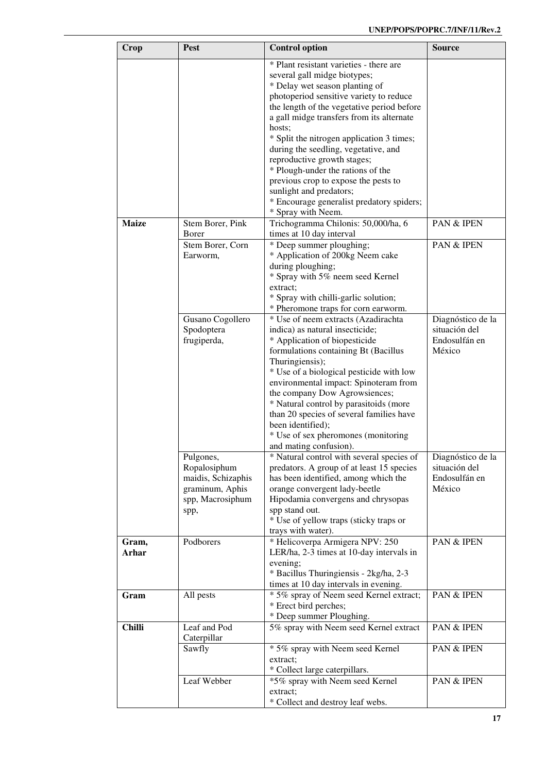| Crop           | <b>Pest</b>                                                                                    | <b>Control option</b>                                                                                                                                                                                                                                                                                                                                                                                                                                                                                                                                    | Source                                                        |
|----------------|------------------------------------------------------------------------------------------------|----------------------------------------------------------------------------------------------------------------------------------------------------------------------------------------------------------------------------------------------------------------------------------------------------------------------------------------------------------------------------------------------------------------------------------------------------------------------------------------------------------------------------------------------------------|---------------------------------------------------------------|
|                |                                                                                                | * Plant resistant varieties - there are<br>several gall midge biotypes;<br>* Delay wet season planting of<br>photoperiod sensitive variety to reduce<br>the length of the vegetative period before<br>a gall midge transfers from its alternate<br>hosts;<br>* Split the nitrogen application 3 times;<br>during the seedling, vegetative, and<br>reproductive growth stages;<br>* Plough-under the rations of the<br>previous crop to expose the pests to<br>sunlight and predators;<br>* Encourage generalist predatory spiders;<br>* Spray with Neem. |                                                               |
| <b>Maize</b>   | Stem Borer, Pink<br>Borer                                                                      | Trichogramma Chilonis: 50,000/ha, 6<br>times at 10 day interval                                                                                                                                                                                                                                                                                                                                                                                                                                                                                          | PAN & IPEN                                                    |
|                | Stem Borer, Corn<br>Earworm,                                                                   | * Deep summer ploughing;<br>* Application of 200kg Neem cake<br>during ploughing;<br>* Spray with 5% neem seed Kernel<br>extract:<br>* Spray with chilli-garlic solution;<br>* Pheromone traps for corn earworm.                                                                                                                                                                                                                                                                                                                                         | <b>PAN &amp; IPEN</b>                                         |
|                | Gusano Cogollero<br>Spodoptera<br>frugiperda,                                                  | * Use of neem extracts (Azadirachta<br>indica) as natural insecticide;<br>* Application of biopesticide<br>formulations containing Bt (Bacillus<br>Thuringiensis);<br>* Use of a biological pesticide with low<br>environmental impact: Spinoteram from<br>the company Dow Agrowsiences;<br>* Natural control by parasitoids (more<br>than 20 species of several families have<br>been identified);<br>* Use of sex pheromones (monitoring<br>and mating confusion).                                                                                     | Diagnóstico de la<br>situación del<br>Endosulfán en<br>México |
|                | Pulgones,<br>Ropalosiphum<br>maidis, Schizaphis<br>graminum, Aphis<br>spp, Macrosiphum<br>spp, | * Natural control with several species of<br>predators. A group of at least 15 species<br>has been identified, among which the<br>orange convergent lady-beetle<br>Hipodamia convergens and chrysopas<br>spp stand out.<br>* Use of yellow traps (sticky traps or<br>trays with water).                                                                                                                                                                                                                                                                  | Diagnóstico de la<br>situación del<br>Endosulfán en<br>México |
| Gram,<br>Arhar | Podborers                                                                                      | * Helicoverpa Armigera NPV: 250<br>LER/ha, 2-3 times at 10-day intervals in<br>evening;<br>* Bacillus Thuringiensis - 2kg/ha, 2-3<br>times at 10 day intervals in evening.                                                                                                                                                                                                                                                                                                                                                                               | PAN & IPEN                                                    |
| Gram           | All pests                                                                                      | * 5% spray of Neem seed Kernel extract;<br>* Erect bird perches;<br>* Deep summer Ploughing.                                                                                                                                                                                                                                                                                                                                                                                                                                                             | PAN & IPEN                                                    |
| <b>Chilli</b>  | Leaf and Pod<br>Caterpillar<br>Sawfly                                                          | 5% spray with Neem seed Kernel extract<br>* 5% spray with Neem seed Kernel<br>extract;                                                                                                                                                                                                                                                                                                                                                                                                                                                                   | PAN & IPEN<br>PAN & IPEN                                      |
|                | Leaf Webber                                                                                    | * Collect large caterpillars.<br>*5% spray with Neem seed Kernel<br>extract;<br>* Collect and destroy leaf webs.                                                                                                                                                                                                                                                                                                                                                                                                                                         | PAN & IPEN                                                    |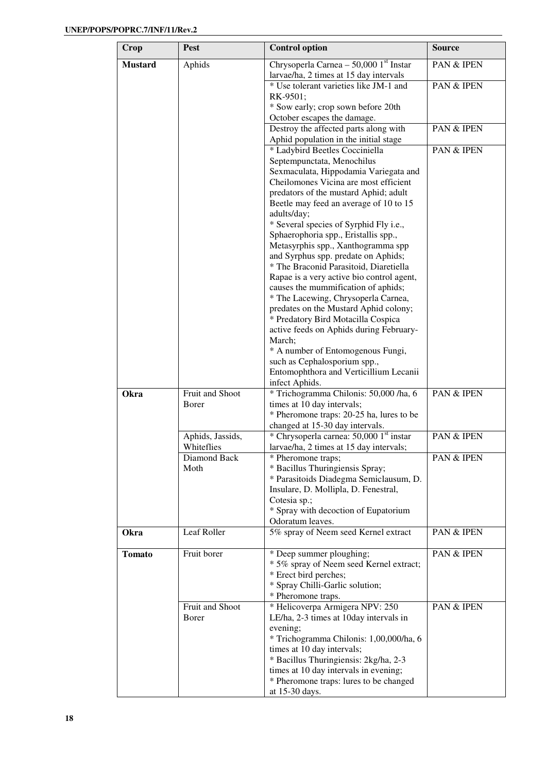| Crop           | <b>Pest</b>      | <b>Control option</b>                                                            | <b>Source</b> |
|----------------|------------------|----------------------------------------------------------------------------------|---------------|
| <b>Mustard</b> | Aphids           | Chrysoperla Carnea $-50,0001$ <sup>st</sup> Instar                               | PAN & IPEN    |
|                |                  | larvae/ha, 2 times at 15 day intervals<br>* Use tolerant varieties like JM-1 and | PAN & IPEN    |
|                |                  | RK-9501;                                                                         |               |
|                |                  | * Sow early; crop sown before 20th                                               |               |
|                |                  | October escapes the damage.                                                      |               |
|                |                  | Destroy the affected parts along with                                            | PAN & IPEN    |
|                |                  | Aphid population in the initial stage                                            |               |
|                |                  | * Ladybird Beetles Cocciniella                                                   | PAN & IPEN    |
|                |                  | Septempunctata, Menochilus                                                       |               |
|                |                  | Sexmaculata, Hippodamia Variegata and                                            |               |
|                |                  | Cheilomones Vicina are most efficient                                            |               |
|                |                  | predators of the mustard Aphid; adult                                            |               |
|                |                  | Beetle may feed an average of 10 to 15                                           |               |
|                |                  | adults/day;                                                                      |               |
|                |                  | * Several species of Syrphid Fly i.e.,                                           |               |
|                |                  | Sphaerophoria spp., Eristallis spp.,                                             |               |
|                |                  | Metasyrphis spp., Xanthogramma spp                                               |               |
|                |                  | and Syrphus spp. predate on Aphids;                                              |               |
|                |                  | * The Braconid Parasitoid, Diaretiella                                           |               |
|                |                  | Rapae is a very active bio control agent,                                        |               |
|                |                  | causes the mummification of aphids;                                              |               |
|                |                  | * The Lacewing, Chrysoperla Carnea,                                              |               |
|                |                  | predates on the Mustard Aphid colony;<br>* Predatory Bird Motacilla Cospica      |               |
|                |                  | active feeds on Aphids during February-                                          |               |
|                |                  | March;                                                                           |               |
|                |                  | * A number of Entomogenous Fungi,                                                |               |
|                |                  | such as Cephalosporium spp.,                                                     |               |
|                |                  | Entomophthora and Verticillium Lecanii                                           |               |
|                |                  | infect Aphids.                                                                   |               |
| Okra           | Fruit and Shoot  | * Trichogramma Chilonis: 50,000 /ha, 6                                           | PAN & IPEN    |
|                | Borer            | times at 10 day intervals;                                                       |               |
|                |                  | * Pheromone traps: 20-25 ha, lures to be                                         |               |
|                |                  | changed at 15-30 day intervals.                                                  |               |
|                | Aphids, Jassids, | * Chrysoperla carnea: 50,000 1st instar                                          | PAN & IPEN    |
|                | Whiteflies       | larvae/ha, 2 times at 15 day intervals;                                          |               |
|                | Diamond Back     | * Pheromone traps;                                                               | PAN & IPEN    |
|                | Moth             | * Bacillus Thuringiensis Spray;                                                  |               |
|                |                  | * Parasitoids Diadegma Semiclausum, D.                                           |               |
|                |                  | Insulare, D. Mollipla, D. Fenestral,                                             |               |
|                |                  | Cotesia sp.;                                                                     |               |
|                |                  | * Spray with decoction of Eupatorium<br>Odoratum leaves.                         |               |
| Okra           | Leaf Roller      | 5% spray of Neem seed Kernel extract                                             | PAN & IPEN    |
|                |                  |                                                                                  |               |
| <b>Tomato</b>  | Fruit borer      | * Deep summer ploughing;                                                         | PAN & IPEN    |
|                |                  | * 5% spray of Neem seed Kernel extract;                                          |               |
|                |                  | * Erect bird perches;                                                            |               |
|                |                  | * Spray Chilli-Garlic solution;                                                  |               |
|                |                  | * Pheromone traps.                                                               |               |
|                | Fruit and Shoot  | * Helicoverpa Armigera NPV: 250                                                  | PAN & IPEN    |
|                | Borer            | LE/ha, 2-3 times at 10day intervals in                                           |               |
|                |                  | evening;                                                                         |               |
|                |                  | * Trichogramma Chilonis: 1,00,000/ha, 6                                          |               |
|                |                  | times at 10 day intervals;                                                       |               |
|                |                  | * Bacillus Thuringiensis: 2kg/ha, 2-3                                            |               |
|                |                  | times at 10 day intervals in evening;<br>* Pheromone traps: lures to be changed  |               |
|                |                  | at 15-30 days.                                                                   |               |
|                |                  |                                                                                  |               |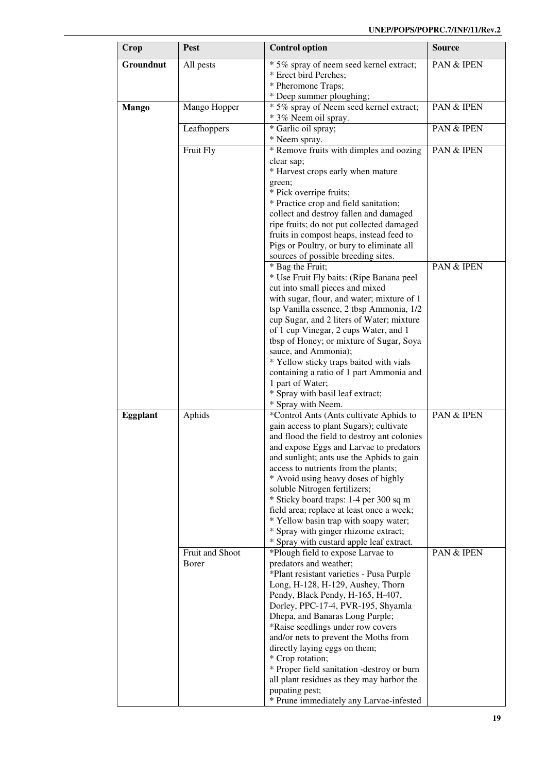| Crop            | Pest            | <b>Control option</b>                                                                 | <b>Source</b> |
|-----------------|-----------------|---------------------------------------------------------------------------------------|---------------|
| Groundnut       | All pests       | * 5% spray of neem seed kernel extract;                                               | PAN & IPEN    |
|                 |                 | * Erect bird Perches;                                                                 |               |
|                 |                 | * Pheromone Traps;                                                                    |               |
|                 |                 | * Deep summer ploughing;                                                              |               |
| <b>Mango</b>    | Mango Hopper    | * 5% spray of Neem seed kernel extract;<br>* 3% Neem oil spray.                       | PAN & IPEN    |
|                 | Leafhoppers     | * Garlic oil spray;                                                                   | PAN & IPEN    |
|                 |                 | * Neem spray.                                                                         |               |
|                 | Fruit Fly       | * Remove fruits with dimples and oozing                                               | PAN & IPEN    |
|                 |                 | clear sap;                                                                            |               |
|                 |                 | * Harvest crops early when mature<br>green;                                           |               |
|                 |                 | * Pick overripe fruits;                                                               |               |
|                 |                 | * Practice crop and field sanitation;                                                 |               |
|                 |                 | collect and destroy fallen and damaged                                                |               |
|                 |                 | ripe fruits; do not put collected damaged                                             |               |
|                 |                 | fruits in compost heaps, instead feed to<br>Pigs or Poultry, or bury to eliminate all |               |
|                 |                 | sources of possible breeding sites.                                                   |               |
|                 |                 | * Bag the Fruit;                                                                      | PAN & IPEN    |
|                 |                 | * Use Fruit Fly baits: (Ripe Banana peel                                              |               |
|                 |                 | cut into small pieces and mixed                                                       |               |
|                 |                 | with sugar, flour, and water; mixture of 1                                            |               |
|                 |                 | tsp Vanilla essence, 2 tbsp Ammonia, 1/2                                              |               |
|                 |                 | cup Sugar, and 2 liters of Water; mixture<br>of 1 cup Vinegar, 2 cups Water, and 1    |               |
|                 |                 | tbsp of Honey; or mixture of Sugar, Soya                                              |               |
|                 |                 | sauce, and Ammonia);                                                                  |               |
|                 |                 | * Yellow sticky traps baited with vials                                               |               |
|                 |                 | containing a ratio of 1 part Ammonia and                                              |               |
|                 |                 | 1 part of Water;                                                                      |               |
|                 |                 | * Spray with basil leaf extract;<br>* Spray with Neem.                                |               |
| <b>Eggplant</b> | Aphids          | *Control Ants (Ants cultivate Aphids to                                               | PAN & IPEN    |
|                 |                 | gain access to plant Sugars); cultivate                                               |               |
|                 |                 | and flood the field to destroy ant colonies                                           |               |
|                 |                 | and expose Eggs and Larvae to predators                                               |               |
|                 |                 | and sunlight; ants use the Aphids to gain                                             |               |
|                 |                 | access to nutrients from the plants;                                                  |               |
|                 |                 | * Avoid using heavy doses of highly<br>soluble Nitrogen fertilizers;                  |               |
|                 |                 | * Sticky board traps: 1-4 per 300 sq m                                                |               |
|                 |                 | field area; replace at least once a week;                                             |               |
|                 |                 | * Yellow basin trap with soapy water;                                                 |               |
|                 |                 | * Spray with ginger rhizome extract;                                                  |               |
|                 | Fruit and Shoot | * Spray with custard apple leaf extract.                                              |               |
|                 | Borer           | *Plough field to expose Larvae to<br>predators and weather;                           | PAN & IPEN    |
|                 |                 | *Plant resistant varieties - Pusa Purple                                              |               |
|                 |                 | Long, H-128, H-129, Aushey, Thorn                                                     |               |
|                 |                 | Pendy, Black Pendy, H-165, H-407,                                                     |               |
|                 |                 | Dorley, PPC-17-4, PVR-195, Shyamla                                                    |               |
|                 |                 | Dhepa, and Banaras Long Purple;                                                       |               |
|                 |                 | *Raise seedlings under row covers                                                     |               |
|                 |                 | and/or nets to prevent the Moths from<br>directly laying eggs on them;                |               |
|                 |                 | * Crop rotation;                                                                      |               |
|                 |                 | * Proper field sanitation -destroy or burn                                            |               |
|                 |                 | all plant residues as they may harbor the                                             |               |
|                 |                 | pupating pest;                                                                        |               |
|                 |                 | * Prune immediately any Larvae-infested                                               |               |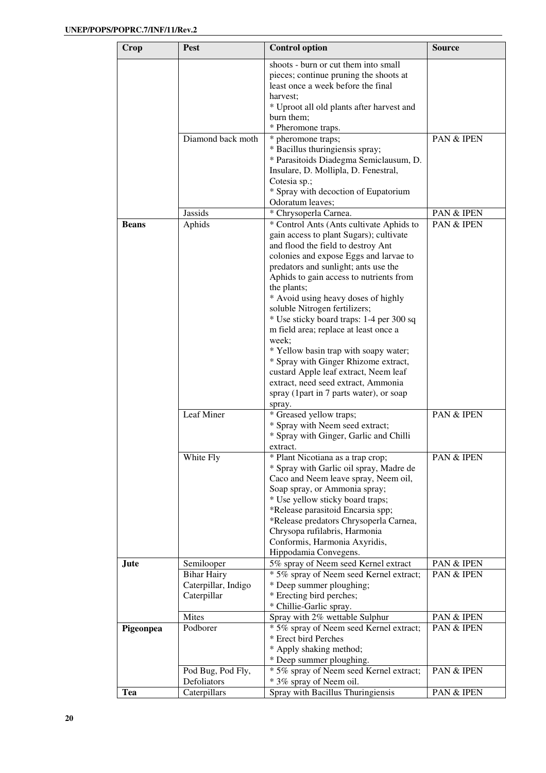| Crop         | <b>Pest</b>                                              | <b>Control option</b>                                                                                                                                                                                                                                                                                                                                                                                                                                                                                                                                                                                        | <b>Source</b>         |
|--------------|----------------------------------------------------------|--------------------------------------------------------------------------------------------------------------------------------------------------------------------------------------------------------------------------------------------------------------------------------------------------------------------------------------------------------------------------------------------------------------------------------------------------------------------------------------------------------------------------------------------------------------------------------------------------------------|-----------------------|
|              |                                                          | shoots - burn or cut them into small<br>pieces; continue pruning the shoots at<br>least once a week before the final<br>harvest;                                                                                                                                                                                                                                                                                                                                                                                                                                                                             |                       |
|              |                                                          | * Uproot all old plants after harvest and<br>burn them;<br>* Pheromone traps.                                                                                                                                                                                                                                                                                                                                                                                                                                                                                                                                |                       |
|              | Diamond back moth                                        | * pheromone traps;<br>* Bacillus thuringiensis spray;<br>* Parasitoids Diadegma Semiclausum, D.                                                                                                                                                                                                                                                                                                                                                                                                                                                                                                              | PAN & IPEN            |
|              |                                                          | Insulare, D. Mollipla, D. Fenestral,<br>Cotesia sp.;<br>* Spray with decoction of Eupatorium<br>Odoratum leaves;                                                                                                                                                                                                                                                                                                                                                                                                                                                                                             |                       |
|              | <b>Jassids</b>                                           | * Chrysoperla Carnea.                                                                                                                                                                                                                                                                                                                                                                                                                                                                                                                                                                                        | PAN & IPEN            |
| <b>Beans</b> | Aphids                                                   | * Control Ants (Ants cultivate Aphids to<br>gain access to plant Sugars); cultivate<br>and flood the field to destroy Ant<br>colonies and expose Eggs and larvae to<br>predators and sunlight; ants use the<br>Aphids to gain access to nutrients from<br>the plants;<br>* Avoid using heavy doses of highly<br>soluble Nitrogen fertilizers;<br>* Use sticky board traps: 1-4 per 300 sq<br>m field area; replace at least once a<br>week:<br>* Yellow basin trap with soapy water;<br>* Spray with Ginger Rhizome extract,<br>custard Apple leaf extract, Neem leaf<br>extract, need seed extract, Ammonia | PAN & IPEN            |
|              | Leaf Miner                                               | spray (1 part in 7 parts water), or soap<br>spray.<br>* Greased yellow traps;<br>* Spray with Neem seed extract;                                                                                                                                                                                                                                                                                                                                                                                                                                                                                             | <b>PAN &amp; IPEN</b> |
|              |                                                          | * Spray with Ginger, Garlic and Chilli                                                                                                                                                                                                                                                                                                                                                                                                                                                                                                                                                                       |                       |
|              | White Fly                                                | extract.<br>* Plant Nicotiana as a trap crop;<br>* Spray with Garlic oil spray, Madre de<br>Caco and Neem leave spray, Neem oil,<br>Soap spray, or Ammonia spray;<br>* Use yellow sticky board traps;<br>*Release parasitoid Encarsia spp;<br>*Release predators Chrysoperla Carnea,<br>Chrysopa rufilabris, Harmonia<br>Conformis, Harmonia Axyridis,<br>Hippodamia Convegens.                                                                                                                                                                                                                              | PAN & IPEN            |
| <b>Jute</b>  | Semilooper                                               | 5% spray of Neem seed Kernel extract                                                                                                                                                                                                                                                                                                                                                                                                                                                                                                                                                                         | PAN & IPEN            |
|              | <b>Bihar Hairy</b><br>Caterpillar, Indigo<br>Caterpillar | * 5% spray of Neem seed Kernel extract;<br>* Deep summer ploughing;<br>* Erecting bird perches;<br>* Chillie-Garlic spray.                                                                                                                                                                                                                                                                                                                                                                                                                                                                                   | <b>PAN &amp; IPEN</b> |
|              | Mites                                                    | Spray with 2% wettable Sulphur                                                                                                                                                                                                                                                                                                                                                                                                                                                                                                                                                                               | PAN & IPEN            |
| Pigeonpea    | Podborer                                                 | * 5% spray of Neem seed Kernel extract;<br>* Erect bird Perches<br>* Apply shaking method;<br>* Deep summer ploughing.                                                                                                                                                                                                                                                                                                                                                                                                                                                                                       | PAN & IPEN            |
|              | Pod Bug, Pod Fly,<br>Defoliators                         | * 5% spray of Neem seed Kernel extract;<br>* 3% spray of Neem oil.                                                                                                                                                                                                                                                                                                                                                                                                                                                                                                                                           | PAN & IPEN            |
| <b>Tea</b>   | Caterpillars                                             | Spray with Bacillus Thuringiensis                                                                                                                                                                                                                                                                                                                                                                                                                                                                                                                                                                            | PAN & IPEN            |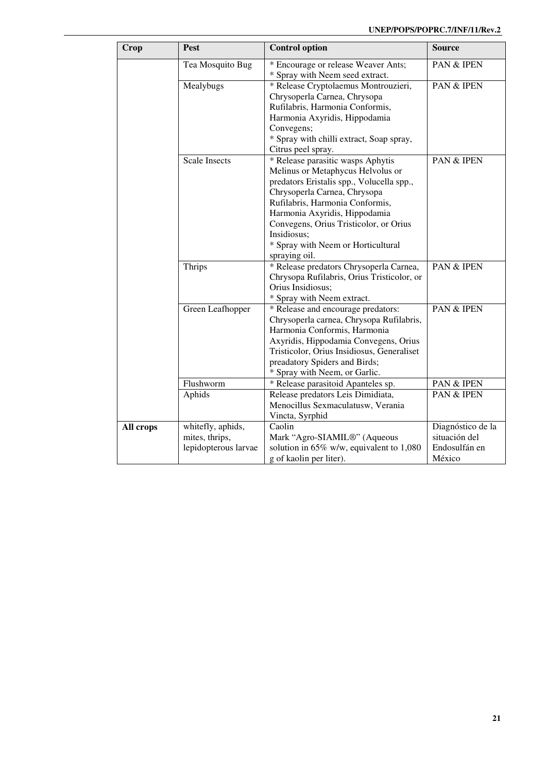| Crop      | <b>Pest</b>          | <b>Control option</b>                                                  | <b>Source</b>     |
|-----------|----------------------|------------------------------------------------------------------------|-------------------|
|           |                      |                                                                        | PAN & IPEN        |
|           | Tea Mosquito Bug     | * Encourage or release Weaver Ants;<br>* Spray with Neem seed extract. |                   |
|           | Mealybugs            | * Release Cryptolaemus Montrouzieri,                                   | PAN & IPEN        |
|           |                      | Chrysoperla Carnea, Chrysopa                                           |                   |
|           |                      | Rufilabris, Harmonia Conformis,                                        |                   |
|           |                      | Harmonia Axyridis, Hippodamia                                          |                   |
|           |                      | Convegens;                                                             |                   |
|           |                      | * Spray with chilli extract, Soap spray,                               |                   |
|           |                      | Citrus peel spray.                                                     |                   |
|           | <b>Scale Insects</b> | * Release parasitic wasps Aphytis                                      | PAN & IPEN        |
|           |                      | Melinus or Metaphycus Helvolus or                                      |                   |
|           |                      | predators Eristalis spp., Volucella spp.,                              |                   |
|           |                      | Chrysoperla Carnea, Chrysopa                                           |                   |
|           |                      | Rufilabris, Harmonia Conformis,                                        |                   |
|           |                      | Harmonia Axyridis, Hippodamia                                          |                   |
|           |                      | Convegens, Orius Tristicolor, or Orius                                 |                   |
|           |                      | Insidiosus;                                                            |                   |
|           |                      | * Spray with Neem or Horticultural                                     |                   |
|           |                      | spraying oil.                                                          |                   |
|           | Thrips               | * Release predators Chrysoperla Carnea,                                | PAN & IPEN        |
|           |                      | Chrysopa Rufilabris, Orius Tristicolor, or                             |                   |
|           |                      | Orius Insidiosus;                                                      |                   |
|           |                      | * Spray with Neem extract.                                             |                   |
|           | Green Leafhopper     | * Release and encourage predators:                                     | PAN & IPEN        |
|           |                      | Chrysoperla carnea, Chrysopa Rufilabris,                               |                   |
|           |                      | Harmonia Conformis, Harmonia                                           |                   |
|           |                      | Axyridis, Hippodamia Convegens, Orius                                  |                   |
|           |                      | Tristicolor, Orius Insidiosus, Generaliset                             |                   |
|           |                      | preadatory Spiders and Birds;                                          |                   |
|           |                      | * Spray with Neem, or Garlic.                                          |                   |
|           | Flushworm            | * Release parasitoid Apanteles sp.                                     | PAN & IPEN        |
|           | Aphids               | Release predators Leis Dimidiata,                                      | PAN & IPEN        |
|           |                      | Menocillus Sexmaculatusw, Verania                                      |                   |
|           |                      | Vincta, Syrphid                                                        |                   |
| All crops | whitefly, aphids,    | Caolin                                                                 | Diagnóstico de la |
|           | mites, thrips,       | Mark "Agro-SIAMIL®" (Aqueous                                           | situación del     |
|           | lepidopterous larvae | solution in $65\%$ w/w, equivalent to 1,080                            | Endosulfán en     |
|           |                      | g of kaolin per liter).                                                | México            |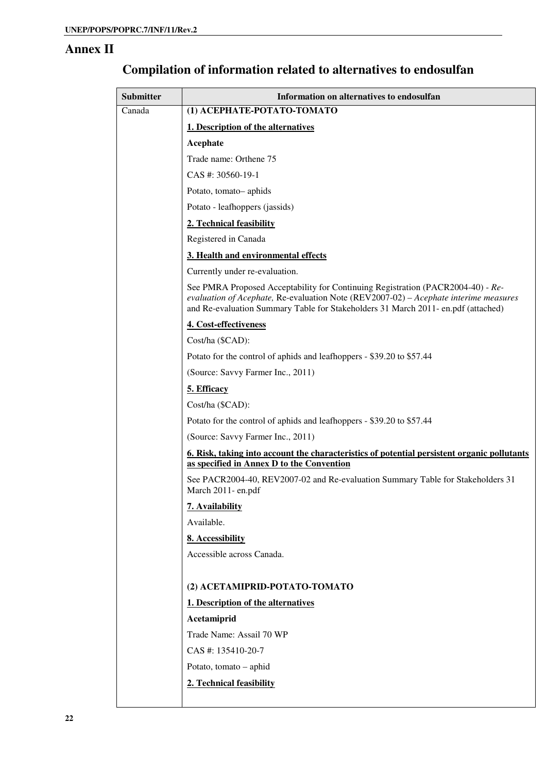#### **Annex II**

| <b>Submitter</b> | Information on alternatives to endosulfan                                                                                                                                                                                                                    |
|------------------|--------------------------------------------------------------------------------------------------------------------------------------------------------------------------------------------------------------------------------------------------------------|
| Canada           | (1) АСЕРНАТЕ-РОТАТО-ТОМАТО                                                                                                                                                                                                                                   |
|                  | 1. Description of the alternatives                                                                                                                                                                                                                           |
|                  | Acephate                                                                                                                                                                                                                                                     |
|                  | Trade name: Orthene 75                                                                                                                                                                                                                                       |
|                  | CAS #: 30560-19-1                                                                                                                                                                                                                                            |
|                  | Potato, tomato-aphids                                                                                                                                                                                                                                        |
|                  | Potato - leafhoppers (jassids)                                                                                                                                                                                                                               |
|                  | 2. Technical feasibility                                                                                                                                                                                                                                     |
|                  | Registered in Canada                                                                                                                                                                                                                                         |
|                  | 3. Health and environmental effects                                                                                                                                                                                                                          |
|                  | Currently under re-evaluation.                                                                                                                                                                                                                               |
|                  | See PMRA Proposed Acceptability for Continuing Registration (PACR2004-40) - Re-<br>evaluation of Acephate, Re-evaluation Note (REV2007-02) - Acephate interime measures<br>and Re-evaluation Summary Table for Stakeholders 31 March 2011- en.pdf (attached) |
|                  | 4. Cost-effectiveness                                                                                                                                                                                                                                        |
|                  | Cost/ha (\$CAD):                                                                                                                                                                                                                                             |
|                  | Potato for the control of aphids and leafhoppers - \$39.20 to \$57.44                                                                                                                                                                                        |
|                  | (Source: Savvy Farmer Inc., 2011)                                                                                                                                                                                                                            |
|                  | 5. Efficacy                                                                                                                                                                                                                                                  |
|                  | Cost/ha (\$CAD):                                                                                                                                                                                                                                             |
|                  | Potato for the control of aphids and leafhoppers - \$39.20 to \$57.44                                                                                                                                                                                        |
|                  | (Source: Savvy Farmer Inc., 2011)                                                                                                                                                                                                                            |
|                  | 6. Risk, taking into account the characteristics of potential persistent organic pollutants<br>as specified in Annex D to the Convention                                                                                                                     |
|                  | See PACR2004-40, REV2007-02 and Re-evaluation Summary Table for Stakeholders 31<br>March 2011-en.pdf                                                                                                                                                         |
|                  | 7. Availability                                                                                                                                                                                                                                              |
|                  | Available.                                                                                                                                                                                                                                                   |
|                  | 8. Accessibility                                                                                                                                                                                                                                             |
|                  | Accessible across Canada.                                                                                                                                                                                                                                    |
|                  | (2) ACETAMIPRID-POTATO-TOMATO                                                                                                                                                                                                                                |
|                  | 1. Description of the alternatives                                                                                                                                                                                                                           |
|                  | Acetamiprid                                                                                                                                                                                                                                                  |
|                  | Trade Name: Assail 70 WP                                                                                                                                                                                                                                     |
|                  | CAS #: 135410-20-7                                                                                                                                                                                                                                           |
|                  | Potato, tomato - aphid                                                                                                                                                                                                                                       |
|                  | 2. Technical feasibility                                                                                                                                                                                                                                     |
|                  |                                                                                                                                                                                                                                                              |

## **Compilation of information related to alternatives to endosulfan**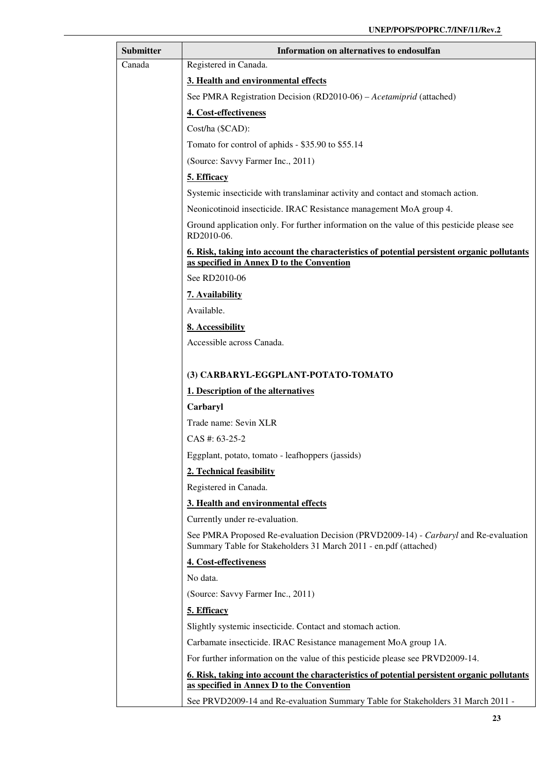| Submitter | Information on alternatives to endosulfan                                                                                                               |
|-----------|---------------------------------------------------------------------------------------------------------------------------------------------------------|
| Canada    | Registered in Canada.                                                                                                                                   |
|           | 3. Health and environmental effects                                                                                                                     |
|           | See PMRA Registration Decision (RD2010-06) – Acetamiprid (attached)                                                                                     |
|           | 4. Cost-effectiveness                                                                                                                                   |
|           | Cost/ha (\$CAD):                                                                                                                                        |
|           | Tomato for control of aphids - \$35.90 to \$55.14                                                                                                       |
|           | (Source: Savvy Farmer Inc., 2011)                                                                                                                       |
|           | 5. Efficacy                                                                                                                                             |
|           | Systemic insecticide with translaminar activity and contact and stomach action.                                                                         |
|           | Neonicotinoid insecticide. IRAC Resistance management MoA group 4.                                                                                      |
|           | Ground application only. For further information on the value of this pesticide please see<br>RD2010-06.                                                |
|           | 6. Risk, taking into account the characteristics of potential persistent organic pollutants<br>as specified in Annex D to the Convention                |
|           | See RD2010-06                                                                                                                                           |
|           | 7. Availability                                                                                                                                         |
|           | Available.                                                                                                                                              |
|           | 8. Accessibility                                                                                                                                        |
|           | Accessible across Canada.                                                                                                                               |
|           |                                                                                                                                                         |
|           | (3) CARBARYL-EGGPLANT-POTATO-TOMATO                                                                                                                     |
|           | 1. Description of the alternatives                                                                                                                      |
|           | Carbaryl                                                                                                                                                |
|           | Trade name: Sevin XLR                                                                                                                                   |
|           | $CAS$ #: 63-25-2                                                                                                                                        |
|           | Eggplant, potato, tomato - leafhoppers (jassids)                                                                                                        |
|           | 2. Technical feasibility                                                                                                                                |
|           | Registered in Canada.                                                                                                                                   |
|           | 3. Health and environmental effects                                                                                                                     |
|           | Currently under re-evaluation.                                                                                                                          |
|           | See PMRA Proposed Re-evaluation Decision (PRVD2009-14) - Carbaryl and Re-evaluation<br>Summary Table for Stakeholders 31 March 2011 - en.pdf (attached) |
|           | 4. Cost-effectiveness                                                                                                                                   |
|           | No data.                                                                                                                                                |
|           | (Source: Savvy Farmer Inc., 2011)                                                                                                                       |
|           | 5. Efficacy                                                                                                                                             |
|           | Slightly systemic insecticide. Contact and stomach action.                                                                                              |
|           | Carbamate insecticide. IRAC Resistance management MoA group 1A.                                                                                         |
|           | For further information on the value of this pesticide please see PRVD2009-14.                                                                          |
|           | 6. Risk, taking into account the characteristics of potential persistent organic pollutants<br>as specified in Annex D to the Convention                |
|           | See PRVD2009-14 and Re-evaluation Summary Table for Stakeholders 31 March 2011 -                                                                        |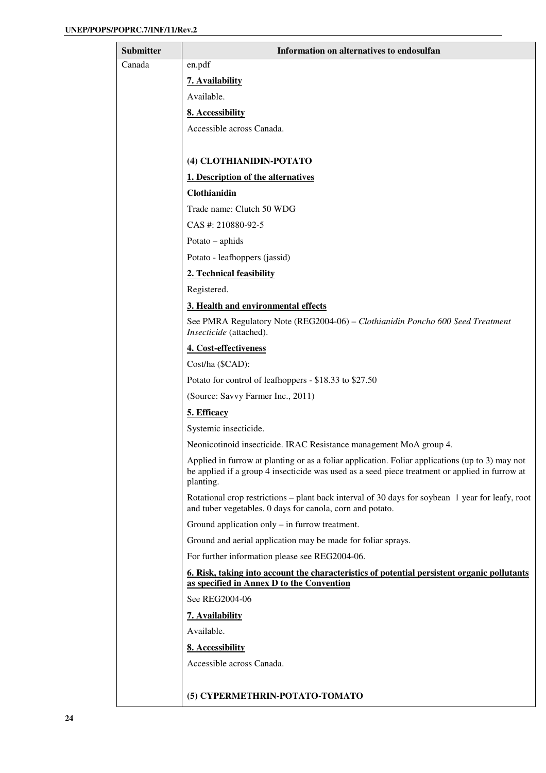| <b>Submitter</b> | Information on alternatives to endosulfan                                                                                                                                                                      |
|------------------|----------------------------------------------------------------------------------------------------------------------------------------------------------------------------------------------------------------|
| Canada           | en.pdf                                                                                                                                                                                                         |
|                  | 7. Availability                                                                                                                                                                                                |
|                  | Available.                                                                                                                                                                                                     |
|                  | 8. Accessibility                                                                                                                                                                                               |
|                  | Accessible across Canada.                                                                                                                                                                                      |
|                  |                                                                                                                                                                                                                |
|                  | (4) CLOTHIANIDIN-POTATO                                                                                                                                                                                        |
|                  | 1. Description of the alternatives                                                                                                                                                                             |
|                  | Clothianidin                                                                                                                                                                                                   |
|                  | Trade name: Clutch 50 WDG                                                                                                                                                                                      |
|                  | CAS #: 210880-92-5                                                                                                                                                                                             |
|                  | Potato - aphids                                                                                                                                                                                                |
|                  | Potato - leafhoppers (jassid)                                                                                                                                                                                  |
|                  | 2. Technical feasibility                                                                                                                                                                                       |
|                  | Registered.                                                                                                                                                                                                    |
|                  | 3. Health and environmental effects                                                                                                                                                                            |
|                  | See PMRA Regulatory Note (REG2004-06) - Clothianidin Poncho 600 Seed Treatment<br>Insecticide (attached).                                                                                                      |
|                  | 4. Cost-effectiveness                                                                                                                                                                                          |
|                  | Cost/ha (\$CAD):                                                                                                                                                                                               |
|                  | Potato for control of leafhoppers - \$18.33 to \$27.50                                                                                                                                                         |
|                  | (Source: Savvy Farmer Inc., 2011)                                                                                                                                                                              |
|                  | 5. Efficacy                                                                                                                                                                                                    |
|                  | Systemic insecticide.                                                                                                                                                                                          |
|                  | Neonicotinoid insecticide. IRAC Resistance management MoA group 4.                                                                                                                                             |
|                  | Applied in furrow at planting or as a foliar application. Foliar applications (up to 3) may not<br>be applied if a group 4 insecticide was used as a seed piece treatment or applied in furrow at<br>planting. |
|                  | Rotational crop restrictions – plant back interval of 30 days for soybean 1 year for leafy, root<br>and tuber vegetables. 0 days for canola, corn and potato.                                                  |
|                  | Ground application only $-$ in furrow treatment.                                                                                                                                                               |
|                  | Ground and aerial application may be made for foliar sprays.                                                                                                                                                   |
|                  | For further information please see REG2004-06.                                                                                                                                                                 |
|                  | 6. Risk, taking into account the characteristics of potential persistent organic pollutants<br>as specified in Annex D to the Convention                                                                       |
|                  | See REG2004-06                                                                                                                                                                                                 |
|                  | 7. Availability                                                                                                                                                                                                |
|                  | Available.                                                                                                                                                                                                     |
|                  | 8. Accessibility                                                                                                                                                                                               |
|                  | Accessible across Canada.                                                                                                                                                                                      |
|                  |                                                                                                                                                                                                                |
|                  | (5) CYPERMETHRIN-POTATO-TOMATO                                                                                                                                                                                 |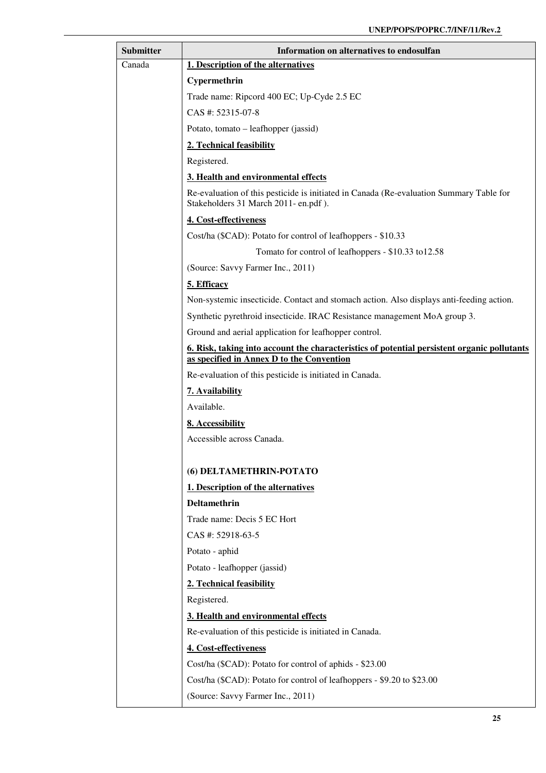| <b>Submitter</b> | Information on alternatives to endosulfan                                                                                                              |
|------------------|--------------------------------------------------------------------------------------------------------------------------------------------------------|
| Canada           | 1. Description of the alternatives                                                                                                                     |
|                  | Cypermethrin                                                                                                                                           |
|                  | Trade name: Ripcord 400 EC; Up-Cyde 2.5 EC                                                                                                             |
|                  | CAS #: 52315-07-8                                                                                                                                      |
|                  | Potato, tomato – leafhopper (jassid)                                                                                                                   |
|                  | 2. Technical feasibility                                                                                                                               |
|                  | Registered.                                                                                                                                            |
|                  | 3. Health and environmental effects                                                                                                                    |
|                  | Re-evaluation of this pesticide is initiated in Canada (Re-evaluation Summary Table for<br>Stakeholders 31 March 2011-en.pdf).                         |
|                  | 4. Cost-effectiveness                                                                                                                                  |
|                  | Cost/ha (\$CAD): Potato for control of leafhoppers - \$10.33                                                                                           |
|                  | Tomato for control of leafhoppers - \$10.33 to 12.58                                                                                                   |
|                  | (Source: Savvy Farmer Inc., 2011)                                                                                                                      |
|                  | 5. Efficacy                                                                                                                                            |
|                  | Non-systemic insecticide. Contact and stomach action. Also displays anti-feeding action.                                                               |
|                  | Synthetic pyrethroid insecticide. IRAC Resistance management MoA group 3.                                                                              |
|                  | Ground and aerial application for leafhopper control.                                                                                                  |
|                  | <u><b>6. Risk, taking into account the characteristics of potential persistent organic pollutants</b></u><br>as specified in Annex D to the Convention |
|                  | Re-evaluation of this pesticide is initiated in Canada.                                                                                                |
|                  | 7. Availability                                                                                                                                        |
|                  | Available.                                                                                                                                             |
|                  | 8. Accessibility                                                                                                                                       |
|                  | Accessible across Canada.                                                                                                                              |
|                  |                                                                                                                                                        |
|                  | (6) DELTAMETHRIN-POTATO                                                                                                                                |
|                  | 1. Description of the alternatives                                                                                                                     |
|                  | <b>Deltamethrin</b>                                                                                                                                    |
|                  | Trade name: Decis 5 EC Hort                                                                                                                            |
|                  | CAS #: 52918-63-5                                                                                                                                      |
|                  | Potato - aphid                                                                                                                                         |
|                  | Potato - leafhopper (jassid)                                                                                                                           |
|                  | 2. Technical feasibility<br>Registered.                                                                                                                |
|                  |                                                                                                                                                        |
|                  | 3. Health and environmental effects<br>Re-evaluation of this pesticide is initiated in Canada.                                                         |
|                  | 4. Cost-effectiveness                                                                                                                                  |
|                  | Cost/ha (\$CAD): Potato for control of aphids - \$23.00                                                                                                |
|                  | Cost/ha (\$CAD): Potato for control of leafhoppers - \$9.20 to \$23.00                                                                                 |
|                  | (Source: Savvy Farmer Inc., 2011)                                                                                                                      |
|                  |                                                                                                                                                        |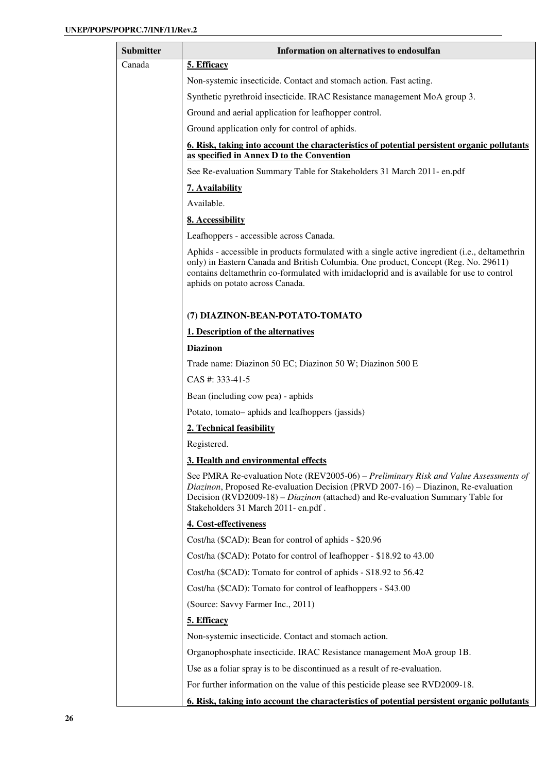| Submitter | Information on alternatives to endosulfan                                                                                                                                                                                                                                                                             |
|-----------|-----------------------------------------------------------------------------------------------------------------------------------------------------------------------------------------------------------------------------------------------------------------------------------------------------------------------|
| Canada    | 5. Efficacy                                                                                                                                                                                                                                                                                                           |
|           | Non-systemic insecticide. Contact and stomach action. Fast acting.                                                                                                                                                                                                                                                    |
|           | Synthetic pyrethroid insecticide. IRAC Resistance management MoA group 3.                                                                                                                                                                                                                                             |
|           | Ground and aerial application for leafhopper control.                                                                                                                                                                                                                                                                 |
|           | Ground application only for control of aphids.                                                                                                                                                                                                                                                                        |
|           | 6. Risk, taking into account the characteristics of potential persistent organic pollutants                                                                                                                                                                                                                           |
|           | as specified in Annex D to the Convention                                                                                                                                                                                                                                                                             |
|           | See Re-evaluation Summary Table for Stakeholders 31 March 2011- en.pdf                                                                                                                                                                                                                                                |
|           | 7. Availability                                                                                                                                                                                                                                                                                                       |
|           | Available.                                                                                                                                                                                                                                                                                                            |
|           | 8. Accessibility                                                                                                                                                                                                                                                                                                      |
|           | Leafhoppers - accessible across Canada.                                                                                                                                                                                                                                                                               |
|           | Aphids - accessible in products formulated with a single active ingredient (i.e., deltamethrin<br>only) in Eastern Canada and British Columbia. One product, Concept (Reg. No. 29611)<br>contains deltamethrin co-formulated with imidacloprid and is available for use to control<br>aphids on potato across Canada. |
|           | (7) DIAZINON-BEAN-POTATO-TOMATO                                                                                                                                                                                                                                                                                       |
|           | 1. Description of the alternatives                                                                                                                                                                                                                                                                                    |
|           | <b>Diazinon</b>                                                                                                                                                                                                                                                                                                       |
|           | Trade name: Diazinon 50 EC; Diazinon 50 W; Diazinon 500 E                                                                                                                                                                                                                                                             |
|           | CAS #: 333-41-5                                                                                                                                                                                                                                                                                                       |
|           | Bean (including cow pea) - aphids                                                                                                                                                                                                                                                                                     |
|           | Potato, tomato-aphids and leafhoppers (jassids)                                                                                                                                                                                                                                                                       |
|           | 2. Technical feasibility                                                                                                                                                                                                                                                                                              |
|           | Registered.                                                                                                                                                                                                                                                                                                           |
|           | 3. Health and environmental effects                                                                                                                                                                                                                                                                                   |
|           | See PMRA Re-evaluation Note (REV2005-06) - Preliminary Risk and Value Assessments of<br>Diazinon, Proposed Re-evaluation Decision (PRVD 2007-16) – Diazinon, Re-evaluation<br>Decision (RVD2009-18) – Diazinon (attached) and Re-evaluation Summary Table for<br>Stakeholders 31 March 2011-en.pdf.                   |
|           | 4. Cost-effectiveness                                                                                                                                                                                                                                                                                                 |
|           | Cost/ha (\$CAD): Bean for control of aphids - \$20.96                                                                                                                                                                                                                                                                 |
|           | Cost/ha (\$CAD): Potato for control of leafhopper - \$18.92 to 43.00                                                                                                                                                                                                                                                  |
|           | Cost/ha (\$CAD): Tomato for control of aphids - \$18.92 to 56.42                                                                                                                                                                                                                                                      |
|           | Cost/ha (\$CAD): Tomato for control of leafhoppers - \$43.00                                                                                                                                                                                                                                                          |
|           | (Source: Savvy Farmer Inc., 2011)                                                                                                                                                                                                                                                                                     |
|           | 5. Efficacy                                                                                                                                                                                                                                                                                                           |
|           | Non-systemic insecticide. Contact and stomach action.                                                                                                                                                                                                                                                                 |
|           | Organophosphate insecticide. IRAC Resistance management MoA group 1B.                                                                                                                                                                                                                                                 |
|           | Use as a foliar spray is to be discontinued as a result of re-evaluation.                                                                                                                                                                                                                                             |
|           | For further information on the value of this pesticide please see RVD2009-18.                                                                                                                                                                                                                                         |
|           | <u>6. Risk, taking into account the characteristics of potential persistent organic pollutants</u>                                                                                                                                                                                                                    |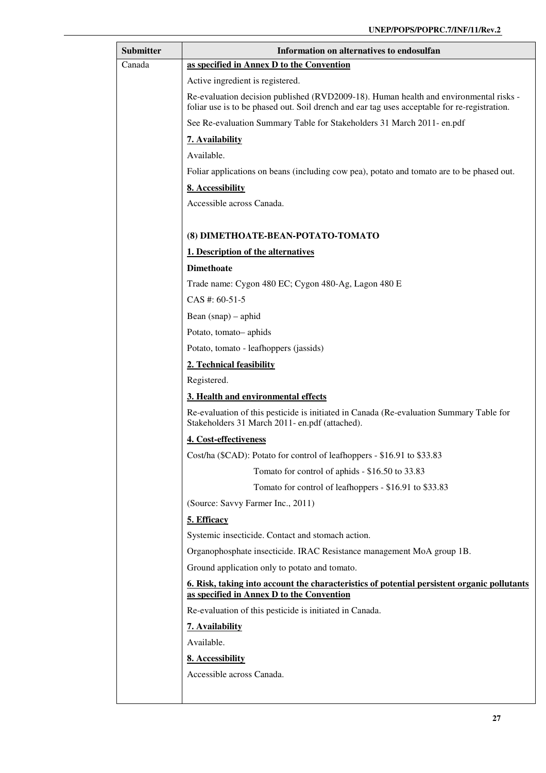| <b>Submitter</b> | Information on alternatives to endosulfan                                                                                                                                             |
|------------------|---------------------------------------------------------------------------------------------------------------------------------------------------------------------------------------|
| Canada           | as specified in Annex D to the Convention                                                                                                                                             |
|                  | Active ingredient is registered.                                                                                                                                                      |
|                  | Re-evaluation decision published (RVD2009-18). Human health and environmental risks -<br>foliar use is to be phased out. Soil drench and ear tag uses acceptable for re-registration. |
|                  | See Re-evaluation Summary Table for Stakeholders 31 March 2011- en.pdf                                                                                                                |
|                  | 7. Availability                                                                                                                                                                       |
|                  | Available.                                                                                                                                                                            |
|                  | Foliar applications on beans (including cow pea), potato and tomato are to be phased out.                                                                                             |
|                  | 8. Accessibility                                                                                                                                                                      |
|                  | Accessible across Canada.                                                                                                                                                             |
|                  |                                                                                                                                                                                       |
|                  | (8) DIMETHOATE-BEAN-POTATO-TOMATO                                                                                                                                                     |
|                  | 1. Description of the alternatives                                                                                                                                                    |
|                  | <b>Dimethoate</b>                                                                                                                                                                     |
|                  | Trade name: Cygon 480 EC; Cygon 480-Ag, Lagon 480 E                                                                                                                                   |
|                  | CAS #: 60-51-5                                                                                                                                                                        |
|                  | Bean $(snap)$ – aphid                                                                                                                                                                 |
|                  | Potato, tomato-aphids                                                                                                                                                                 |
|                  | Potato, tomato - leafhoppers (jassids)                                                                                                                                                |
|                  | 2. Technical feasibility                                                                                                                                                              |
|                  | Registered.                                                                                                                                                                           |
|                  | 3. Health and environmental effects                                                                                                                                                   |
|                  | Re-evaluation of this pesticide is initiated in Canada (Re-evaluation Summary Table for<br>Stakeholders 31 March 2011- en.pdf (attached).                                             |
|                  | 4. Cost-effectiveness                                                                                                                                                                 |
|                  | Cost/ha (\$CAD): Potato for control of leafhoppers - \$16.91 to \$33.83                                                                                                               |
|                  | Tomato for control of aphids - \$16.50 to 33.83                                                                                                                                       |
|                  | Tomato for control of leafhoppers - \$16.91 to \$33.83                                                                                                                                |
|                  | (Source: Savvy Farmer Inc., 2011)                                                                                                                                                     |
|                  | 5. Efficacy                                                                                                                                                                           |
|                  | Systemic insecticide. Contact and stomach action.                                                                                                                                     |
|                  | Organophosphate insecticide. IRAC Resistance management MoA group 1B.                                                                                                                 |
|                  | Ground application only to potato and tomato.                                                                                                                                         |
|                  | 6. Risk, taking into account the characteristics of potential persistent organic pollutants<br>as specified in Annex D to the Convention                                              |
|                  | Re-evaluation of this pesticide is initiated in Canada.                                                                                                                               |
|                  | 7. Availability                                                                                                                                                                       |
|                  | Available.                                                                                                                                                                            |
|                  | 8. Accessibility                                                                                                                                                                      |
|                  | Accessible across Canada.                                                                                                                                                             |
|                  |                                                                                                                                                                                       |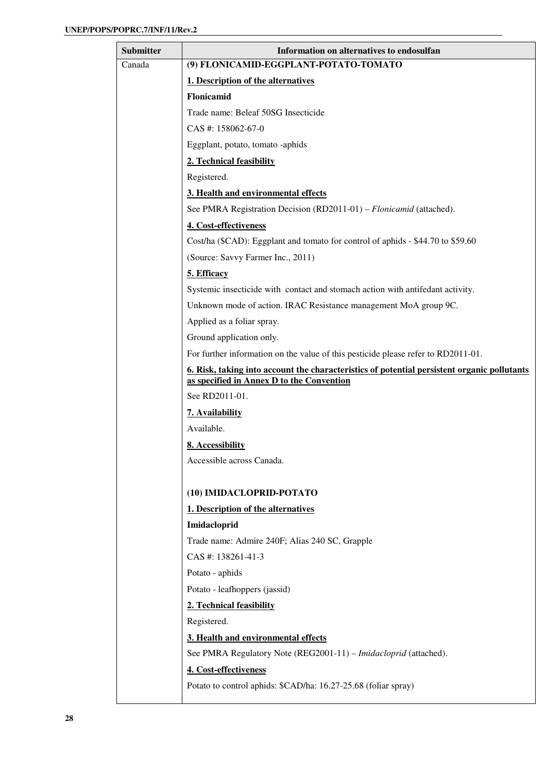| <b>Submitter</b> | Information on alternatives to endosulfan                                                                 |
|------------------|-----------------------------------------------------------------------------------------------------------|
| Canada           | (9) FLONICAMID-EGGPLANT-POTATO-TOMATO                                                                     |
|                  | 1. Description of the alternatives                                                                        |
|                  | Flonicamid                                                                                                |
|                  | Trade name: Beleaf 50SG Insecticide                                                                       |
|                  | CAS #: 158062-67-0                                                                                        |
|                  | Eggplant, potato, tomato -aphids                                                                          |
|                  | 2. Technical feasibility                                                                                  |
|                  | Registered.                                                                                               |
|                  | 3. Health and environmental effects                                                                       |
|                  | See PMRA Registration Decision (RD2011-01) – Flonicamid (attached).                                       |
|                  | 4. Cost-effectiveness                                                                                     |
|                  | Cost/ha (\$CAD): Eggplant and tomato for control of aphids - \$44.70 to \$59.60                           |
|                  | (Source: Savvy Farmer Inc., 2011)                                                                         |
|                  | 5. Efficacy                                                                                               |
|                  | Systemic insecticide with contact and stomach action with antifedant activity.                            |
|                  | Unknown mode of action. IRAC Resistance management MoA group 9C.                                          |
|                  | Applied as a foliar spray.                                                                                |
|                  | Ground application only.                                                                                  |
|                  | For further information on the value of this pesticide please refer to RD2011-01.                         |
|                  | <u><b>6.</b> Risk, taking into account the characteristics of potential persistent organic pollutants</u> |
|                  | as specified in Annex D to the Convention                                                                 |
|                  | See RD2011-01.                                                                                            |
|                  | 7. Availability                                                                                           |
|                  | Available.                                                                                                |
|                  | 8. Accessibility                                                                                          |
|                  | Accessible across Canada.                                                                                 |
|                  |                                                                                                           |
|                  | (10) IMIDACLOPRID-POTATO                                                                                  |
|                  | 1. Description of the alternatives                                                                        |
|                  | Imidacloprid                                                                                              |
|                  | Trade name: Admire 240F; Alias 240 SC, Grapple                                                            |
|                  | CAS #: 138261-41-3                                                                                        |
|                  | Potato - aphids                                                                                           |
|                  | Potato - leafhoppers (jassid)                                                                             |
|                  | 2. Technical feasibility                                                                                  |
|                  | Registered.                                                                                               |
|                  | 3. Health and environmental effects                                                                       |
|                  | See PMRA Regulatory Note (REG2001-11) – Imidacloprid (attached).                                          |
|                  | 4. Cost-effectiveness                                                                                     |
|                  | Potato to control aphids: \$CAD/ha: 16.27-25.68 (foliar spray)                                            |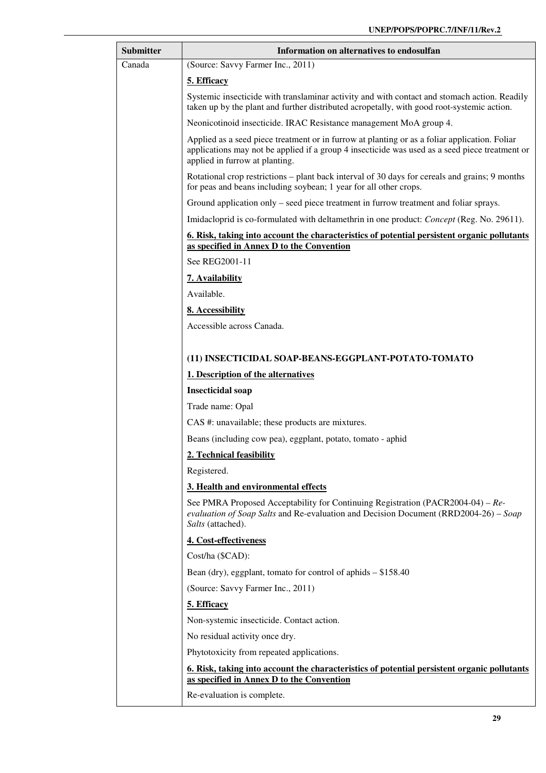| <b>Submitter</b> | Information on alternatives to endosulfan                                                                                                                                                                                         |
|------------------|-----------------------------------------------------------------------------------------------------------------------------------------------------------------------------------------------------------------------------------|
| Canada           | (Source: Savvy Farmer Inc., 2011)                                                                                                                                                                                                 |
|                  | 5. Efficacy                                                                                                                                                                                                                       |
|                  | Systemic insecticide with translaminar activity and with contact and stomach action. Readily<br>taken up by the plant and further distributed acropetally, with good root-systemic action.                                        |
|                  | Neonicotinoid insecticide. IRAC Resistance management MoA group 4.                                                                                                                                                                |
|                  | Applied as a seed piece treatment or in furrow at planting or as a foliar application. Foliar<br>applications may not be applied if a group 4 insecticide was used as a seed piece treatment or<br>applied in furrow at planting. |
|                  | Rotational crop restrictions – plant back interval of 30 days for cereals and grains; 9 months<br>for peas and beans including soybean; 1 year for all other crops.                                                               |
|                  | Ground application only – seed piece treatment in furrow treatment and foliar sprays.                                                                                                                                             |
|                  | Imidacloprid is co-formulated with deltamethrin in one product: <i>Concept</i> (Reg. No. 29611).                                                                                                                                  |
|                  | 6. Risk, taking into account the characteristics of potential persistent organic pollutants                                                                                                                                       |
|                  | as specified in Annex D to the Convention                                                                                                                                                                                         |
|                  | See REG2001-11                                                                                                                                                                                                                    |
|                  | 7. Availability                                                                                                                                                                                                                   |
|                  | Available.                                                                                                                                                                                                                        |
|                  | 8. Accessibility                                                                                                                                                                                                                  |
|                  | Accessible across Canada.                                                                                                                                                                                                         |
|                  |                                                                                                                                                                                                                                   |
|                  | (11) INSECTICIDAL SOAP-BEANS-EGGPLANT-POTATO-TOMATO<br>1. Description of the alternatives                                                                                                                                         |
|                  | <b>Insecticidal</b> soap                                                                                                                                                                                                          |
|                  | Trade name: Opal                                                                                                                                                                                                                  |
|                  | CAS #: unavailable; these products are mixtures.                                                                                                                                                                                  |
|                  | Beans (including cow pea), eggplant, potato, tomato - aphid                                                                                                                                                                       |
|                  | 2. Technical feasibility                                                                                                                                                                                                          |
|                  | Registered.                                                                                                                                                                                                                       |
|                  | 3. Health and environmental effects                                                                                                                                                                                               |
|                  | See PMRA Proposed Acceptability for Continuing Registration (PACR2004-04) – $Re$ -<br>evaluation of Soap Salts and Re-evaluation and Decision Document (RRD2004-26) – Soap<br>Salts (attached).                                   |
|                  | 4. Cost-effectiveness                                                                                                                                                                                                             |
|                  | Cost/ha (\$CAD):                                                                                                                                                                                                                  |
|                  | Bean (dry), eggplant, tomato for control of aphids $- $158.40$                                                                                                                                                                    |
|                  | (Source: Savvy Farmer Inc., 2011)                                                                                                                                                                                                 |
|                  | 5. Efficacy                                                                                                                                                                                                                       |
|                  | Non-systemic insecticide. Contact action.                                                                                                                                                                                         |
|                  | No residual activity once dry.                                                                                                                                                                                                    |
|                  | Phytotoxicity from repeated applications.                                                                                                                                                                                         |
|                  | 6. Risk, taking into account the characteristics of potential persistent organic pollutants<br>as specified in Annex D to the Convention                                                                                          |
|                  | Re-evaluation is complete.                                                                                                                                                                                                        |
|                  |                                                                                                                                                                                                                                   |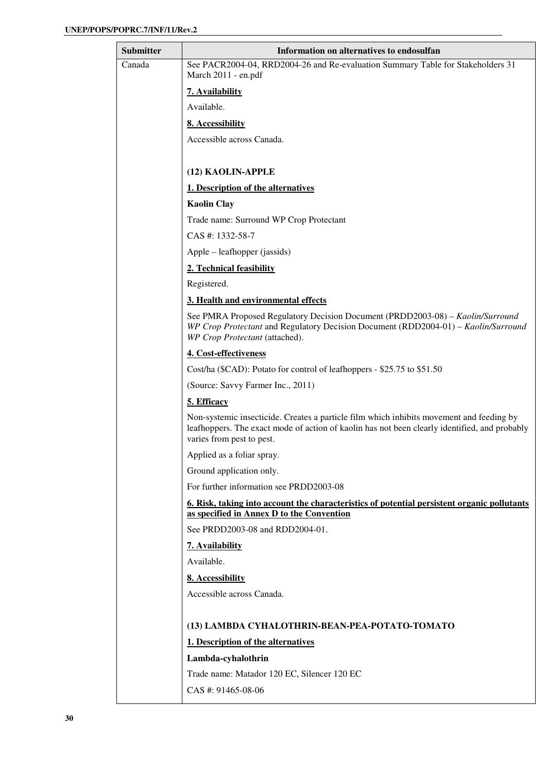| Submitter | Information on alternatives to endosulfan                                                                                                                                                                              |
|-----------|------------------------------------------------------------------------------------------------------------------------------------------------------------------------------------------------------------------------|
| Canada    | See PACR2004-04, RRD2004-26 and Re-evaluation Summary Table for Stakeholders 31<br>March 2011 - en.pdf                                                                                                                 |
|           | 7. Availability                                                                                                                                                                                                        |
|           | Available.                                                                                                                                                                                                             |
|           | 8. Accessibility                                                                                                                                                                                                       |
|           | Accessible across Canada.                                                                                                                                                                                              |
|           |                                                                                                                                                                                                                        |
|           | (12) KAOLIN-APPLE                                                                                                                                                                                                      |
|           | 1. Description of the alternatives                                                                                                                                                                                     |
|           | <b>Kaolin Clay</b>                                                                                                                                                                                                     |
|           | Trade name: Surround WP Crop Protectant                                                                                                                                                                                |
|           | CAS #: 1332-58-7                                                                                                                                                                                                       |
|           | Apple – leafhopper (jassids)                                                                                                                                                                                           |
|           | 2. Technical feasibility                                                                                                                                                                                               |
|           | Registered.                                                                                                                                                                                                            |
|           | 3. Health and environmental effects                                                                                                                                                                                    |
|           | See PMRA Proposed Regulatory Decision Document (PRDD2003-08) – Kaolin/Surround<br>WP Crop Protectant and Regulatory Decision Document (RDD2004-01) - Kaolin/Surround<br>WP Crop Protectant (attached).                 |
|           | 4. Cost-effectiveness                                                                                                                                                                                                  |
|           | Cost/ha (\$CAD): Potato for control of leafhoppers - \$25.75 to \$51.50                                                                                                                                                |
|           | (Source: Savvy Farmer Inc., 2011)                                                                                                                                                                                      |
|           | 5. Efficacy                                                                                                                                                                                                            |
|           | Non-systemic insecticide. Creates a particle film which inhibits movement and feeding by<br>leafhoppers. The exact mode of action of kaolin has not been clearly identified, and probably<br>varies from pest to pest. |
|           | Applied as a foliar spray.                                                                                                                                                                                             |
|           | Ground application only.                                                                                                                                                                                               |
|           | For further information see PRDD2003-08                                                                                                                                                                                |
|           | 6. Risk, taking into account the characteristics of potential persistent organic pollutants                                                                                                                            |
|           | as specified in Annex D to the Convention                                                                                                                                                                              |
|           | See PRDD2003-08 and RDD2004-01.                                                                                                                                                                                        |
|           | 7. Availability                                                                                                                                                                                                        |
|           | Available.                                                                                                                                                                                                             |
|           | 8. Accessibility                                                                                                                                                                                                       |
|           | Accessible across Canada.                                                                                                                                                                                              |
|           | (13) LAMBDA CYHALOTHRIN-BEAN-PEA-POTATO-TOMATO                                                                                                                                                                         |
|           | 1. Description of the alternatives                                                                                                                                                                                     |
|           | Lambda-cyhalothrin                                                                                                                                                                                                     |
|           | Trade name: Matador 120 EC, Silencer 120 EC                                                                                                                                                                            |
|           | CAS #: 91465-08-06                                                                                                                                                                                                     |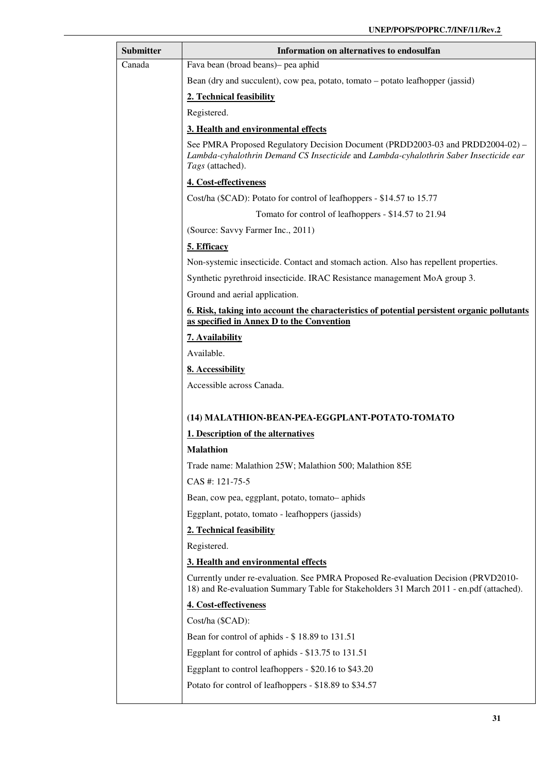| Submitter | Information on alternatives to endosulfan                                                                                                                                                   |
|-----------|---------------------------------------------------------------------------------------------------------------------------------------------------------------------------------------------|
| Canada    | Fava bean (broad beans)- pea aphid                                                                                                                                                          |
|           | Bean (dry and succulent), cow pea, potato, tomato – potato leafhopper (jassid)                                                                                                              |
|           | 2. Technical feasibility                                                                                                                                                                    |
|           | Registered.                                                                                                                                                                                 |
|           | 3. Health and environmental effects                                                                                                                                                         |
|           | See PMRA Proposed Regulatory Decision Document (PRDD2003-03 and PRDD2004-02) –<br>Lambda-cyhalothrin Demand CS Insecticide and Lambda-cyhalothrin Saber Insecticide ear<br>Tags (attached). |
|           | 4. Cost-effectiveness                                                                                                                                                                       |
|           | Cost/ha (\$CAD): Potato for control of leafhoppers - \$14.57 to 15.77                                                                                                                       |
|           | Tomato for control of leafhoppers - \$14.57 to 21.94                                                                                                                                        |
|           | (Source: Savvy Farmer Inc., 2011)                                                                                                                                                           |
|           | 5. Efficacy                                                                                                                                                                                 |
|           | Non-systemic insecticide. Contact and stomach action. Also has repellent properties.                                                                                                        |
|           | Synthetic pyrethroid insecticide. IRAC Resistance management MoA group 3.                                                                                                                   |
|           | Ground and aerial application.                                                                                                                                                              |
|           | <u><b>6. Risk, taking into account the characteristics of potential persistent organic pollutants</b></u><br>as specified in Annex D to the Convention                                      |
|           | 7. Availability                                                                                                                                                                             |
|           | Available.                                                                                                                                                                                  |
|           | 8. Accessibility                                                                                                                                                                            |
|           | Accessible across Canada.                                                                                                                                                                   |
|           |                                                                                                                                                                                             |
|           | (14) MALATHION-BEAN-PEA-EGGPLANT-POTATO-TOMATO                                                                                                                                              |
|           | 1. Description of the alternatives                                                                                                                                                          |
|           | Malathion                                                                                                                                                                                   |
|           | Trade name: Malathion 25W; Malathion 500; Malathion 85E                                                                                                                                     |
|           | CAS #: 121-75-5                                                                                                                                                                             |
|           | Bean, cow pea, eggplant, potato, tomato-aphids                                                                                                                                              |
|           | Eggplant, potato, tomato - leafhoppers (jassids)                                                                                                                                            |
|           | 2. Technical feasibility                                                                                                                                                                    |
|           | Registered.                                                                                                                                                                                 |
|           | 3. Health and environmental effects                                                                                                                                                         |
|           | Currently under re-evaluation. See PMRA Proposed Re-evaluation Decision (PRVD2010-<br>18) and Re-evaluation Summary Table for Stakeholders 31 March 2011 - en.pdf (attached).               |
|           | 4. Cost-effectiveness                                                                                                                                                                       |
|           | Cost/ha (\$CAD):                                                                                                                                                                            |
|           | Bean for control of aphids - \$18.89 to 131.51                                                                                                                                              |
|           | Eggplant for control of aphids - \$13.75 to 131.51                                                                                                                                          |
|           | Eggplant to control leafhoppers - \$20.16 to \$43.20                                                                                                                                        |
|           | Potato for control of leafhoppers - \$18.89 to \$34.57                                                                                                                                      |
|           |                                                                                                                                                                                             |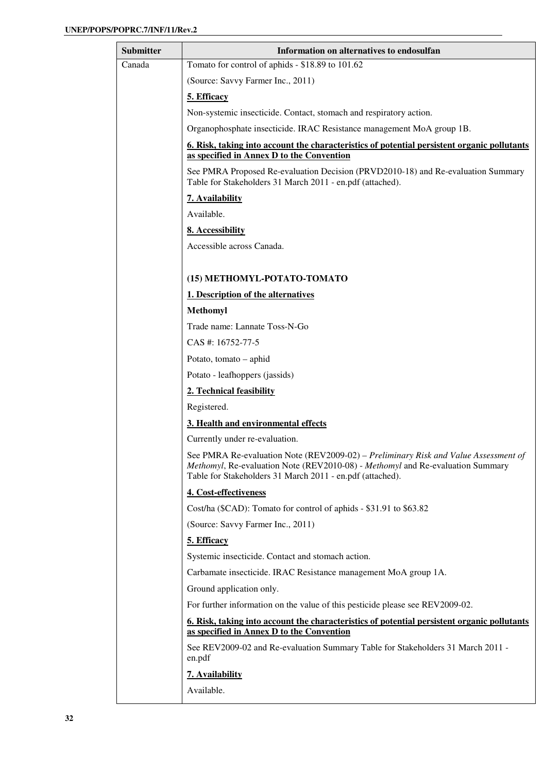| <b>Submitter</b> | Information on alternatives to endosulfan                                                                                                                                                                                          |
|------------------|------------------------------------------------------------------------------------------------------------------------------------------------------------------------------------------------------------------------------------|
| Canada           | Tomato for control of aphids - \$18.89 to 101.62                                                                                                                                                                                   |
|                  | (Source: Savvy Farmer Inc., 2011)                                                                                                                                                                                                  |
|                  | 5. Efficacy                                                                                                                                                                                                                        |
|                  | Non-systemic insecticide. Contact, stomach and respiratory action.                                                                                                                                                                 |
|                  | Organophosphate insecticide. IRAC Resistance management MoA group 1B.                                                                                                                                                              |
|                  | 6. Risk, taking into account the characteristics of potential persistent organic pollutants                                                                                                                                        |
|                  | as specified in Annex D to the Convention                                                                                                                                                                                          |
|                  | See PMRA Proposed Re-evaluation Decision (PRVD2010-18) and Re-evaluation Summary<br>Table for Stakeholders 31 March 2011 - en.pdf (attached).                                                                                      |
|                  | 7. Availability                                                                                                                                                                                                                    |
|                  | Available.                                                                                                                                                                                                                         |
|                  | 8. Accessibility                                                                                                                                                                                                                   |
|                  | Accessible across Canada.                                                                                                                                                                                                          |
|                  |                                                                                                                                                                                                                                    |
|                  | (15) METHOMYL-POTATO-TOMATO                                                                                                                                                                                                        |
|                  | 1. Description of the alternatives                                                                                                                                                                                                 |
|                  | <b>Methomyl</b>                                                                                                                                                                                                                    |
|                  | Trade name: Lannate Toss-N-Go                                                                                                                                                                                                      |
|                  | CAS #: 16752-77-5                                                                                                                                                                                                                  |
|                  | Potato, tomato – aphid                                                                                                                                                                                                             |
|                  | Potato - leafhoppers (jassids)                                                                                                                                                                                                     |
|                  | 2. Technical feasibility                                                                                                                                                                                                           |
|                  | Registered.                                                                                                                                                                                                                        |
|                  | 3. Health and environmental effects                                                                                                                                                                                                |
|                  | Currently under re-evaluation.                                                                                                                                                                                                     |
|                  | See PMRA Re-evaluation Note (REV2009-02) – Preliminary Risk and Value Assessment of<br>Methomyl, Re-evaluation Note (REV2010-08) - Methomyl and Re-evaluation Summary<br>Table for Stakeholders 31 March 2011 - en.pdf (attached). |
|                  | 4. Cost-effectiveness                                                                                                                                                                                                              |
|                  | Cost/ha (\$CAD): Tomato for control of aphids - \$31.91 to \$63.82                                                                                                                                                                 |
|                  | (Source: Savvy Farmer Inc., 2011)                                                                                                                                                                                                  |
|                  | 5. Efficacy                                                                                                                                                                                                                        |
|                  | Systemic insecticide. Contact and stomach action.                                                                                                                                                                                  |
|                  | Carbamate insecticide. IRAC Resistance management MoA group 1A.                                                                                                                                                                    |
|                  | Ground application only.                                                                                                                                                                                                           |
|                  | For further information on the value of this pesticide please see REV2009-02.                                                                                                                                                      |
|                  | 6. Risk, taking into account the characteristics of potential persistent organic pollutants<br>as specified in Annex D to the Convention                                                                                           |
|                  | See REV2009-02 and Re-evaluation Summary Table for Stakeholders 31 March 2011 -<br>en.pdf                                                                                                                                          |
|                  | 7. Availability                                                                                                                                                                                                                    |
|                  | Available.                                                                                                                                                                                                                         |
|                  |                                                                                                                                                                                                                                    |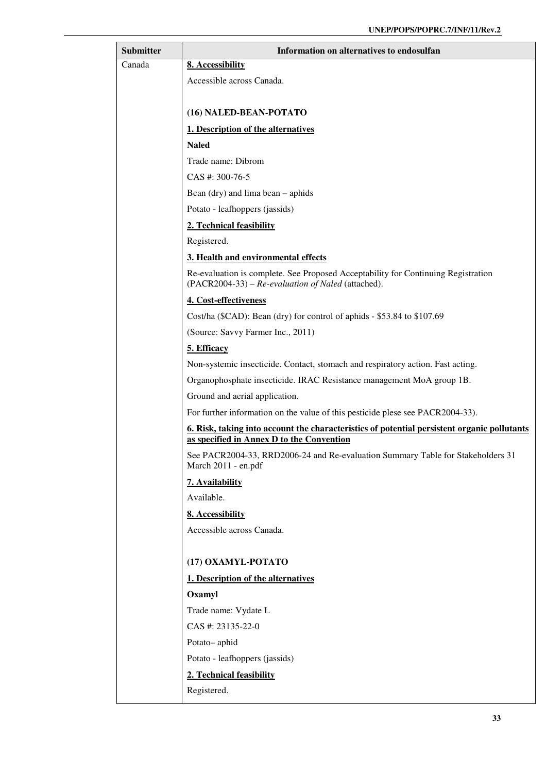| <b>Submitter</b> | Information on alternatives to endosulfan                                                                                                |
|------------------|------------------------------------------------------------------------------------------------------------------------------------------|
| Canada           | 8. Accessibility                                                                                                                         |
|                  | Accessible across Canada.                                                                                                                |
|                  |                                                                                                                                          |
|                  | (16) NALED-BEAN-POTATO                                                                                                                   |
|                  | 1. Description of the alternatives                                                                                                       |
|                  | <b>Naled</b>                                                                                                                             |
|                  | Trade name: Dibrom                                                                                                                       |
|                  | CAS #: 300-76-5                                                                                                                          |
|                  | Bean (dry) and lima bean – aphids                                                                                                        |
|                  | Potato - leafhoppers (jassids)                                                                                                           |
|                  | 2. Technical feasibility                                                                                                                 |
|                  | Registered.                                                                                                                              |
|                  | 3. Health and environmental effects                                                                                                      |
|                  | Re-evaluation is complete. See Proposed Acceptability for Continuing Registration<br>(PACR2004-33) – Re-evaluation of Naled (attached).  |
|                  | 4. Cost-effectiveness                                                                                                                    |
|                  | Cost/ha (\$CAD): Bean (dry) for control of aphids - \$53.84 to \$107.69                                                                  |
|                  | (Source: Savvy Farmer Inc., 2011)                                                                                                        |
|                  | 5. Efficacy                                                                                                                              |
|                  | Non-systemic insecticide. Contact, stomach and respiratory action. Fast acting.                                                          |
|                  | Organophosphate insecticide. IRAC Resistance management MoA group 1B.                                                                    |
|                  | Ground and aerial application.                                                                                                           |
|                  | For further information on the value of this pesticide plese see PACR2004-33).                                                           |
|                  | 6. Risk, taking into account the characteristics of potential persistent organic pollutants<br>as specified in Annex D to the Convention |
|                  | See PACR2004-33, RRD2006-24 and Re-evaluation Summary Table for Stakeholders 31<br>March 2011 - en.pdf                                   |
|                  | 7. Availability                                                                                                                          |
|                  | Available.                                                                                                                               |
|                  | 8. Accessibility                                                                                                                         |
|                  | Accessible across Canada.                                                                                                                |
|                  |                                                                                                                                          |
|                  | (17) OXAMYL-POTATO                                                                                                                       |
|                  | 1. Description of the alternatives                                                                                                       |
|                  | Oxamyl                                                                                                                                   |
|                  | Trade name: Vydate L                                                                                                                     |
|                  | CAS #: 23135-22-0                                                                                                                        |
|                  | Potato-aphid                                                                                                                             |
|                  | Potato - leafhoppers (jassids)                                                                                                           |
|                  | 2. Technical feasibility                                                                                                                 |
|                  | Registered.                                                                                                                              |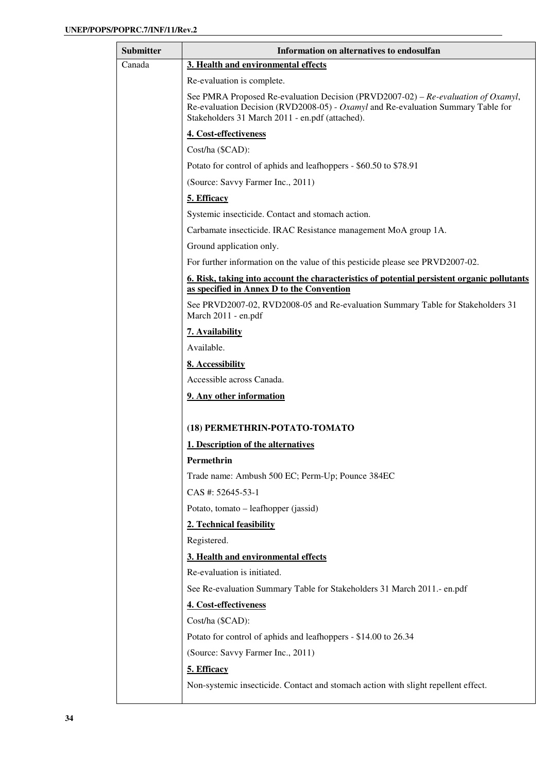| Submitter | Information on alternatives to endosulfan                                                                                                                                                                                |
|-----------|--------------------------------------------------------------------------------------------------------------------------------------------------------------------------------------------------------------------------|
| Canada    | 3. Health and environmental effects                                                                                                                                                                                      |
|           | Re-evaluation is complete.                                                                                                                                                                                               |
|           | See PMRA Proposed Re-evaluation Decision (PRVD2007-02) – Re-evaluation of Oxamyl,<br>Re-evaluation Decision (RVD2008-05) - Oxamyl and Re-evaluation Summary Table for<br>Stakeholders 31 March 2011 - en.pdf (attached). |
|           | 4. Cost-effectiveness                                                                                                                                                                                                    |
|           | Cost/ha (\$CAD):                                                                                                                                                                                                         |
|           | Potato for control of aphids and leafhoppers - \$60.50 to \$78.91                                                                                                                                                        |
|           | (Source: Savvy Farmer Inc., 2011)                                                                                                                                                                                        |
|           | 5. Efficacy                                                                                                                                                                                                              |
|           | Systemic insecticide. Contact and stomach action.                                                                                                                                                                        |
|           | Carbamate insecticide. IRAC Resistance management MoA group 1A.                                                                                                                                                          |
|           | Ground application only.                                                                                                                                                                                                 |
|           | For further information on the value of this pesticide please see PRVD2007-02.                                                                                                                                           |
|           | <u><b>6. Risk, taking into account the characteristics of potential persistent organic pollutants</b></u>                                                                                                                |
|           | as specified in Annex D to the Convention                                                                                                                                                                                |
|           | See PRVD2007-02, RVD2008-05 and Re-evaluation Summary Table for Stakeholders 31<br>March 2011 - en.pdf                                                                                                                   |
|           | 7. Availability                                                                                                                                                                                                          |
|           | Available.                                                                                                                                                                                                               |
|           | 8. Accessibility                                                                                                                                                                                                         |
|           | Accessible across Canada.                                                                                                                                                                                                |
|           | 9. Any other information                                                                                                                                                                                                 |
|           |                                                                                                                                                                                                                          |
|           | (18) PERMETHRIN-POTATO-TOMATO                                                                                                                                                                                            |
|           | 1. Description of the alternatives                                                                                                                                                                                       |
|           | Permethrin                                                                                                                                                                                                               |
|           | Trade name: Ambush 500 EC; Perm-Up; Pounce 384EC                                                                                                                                                                         |
|           | CAS #: 52645-53-1                                                                                                                                                                                                        |
|           | Potato, tomato – leafhopper (jassid)                                                                                                                                                                                     |
|           | 2. Technical feasibility                                                                                                                                                                                                 |
|           | Registered.                                                                                                                                                                                                              |
|           | 3. Health and environmental effects                                                                                                                                                                                      |
|           | Re-evaluation is initiated.                                                                                                                                                                                              |
|           | See Re-evaluation Summary Table for Stakeholders 31 March 2011.- en.pdf                                                                                                                                                  |
|           | 4. Cost-effectiveness                                                                                                                                                                                                    |
|           | Cost/ha (\$CAD):                                                                                                                                                                                                         |
|           | Potato for control of aphids and leafhoppers - \$14.00 to 26.34                                                                                                                                                          |
|           | (Source: Savvy Farmer Inc., 2011)                                                                                                                                                                                        |
|           | 5. Efficacy                                                                                                                                                                                                              |
|           | Non-systemic insecticide. Contact and stomach action with slight repellent effect.                                                                                                                                       |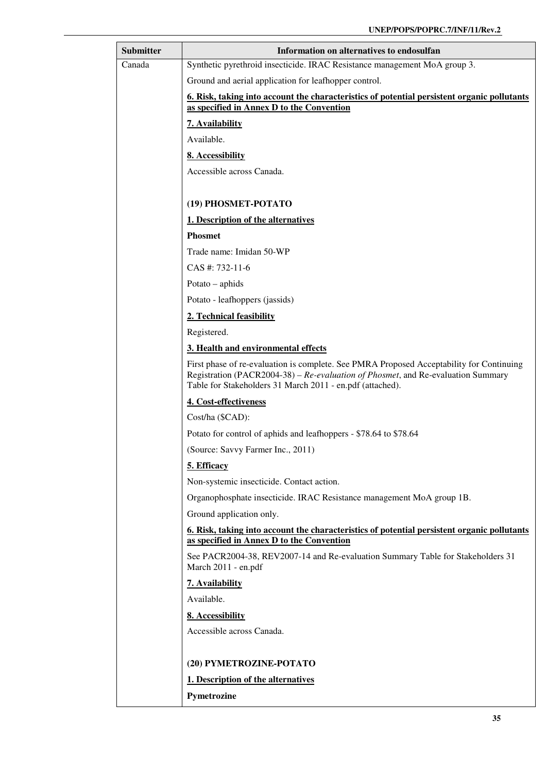| <b>Submitter</b> | Information on alternatives to endosulfan                                                                                                                                                                                                 |
|------------------|-------------------------------------------------------------------------------------------------------------------------------------------------------------------------------------------------------------------------------------------|
| Canada           | Synthetic pyrethroid insecticide. IRAC Resistance management MoA group 3.                                                                                                                                                                 |
|                  | Ground and aerial application for leafhopper control.                                                                                                                                                                                     |
|                  | 6. Risk, taking into account the characteristics of potential persistent organic pollutants<br>as specified in Annex D to the Convention                                                                                                  |
|                  | 7. Availability                                                                                                                                                                                                                           |
|                  | Available.                                                                                                                                                                                                                                |
|                  | 8. Accessibility                                                                                                                                                                                                                          |
|                  | Accessible across Canada.                                                                                                                                                                                                                 |
|                  |                                                                                                                                                                                                                                           |
|                  | (19) PHOSMET-POTATO                                                                                                                                                                                                                       |
|                  | 1. Description of the alternatives                                                                                                                                                                                                        |
|                  | <b>Phosmet</b>                                                                                                                                                                                                                            |
|                  | Trade name: Imidan 50-WP                                                                                                                                                                                                                  |
|                  | $CAS$ #: 732-11-6                                                                                                                                                                                                                         |
|                  | Potato $-$ aphids                                                                                                                                                                                                                         |
|                  | Potato - leafhoppers (jassids)                                                                                                                                                                                                            |
|                  | 2. Technical feasibility                                                                                                                                                                                                                  |
|                  | Registered.                                                                                                                                                                                                                               |
|                  | 3. Health and environmental effects                                                                                                                                                                                                       |
|                  | First phase of re-evaluation is complete. See PMRA Proposed Acceptability for Continuing<br>Registration (PACR2004-38) – Re-evaluation of Phosmet, and Re-evaluation Summary<br>Table for Stakeholders 31 March 2011 - en.pdf (attached). |
|                  | 4. Cost-effectiveness                                                                                                                                                                                                                     |
|                  | Cost/ha (\$CAD):                                                                                                                                                                                                                          |
|                  | Potato for control of aphids and leafhoppers - \$78.64 to \$78.64                                                                                                                                                                         |
|                  | (Source: Savvy Farmer Inc., 2011)                                                                                                                                                                                                         |
|                  | 5. Efficacy                                                                                                                                                                                                                               |
|                  | Non-systemic insecticide. Contact action.                                                                                                                                                                                                 |
|                  | Organophosphate insecticide. IRAC Resistance management MoA group 1B.                                                                                                                                                                     |
|                  | Ground application only.                                                                                                                                                                                                                  |
|                  | 6. Risk, taking into account the characteristics of potential persistent organic pollutants<br>as specified in Annex D to the Convention                                                                                                  |
|                  | See PACR2004-38, REV2007-14 and Re-evaluation Summary Table for Stakeholders 31<br>March 2011 - en.pdf                                                                                                                                    |
|                  | 7. Availability                                                                                                                                                                                                                           |
|                  | Available.                                                                                                                                                                                                                                |
|                  | 8. Accessibility                                                                                                                                                                                                                          |
|                  | Accessible across Canada.                                                                                                                                                                                                                 |
|                  |                                                                                                                                                                                                                                           |
|                  | (20) PYMETROZINE-POTATO                                                                                                                                                                                                                   |
|                  | 1. Description of the alternatives                                                                                                                                                                                                        |
|                  | Pymetrozine                                                                                                                                                                                                                               |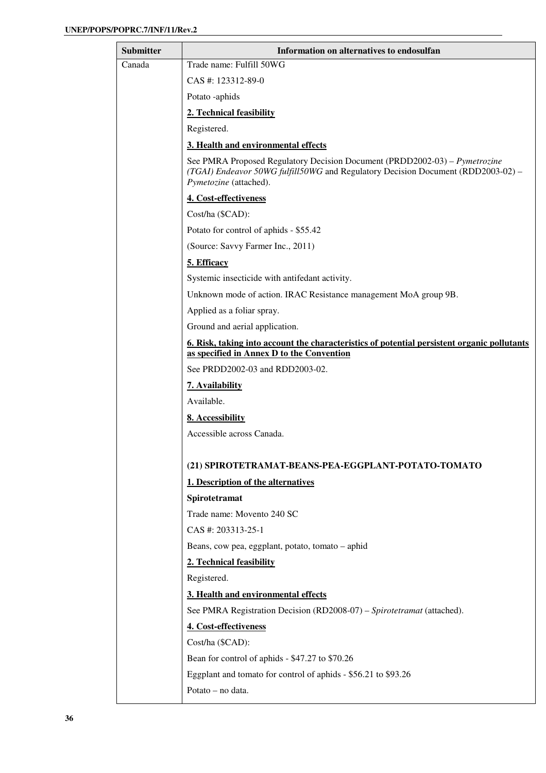| <b>Submitter</b> | Information on alternatives to endosulfan                                                                                                                                                |
|------------------|------------------------------------------------------------------------------------------------------------------------------------------------------------------------------------------|
| Canada           | Trade name: Fulfill 50WG                                                                                                                                                                 |
|                  | CAS #: 123312-89-0                                                                                                                                                                       |
|                  | Potato -aphids                                                                                                                                                                           |
|                  | 2. Technical feasibility                                                                                                                                                                 |
|                  | Registered.                                                                                                                                                                              |
|                  | 3. Health and environmental effects                                                                                                                                                      |
|                  | See PMRA Proposed Regulatory Decision Document (PRDD2002-03) – Pymetrozine<br>(TGAI) Endeavor 50WG fulfill50WG and Regulatory Decision Document (RDD2003-02) –<br>Pymetozine (attached). |
|                  | 4. Cost-effectiveness                                                                                                                                                                    |
|                  | Cost/ha (\$CAD):                                                                                                                                                                         |
|                  | Potato for control of aphids - \$55.42                                                                                                                                                   |
|                  | (Source: Savvy Farmer Inc., 2011)                                                                                                                                                        |
|                  | 5. Efficacy                                                                                                                                                                              |
|                  | Systemic insecticide with antifedant activity.                                                                                                                                           |
|                  | Unknown mode of action. IRAC Resistance management MoA group 9B.                                                                                                                         |
|                  | Applied as a foliar spray.                                                                                                                                                               |
|                  | Ground and aerial application.                                                                                                                                                           |
|                  | <u><b>6. Risk, taking into account the characteristics of potential persistent organic pollutants</b></u><br>as specified in Annex D to the Convention                                   |
|                  | See PRDD2002-03 and RDD2003-02.                                                                                                                                                          |
|                  | 7. Availability                                                                                                                                                                          |
|                  | Available.                                                                                                                                                                               |
|                  | 8. Accessibility                                                                                                                                                                         |
|                  | Accessible across Canada.                                                                                                                                                                |
|                  |                                                                                                                                                                                          |
|                  | (21) SPIROTETRAMAT-BEANS-PEA-EGGPLANT-POTATO-TOMATO                                                                                                                                      |
|                  | 1. Description of the alternatives                                                                                                                                                       |
|                  | Spirotetramat                                                                                                                                                                            |
|                  | Trade name: Movento 240 SC                                                                                                                                                               |
|                  | CAS #: 203313-25-1                                                                                                                                                                       |
|                  | Beans, cow pea, eggplant, potato, tomato - aphid                                                                                                                                         |
|                  | 2. Technical feasibility                                                                                                                                                                 |
|                  | Registered.                                                                                                                                                                              |
|                  | 3. Health and environmental effects                                                                                                                                                      |
|                  | See PMRA Registration Decision (RD2008-07) - Spirotetramat (attached).                                                                                                                   |
|                  | 4. Cost-effectiveness                                                                                                                                                                    |
|                  | Cost/ha (\$CAD):                                                                                                                                                                         |
|                  | Bean for control of aphids - \$47.27 to \$70.26                                                                                                                                          |
|                  | Eggplant and tomato for control of aphids - \$56.21 to \$93.26                                                                                                                           |
|                  | Potato - no data.                                                                                                                                                                        |
|                  |                                                                                                                                                                                          |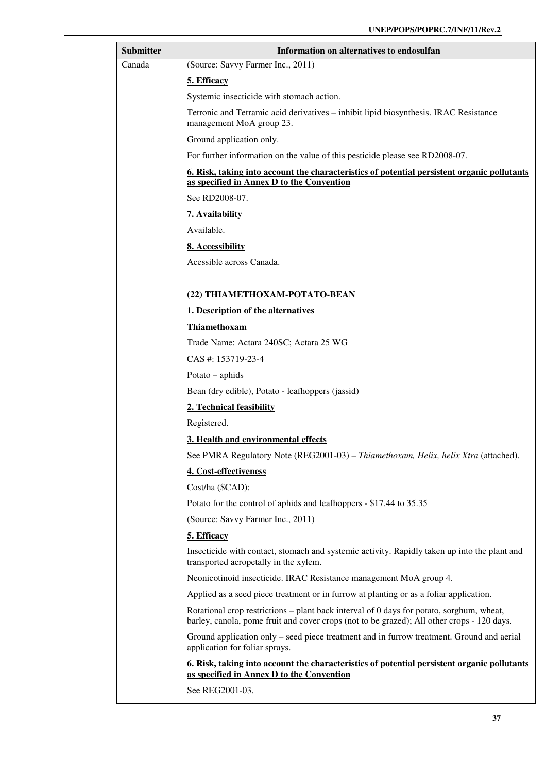| <b>Submitter</b>                                                                                                 | Information on alternatives to endosulfan                                                                                                                                              |  |                          |
|------------------------------------------------------------------------------------------------------------------|----------------------------------------------------------------------------------------------------------------------------------------------------------------------------------------|--|--------------------------|
| Canada                                                                                                           | (Source: Savvy Farmer Inc., 2011)                                                                                                                                                      |  |                          |
|                                                                                                                  | 5. Efficacy                                                                                                                                                                            |  |                          |
|                                                                                                                  | Systemic insecticide with stomach action.                                                                                                                                              |  |                          |
| Tetronic and Tetramic acid derivatives – inhibit lipid biosynthesis. IRAC Resistance<br>management MoA group 23. |                                                                                                                                                                                        |  |                          |
|                                                                                                                  | Ground application only.                                                                                                                                                               |  |                          |
|                                                                                                                  | For further information on the value of this pesticide please see RD2008-07.                                                                                                           |  |                          |
|                                                                                                                  | <u><b>6. Risk, taking into account the characteristics of potential persistent organic pollutants</b></u>                                                                              |  |                          |
|                                                                                                                  | as specified in Annex D to the Convention<br>See RD2008-07.                                                                                                                            |  |                          |
|                                                                                                                  |                                                                                                                                                                                        |  |                          |
|                                                                                                                  | 7. Availability<br>Available.                                                                                                                                                          |  |                          |
| 8. Accessibility                                                                                                 |                                                                                                                                                                                        |  |                          |
|                                                                                                                  | Acessible across Canada.                                                                                                                                                               |  |                          |
|                                                                                                                  |                                                                                                                                                                                        |  |                          |
|                                                                                                                  | (22) THIAMETHOXAM-POTATO-BEAN                                                                                                                                                          |  |                          |
|                                                                                                                  | 1. Description of the alternatives                                                                                                                                                     |  |                          |
|                                                                                                                  | Thiamethoxam                                                                                                                                                                           |  |                          |
|                                                                                                                  | Trade Name: Actara 240SC; Actara 25 WG                                                                                                                                                 |  |                          |
|                                                                                                                  | CAS #: 153719-23-4                                                                                                                                                                     |  |                          |
| Potato $-$ aphids<br>Bean (dry edible), Potato - leafhoppers (jassid)                                            |                                                                                                                                                                                        |  |                          |
|                                                                                                                  |                                                                                                                                                                                        |  | 2. Technical feasibility |
|                                                                                                                  | Registered.                                                                                                                                                                            |  |                          |
|                                                                                                                  | 3. Health and environmental effects                                                                                                                                                    |  |                          |
|                                                                                                                  | See PMRA Regulatory Note (REG2001-03) - Thiamethoxam, Helix, helix Xtra (attached).                                                                                                    |  |                          |
|                                                                                                                  | 4. Cost-effectiveness                                                                                                                                                                  |  |                          |
|                                                                                                                  | Cost/ha (\$CAD):                                                                                                                                                                       |  |                          |
|                                                                                                                  | Potato for the control of aphids and leafhoppers - \$17.44 to 35.35                                                                                                                    |  |                          |
|                                                                                                                  | (Source: Savvy Farmer Inc., 2011)                                                                                                                                                      |  |                          |
|                                                                                                                  | 5. Efficacy                                                                                                                                                                            |  |                          |
|                                                                                                                  | Insecticide with contact, stomach and systemic activity. Rapidly taken up into the plant and<br>transported acropetally in the xylem.                                                  |  |                          |
|                                                                                                                  | Neonicotinoid insecticide. IRAC Resistance management MoA group 4.                                                                                                                     |  |                          |
|                                                                                                                  | Applied as a seed piece treatment or in furrow at planting or as a foliar application.                                                                                                 |  |                          |
|                                                                                                                  | Rotational crop restrictions – plant back interval of 0 days for potato, sorghum, wheat,<br>barley, canola, pome fruit and cover crops (not to be grazed); All other crops - 120 days. |  |                          |
|                                                                                                                  | Ground application only – seed piece treatment and in furrow treatment. Ground and aerial<br>application for foliar sprays.                                                            |  |                          |
|                                                                                                                  | 6. Risk, taking into account the characteristics of potential persistent organic pollutants<br>as specified in Annex D to the Convention                                               |  |                          |
|                                                                                                                  | See REG2001-03.                                                                                                                                                                        |  |                          |
|                                                                                                                  |                                                                                                                                                                                        |  |                          |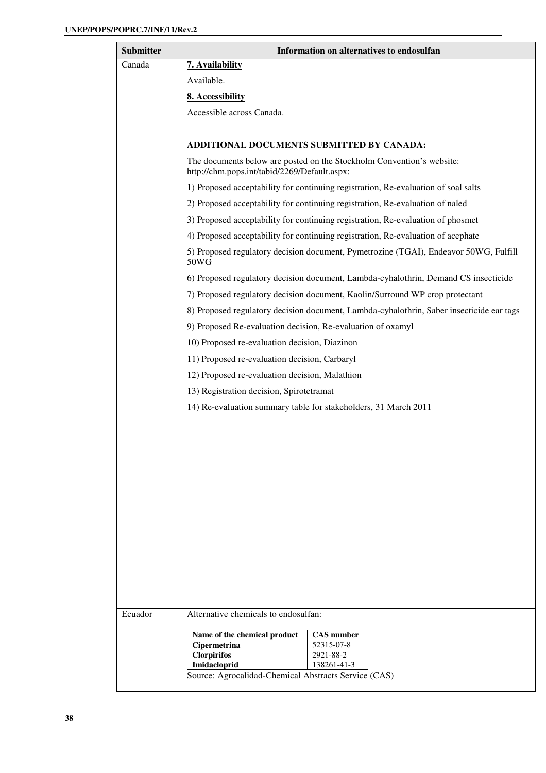| <b>Submitter</b> | Information on alternatives to endosulfan                                                                             |  |  |
|------------------|-----------------------------------------------------------------------------------------------------------------------|--|--|
| Canada           | 7. Availability                                                                                                       |  |  |
|                  | Available.                                                                                                            |  |  |
|                  | 8. Accessibility                                                                                                      |  |  |
|                  | Accessible across Canada.                                                                                             |  |  |
|                  |                                                                                                                       |  |  |
|                  | ADDITIONAL DOCUMENTS SUBMITTED BY CANADA:                                                                             |  |  |
|                  | The documents below are posted on the Stockholm Convention's website:<br>http://chm.pops.int/tabid/2269/Default.aspx: |  |  |
|                  | 1) Proposed acceptability for continuing registration, Re-evaluation of soal salts                                    |  |  |
|                  | 2) Proposed acceptability for continuing registration, Re-evaluation of naled                                         |  |  |
|                  | 3) Proposed acceptability for continuing registration, Re-evaluation of phosmet                                       |  |  |
|                  | 4) Proposed acceptability for continuing registration, Re-evaluation of acephate                                      |  |  |
|                  | 5) Proposed regulatory decision document, Pymetrozine (TGAI), Endeavor 50WG, Fulfill<br>50WG                          |  |  |
|                  | 6) Proposed regulatory decision document, Lambda-cyhalothrin, Demand CS insecticide                                   |  |  |
|                  | 7) Proposed regulatory decision document, Kaolin/Surround WP crop protectant                                          |  |  |
|                  | 8) Proposed regulatory decision document, Lambda-cyhalothrin, Saber insecticide ear tags                              |  |  |
|                  | 9) Proposed Re-evaluation decision, Re-evaluation of oxamyl                                                           |  |  |
|                  | 10) Proposed re-evaluation decision, Diazinon                                                                         |  |  |
|                  | 11) Proposed re-evaluation decision, Carbaryl                                                                         |  |  |
|                  | 12) Proposed re-evaluation decision, Malathion                                                                        |  |  |
|                  | 13) Registration decision, Spirotetramat                                                                              |  |  |
|                  | 14) Re-evaluation summary table for stakeholders, 31 March 2011                                                       |  |  |
|                  |                                                                                                                       |  |  |
|                  |                                                                                                                       |  |  |
|                  |                                                                                                                       |  |  |
|                  |                                                                                                                       |  |  |
|                  |                                                                                                                       |  |  |
|                  |                                                                                                                       |  |  |
|                  |                                                                                                                       |  |  |
|                  |                                                                                                                       |  |  |
|                  |                                                                                                                       |  |  |
|                  |                                                                                                                       |  |  |
|                  |                                                                                                                       |  |  |
|                  |                                                                                                                       |  |  |
| Ecuador          | Alternative chemicals to endosulfan:                                                                                  |  |  |
|                  | Name of the chemical product<br><b>CAS</b> number<br>Cipermetrina<br>52315-07-8                                       |  |  |
|                  | <b>Clorpirifos</b><br>2921-88-2                                                                                       |  |  |
|                  | Imidacloprid<br>138261-41-3<br>Source: Agrocalidad-Chemical Abstracts Service (CAS)                                   |  |  |
|                  |                                                                                                                       |  |  |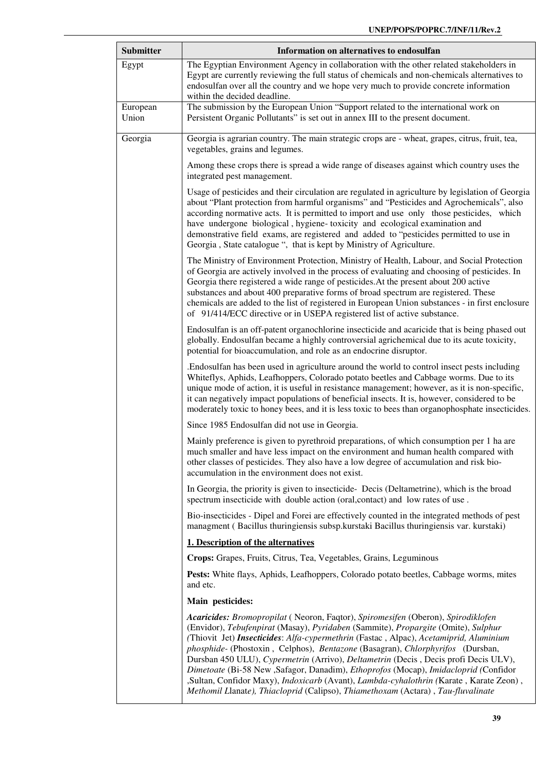| <b>Submitter</b> | Information on alternatives to endosulfan                                                                                                                                                                                                                                                                                                                                                                                                                                                                                                                                                                                                                                                                      |  |  |
|------------------|----------------------------------------------------------------------------------------------------------------------------------------------------------------------------------------------------------------------------------------------------------------------------------------------------------------------------------------------------------------------------------------------------------------------------------------------------------------------------------------------------------------------------------------------------------------------------------------------------------------------------------------------------------------------------------------------------------------|--|--|
| Egypt            | The Egyptian Environment Agency in collaboration with the other related stakeholders in<br>Egypt are currently reviewing the full status of chemicals and non-chemicals alternatives to<br>endosulfan over all the country and we hope very much to provide concrete information<br>within the decided deadline.                                                                                                                                                                                                                                                                                                                                                                                               |  |  |
| European         | The submission by the European Union "Support related to the international work on<br>Persistent Organic Pollutants" is set out in annex III to the present document.                                                                                                                                                                                                                                                                                                                                                                                                                                                                                                                                          |  |  |
| Union            |                                                                                                                                                                                                                                                                                                                                                                                                                                                                                                                                                                                                                                                                                                                |  |  |
| Georgia          | Georgia is agrarian country. The main strategic crops are - wheat, grapes, citrus, fruit, tea,<br>vegetables, grains and legumes.                                                                                                                                                                                                                                                                                                                                                                                                                                                                                                                                                                              |  |  |
|                  | Among these crops there is spread a wide range of diseases against which country uses the<br>integrated pest management.                                                                                                                                                                                                                                                                                                                                                                                                                                                                                                                                                                                       |  |  |
|                  | Usage of pesticides and their circulation are regulated in agriculture by legislation of Georgia<br>about "Plant protection from harmful organisms" and "Pesticides and Agrochemicals", also<br>according normative acts. It is permitted to import and use only those pesticides, which<br>have undergone biological, hygiene-toxicity and ecological examination and<br>demonstrative field exams, are registered and added to "pesticides permitted to use in<br>Georgia, State catalogue ", that is kept by Ministry of Agriculture.                                                                                                                                                                       |  |  |
|                  | The Ministry of Environment Protection, Ministry of Health, Labour, and Social Protection<br>of Georgia are actively involved in the process of evaluating and choosing of pesticides. In<br>Georgia there registered a wide range of pesticides. At the present about 200 active<br>substances and about 400 preparative forms of broad spectrum are registered. These<br>chemicals are added to the list of registered in European Union substances - in first enclosure<br>of 91/414/ECC directive or in USEPA registered list of active substance.                                                                                                                                                         |  |  |
|                  | Endosulfan is an off-patent organochlorine insecticide and acaricide that is being phased out<br>globally. Endosulfan became a highly controversial agrichemical due to its acute toxicity,<br>potential for bioaccumulation, and role as an endocrine disruptor.                                                                                                                                                                                                                                                                                                                                                                                                                                              |  |  |
|                  | Endosulfan has been used in agriculture around the world to control insect pests including<br>Whiteflys, Aphids, Leafhoppers, Colorado potato beetles and Cabbage worms. Due to its<br>unique mode of action, it is useful in resistance management; however, as it is non-specific,<br>it can negatively impact populations of beneficial insects. It is, however, considered to be<br>moderately toxic to honey bees, and it is less toxic to bees than organophosphate insecticides.                                                                                                                                                                                                                        |  |  |
|                  | Since 1985 Endosulfan did not use in Georgia.                                                                                                                                                                                                                                                                                                                                                                                                                                                                                                                                                                                                                                                                  |  |  |
|                  | Mainly preference is given to pyrethroid preparations, of which consumption per 1 ha are<br>much smaller and have less impact on the environment and human health compared with<br>other classes of pesticides. They also have a low degree of accumulation and risk bio-<br>accumulation in the environment does not exist.                                                                                                                                                                                                                                                                                                                                                                                   |  |  |
|                  | In Georgia, the priority is given to insecticide- Decis (Deltametrine), which is the broad<br>spectrum insecticide with double action (oral, contact) and low rates of use.                                                                                                                                                                                                                                                                                                                                                                                                                                                                                                                                    |  |  |
|                  | Bio-insecticides - Dipel and Forei are effectively counted in the integrated methods of pest<br>managment (Bacillus thuringiensis subsp.kurstaki Bacillus thuringiensis var. kurstaki)                                                                                                                                                                                                                                                                                                                                                                                                                                                                                                                         |  |  |
|                  | 1. Description of the alternatives                                                                                                                                                                                                                                                                                                                                                                                                                                                                                                                                                                                                                                                                             |  |  |
|                  | Crops: Grapes, Fruits, Citrus, Tea, Vegetables, Grains, Leguminous                                                                                                                                                                                                                                                                                                                                                                                                                                                                                                                                                                                                                                             |  |  |
|                  | Pests: White flays, Aphids, Leafhoppers, Colorado potato beetles, Cabbage worms, mites<br>and etc.                                                                                                                                                                                                                                                                                                                                                                                                                                                                                                                                                                                                             |  |  |
|                  | Main pesticides:                                                                                                                                                                                                                                                                                                                                                                                                                                                                                                                                                                                                                                                                                               |  |  |
|                  | Acaricides: Bromopropilat (Neoron, Faqtor), Spiromesifen (Oberon), Spirodiklofen<br>(Envidor), Tebufenpirat (Masay), Pyridaben (Sammite), Propargite (Omite), Sulphur<br>(Thiovit Jet) Insecticides: Alfa-cypermethrin (Fastac, Alpac), Acetamiprid, Aluminium<br>phosphide- (Phostoxin, Celphos), Bentazone (Basagran), Chlorphyrifos (Dursban,<br>Dursban 450 ULU), Cypermetrin (Arrivo), Deltametrin (Decis , Decis profi Decis ULV),<br>Dimetoate (Bi-58 New , Safagor, Danadim), Ethoprofos (Mocap), Imidacloprid (Confidor<br>"Sultan, Confidor Maxy), Indoxicarb (Avant), Lambda-cyhalothrin (Karate, Karate Zeon),<br>Methomil Llanate), Thiacloprid (Calipso), Thiamethoxam (Actara), Tau-fluvalinate |  |  |
|                  |                                                                                                                                                                                                                                                                                                                                                                                                                                                                                                                                                                                                                                                                                                                |  |  |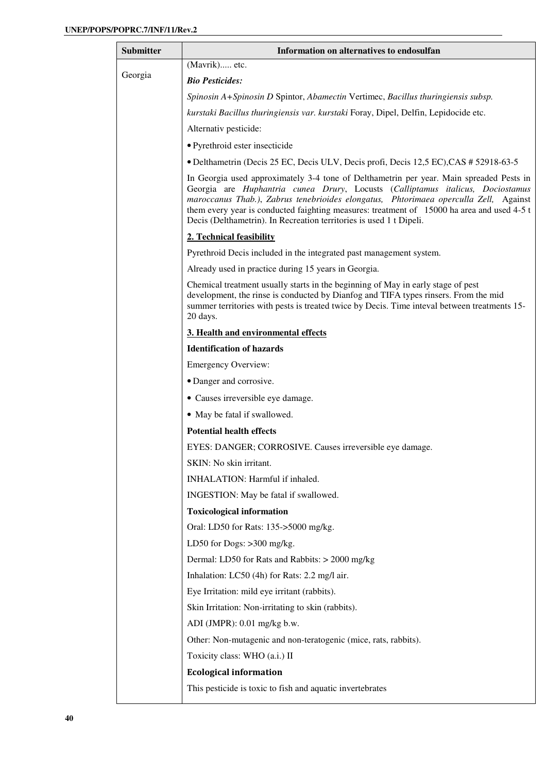| <b>Submitter</b> | Information on alternatives to endosulfan                                                                                                                                                                                                                                                                                                                                                                                              |  |  |  |
|------------------|----------------------------------------------------------------------------------------------------------------------------------------------------------------------------------------------------------------------------------------------------------------------------------------------------------------------------------------------------------------------------------------------------------------------------------------|--|--|--|
|                  | (Mavrik) etc.                                                                                                                                                                                                                                                                                                                                                                                                                          |  |  |  |
| Georgia          | <b>Bio Pesticides:</b>                                                                                                                                                                                                                                                                                                                                                                                                                 |  |  |  |
|                  | Spinosin A+Spinosin D Spintor, Abamectin Vertimec, Bacillus thuringiensis subsp.                                                                                                                                                                                                                                                                                                                                                       |  |  |  |
|                  | kurstaki Bacillus thuringiensis var. kurstaki Foray, Dipel, Delfin, Lepidocide etc.                                                                                                                                                                                                                                                                                                                                                    |  |  |  |
|                  | Alternativ pesticide:                                                                                                                                                                                                                                                                                                                                                                                                                  |  |  |  |
|                  | · Pyrethroid ester insecticide                                                                                                                                                                                                                                                                                                                                                                                                         |  |  |  |
|                  | • Delthametrin (Decis 25 EC, Decis ULV, Decis profi, Decis 12,5 EC), CAS # 52918-63-5                                                                                                                                                                                                                                                                                                                                                  |  |  |  |
|                  | In Georgia used approximately 3-4 tone of Delthametrin per year. Main spreaded Pests in<br>Georgia are Huphantria cunea Drury, Locusts (Calliptamus italicus, Dociostamus<br>maroccanus Thab.), Zabrus tenebrioides elongatus, Phtorimaea operculla Zell, Against<br>them every year is conducted faighting measures: treatment of 15000 ha area and used 4-5 t<br>Decis (Delthametrin). In Recreation territories is used 1 t Dipeli. |  |  |  |
|                  | 2. Technical feasibility                                                                                                                                                                                                                                                                                                                                                                                                               |  |  |  |
|                  | Pyrethroid Decis included in the integrated past management system.                                                                                                                                                                                                                                                                                                                                                                    |  |  |  |
|                  | Already used in practice during 15 years in Georgia.                                                                                                                                                                                                                                                                                                                                                                                   |  |  |  |
|                  | Chemical treatment usually starts in the beginning of May in early stage of pest<br>development, the rinse is conducted by Dianfog and TIFA types rinsers. From the mid<br>summer territories with pests is treated twice by Decis. Time inteval between treatments 15-<br>20 days.                                                                                                                                                    |  |  |  |
|                  | 3. Health and environmental effects                                                                                                                                                                                                                                                                                                                                                                                                    |  |  |  |
|                  | <b>Identification of hazards</b>                                                                                                                                                                                                                                                                                                                                                                                                       |  |  |  |
|                  | <b>Emergency Overview:</b>                                                                                                                                                                                                                                                                                                                                                                                                             |  |  |  |
|                  | • Danger and corrosive.                                                                                                                                                                                                                                                                                                                                                                                                                |  |  |  |
|                  | • Causes irreversible eye damage.                                                                                                                                                                                                                                                                                                                                                                                                      |  |  |  |
|                  | • May be fatal if swallowed.                                                                                                                                                                                                                                                                                                                                                                                                           |  |  |  |
|                  | <b>Potential health effects</b>                                                                                                                                                                                                                                                                                                                                                                                                        |  |  |  |
|                  | EYES: DANGER; CORROSIVE. Causes irreversible eye damage.                                                                                                                                                                                                                                                                                                                                                                               |  |  |  |
|                  | SKIN: No skin irritant.                                                                                                                                                                                                                                                                                                                                                                                                                |  |  |  |
|                  | INHALATION: Harmful if inhaled.                                                                                                                                                                                                                                                                                                                                                                                                        |  |  |  |
|                  | INGESTION: May be fatal if swallowed.                                                                                                                                                                                                                                                                                                                                                                                                  |  |  |  |
|                  | <b>Toxicological information</b>                                                                                                                                                                                                                                                                                                                                                                                                       |  |  |  |
|                  | Oral: LD50 for Rats: 135->5000 mg/kg.                                                                                                                                                                                                                                                                                                                                                                                                  |  |  |  |
|                  | LD50 for Dogs: >300 mg/kg.                                                                                                                                                                                                                                                                                                                                                                                                             |  |  |  |
|                  | Dermal: LD50 for Rats and Rabbits: > 2000 mg/kg                                                                                                                                                                                                                                                                                                                                                                                        |  |  |  |
|                  | Inhalation: LC50 (4h) for Rats: 2.2 mg/l air.                                                                                                                                                                                                                                                                                                                                                                                          |  |  |  |
|                  | Eye Irritation: mild eye irritant (rabbits).                                                                                                                                                                                                                                                                                                                                                                                           |  |  |  |
|                  | Skin Irritation: Non-irritating to skin (rabbits).                                                                                                                                                                                                                                                                                                                                                                                     |  |  |  |
|                  | ADI (JMPR): 0.01 mg/kg b.w.                                                                                                                                                                                                                                                                                                                                                                                                            |  |  |  |
|                  | Other: Non-mutagenic and non-teratogenic (mice, rats, rabbits).                                                                                                                                                                                                                                                                                                                                                                        |  |  |  |
|                  | Toxicity class: WHO (a.i.) II                                                                                                                                                                                                                                                                                                                                                                                                          |  |  |  |
|                  | <b>Ecological information</b>                                                                                                                                                                                                                                                                                                                                                                                                          |  |  |  |
|                  | This pesticide is toxic to fish and aquatic invertebrates                                                                                                                                                                                                                                                                                                                                                                              |  |  |  |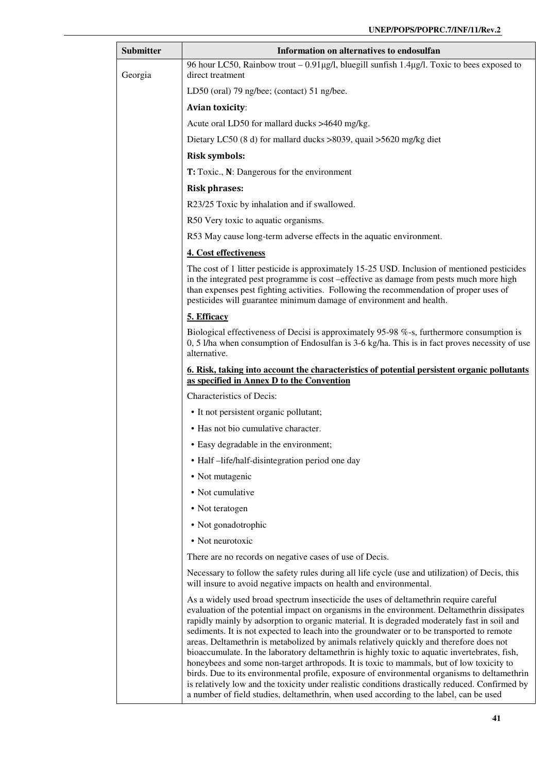| Submitter | Information on alternatives to endosulfan                                                                                                                                                                                                                                                                                                                                                                                                                                                                                                                                                                                                                                                                                                                                                                                                                                                                                                                              |  |  |
|-----------|------------------------------------------------------------------------------------------------------------------------------------------------------------------------------------------------------------------------------------------------------------------------------------------------------------------------------------------------------------------------------------------------------------------------------------------------------------------------------------------------------------------------------------------------------------------------------------------------------------------------------------------------------------------------------------------------------------------------------------------------------------------------------------------------------------------------------------------------------------------------------------------------------------------------------------------------------------------------|--|--|
| Georgia   | 96 hour LC50, Rainbow trout – 0.91µg/l, bluegill sunfish 1.4µg/l. Toxic to bees exposed to<br>direct treatment                                                                                                                                                                                                                                                                                                                                                                                                                                                                                                                                                                                                                                                                                                                                                                                                                                                         |  |  |
|           | LD50 (oral) 79 ng/bee; (contact) 51 ng/bee.                                                                                                                                                                                                                                                                                                                                                                                                                                                                                                                                                                                                                                                                                                                                                                                                                                                                                                                            |  |  |
|           | <b>Avian toxicity:</b>                                                                                                                                                                                                                                                                                                                                                                                                                                                                                                                                                                                                                                                                                                                                                                                                                                                                                                                                                 |  |  |
|           | Acute oral LD50 for mallard ducks >4640 mg/kg.                                                                                                                                                                                                                                                                                                                                                                                                                                                                                                                                                                                                                                                                                                                                                                                                                                                                                                                         |  |  |
|           | Dietary LC50 (8 d) for mallard ducks >8039, quail >5620 mg/kg diet                                                                                                                                                                                                                                                                                                                                                                                                                                                                                                                                                                                                                                                                                                                                                                                                                                                                                                     |  |  |
|           | <b>Risk symbols:</b>                                                                                                                                                                                                                                                                                                                                                                                                                                                                                                                                                                                                                                                                                                                                                                                                                                                                                                                                                   |  |  |
|           | T: Toxic., N: Dangerous for the environment                                                                                                                                                                                                                                                                                                                                                                                                                                                                                                                                                                                                                                                                                                                                                                                                                                                                                                                            |  |  |
|           | <b>Risk phrases:</b>                                                                                                                                                                                                                                                                                                                                                                                                                                                                                                                                                                                                                                                                                                                                                                                                                                                                                                                                                   |  |  |
|           | R23/25 Toxic by inhalation and if swallowed.                                                                                                                                                                                                                                                                                                                                                                                                                                                                                                                                                                                                                                                                                                                                                                                                                                                                                                                           |  |  |
|           | R50 Very toxic to aquatic organisms.                                                                                                                                                                                                                                                                                                                                                                                                                                                                                                                                                                                                                                                                                                                                                                                                                                                                                                                                   |  |  |
|           | R53 May cause long-term adverse effects in the aquatic environment.                                                                                                                                                                                                                                                                                                                                                                                                                                                                                                                                                                                                                                                                                                                                                                                                                                                                                                    |  |  |
|           | 4. Cost effectiveness                                                                                                                                                                                                                                                                                                                                                                                                                                                                                                                                                                                                                                                                                                                                                                                                                                                                                                                                                  |  |  |
|           | The cost of 1 litter pesticide is approximately 15-25 USD. Inclusion of mentioned pesticides<br>in the integrated pest programme is cost -effective as damage from pests much more high<br>than expenses pest fighting activities. Following the recommendation of proper uses of<br>pesticides will guarantee minimum damage of environment and health.                                                                                                                                                                                                                                                                                                                                                                                                                                                                                                                                                                                                               |  |  |
|           | 5. Efficacy                                                                                                                                                                                                                                                                                                                                                                                                                                                                                                                                                                                                                                                                                                                                                                                                                                                                                                                                                            |  |  |
|           | Biological effectiveness of Decisi is approximately 95-98 %-s, furthermore consumption is<br>0, 5 I/ha when consumption of Endosulfan is 3-6 kg/ha. This is in fact proves necessity of use<br>alternative.                                                                                                                                                                                                                                                                                                                                                                                                                                                                                                                                                                                                                                                                                                                                                            |  |  |
|           | <u>6. Risk, taking into account the characteristics of potential persistent organic pollutants</u><br>as specified in Annex D to the Convention                                                                                                                                                                                                                                                                                                                                                                                                                                                                                                                                                                                                                                                                                                                                                                                                                        |  |  |
|           | Characteristics of Decis:                                                                                                                                                                                                                                                                                                                                                                                                                                                                                                                                                                                                                                                                                                                                                                                                                                                                                                                                              |  |  |
|           | • It not persistent organic pollutant;                                                                                                                                                                                                                                                                                                                                                                                                                                                                                                                                                                                                                                                                                                                                                                                                                                                                                                                                 |  |  |
|           | • Has not bio cumulative character.                                                                                                                                                                                                                                                                                                                                                                                                                                                                                                                                                                                                                                                                                                                                                                                                                                                                                                                                    |  |  |
|           | • Easy degradable in the environment;                                                                                                                                                                                                                                                                                                                                                                                                                                                                                                                                                                                                                                                                                                                                                                                                                                                                                                                                  |  |  |
|           | • Half-life/half-disintegration period one day                                                                                                                                                                                                                                                                                                                                                                                                                                                                                                                                                                                                                                                                                                                                                                                                                                                                                                                         |  |  |
|           | • Not mutagenic                                                                                                                                                                                                                                                                                                                                                                                                                                                                                                                                                                                                                                                                                                                                                                                                                                                                                                                                                        |  |  |
|           | • Not cumulative                                                                                                                                                                                                                                                                                                                                                                                                                                                                                                                                                                                                                                                                                                                                                                                                                                                                                                                                                       |  |  |
|           | • Not teratogen                                                                                                                                                                                                                                                                                                                                                                                                                                                                                                                                                                                                                                                                                                                                                                                                                                                                                                                                                        |  |  |
|           | • Not gonadotrophic                                                                                                                                                                                                                                                                                                                                                                                                                                                                                                                                                                                                                                                                                                                                                                                                                                                                                                                                                    |  |  |
|           | • Not neurotoxic                                                                                                                                                                                                                                                                                                                                                                                                                                                                                                                                                                                                                                                                                                                                                                                                                                                                                                                                                       |  |  |
|           | There are no records on negative cases of use of Decis.                                                                                                                                                                                                                                                                                                                                                                                                                                                                                                                                                                                                                                                                                                                                                                                                                                                                                                                |  |  |
|           | Necessary to follow the safety rules during all life cycle (use and utilization) of Decis, this<br>will insure to avoid negative impacts on health and environmental.                                                                                                                                                                                                                                                                                                                                                                                                                                                                                                                                                                                                                                                                                                                                                                                                  |  |  |
|           | As a widely used broad spectrum insecticide the uses of deltamethrin require careful<br>evaluation of the potential impact on organisms in the environment. Deltamethrin dissipates<br>rapidly mainly by adsorption to organic material. It is degraded moderately fast in soil and<br>sediments. It is not expected to leach into the groundwater or to be transported to remote<br>areas. Deltamethrin is metabolized by animals relatively quickly and therefore does not<br>bioaccumulate. In the laboratory deltamethrin is highly toxic to aquatic invertebrates, fish,<br>honeybees and some non-target arthropods. It is toxic to mammals, but of low toxicity to<br>birds. Due to its environmental profile, exposure of environmental organisms to deltamethrin<br>is relatively low and the toxicity under realistic conditions drastically reduced. Confirmed by<br>a number of field studies, deltamethrin, when used according to the label, can be used |  |  |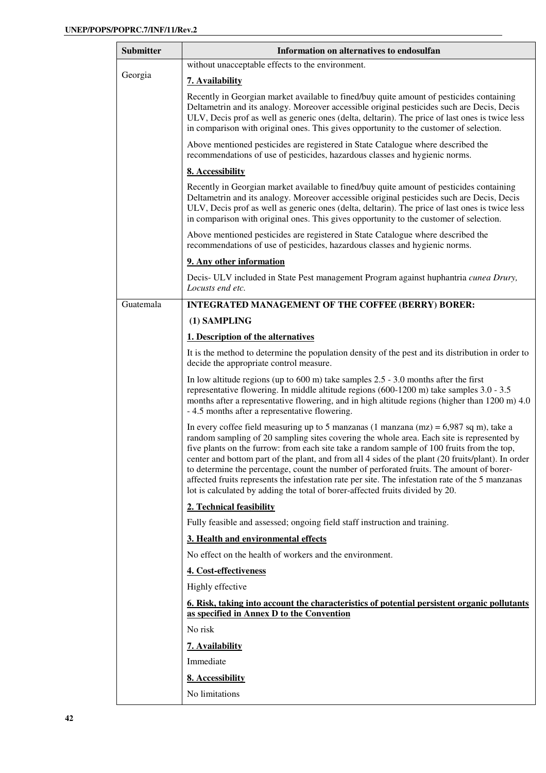| <b>Submitter</b>                    | Information on alternatives to endosulfan                                                                                                                                                                                                                                                                                                                                                                                                                                                                                                                                                                                                                                  |  |  |
|-------------------------------------|----------------------------------------------------------------------------------------------------------------------------------------------------------------------------------------------------------------------------------------------------------------------------------------------------------------------------------------------------------------------------------------------------------------------------------------------------------------------------------------------------------------------------------------------------------------------------------------------------------------------------------------------------------------------------|--|--|
|                                     | without unacceptable effects to the environment.                                                                                                                                                                                                                                                                                                                                                                                                                                                                                                                                                                                                                           |  |  |
| Georgia                             | <b>7. Availability</b>                                                                                                                                                                                                                                                                                                                                                                                                                                                                                                                                                                                                                                                     |  |  |
|                                     | Recently in Georgian market available to fined/buy quite amount of pesticides containing<br>Deltametrin and its analogy. Moreover accessible original pesticides such are Decis, Decis<br>ULV, Decis prof as well as generic ones (delta, deltarin). The price of last ones is twice less<br>in comparison with original ones. This gives opportunity to the customer of selection.                                                                                                                                                                                                                                                                                        |  |  |
|                                     | Above mentioned pesticides are registered in State Catalogue where described the<br>recommendations of use of pesticides, hazardous classes and hygienic norms.                                                                                                                                                                                                                                                                                                                                                                                                                                                                                                            |  |  |
|                                     | 8. Accessibility                                                                                                                                                                                                                                                                                                                                                                                                                                                                                                                                                                                                                                                           |  |  |
|                                     | Recently in Georgian market available to fined/buy quite amount of pesticides containing<br>Deltametrin and its analogy. Moreover accessible original pesticides such are Decis, Decis<br>ULV, Decis prof as well as generic ones (delta, deltarin). The price of last ones is twice less<br>in comparison with original ones. This gives opportunity to the customer of selection.                                                                                                                                                                                                                                                                                        |  |  |
|                                     | Above mentioned pesticides are registered in State Catalogue where described the<br>recommendations of use of pesticides, hazardous classes and hygienic norms.                                                                                                                                                                                                                                                                                                                                                                                                                                                                                                            |  |  |
|                                     | 9. Any other information                                                                                                                                                                                                                                                                                                                                                                                                                                                                                                                                                                                                                                                   |  |  |
|                                     | Decis- ULV included in State Pest management Program against huphantria cunea Drury,<br>Locusts end etc.                                                                                                                                                                                                                                                                                                                                                                                                                                                                                                                                                                   |  |  |
| Guatemala                           | <b>INTEGRATED MANAGEMENT OF THE COFFEE (BERRY) BORER:</b>                                                                                                                                                                                                                                                                                                                                                                                                                                                                                                                                                                                                                  |  |  |
|                                     | (1) SAMPLING                                                                                                                                                                                                                                                                                                                                                                                                                                                                                                                                                                                                                                                               |  |  |
|                                     | 1. Description of the alternatives                                                                                                                                                                                                                                                                                                                                                                                                                                                                                                                                                                                                                                         |  |  |
|                                     | It is the method to determine the population density of the pest and its distribution in order to<br>decide the appropriate control measure.                                                                                                                                                                                                                                                                                                                                                                                                                                                                                                                               |  |  |
|                                     | In low altitude regions (up to $600 \text{ m}$ ) take samples $2.5 - 3.0$ months after the first<br>representative flowering. In middle altitude regions (600-1200 m) take samples 3.0 - 3.5<br>months after a representative flowering, and in high altitude regions (higher than 1200 m) 4.0<br>- 4.5 months after a representative flowering.                                                                                                                                                                                                                                                                                                                           |  |  |
|                                     | In every coffee field measuring up to 5 manzanas (1 manzana (mz) = $6,987$ sq m), take a<br>random sampling of 20 sampling sites covering the whole area. Each site is represented by<br>five plants on the furrow: from each site take a random sample of 100 fruits from the top,<br>center and bottom part of the plant, and from all 4 sides of the plant (20 fruits/plant). In order<br>to determine the percentage, count the number of perforated fruits. The amount of borer-<br>affected fruits represents the infestation rate per site. The infestation rate of the 5 manzanas<br>lot is calculated by adding the total of borer-affected fruits divided by 20. |  |  |
|                                     | 2. Technical feasibility                                                                                                                                                                                                                                                                                                                                                                                                                                                                                                                                                                                                                                                   |  |  |
|                                     | Fully feasible and assessed; ongoing field staff instruction and training.                                                                                                                                                                                                                                                                                                                                                                                                                                                                                                                                                                                                 |  |  |
| 3. Health and environmental effects |                                                                                                                                                                                                                                                                                                                                                                                                                                                                                                                                                                                                                                                                            |  |  |
|                                     | No effect on the health of workers and the environment.                                                                                                                                                                                                                                                                                                                                                                                                                                                                                                                                                                                                                    |  |  |
|                                     | 4. Cost-effectiveness                                                                                                                                                                                                                                                                                                                                                                                                                                                                                                                                                                                                                                                      |  |  |
|                                     | Highly effective                                                                                                                                                                                                                                                                                                                                                                                                                                                                                                                                                                                                                                                           |  |  |
|                                     | 6. Risk, taking into account the characteristics of potential persistent organic pollutants<br>as specified in Annex D to the Convention                                                                                                                                                                                                                                                                                                                                                                                                                                                                                                                                   |  |  |
|                                     | No risk                                                                                                                                                                                                                                                                                                                                                                                                                                                                                                                                                                                                                                                                    |  |  |
|                                     | 7. Availability                                                                                                                                                                                                                                                                                                                                                                                                                                                                                                                                                                                                                                                            |  |  |
|                                     | Immediate                                                                                                                                                                                                                                                                                                                                                                                                                                                                                                                                                                                                                                                                  |  |  |
|                                     | 8. Accessibility                                                                                                                                                                                                                                                                                                                                                                                                                                                                                                                                                                                                                                                           |  |  |
|                                     | No limitations                                                                                                                                                                                                                                                                                                                                                                                                                                                                                                                                                                                                                                                             |  |  |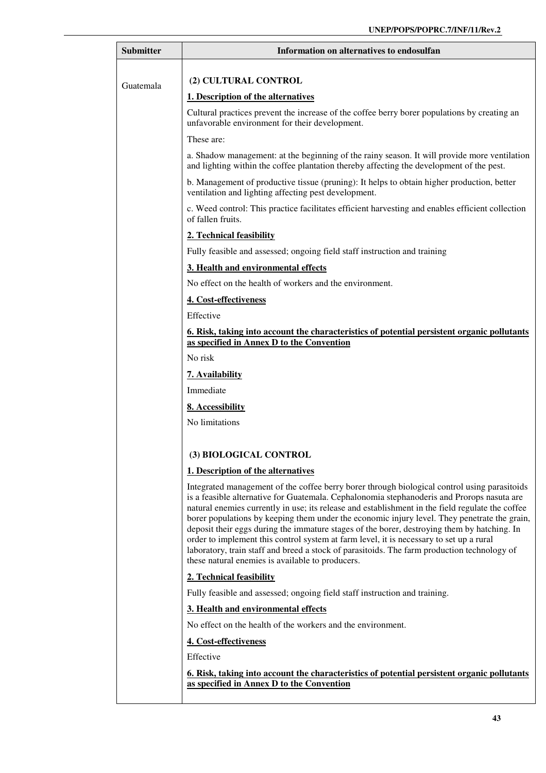| <b>Submitter</b> | Information on alternatives to endosulfan                                                                                                                                                                                                                                                                                                                                                                                                                                                                                                                                                                                                                                                                                                   |  |  |
|------------------|---------------------------------------------------------------------------------------------------------------------------------------------------------------------------------------------------------------------------------------------------------------------------------------------------------------------------------------------------------------------------------------------------------------------------------------------------------------------------------------------------------------------------------------------------------------------------------------------------------------------------------------------------------------------------------------------------------------------------------------------|--|--|
|                  | (2) CULTURAL CONTROL                                                                                                                                                                                                                                                                                                                                                                                                                                                                                                                                                                                                                                                                                                                        |  |  |
| Guatemala        | 1. Description of the alternatives                                                                                                                                                                                                                                                                                                                                                                                                                                                                                                                                                                                                                                                                                                          |  |  |
|                  |                                                                                                                                                                                                                                                                                                                                                                                                                                                                                                                                                                                                                                                                                                                                             |  |  |
|                  | Cultural practices prevent the increase of the coffee berry borer populations by creating an<br>unfavorable environment for their development.                                                                                                                                                                                                                                                                                                                                                                                                                                                                                                                                                                                              |  |  |
|                  | These are:                                                                                                                                                                                                                                                                                                                                                                                                                                                                                                                                                                                                                                                                                                                                  |  |  |
|                  | a. Shadow management: at the beginning of the rainy season. It will provide more ventilation<br>and lighting within the coffee plantation thereby affecting the development of the pest.                                                                                                                                                                                                                                                                                                                                                                                                                                                                                                                                                    |  |  |
|                  | b. Management of productive tissue (pruning): It helps to obtain higher production, better<br>ventilation and lighting affecting pest development.                                                                                                                                                                                                                                                                                                                                                                                                                                                                                                                                                                                          |  |  |
|                  | c. Weed control: This practice facilitates efficient harvesting and enables efficient collection<br>of fallen fruits.                                                                                                                                                                                                                                                                                                                                                                                                                                                                                                                                                                                                                       |  |  |
|                  | 2. Technical feasibility                                                                                                                                                                                                                                                                                                                                                                                                                                                                                                                                                                                                                                                                                                                    |  |  |
|                  | Fully feasible and assessed; ongoing field staff instruction and training                                                                                                                                                                                                                                                                                                                                                                                                                                                                                                                                                                                                                                                                   |  |  |
|                  | 3. Health and environmental effects                                                                                                                                                                                                                                                                                                                                                                                                                                                                                                                                                                                                                                                                                                         |  |  |
|                  | No effect on the health of workers and the environment.                                                                                                                                                                                                                                                                                                                                                                                                                                                                                                                                                                                                                                                                                     |  |  |
|                  | 4. Cost-effectiveness                                                                                                                                                                                                                                                                                                                                                                                                                                                                                                                                                                                                                                                                                                                       |  |  |
|                  | Effective                                                                                                                                                                                                                                                                                                                                                                                                                                                                                                                                                                                                                                                                                                                                   |  |  |
|                  | <u><b>6. Risk, taking into account the characteristics of potential persistent organic pollutants</b></u><br>as specified in Annex D to the Convention                                                                                                                                                                                                                                                                                                                                                                                                                                                                                                                                                                                      |  |  |
|                  | No risk                                                                                                                                                                                                                                                                                                                                                                                                                                                                                                                                                                                                                                                                                                                                     |  |  |
|                  | 7. Availability                                                                                                                                                                                                                                                                                                                                                                                                                                                                                                                                                                                                                                                                                                                             |  |  |
|                  | Immediate                                                                                                                                                                                                                                                                                                                                                                                                                                                                                                                                                                                                                                                                                                                                   |  |  |
|                  | 8. Accessibility                                                                                                                                                                                                                                                                                                                                                                                                                                                                                                                                                                                                                                                                                                                            |  |  |
|                  | No limitations                                                                                                                                                                                                                                                                                                                                                                                                                                                                                                                                                                                                                                                                                                                              |  |  |
|                  |                                                                                                                                                                                                                                                                                                                                                                                                                                                                                                                                                                                                                                                                                                                                             |  |  |
|                  | (3) BIOLOGICAL CONTROL                                                                                                                                                                                                                                                                                                                                                                                                                                                                                                                                                                                                                                                                                                                      |  |  |
|                  | 1. Description of the alternatives                                                                                                                                                                                                                                                                                                                                                                                                                                                                                                                                                                                                                                                                                                          |  |  |
|                  | Integrated management of the coffee berry borer through biological control using parasitoids<br>is a feasible alternative for Guatemala. Cephalonomia stephanoderis and Prorops nasuta are<br>natural enemies currently in use; its release and establishment in the field regulate the coffee<br>borer populations by keeping them under the economic injury level. They penetrate the grain,<br>deposit their eggs during the immature stages of the borer, destroying them by hatching. In<br>order to implement this control system at farm level, it is necessary to set up a rural<br>laboratory, train staff and breed a stock of parasitoids. The farm production technology of<br>these natural enemies is available to producers. |  |  |
|                  | 2. Technical feasibility                                                                                                                                                                                                                                                                                                                                                                                                                                                                                                                                                                                                                                                                                                                    |  |  |
|                  | Fully feasible and assessed; ongoing field staff instruction and training.                                                                                                                                                                                                                                                                                                                                                                                                                                                                                                                                                                                                                                                                  |  |  |
|                  | 3. Health and environmental effects                                                                                                                                                                                                                                                                                                                                                                                                                                                                                                                                                                                                                                                                                                         |  |  |
|                  | No effect on the health of the workers and the environment.                                                                                                                                                                                                                                                                                                                                                                                                                                                                                                                                                                                                                                                                                 |  |  |
|                  | 4. Cost-effectiveness                                                                                                                                                                                                                                                                                                                                                                                                                                                                                                                                                                                                                                                                                                                       |  |  |
|                  | Effective                                                                                                                                                                                                                                                                                                                                                                                                                                                                                                                                                                                                                                                                                                                                   |  |  |
|                  | <u><b>6. Risk, taking into account the characteristics of potential persistent organic pollutants</b></u><br>as specified in Annex D to the Convention                                                                                                                                                                                                                                                                                                                                                                                                                                                                                                                                                                                      |  |  |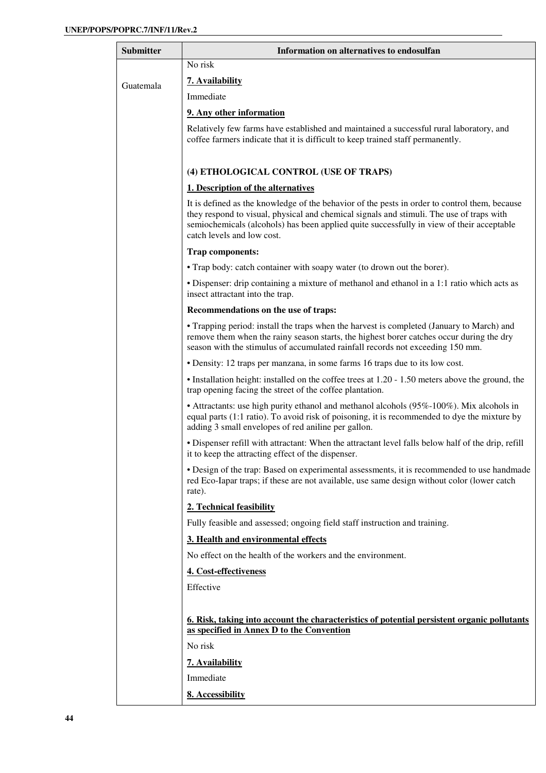| Submitter | Information on alternatives to endosulfan                                                                                                                                                                                                                                                                            |  |  |  |
|-----------|----------------------------------------------------------------------------------------------------------------------------------------------------------------------------------------------------------------------------------------------------------------------------------------------------------------------|--|--|--|
|           | No risk                                                                                                                                                                                                                                                                                                              |  |  |  |
| Guatemala | 7. Availability                                                                                                                                                                                                                                                                                                      |  |  |  |
|           | Immediate                                                                                                                                                                                                                                                                                                            |  |  |  |
|           | 9. Any other information                                                                                                                                                                                                                                                                                             |  |  |  |
|           | Relatively few farms have established and maintained a successful rural laboratory, and<br>coffee farmers indicate that it is difficult to keep trained staff permanently.                                                                                                                                           |  |  |  |
|           | (4) ETHOLOGICAL CONTROL (USE OF TRAPS)                                                                                                                                                                                                                                                                               |  |  |  |
|           | 1. Description of the alternatives                                                                                                                                                                                                                                                                                   |  |  |  |
|           | It is defined as the knowledge of the behavior of the pests in order to control them, because<br>they respond to visual, physical and chemical signals and stimuli. The use of traps with<br>semiochemicals (alcohols) has been applied quite successfully in view of their acceptable<br>catch levels and low cost. |  |  |  |
|           | Trap components:                                                                                                                                                                                                                                                                                                     |  |  |  |
|           | • Trap body: catch container with soapy water (to drown out the borer).                                                                                                                                                                                                                                              |  |  |  |
|           | • Dispenser: drip containing a mixture of methanol and ethanol in a 1:1 ratio which acts as<br>insect attractant into the trap.                                                                                                                                                                                      |  |  |  |
|           | Recommendations on the use of traps:                                                                                                                                                                                                                                                                                 |  |  |  |
|           | • Trapping period: install the traps when the harvest is completed (January to March) and<br>remove them when the rainy season starts, the highest borer catches occur during the dry<br>season with the stimulus of accumulated rainfall records not exceeding 150 mm.                                              |  |  |  |
|           | • Density: 12 traps per manzana, in some farms 16 traps due to its low cost.                                                                                                                                                                                                                                         |  |  |  |
|           | • Installation height: installed on the coffee trees at 1.20 - 1.50 meters above the ground, the<br>trap opening facing the street of the coffee plantation.                                                                                                                                                         |  |  |  |
|           | • Attractants: use high purity ethanol and methanol alcohols (95%-100%). Mix alcohols in<br>equal parts (1:1 ratio). To avoid risk of poisoning, it is recommended to dye the mixture by<br>adding 3 small envelopes of red aniline per gallon.                                                                      |  |  |  |
|           | • Dispenser refill with attractant: When the attractant level falls below half of the drip, refill<br>it to keep the attracting effect of the dispenser.                                                                                                                                                             |  |  |  |
|           | • Design of the trap: Based on experimental assessments, it is recommended to use handmade<br>red Eco-Iapar traps; if these are not available, use same design without color (lower catch<br>rate).                                                                                                                  |  |  |  |
|           | 2. Technical feasibility                                                                                                                                                                                                                                                                                             |  |  |  |
|           | Fully feasible and assessed; ongoing field staff instruction and training.                                                                                                                                                                                                                                           |  |  |  |
|           | 3. Health and environmental effects                                                                                                                                                                                                                                                                                  |  |  |  |
|           | No effect on the health of the workers and the environment.                                                                                                                                                                                                                                                          |  |  |  |
|           | 4. Cost-effectiveness                                                                                                                                                                                                                                                                                                |  |  |  |
|           | Effective                                                                                                                                                                                                                                                                                                            |  |  |  |
|           | 6. Risk, taking into account the characteristics of potential persistent organic pollutants<br>as specified in Annex D to the Convention                                                                                                                                                                             |  |  |  |
|           | No risk                                                                                                                                                                                                                                                                                                              |  |  |  |
|           | 7. Availability                                                                                                                                                                                                                                                                                                      |  |  |  |
|           | Immediate                                                                                                                                                                                                                                                                                                            |  |  |  |
|           | 8. Accessibility                                                                                                                                                                                                                                                                                                     |  |  |  |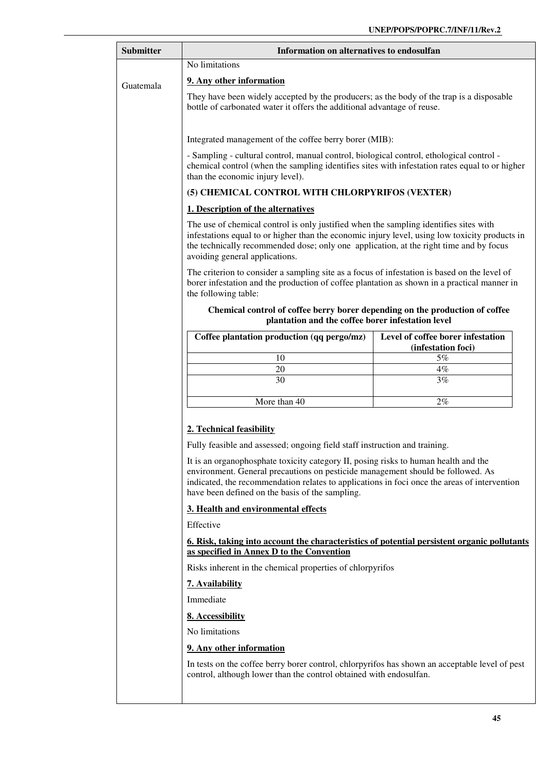| <b>Submitter</b>                                | Information on alternatives to endosulfan                                                                                                                                                                                                                                                                                 |                                                         |  |  |
|-------------------------------------------------|---------------------------------------------------------------------------------------------------------------------------------------------------------------------------------------------------------------------------------------------------------------------------------------------------------------------------|---------------------------------------------------------|--|--|
|                                                 | No limitations                                                                                                                                                                                                                                                                                                            |                                                         |  |  |
| Guatemala                                       | 9. Any other information                                                                                                                                                                                                                                                                                                  |                                                         |  |  |
|                                                 | They have been widely accepted by the producers; as the body of the trap is a disposable<br>bottle of carbonated water it offers the additional advantage of reuse.                                                                                                                                                       |                                                         |  |  |
|                                                 | Integrated management of the coffee berry borer (MIB):                                                                                                                                                                                                                                                                    |                                                         |  |  |
|                                                 | - Sampling - cultural control, manual control, biological control, ethological control -<br>chemical control (when the sampling identifies sites with infestation rates equal to or higher<br>than the economic injury level).                                                                                            |                                                         |  |  |
| (5) CHEMICAL CONTROL WITH CHLORPYRIFOS (VEXTER) |                                                                                                                                                                                                                                                                                                                           |                                                         |  |  |
|                                                 | 1. Description of the alternatives                                                                                                                                                                                                                                                                                        |                                                         |  |  |
|                                                 | The use of chemical control is only justified when the sampling identifies sites with<br>infestations equal to or higher than the economic injury level, using low toxicity products in<br>the technically recommended dose; only one application, at the right time and by focus<br>avoiding general applications.       |                                                         |  |  |
|                                                 | The criterion to consider a sampling site as a focus of infestation is based on the level of<br>borer infestation and the production of coffee plantation as shown in a practical manner in<br>the following table:                                                                                                       |                                                         |  |  |
|                                                 | Chemical control of coffee berry borer depending on the production of coffee<br>plantation and the coffee borer infestation level                                                                                                                                                                                         |                                                         |  |  |
|                                                 | Coffee plantation production (qq pergo/mz)                                                                                                                                                                                                                                                                                | Level of coffee borer infestation<br>(infestation foci) |  |  |
|                                                 | 10                                                                                                                                                                                                                                                                                                                        | 5%                                                      |  |  |
|                                                 | 20<br>30                                                                                                                                                                                                                                                                                                                  | 4%<br>3%                                                |  |  |
|                                                 |                                                                                                                                                                                                                                                                                                                           |                                                         |  |  |
|                                                 | More than 40                                                                                                                                                                                                                                                                                                              | 2%                                                      |  |  |
|                                                 | 2. Technical feasibility                                                                                                                                                                                                                                                                                                  |                                                         |  |  |
|                                                 | Fully feasible and assessed; ongoing field staff instruction and training.                                                                                                                                                                                                                                                |                                                         |  |  |
|                                                 | It is an organophosphate toxicity category II, posing risks to human health and the<br>environment. General precautions on pesticide management should be followed. As<br>indicated, the recommendation relates to applications in foci once the areas of intervention<br>have been defined on the basis of the sampling. |                                                         |  |  |
|                                                 | 3. Health and environmental effects                                                                                                                                                                                                                                                                                       |                                                         |  |  |
|                                                 | Effective                                                                                                                                                                                                                                                                                                                 |                                                         |  |  |
|                                                 | <u>6. Risk, taking into account the characteristics of potential persistent organic pollutants</u><br>as specified in Annex D to the Convention                                                                                                                                                                           |                                                         |  |  |
|                                                 | Risks inherent in the chemical properties of chlorpyrifos                                                                                                                                                                                                                                                                 |                                                         |  |  |
|                                                 | 7. Availability                                                                                                                                                                                                                                                                                                           |                                                         |  |  |
|                                                 | Immediate                                                                                                                                                                                                                                                                                                                 |                                                         |  |  |
|                                                 | 8. Accessibility                                                                                                                                                                                                                                                                                                          |                                                         |  |  |
|                                                 | No limitations                                                                                                                                                                                                                                                                                                            |                                                         |  |  |
|                                                 | 9. Any other information                                                                                                                                                                                                                                                                                                  |                                                         |  |  |
|                                                 | In tests on the coffee berry borer control, chlorpyrifos has shown an acceptable level of pest<br>control, although lower than the control obtained with endosulfan.                                                                                                                                                      |                                                         |  |  |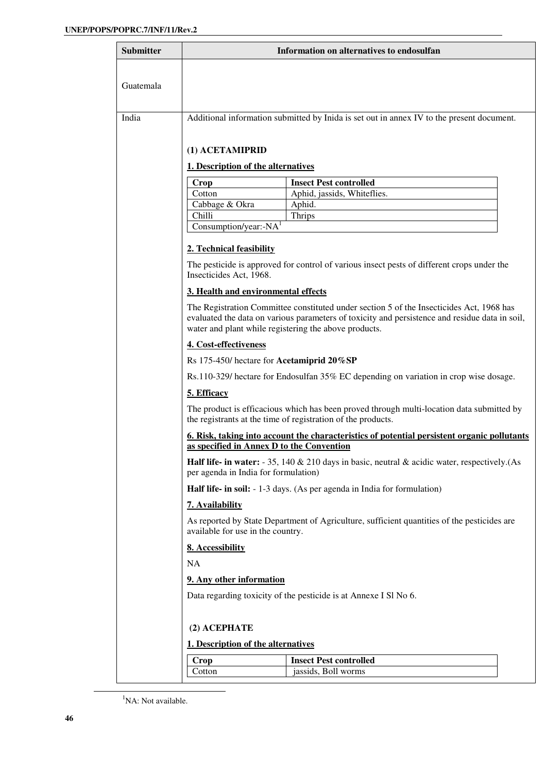| <b>Submitter</b> | Information on alternatives to endosulfan                                                                                                                                                                                                           |                                                                                                                                                           |  |
|------------------|-----------------------------------------------------------------------------------------------------------------------------------------------------------------------------------------------------------------------------------------------------|-----------------------------------------------------------------------------------------------------------------------------------------------------------|--|
|                  |                                                                                                                                                                                                                                                     |                                                                                                                                                           |  |
| Guatemala        |                                                                                                                                                                                                                                                     |                                                                                                                                                           |  |
|                  |                                                                                                                                                                                                                                                     |                                                                                                                                                           |  |
| India            |                                                                                                                                                                                                                                                     | Additional information submitted by Inida is set out in annex IV to the present document.                                                                 |  |
|                  |                                                                                                                                                                                                                                                     |                                                                                                                                                           |  |
|                  | (1) ACETAMIPRID                                                                                                                                                                                                                                     |                                                                                                                                                           |  |
|                  | 1. Description of the alternatives                                                                                                                                                                                                                  |                                                                                                                                                           |  |
|                  | Crop<br>Cotton                                                                                                                                                                                                                                      | <b>Insect Pest controlled</b><br>Aphid, jassids, Whiteflies.                                                                                              |  |
|                  | Cabbage & Okra                                                                                                                                                                                                                                      | Aphid.                                                                                                                                                    |  |
|                  | Chilli                                                                                                                                                                                                                                              | Thrips                                                                                                                                                    |  |
|                  | Consumption/year:- $NAT$                                                                                                                                                                                                                            |                                                                                                                                                           |  |
|                  | 2. Technical feasibility                                                                                                                                                                                                                            |                                                                                                                                                           |  |
|                  | Insecticides Act, 1968.                                                                                                                                                                                                                             | The pesticide is approved for control of various insect pests of different crops under the                                                                |  |
|                  | 3. Health and environmental effects                                                                                                                                                                                                                 |                                                                                                                                                           |  |
|                  | The Registration Committee constituted under section 5 of the Insecticides Act, 1968 has<br>evaluated the data on various parameters of toxicity and persistence and residue data in soil,<br>water and plant while registering the above products. |                                                                                                                                                           |  |
|                  | 4. Cost-effectiveness                                                                                                                                                                                                                               |                                                                                                                                                           |  |
|                  | Rs 175-450/ hectare for Acetamiprid 20%SP                                                                                                                                                                                                           |                                                                                                                                                           |  |
|                  | Rs.110-329/ hectare for Endosulfan 35% EC depending on variation in crop wise dosage.                                                                                                                                                               |                                                                                                                                                           |  |
|                  | 5. Efficacy                                                                                                                                                                                                                                         |                                                                                                                                                           |  |
|                  |                                                                                                                                                                                                                                                     | The product is efficacious which has been proved through multi-location data submitted by<br>the registrants at the time of registration of the products. |  |
|                  | <u><b>6. Risk, taking into account the characteristics of potential persistent organic pollutants</b></u><br>as specified in Annex D to the Convention                                                                                              |                                                                                                                                                           |  |
|                  | per agenda in India for formulation)                                                                                                                                                                                                                | <b>Half life- in water:</b> $-35$ , 140 & 210 days in basic, neutral & acidic water, respectively. (As                                                    |  |
|                  |                                                                                                                                                                                                                                                     | Half life- in soil: - 1-3 days. (As per agenda in India for formulation)                                                                                  |  |
|                  | 7. Availability                                                                                                                                                                                                                                     |                                                                                                                                                           |  |
|                  | As reported by State Department of Agriculture, sufficient quantities of the pesticides are<br>available for use in the country.                                                                                                                    |                                                                                                                                                           |  |
|                  | 8. Accessibility                                                                                                                                                                                                                                    |                                                                                                                                                           |  |
|                  | <b>NA</b>                                                                                                                                                                                                                                           |                                                                                                                                                           |  |
|                  | 9. Any other information                                                                                                                                                                                                                            |                                                                                                                                                           |  |
|                  | Data regarding toxicity of the pesticide is at Annexe I Sl No 6.                                                                                                                                                                                    |                                                                                                                                                           |  |
|                  | (2) ACEPHATE                                                                                                                                                                                                                                        |                                                                                                                                                           |  |
|                  | 1. Description of the alternatives                                                                                                                                                                                                                  |                                                                                                                                                           |  |
|                  | Crop                                                                                                                                                                                                                                                | <b>Insect Pest controlled</b>                                                                                                                             |  |
|                  | Cotton                                                                                                                                                                                                                                              | jassids, Boll worms                                                                                                                                       |  |

-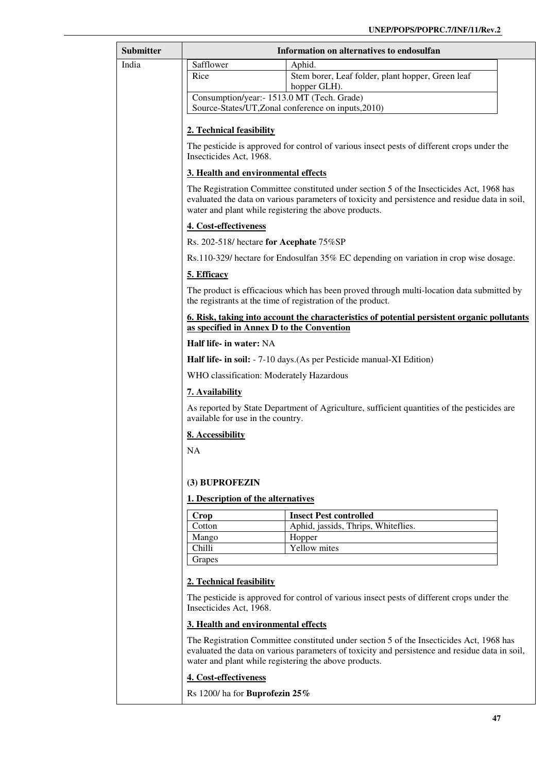| <b>Submitter</b> | Information on alternatives to endosulfan                                                                                                                                                                                                           |                                                                                            |  |
|------------------|-----------------------------------------------------------------------------------------------------------------------------------------------------------------------------------------------------------------------------------------------------|--------------------------------------------------------------------------------------------|--|
| India            | Safflower                                                                                                                                                                                                                                           | Aphid.                                                                                     |  |
|                  | Rice                                                                                                                                                                                                                                                | Stem borer, Leaf folder, plant hopper, Green leaf<br>hopper GLH).                          |  |
|                  | Consumption/year:- 1513.0 MT (Tech. Grade)                                                                                                                                                                                                          |                                                                                            |  |
|                  |                                                                                                                                                                                                                                                     | Source-States/UT, Zonal conference on inputs, 2010)                                        |  |
|                  | 2. Technical feasibility                                                                                                                                                                                                                            |                                                                                            |  |
|                  | Insecticides Act, 1968.                                                                                                                                                                                                                             | The pesticide is approved for control of various insect pests of different crops under the |  |
|                  | 3. Health and environmental effects                                                                                                                                                                                                                 |                                                                                            |  |
|                  | The Registration Committee constituted under section 5 of the Insecticides Act, 1968 has<br>evaluated the data on various parameters of toxicity and persistence and residue data in soil,<br>water and plant while registering the above products. |                                                                                            |  |
|                  | 4. Cost-effectiveness                                                                                                                                                                                                                               |                                                                                            |  |
|                  | Rs. 202-518/ hectare for Acephate 75%SP                                                                                                                                                                                                             |                                                                                            |  |
|                  |                                                                                                                                                                                                                                                     | Rs.110-329/ hectare for Endosulfan 35% EC depending on variation in crop wise dosage.      |  |
|                  | 5. Efficacy                                                                                                                                                                                                                                         |                                                                                            |  |
|                  | The product is efficacious which has been proved through multi-location data submitted by<br>the registrants at the time of registration of the product.                                                                                            |                                                                                            |  |
|                  | 6. Risk, taking into account the characteristics of potential persistent organic pollutants<br>as specified in Annex D to the Convention                                                                                                            |                                                                                            |  |
|                  | Half life- in water: NA                                                                                                                                                                                                                             |                                                                                            |  |
|                  | Half life- in soil: - 7-10 days. (As per Pesticide manual-XI Edition)                                                                                                                                                                               |                                                                                            |  |
|                  | WHO classification: Moderately Hazardous                                                                                                                                                                                                            |                                                                                            |  |
|                  | 7. Availability                                                                                                                                                                                                                                     |                                                                                            |  |
|                  | As reported by State Department of Agriculture, sufficient quantities of the pesticides are<br>available for use in the country.                                                                                                                    |                                                                                            |  |
|                  | 8. Accessibility                                                                                                                                                                                                                                    |                                                                                            |  |
|                  | <b>NA</b>                                                                                                                                                                                                                                           |                                                                                            |  |
|                  |                                                                                                                                                                                                                                                     |                                                                                            |  |
|                  | (3) BUPROFEZIN                                                                                                                                                                                                                                      |                                                                                            |  |
|                  | 1. Description of the alternatives                                                                                                                                                                                                                  |                                                                                            |  |
|                  | Crop                                                                                                                                                                                                                                                | <b>Insect Pest controlled</b>                                                              |  |
|                  | Cotton                                                                                                                                                                                                                                              | Aphid, jassids, Thrips, Whiteflies.                                                        |  |
|                  | Mango<br>Chilli                                                                                                                                                                                                                                     | Hopper<br>Yellow mites                                                                     |  |
|                  | Grapes                                                                                                                                                                                                                                              |                                                                                            |  |
|                  | 2. Technical feasibility                                                                                                                                                                                                                            |                                                                                            |  |
|                  | The pesticide is approved for control of various insect pests of different crops under the<br>Insecticides Act, 1968.                                                                                                                               |                                                                                            |  |
|                  | 3. Health and environmental effects                                                                                                                                                                                                                 |                                                                                            |  |
|                  | The Registration Committee constituted under section 5 of the Insecticides Act, 1968 has<br>evaluated the data on various parameters of toxicity and persistence and residue data in soil,<br>water and plant while registering the above products. |                                                                                            |  |
|                  | 4. Cost-effectiveness                                                                                                                                                                                                                               |                                                                                            |  |
|                  | Rs 1200/ha for <b>Buprofezin 25%</b>                                                                                                                                                                                                                |                                                                                            |  |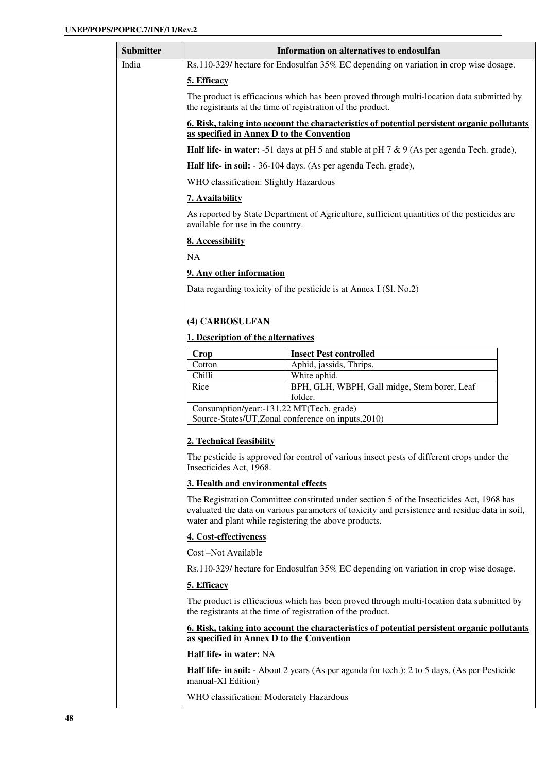| Submitter | Information on alternatives to endosulfan                                                                                                                                                                                                                                                                                                                                                                           |                                                                                                    |  |
|-----------|---------------------------------------------------------------------------------------------------------------------------------------------------------------------------------------------------------------------------------------------------------------------------------------------------------------------------------------------------------------------------------------------------------------------|----------------------------------------------------------------------------------------------------|--|
| India     | Rs.110-329/ hectare for Endosulfan 35% EC depending on variation in crop wise dosage.                                                                                                                                                                                                                                                                                                                               |                                                                                                    |  |
|           | 5. Efficacy                                                                                                                                                                                                                                                                                                                                                                                                         |                                                                                                    |  |
|           | The product is efficacious which has been proved through multi-location data submitted by<br>the registrants at the time of registration of the product.                                                                                                                                                                                                                                                            |                                                                                                    |  |
|           | as specified in Annex D to the Convention                                                                                                                                                                                                                                                                                                                                                                           | <u>6. Risk, taking into account the characteristics of potential persistent organic pollutants</u> |  |
|           |                                                                                                                                                                                                                                                                                                                                                                                                                     | Half life- in water: -51 days at pH 5 and stable at pH 7 & 9 (As per agenda Tech. grade),          |  |
|           |                                                                                                                                                                                                                                                                                                                                                                                                                     | <b>Half life- in soil:</b> - 36-104 days. (As per agenda Tech. grade),                             |  |
|           | WHO classification: Slightly Hazardous                                                                                                                                                                                                                                                                                                                                                                              |                                                                                                    |  |
|           | 7. Availability                                                                                                                                                                                                                                                                                                                                                                                                     |                                                                                                    |  |
|           | As reported by State Department of Agriculture, sufficient quantities of the pesticides are<br>available for use in the country.                                                                                                                                                                                                                                                                                    |                                                                                                    |  |
|           | 8. Accessibility                                                                                                                                                                                                                                                                                                                                                                                                    |                                                                                                    |  |
|           | NA                                                                                                                                                                                                                                                                                                                                                                                                                  |                                                                                                    |  |
|           | 9. Any other information                                                                                                                                                                                                                                                                                                                                                                                            |                                                                                                    |  |
|           |                                                                                                                                                                                                                                                                                                                                                                                                                     | Data regarding toxicity of the pesticide is at Annex I (Sl. No.2)                                  |  |
|           |                                                                                                                                                                                                                                                                                                                                                                                                                     |                                                                                                    |  |
|           | (4) CARBOSULFAN                                                                                                                                                                                                                                                                                                                                                                                                     |                                                                                                    |  |
|           | 1. Description of the alternatives                                                                                                                                                                                                                                                                                                                                                                                  |                                                                                                    |  |
|           | Crop                                                                                                                                                                                                                                                                                                                                                                                                                | <b>Insect Pest controlled</b>                                                                      |  |
|           | Cotton                                                                                                                                                                                                                                                                                                                                                                                                              | Aphid, jassids, Thrips.                                                                            |  |
|           | Chilli                                                                                                                                                                                                                                                                                                                                                                                                              | White aphid.                                                                                       |  |
|           | Rice                                                                                                                                                                                                                                                                                                                                                                                                                | BPH, GLH, WBPH, Gall midge, Stem borer, Leaf<br>folder.                                            |  |
|           | Consumption/year:-131.22 MT(Tech. grade)                                                                                                                                                                                                                                                                                                                                                                            |                                                                                                    |  |
|           |                                                                                                                                                                                                                                                                                                                                                                                                                     | Source-States/UT, Zonal conference on inputs, 2010)                                                |  |
|           | 2. Technical feasibility                                                                                                                                                                                                                                                                                                                                                                                            |                                                                                                    |  |
|           | The pesticide is approved for control of various insect pests of different crops under the<br>Insecticides Act, 1968.<br>3. Health and environmental effects<br>The Registration Committee constituted under section 5 of the Insecticides Act, 1968 has<br>evaluated the data on various parameters of toxicity and persistence and residue data in soil,<br>water and plant while registering the above products. |                                                                                                    |  |
|           |                                                                                                                                                                                                                                                                                                                                                                                                                     |                                                                                                    |  |
|           |                                                                                                                                                                                                                                                                                                                                                                                                                     |                                                                                                    |  |
|           | 4. Cost-effectiveness                                                                                                                                                                                                                                                                                                                                                                                               |                                                                                                    |  |
|           | Cost-Not Available                                                                                                                                                                                                                                                                                                                                                                                                  |                                                                                                    |  |
|           | Rs.110-329/ hectare for Endosulfan 35% EC depending on variation in crop wise dosage.                                                                                                                                                                                                                                                                                                                               |                                                                                                    |  |
|           | 5. Efficacy                                                                                                                                                                                                                                                                                                                                                                                                         |                                                                                                    |  |
|           | The product is efficacious which has been proved through multi-location data submitted by<br>the registrants at the time of registration of the product.                                                                                                                                                                                                                                                            |                                                                                                    |  |
|           | as specified in Annex D to the Convention                                                                                                                                                                                                                                                                                                                                                                           | <u>6. Risk, taking into account the characteristics of potential persistent organic pollutants</u> |  |
|           | Half life- in water: NA                                                                                                                                                                                                                                                                                                                                                                                             |                                                                                                    |  |
|           | manual-XI Edition)                                                                                                                                                                                                                                                                                                                                                                                                  | Half life- in soil: - About 2 years (As per agenda for tech.); 2 to 5 days. (As per Pesticide      |  |
|           | WHO classification: Moderately Hazardous                                                                                                                                                                                                                                                                                                                                                                            |                                                                                                    |  |
|           |                                                                                                                                                                                                                                                                                                                                                                                                                     |                                                                                                    |  |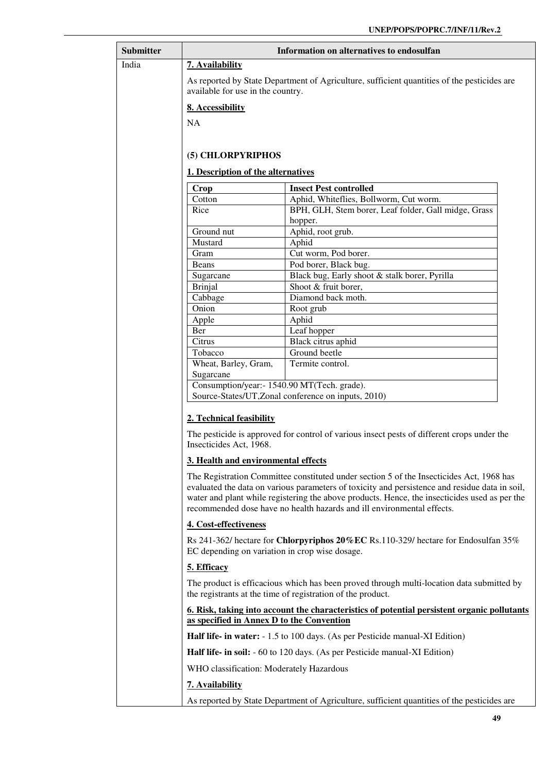| <b>Submitter</b> | Information on alternatives to endosulfan                                                                                                                                                                                                                                                                                                                             |                                                                                             |  |
|------------------|-----------------------------------------------------------------------------------------------------------------------------------------------------------------------------------------------------------------------------------------------------------------------------------------------------------------------------------------------------------------------|---------------------------------------------------------------------------------------------|--|
| India            | 7. Availability                                                                                                                                                                                                                                                                                                                                                       |                                                                                             |  |
|                  | As reported by State Department of Agriculture, sufficient quantities of the pesticides are<br>available for use in the country.                                                                                                                                                                                                                                      |                                                                                             |  |
|                  | 8. Accessibility                                                                                                                                                                                                                                                                                                                                                      |                                                                                             |  |
|                  | <b>NA</b>                                                                                                                                                                                                                                                                                                                                                             |                                                                                             |  |
|                  |                                                                                                                                                                                                                                                                                                                                                                       |                                                                                             |  |
|                  | (5) CHLORPYRIPHOS                                                                                                                                                                                                                                                                                                                                                     |                                                                                             |  |
|                  | 1. Description of the alternatives                                                                                                                                                                                                                                                                                                                                    |                                                                                             |  |
|                  | Crop                                                                                                                                                                                                                                                                                                                                                                  | <b>Insect Pest controlled</b>                                                               |  |
|                  | Cotton                                                                                                                                                                                                                                                                                                                                                                | Aphid, Whiteflies, Bollworm, Cut worm.                                                      |  |
|                  | Rice                                                                                                                                                                                                                                                                                                                                                                  | BPH, GLH, Stem borer, Leaf folder, Gall midge, Grass                                        |  |
|                  | Ground nut                                                                                                                                                                                                                                                                                                                                                            | hopper.<br>Aphid, root grub.                                                                |  |
|                  | Mustard                                                                                                                                                                                                                                                                                                                                                               | Aphid                                                                                       |  |
|                  | Gram                                                                                                                                                                                                                                                                                                                                                                  | Cut worm, Pod borer.                                                                        |  |
|                  | <b>Beans</b>                                                                                                                                                                                                                                                                                                                                                          | Pod borer, Black bug.                                                                       |  |
|                  | Sugarcane                                                                                                                                                                                                                                                                                                                                                             | Black bug, Early shoot & stalk borer, Pyrilla                                               |  |
|                  | <b>Brinjal</b>                                                                                                                                                                                                                                                                                                                                                        | Shoot & fruit borer,                                                                        |  |
|                  | Cabbage                                                                                                                                                                                                                                                                                                                                                               | Diamond back moth.                                                                          |  |
|                  | Onion                                                                                                                                                                                                                                                                                                                                                                 | Root grub                                                                                   |  |
|                  | Apple                                                                                                                                                                                                                                                                                                                                                                 | Aphid                                                                                       |  |
|                  | Ber                                                                                                                                                                                                                                                                                                                                                                   | Leaf hopper                                                                                 |  |
|                  | Citrus                                                                                                                                                                                                                                                                                                                                                                | Black citrus aphid                                                                          |  |
|                  | Tobacco                                                                                                                                                                                                                                                                                                                                                               | Ground beetle                                                                               |  |
|                  | Wheat, Barley, Gram,<br>Sugarcane                                                                                                                                                                                                                                                                                                                                     | Termite control.                                                                            |  |
|                  | Consumption/year:- 1540.90 MT(Tech. grade).                                                                                                                                                                                                                                                                                                                           |                                                                                             |  |
|                  | Source-States/UT, Zonal conference on inputs, 2010)                                                                                                                                                                                                                                                                                                                   |                                                                                             |  |
|                  | 2. Technical feasibility                                                                                                                                                                                                                                                                                                                                              |                                                                                             |  |
|                  |                                                                                                                                                                                                                                                                                                                                                                       |                                                                                             |  |
|                  | The pesticide is approved for control of various insect pests of different crops under the<br>Insecticides Act, 1968.                                                                                                                                                                                                                                                 |                                                                                             |  |
|                  | 3. Health and environmental effects                                                                                                                                                                                                                                                                                                                                   |                                                                                             |  |
|                  | The Registration Committee constituted under section 5 of the Insecticides Act, 1968 has<br>evaluated the data on various parameters of toxicity and persistence and residue data in soil,<br>water and plant while registering the above products. Hence, the insecticides used as per the<br>recommended dose have no health hazards and ill environmental effects. |                                                                                             |  |
|                  | 4. Cost-effectiveness                                                                                                                                                                                                                                                                                                                                                 |                                                                                             |  |
|                  | Rs 241-362/ hectare for Chlorpyriphos 20%EC Rs.110-329/ hectare for Endosulfan 35%<br>EC depending on variation in crop wise dosage.                                                                                                                                                                                                                                  |                                                                                             |  |
|                  | 5. Efficacy                                                                                                                                                                                                                                                                                                                                                           |                                                                                             |  |
|                  | The product is efficacious which has been proved through multi-location data submitted by<br>the registrants at the time of registration of the product.                                                                                                                                                                                                              |                                                                                             |  |
|                  | <u><b>6. Risk, taking into account the characteristics of potential persistent organic pollutants</b></u>                                                                                                                                                                                                                                                             |                                                                                             |  |
|                  | as specified in Annex D to the Convention                                                                                                                                                                                                                                                                                                                             |                                                                                             |  |
|                  | Half life- in water: - 1.5 to 100 days. (As per Pesticide manual-XI Edition)                                                                                                                                                                                                                                                                                          |                                                                                             |  |
|                  | Half life- in soil: - 60 to 120 days. (As per Pesticide manual-XI Edition)                                                                                                                                                                                                                                                                                            |                                                                                             |  |
|                  |                                                                                                                                                                                                                                                                                                                                                                       | WHO classification: Moderately Hazardous                                                    |  |
|                  | 7. Availability                                                                                                                                                                                                                                                                                                                                                       |                                                                                             |  |
|                  |                                                                                                                                                                                                                                                                                                                                                                       | As reported by State Department of Agriculture, sufficient quantities of the pesticides are |  |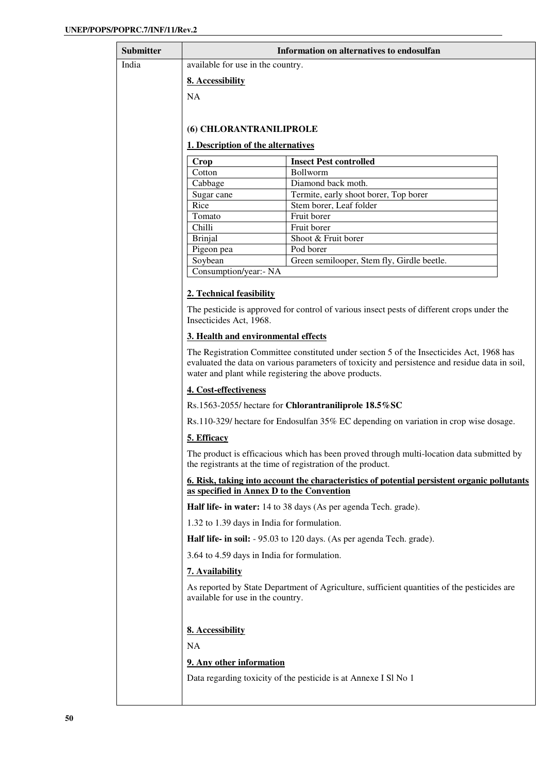| <b>Submitter</b> | Information on alternatives to endosulfan             |                                                                                                                                                                                            |
|------------------|-------------------------------------------------------|--------------------------------------------------------------------------------------------------------------------------------------------------------------------------------------------|
| India            | available for use in the country.                     |                                                                                                                                                                                            |
|                  | 8. Accessibility                                      |                                                                                                                                                                                            |
|                  | <b>NA</b>                                             |                                                                                                                                                                                            |
|                  |                                                       |                                                                                                                                                                                            |
|                  |                                                       |                                                                                                                                                                                            |
|                  | (6) CHLORANTRANILIPROLE                               |                                                                                                                                                                                            |
|                  | 1. Description of the alternatives                    |                                                                                                                                                                                            |
|                  | Crop                                                  | <b>Insect Pest controlled</b>                                                                                                                                                              |
|                  | Cotton                                                | Bollworm                                                                                                                                                                                   |
|                  | Cabbage                                               | Diamond back moth.                                                                                                                                                                         |
|                  | Sugar cane                                            | Termite, early shoot borer, Top borer                                                                                                                                                      |
|                  | Rice                                                  | Stem borer, Leaf folder                                                                                                                                                                    |
|                  | Tomato                                                | Fruit borer                                                                                                                                                                                |
|                  | Chilli<br><b>Brinjal</b>                              | Fruit borer<br>Shoot & Fruit borer                                                                                                                                                         |
|                  | Pigeon pea                                            | Pod borer                                                                                                                                                                                  |
|                  | Soybean                                               | Green semilooper, Stem fly, Girdle beetle.                                                                                                                                                 |
|                  | Consumption/year:- NA                                 |                                                                                                                                                                                            |
|                  |                                                       |                                                                                                                                                                                            |
|                  | 2. Technical feasibility                              |                                                                                                                                                                                            |
|                  | Insecticides Act, 1968.                               | The pesticide is approved for control of various insect pests of different crops under the                                                                                                 |
|                  | 3. Health and environmental effects                   |                                                                                                                                                                                            |
|                  | water and plant while registering the above products. | The Registration Committee constituted under section 5 of the Insecticides Act, 1968 has<br>evaluated the data on various parameters of toxicity and persistence and residue data in soil, |
|                  | 4. Cost-effectiveness                                 |                                                                                                                                                                                            |
|                  |                                                       | Rs.1563-2055/ hectare for Chlorantraniliprole 18.5%SC                                                                                                                                      |
|                  |                                                       | Rs.110-329/ hectare for Endosulfan 35% EC depending on variation in crop wise dosage.                                                                                                      |
|                  | 5. Efficacy                                           |                                                                                                                                                                                            |
|                  |                                                       | The product is efficacious which has been proved through multi-location data submitted by<br>the registrants at the time of registration of the product.                                   |
|                  | as specified in Annex D to the Convention             | 6. Risk, taking into account the characteristics of potential persistent organic pollutants                                                                                                |
|                  |                                                       | Half life- in water: 14 to 38 days (As per agenda Tech. grade).                                                                                                                            |
|                  | 1.32 to 1.39 days in India for formulation.           |                                                                                                                                                                                            |
|                  |                                                       | Half life- in soil: - 95.03 to 120 days. (As per agenda Tech. grade).                                                                                                                      |
|                  | 3.64 to 4.59 days in India for formulation.           |                                                                                                                                                                                            |
|                  | 7. Availability                                       |                                                                                                                                                                                            |
|                  | available for use in the country.                     | As reported by State Department of Agriculture, sufficient quantities of the pesticides are                                                                                                |
|                  | 8. Accessibility                                      |                                                                                                                                                                                            |
|                  | <b>NA</b>                                             |                                                                                                                                                                                            |
|                  |                                                       |                                                                                                                                                                                            |
|                  | 9. Any other information                              |                                                                                                                                                                                            |
|                  |                                                       | Data regarding toxicity of the pesticide is at Annexe I Sl No 1                                                                                                                            |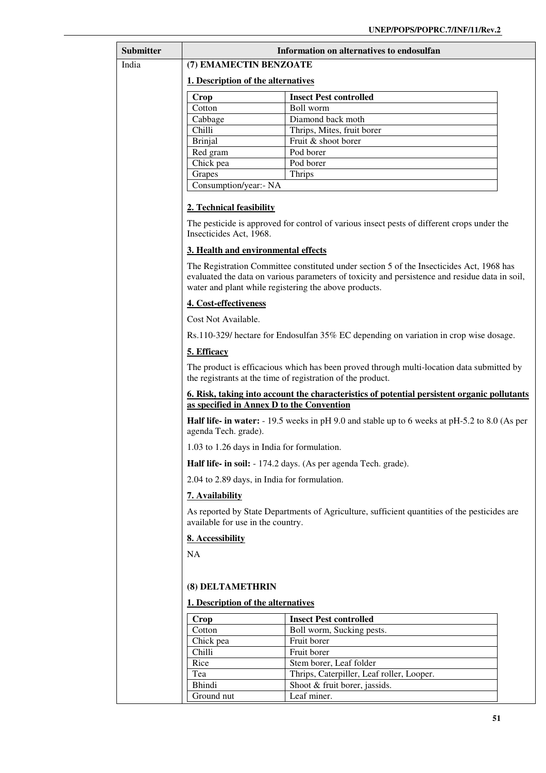| Submitter | Information on alternatives to endosulfan                                                                                                                |                                                                                                                                                                                            |  |
|-----------|----------------------------------------------------------------------------------------------------------------------------------------------------------|--------------------------------------------------------------------------------------------------------------------------------------------------------------------------------------------|--|
| India     | (7) EMAMECTIN BENZOATE                                                                                                                                   |                                                                                                                                                                                            |  |
|           | 1. Description of the alternatives                                                                                                                       |                                                                                                                                                                                            |  |
|           | Crop                                                                                                                                                     | <b>Insect Pest controlled</b>                                                                                                                                                              |  |
|           | Cotton                                                                                                                                                   | Boll worm                                                                                                                                                                                  |  |
|           | Cabbage                                                                                                                                                  | Diamond back moth                                                                                                                                                                          |  |
|           | Chilli                                                                                                                                                   | Thrips, Mites, fruit borer                                                                                                                                                                 |  |
|           | <b>Brinjal</b>                                                                                                                                           | Fruit & shoot borer                                                                                                                                                                        |  |
|           | Red gram                                                                                                                                                 | Pod borer                                                                                                                                                                                  |  |
|           | Chick pea                                                                                                                                                | Pod borer                                                                                                                                                                                  |  |
|           | Grapes<br>Consumption/year:- NA                                                                                                                          | Thrips                                                                                                                                                                                     |  |
|           |                                                                                                                                                          |                                                                                                                                                                                            |  |
|           | 2. Technical feasibility                                                                                                                                 |                                                                                                                                                                                            |  |
|           | Insecticides Act, 1968.                                                                                                                                  | The pesticide is approved for control of various insect pests of different crops under the                                                                                                 |  |
|           | 3. Health and environmental effects                                                                                                                      |                                                                                                                                                                                            |  |
|           | water and plant while registering the above products.                                                                                                    | The Registration Committee constituted under section 5 of the Insecticides Act, 1968 has<br>evaluated the data on various parameters of toxicity and persistence and residue data in soil, |  |
|           | 4. Cost-effectiveness                                                                                                                                    |                                                                                                                                                                                            |  |
|           | Cost Not Available.                                                                                                                                      |                                                                                                                                                                                            |  |
|           | Rs.110-329/ hectare for Endosulfan 35% EC depending on variation in crop wise dosage.                                                                    |                                                                                                                                                                                            |  |
|           | 5. Efficacy                                                                                                                                              |                                                                                                                                                                                            |  |
|           | The product is efficacious which has been proved through multi-location data submitted by<br>the registrants at the time of registration of the product. |                                                                                                                                                                                            |  |
|           | <u>6. Risk, taking into account the characteristics of potential persistent organic pollutants</u><br>as specified in Annex D to the Convention          |                                                                                                                                                                                            |  |
|           | <b>Half life- in water:</b> - 19.5 weeks in pH 9.0 and stable up to 6 weeks at pH-5.2 to 8.0 (As per<br>agenda Tech. grade).                             |                                                                                                                                                                                            |  |
|           | 1.03 to 1.26 days in India for formulation.                                                                                                              |                                                                                                                                                                                            |  |
|           | Half life- in soil: - 174.2 days. (As per agenda Tech. grade).                                                                                           |                                                                                                                                                                                            |  |
|           | 2.04 to 2.89 days, in India for formulation.                                                                                                             |                                                                                                                                                                                            |  |
|           | 7. Availability                                                                                                                                          |                                                                                                                                                                                            |  |
|           | As reported by State Departments of Agriculture, sufficient quantities of the pesticides are<br>available for use in the country.                        |                                                                                                                                                                                            |  |
|           | 8. Accessibility                                                                                                                                         |                                                                                                                                                                                            |  |
|           | NA                                                                                                                                                       |                                                                                                                                                                                            |  |
|           |                                                                                                                                                          |                                                                                                                                                                                            |  |
|           | (8) DELTAMETHRIN                                                                                                                                         |                                                                                                                                                                                            |  |
|           | 1. Description of the alternatives                                                                                                                       |                                                                                                                                                                                            |  |
|           | Crop                                                                                                                                                     | <b>Insect Pest controlled</b>                                                                                                                                                              |  |
|           | Cotton                                                                                                                                                   | Boll worm, Sucking pests.                                                                                                                                                                  |  |
|           | Chick pea                                                                                                                                                | Fruit borer                                                                                                                                                                                |  |
|           | Chilli                                                                                                                                                   | Fruit borer                                                                                                                                                                                |  |
|           | Rice                                                                                                                                                     | Stem borer, Leaf folder                                                                                                                                                                    |  |
|           | Tea                                                                                                                                                      | Thrips, Caterpiller, Leaf roller, Looper.                                                                                                                                                  |  |
|           | <b>Bhindi</b>                                                                                                                                            | Shoot & fruit borer, jassids.                                                                                                                                                              |  |
|           | Ground nut                                                                                                                                               | Leaf miner.                                                                                                                                                                                |  |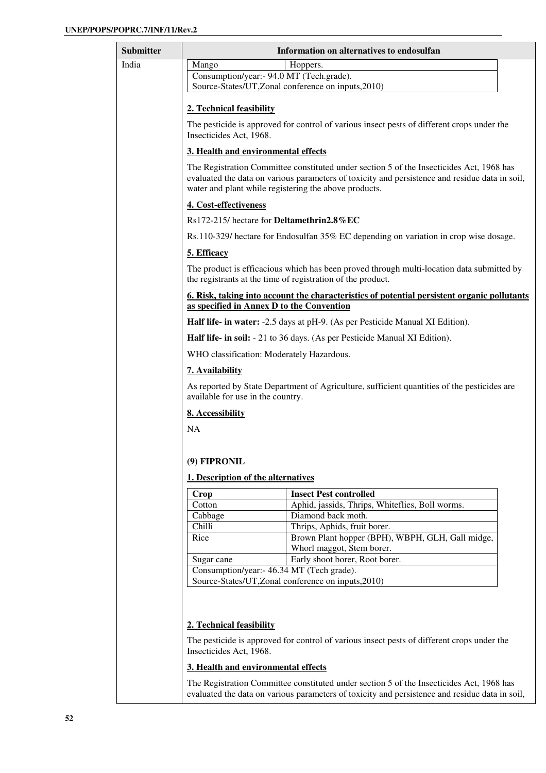| Submitter       | Information on alternatives to endosulfan                                                                                        |                                                                                                                                                                                            |  |
|-----------------|----------------------------------------------------------------------------------------------------------------------------------|--------------------------------------------------------------------------------------------------------------------------------------------------------------------------------------------|--|
| India           | Mango                                                                                                                            | Hoppers.                                                                                                                                                                                   |  |
|                 | Consumption/year:- 94.0 MT (Tech.grade).                                                                                         |                                                                                                                                                                                            |  |
|                 |                                                                                                                                  | Source-States/UT, Zonal conference on inputs, 2010)                                                                                                                                        |  |
|                 | 2. Technical feasibility                                                                                                         |                                                                                                                                                                                            |  |
|                 | The pesticide is approved for control of various insect pests of different crops under the<br>Insecticides Act, 1968.            |                                                                                                                                                                                            |  |
|                 | 3. Health and environmental effects                                                                                              |                                                                                                                                                                                            |  |
|                 | water and plant while registering the above products.                                                                            | The Registration Committee constituted under section 5 of the Insecticides Act, 1968 has<br>evaluated the data on various parameters of toxicity and persistence and residue data in soil, |  |
|                 | 4. Cost-effectiveness                                                                                                            |                                                                                                                                                                                            |  |
|                 | Rs172-215/ hectare for Deltamethrin2.8%EC                                                                                        |                                                                                                                                                                                            |  |
|                 |                                                                                                                                  | Rs.110-329/ hectare for Endosulfan 35% EC depending on variation in crop wise dosage.                                                                                                      |  |
|                 | 5. Efficacy                                                                                                                      |                                                                                                                                                                                            |  |
|                 |                                                                                                                                  | The product is efficacious which has been proved through multi-location data submitted by<br>the registrants at the time of registration of the product.                                   |  |
|                 |                                                                                                                                  | <u>6. Risk, taking into account the characteristics of potential persistent organic pollutants</u>                                                                                         |  |
|                 | as specified in Annex D to the Convention                                                                                        |                                                                                                                                                                                            |  |
|                 |                                                                                                                                  | Half life- in water: -2.5 days at pH-9. (As per Pesticide Manual XI Edition).                                                                                                              |  |
|                 | Half life- in soil: - 21 to 36 days. (As per Pesticide Manual XI Edition).                                                       |                                                                                                                                                                                            |  |
|                 | WHO classification: Moderately Hazardous.                                                                                        |                                                                                                                                                                                            |  |
| 7. Availability |                                                                                                                                  |                                                                                                                                                                                            |  |
|                 | As reported by State Department of Agriculture, sufficient quantities of the pesticides are<br>available for use in the country. |                                                                                                                                                                                            |  |
|                 | 8. Accessibility                                                                                                                 |                                                                                                                                                                                            |  |
|                 | NA                                                                                                                               |                                                                                                                                                                                            |  |
|                 |                                                                                                                                  |                                                                                                                                                                                            |  |
|                 | (9) FIPRONIL                                                                                                                     |                                                                                                                                                                                            |  |
|                 |                                                                                                                                  |                                                                                                                                                                                            |  |
|                 | 1. Description of the alternatives                                                                                               |                                                                                                                                                                                            |  |
|                 | Crop                                                                                                                             | <b>Insect Pest controlled</b>                                                                                                                                                              |  |
|                 | Cotton<br>Cabbage                                                                                                                | Aphid, jassids, Thrips, Whiteflies, Boll worms.<br>Diamond back moth.                                                                                                                      |  |
|                 | Chilli                                                                                                                           | Thrips, Aphids, fruit borer.                                                                                                                                                               |  |
|                 | Rice                                                                                                                             | Brown Plant hopper (BPH), WBPH, GLH, Gall midge,                                                                                                                                           |  |
|                 |                                                                                                                                  | Whorl maggot, Stem borer.                                                                                                                                                                  |  |
|                 | Sugar cane                                                                                                                       | Early shoot borer, Root borer.                                                                                                                                                             |  |
|                 | Consumption/year:- 46.34 MT (Tech grade).                                                                                        |                                                                                                                                                                                            |  |
|                 |                                                                                                                                  | Source-States/UT, Zonal conference on inputs, 2010)                                                                                                                                        |  |
|                 | 2. Technical feasibility                                                                                                         |                                                                                                                                                                                            |  |
|                 | Insecticides Act, 1968.                                                                                                          | The pesticide is approved for control of various insect pests of different crops under the                                                                                                 |  |
|                 | 3. Health and environmental effects                                                                                              |                                                                                                                                                                                            |  |

The Registration Committee constituted under section 5 of the Insecticides Act, 1968 has evaluated the data on various parameters of toxicity and persistence and residue data in soil,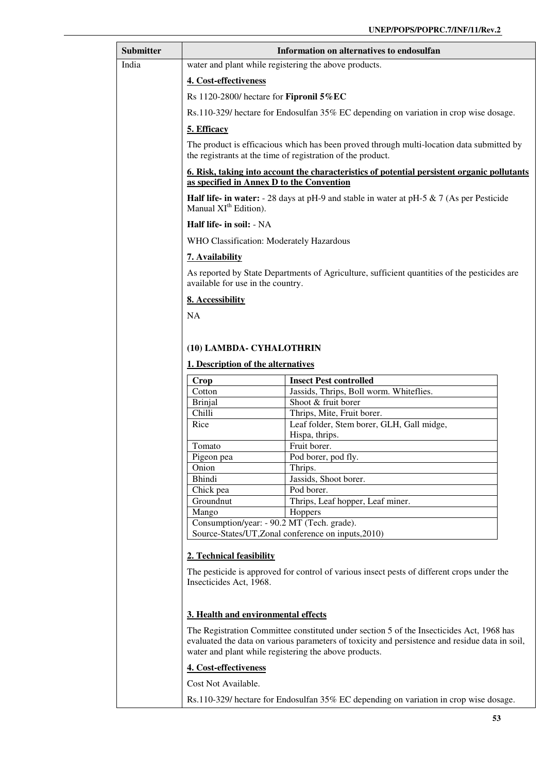| <b>Submitter</b> | Information on alternatives to endosulfan                                                                                                                                                                                                           |                                                                                                    |
|------------------|-----------------------------------------------------------------------------------------------------------------------------------------------------------------------------------------------------------------------------------------------------|----------------------------------------------------------------------------------------------------|
| India            | water and plant while registering the above products.                                                                                                                                                                                               |                                                                                                    |
|                  | 4. Cost-effectiveness                                                                                                                                                                                                                               |                                                                                                    |
|                  | Rs 1120-2800/ hectare for Fipronil 5% EC                                                                                                                                                                                                            |                                                                                                    |
|                  | Rs.110-329/ hectare for Endosulfan 35% EC depending on variation in crop wise dosage.                                                                                                                                                               |                                                                                                    |
|                  | 5. Efficacy                                                                                                                                                                                                                                         |                                                                                                    |
|                  |                                                                                                                                                                                                                                                     | The product is efficacious which has been proved through multi-location data submitted by          |
|                  |                                                                                                                                                                                                                                                     | the registrants at the time of registration of the product.                                        |
|                  | as specified in Annex D to the Convention                                                                                                                                                                                                           | <u>6. Risk, taking into account the characteristics of potential persistent organic pollutants</u> |
|                  | Manual XI <sup>th</sup> Edition).                                                                                                                                                                                                                   | <b>Half life- in water:</b> - 28 days at pH-9 and stable in water at pH-5 $\&$ 7 (As per Pesticide |
|                  | Half life- in soil: - NA                                                                                                                                                                                                                            |                                                                                                    |
|                  | WHO Classification: Moderately Hazardous                                                                                                                                                                                                            |                                                                                                    |
|                  | <b>7. Availability</b>                                                                                                                                                                                                                              |                                                                                                    |
|                  | available for use in the country.                                                                                                                                                                                                                   | As reported by State Departments of Agriculture, sufficient quantities of the pesticides are       |
|                  | 8. Accessibility                                                                                                                                                                                                                                    |                                                                                                    |
|                  | <b>NA</b>                                                                                                                                                                                                                                           |                                                                                                    |
|                  |                                                                                                                                                                                                                                                     |                                                                                                    |
|                  | (10) LAMBDA- CYHALOTHRIN                                                                                                                                                                                                                            |                                                                                                    |
|                  | 1. Description of the alternatives                                                                                                                                                                                                                  |                                                                                                    |
|                  | Crop                                                                                                                                                                                                                                                | <b>Insect Pest controlled</b>                                                                      |
|                  | Cotton                                                                                                                                                                                                                                              | Jassids, Thrips, Boll worm. Whiteflies.                                                            |
|                  | <b>Brinjal</b>                                                                                                                                                                                                                                      | Shoot & fruit borer                                                                                |
|                  | Chilli                                                                                                                                                                                                                                              | Thrips, Mite, Fruit borer.                                                                         |
|                  | Rice                                                                                                                                                                                                                                                | Leaf folder, Stem borer, GLH, Gall midge,                                                          |
|                  |                                                                                                                                                                                                                                                     | Hispa, thrips.                                                                                     |
|                  | Tomato                                                                                                                                                                                                                                              | Fruit borer.                                                                                       |
|                  | Pigeon pea                                                                                                                                                                                                                                          | Pod borer, pod fly.                                                                                |
|                  | Onion<br><b>Bhindi</b>                                                                                                                                                                                                                              | Thrips.<br>Jassids, Shoot borer.                                                                   |
|                  | Chick pea                                                                                                                                                                                                                                           | Pod borer.                                                                                         |
|                  | Groundnut                                                                                                                                                                                                                                           | Thrips, Leaf hopper, Leaf miner.                                                                   |
|                  | Mango                                                                                                                                                                                                                                               | Hoppers                                                                                            |
|                  | Consumption/year: - 90.2 MT (Tech. grade).                                                                                                                                                                                                          |                                                                                                    |
|                  |                                                                                                                                                                                                                                                     | Source-States/UT, Zonal conference on inputs, 2010)                                                |
|                  | 2. Technical feasibility                                                                                                                                                                                                                            |                                                                                                    |
|                  | The pesticide is approved for control of various insect pests of different crops under the<br>Insecticides Act, 1968.                                                                                                                               |                                                                                                    |
|                  | 3. Health and environmental effects                                                                                                                                                                                                                 |                                                                                                    |
|                  | The Registration Committee constituted under section 5 of the Insecticides Act, 1968 has<br>evaluated the data on various parameters of toxicity and persistence and residue data in soil,<br>water and plant while registering the above products. |                                                                                                    |
|                  | 4. Cost-effectiveness                                                                                                                                                                                                                               |                                                                                                    |
|                  | Cost Not Available.                                                                                                                                                                                                                                 |                                                                                                    |
|                  |                                                                                                                                                                                                                                                     | Rs.110-329/ hectare for Endosulfan 35% EC depending on variation in crop wise dosage.              |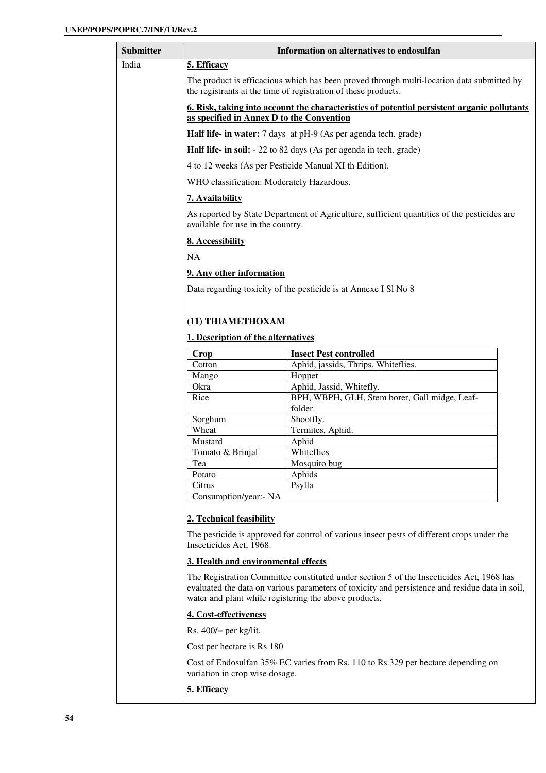| Submitter |                                                                                                                                                                                                                                                     | Information on alternatives to endosulfan                                                   |
|-----------|-----------------------------------------------------------------------------------------------------------------------------------------------------------------------------------------------------------------------------------------------------|---------------------------------------------------------------------------------------------|
| India     | 5. Efficacy                                                                                                                                                                                                                                         |                                                                                             |
|           | The product is efficacious which has been proved through multi-location data submitted by<br>the registrants at the time of registration of these products.                                                                                         |                                                                                             |
|           | 6. Risk, taking into account the characteristics of potential persistent organic pollutants<br>as specified in Annex D to the Convention                                                                                                            |                                                                                             |
|           |                                                                                                                                                                                                                                                     | Half life- in water: 7 days at pH-9 (As per agenda tech. grade)                             |
|           |                                                                                                                                                                                                                                                     | <b>Half life- in soil:</b> - 22 to 82 days (As per agenda in tech. grade)                   |
|           |                                                                                                                                                                                                                                                     | 4 to 12 weeks (As per Pesticide Manual XI th Edition).                                      |
|           | WHO classification: Moderately Hazardous.                                                                                                                                                                                                           |                                                                                             |
|           | 7. Availability                                                                                                                                                                                                                                     |                                                                                             |
|           | available for use in the country.                                                                                                                                                                                                                   | As reported by State Department of Agriculture, sufficient quantities of the pesticides are |
|           | 8. Accessibility                                                                                                                                                                                                                                    |                                                                                             |
|           | <b>NA</b>                                                                                                                                                                                                                                           |                                                                                             |
|           | 9. Any other information                                                                                                                                                                                                                            |                                                                                             |
|           |                                                                                                                                                                                                                                                     | Data regarding toxicity of the pesticide is at Annexe I SI No 8                             |
|           | (11) THIAMETHOXAM                                                                                                                                                                                                                                   |                                                                                             |
|           | 1. Description of the alternatives                                                                                                                                                                                                                  |                                                                                             |
|           | Crop                                                                                                                                                                                                                                                | <b>Insect Pest controlled</b>                                                               |
|           | Cotton                                                                                                                                                                                                                                              | Aphid, jassids, Thrips, Whiteflies.                                                         |
|           | Mango                                                                                                                                                                                                                                               | Hopper                                                                                      |
|           | Okra                                                                                                                                                                                                                                                | Aphid, Jassid, Whitefly.                                                                    |
|           | Rice                                                                                                                                                                                                                                                | BPH, WBPH, GLH, Stem borer, Gall midge, Leaf-                                               |
|           |                                                                                                                                                                                                                                                     | folder.                                                                                     |
|           | Sorghum<br>Wheat                                                                                                                                                                                                                                    | Shootfly.<br>Termites, Aphid.                                                               |
|           | Mustard                                                                                                                                                                                                                                             | Aphid                                                                                       |
|           | Tomato & Brinial                                                                                                                                                                                                                                    | Whiteflies                                                                                  |
|           | Tea                                                                                                                                                                                                                                                 | Mosquito bug                                                                                |
|           | Potato                                                                                                                                                                                                                                              | Aphids                                                                                      |
|           | Citrus                                                                                                                                                                                                                                              | Psylla                                                                                      |
|           | Consumption/year: - NA                                                                                                                                                                                                                              |                                                                                             |
|           | 2. Technical feasibility                                                                                                                                                                                                                            |                                                                                             |
|           | Insecticides Act, 1968.                                                                                                                                                                                                                             | The pesticide is approved for control of various insect pests of different crops under the  |
|           | 3. Health and environmental effects                                                                                                                                                                                                                 |                                                                                             |
|           | The Registration Committee constituted under section 5 of the Insecticides Act, 1968 has<br>evaluated the data on various parameters of toxicity and persistence and residue data in soil,<br>water and plant while registering the above products. |                                                                                             |
|           | 4. Cost-effectiveness                                                                                                                                                                                                                               |                                                                                             |
|           | Rs. $400/$ = per kg/lit.                                                                                                                                                                                                                            |                                                                                             |
|           | Cost per hectare is Rs 180                                                                                                                                                                                                                          |                                                                                             |
|           | Cost of Endosulfan 35% EC varies from Rs. 110 to Rs. 329 per hectare depending on<br>variation in crop wise dosage.                                                                                                                                 |                                                                                             |
|           | 5. Efficacy                                                                                                                                                                                                                                         |                                                                                             |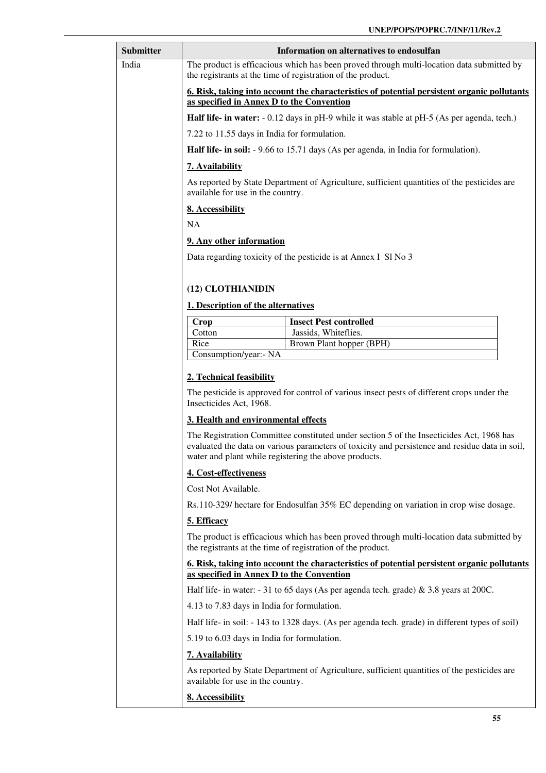| Submitter                                                                                                                             |                                                                                                                                                          | Information on alternatives to endosulfan                                                                                                                                                  |  |
|---------------------------------------------------------------------------------------------------------------------------------------|----------------------------------------------------------------------------------------------------------------------------------------------------------|--------------------------------------------------------------------------------------------------------------------------------------------------------------------------------------------|--|
| <b>India</b>                                                                                                                          |                                                                                                                                                          | The product is efficacious which has been proved through multi-location data submitted by<br>the registrants at the time of registration of the product.                                   |  |
|                                                                                                                                       | 6. Risk, taking into account the characteristics of potential persistent organic pollutants<br>as specified in Annex D to the Convention                 |                                                                                                                                                                                            |  |
|                                                                                                                                       |                                                                                                                                                          | <b>Half life- in water:</b> - 0.12 days in pH-9 while it was stable at pH-5 (As per agenda, tech.)                                                                                         |  |
|                                                                                                                                       | 7.22 to 11.55 days in India for formulation.                                                                                                             |                                                                                                                                                                                            |  |
|                                                                                                                                       |                                                                                                                                                          | Half life- in soil: - 9.66 to 15.71 days (As per agenda, in India for formulation).                                                                                                        |  |
|                                                                                                                                       | 7. Availability                                                                                                                                          |                                                                                                                                                                                            |  |
|                                                                                                                                       | available for use in the country.                                                                                                                        | As reported by State Department of Agriculture, sufficient quantities of the pesticides are                                                                                                |  |
|                                                                                                                                       | 8. Accessibility                                                                                                                                         |                                                                                                                                                                                            |  |
|                                                                                                                                       | <b>NA</b>                                                                                                                                                |                                                                                                                                                                                            |  |
|                                                                                                                                       | 9. Any other information                                                                                                                                 |                                                                                                                                                                                            |  |
|                                                                                                                                       |                                                                                                                                                          | Data regarding toxicity of the pesticide is at Annex I SI No 3                                                                                                                             |  |
|                                                                                                                                       |                                                                                                                                                          |                                                                                                                                                                                            |  |
|                                                                                                                                       | (12) CLOTHIANIDIN                                                                                                                                        |                                                                                                                                                                                            |  |
|                                                                                                                                       | 1. Description of the alternatives                                                                                                                       |                                                                                                                                                                                            |  |
|                                                                                                                                       | <b>Crop</b>                                                                                                                                              | <b>Insect Pest controlled</b>                                                                                                                                                              |  |
|                                                                                                                                       | Cotton                                                                                                                                                   | Jassids, Whiteflies.                                                                                                                                                                       |  |
|                                                                                                                                       | Rice                                                                                                                                                     | Brown Plant hopper (BPH)                                                                                                                                                                   |  |
|                                                                                                                                       | Consumption/year:- NA                                                                                                                                    |                                                                                                                                                                                            |  |
|                                                                                                                                       | 2. Technical feasibility                                                                                                                                 |                                                                                                                                                                                            |  |
|                                                                                                                                       | Insecticides Act, 1968.                                                                                                                                  | The pesticide is approved for control of various insect pests of different crops under the                                                                                                 |  |
|                                                                                                                                       | 3. Health and environmental effects                                                                                                                      |                                                                                                                                                                                            |  |
|                                                                                                                                       | water and plant while registering the above products.                                                                                                    | The Registration Committee constituted under section 5 of the Insecticides Act, 1968 has<br>evaluated the data on various parameters of toxicity and persistence and residue data in soil, |  |
|                                                                                                                                       | 4. Cost-effectiveness<br>Cost Not Available.<br>Rs.110-329/ hectare for Endosulfan 35% EC depending on variation in crop wise dosage.<br>5. Efficacy     |                                                                                                                                                                                            |  |
|                                                                                                                                       |                                                                                                                                                          |                                                                                                                                                                                            |  |
|                                                                                                                                       |                                                                                                                                                          |                                                                                                                                                                                            |  |
|                                                                                                                                       |                                                                                                                                                          |                                                                                                                                                                                            |  |
|                                                                                                                                       | The product is efficacious which has been proved through multi-location data submitted by<br>the registrants at the time of registration of the product. |                                                                                                                                                                                            |  |
|                                                                                                                                       | <u><b>6. Risk, taking into account the characteristics of potential persistent organic pollutants</b></u><br>as specified in Annex D to the Convention   |                                                                                                                                                                                            |  |
| Half life- in water: $-31$ to 65 days (As per agenda tech. grade) & 3.8 years at 200C.<br>4.13 to 7.83 days in India for formulation. |                                                                                                                                                          |                                                                                                                                                                                            |  |
|                                                                                                                                       |                                                                                                                                                          |                                                                                                                                                                                            |  |
|                                                                                                                                       |                                                                                                                                                          | Half life- in soil: - 143 to 1328 days. (As per agenda tech. grade) in different types of soil)                                                                                            |  |
|                                                                                                                                       | 5.19 to 6.03 days in India for formulation.                                                                                                              |                                                                                                                                                                                            |  |
|                                                                                                                                       | 7. Availability                                                                                                                                          |                                                                                                                                                                                            |  |
|                                                                                                                                       | available for use in the country.                                                                                                                        | As reported by State Department of Agriculture, sufficient quantities of the pesticides are                                                                                                |  |
|                                                                                                                                       | 8. Accessibility                                                                                                                                         |                                                                                                                                                                                            |  |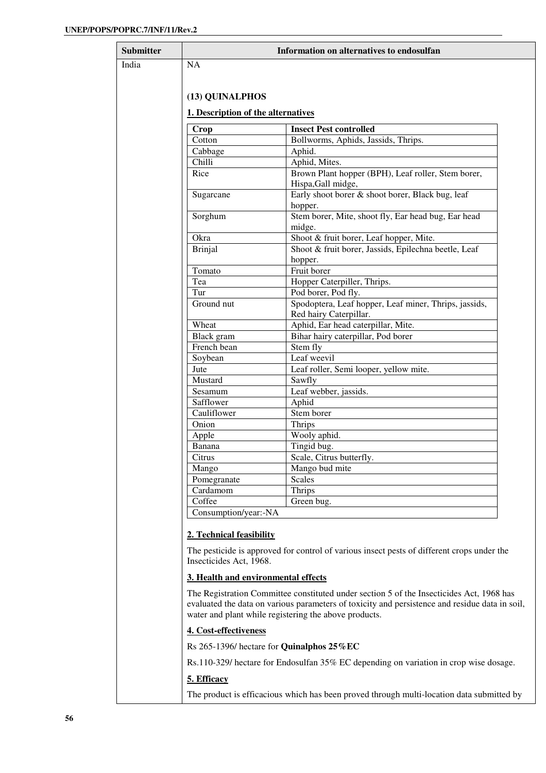$\mathbf{r}$ 

| <b>Submitter</b> |                                            | Information on alternatives to endosulfan                                                                                                                                                                                                           |
|------------------|--------------------------------------------|-----------------------------------------------------------------------------------------------------------------------------------------------------------------------------------------------------------------------------------------------------|
| India            | <b>NA</b>                                  |                                                                                                                                                                                                                                                     |
|                  |                                            |                                                                                                                                                                                                                                                     |
|                  |                                            |                                                                                                                                                                                                                                                     |
|                  | (13) QUINALPHOS                            |                                                                                                                                                                                                                                                     |
|                  | 1. Description of the alternatives         |                                                                                                                                                                                                                                                     |
|                  | Crop                                       | <b>Insect Pest controlled</b>                                                                                                                                                                                                                       |
|                  | Cotton                                     | Bollworms, Aphids, Jassids, Thrips.                                                                                                                                                                                                                 |
|                  | Cabbage                                    | Aphid.                                                                                                                                                                                                                                              |
|                  | Chilli                                     | Aphid, Mites.                                                                                                                                                                                                                                       |
|                  | Rice                                       | Brown Plant hopper (BPH), Leaf roller, Stem borer,                                                                                                                                                                                                  |
|                  |                                            | Hispa, Gall midge,                                                                                                                                                                                                                                  |
|                  | Sugarcane                                  | Early shoot borer & shoot borer, Black bug, leaf                                                                                                                                                                                                    |
|                  |                                            | hopper.                                                                                                                                                                                                                                             |
|                  | Sorghum                                    | Stem borer, Mite, shoot fly, Ear head bug, Ear head                                                                                                                                                                                                 |
|                  |                                            | midge.                                                                                                                                                                                                                                              |
|                  | Okra                                       | Shoot & fruit borer, Leaf hopper, Mite.                                                                                                                                                                                                             |
|                  | <b>Brinjal</b>                             | Shoot & fruit borer, Jassids, Epilechna beetle, Leaf                                                                                                                                                                                                |
|                  |                                            | hopper.                                                                                                                                                                                                                                             |
|                  | Tomato                                     | Fruit borer                                                                                                                                                                                                                                         |
|                  | Tea                                        | Hopper Caterpiller, Thrips.                                                                                                                                                                                                                         |
|                  | Tur                                        | Pod borer, Pod fly.                                                                                                                                                                                                                                 |
|                  | Ground nut                                 | Spodoptera, Leaf hopper, Leaf miner, Thrips, jassids,                                                                                                                                                                                               |
|                  | Wheat                                      | Red hairy Caterpillar.<br>Aphid, Ear head caterpillar, Mite.                                                                                                                                                                                        |
|                  | Black gram                                 | Bihar hairy caterpillar, Pod borer                                                                                                                                                                                                                  |
|                  | French bean                                | Stem fly                                                                                                                                                                                                                                            |
|                  | Soybean                                    | Leaf weevil                                                                                                                                                                                                                                         |
|                  | Jute                                       | Leaf roller, Semi looper, yellow mite.                                                                                                                                                                                                              |
|                  | Mustard                                    | Sawfly                                                                                                                                                                                                                                              |
|                  | Sesamum                                    | Leaf webber, jassids.                                                                                                                                                                                                                               |
|                  | Safflower                                  | Aphid                                                                                                                                                                                                                                               |
|                  | Cauliflower                                | Stem borer                                                                                                                                                                                                                                          |
|                  | Onion                                      | <b>Thrips</b>                                                                                                                                                                                                                                       |
|                  | Apple                                      | Wooly aphid.                                                                                                                                                                                                                                        |
|                  | Banana                                     | Tingid bug.                                                                                                                                                                                                                                         |
|                  | Citrus                                     | Scale, Citrus butterfly.                                                                                                                                                                                                                            |
|                  | Mango                                      | Mango bud mite                                                                                                                                                                                                                                      |
|                  | Pomegranate                                | Scales                                                                                                                                                                                                                                              |
|                  | Cardamom                                   | Thrips                                                                                                                                                                                                                                              |
|                  | Coffee                                     | Green bug.                                                                                                                                                                                                                                          |
|                  | Consumption/year:-NA                       |                                                                                                                                                                                                                                                     |
|                  | 2. Technical feasibility                   |                                                                                                                                                                                                                                                     |
|                  | Insecticides Act, 1968.                    | The pesticide is approved for control of various insect pests of different crops under the                                                                                                                                                          |
|                  | 3. Health and environmental effects        |                                                                                                                                                                                                                                                     |
|                  |                                            |                                                                                                                                                                                                                                                     |
|                  |                                            | The Registration Committee constituted under section 5 of the Insecticides Act, 1968 has<br>evaluated the data on various parameters of toxicity and persistence and residue data in soil,<br>water and plant while registering the above products. |
|                  | 4. Cost-effectiveness                      |                                                                                                                                                                                                                                                     |
|                  | Rs 265-1396/ hectare for Quinalphos 25% EC |                                                                                                                                                                                                                                                     |
|                  |                                            | Rs.110-329/ hectare for Endosulfan 35% EC depending on variation in crop wise dosage.                                                                                                                                                               |
|                  | 5. Efficacy                                |                                                                                                                                                                                                                                                     |
|                  |                                            | The product is efficacious which has been proved through multi-location data submitted by                                                                                                                                                           |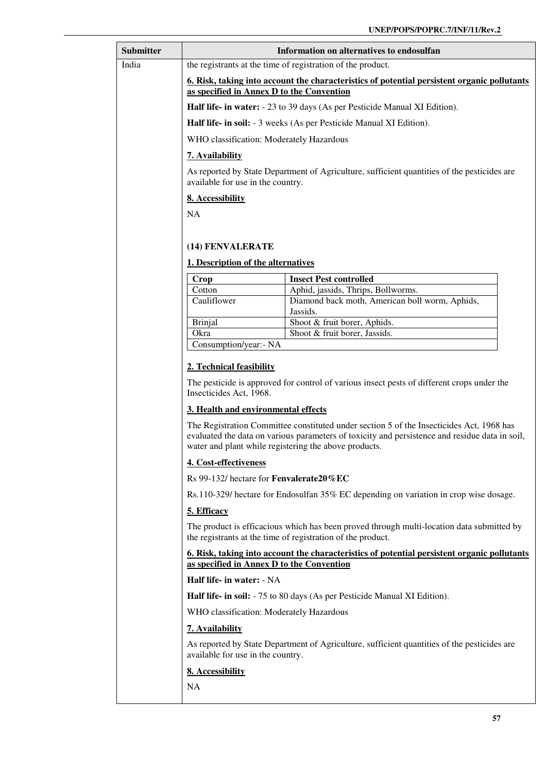| <b>Submitter</b> | Information on alternatives to endosulfan                                                                                                                                                                                                           |                                                                                             |
|------------------|-----------------------------------------------------------------------------------------------------------------------------------------------------------------------------------------------------------------------------------------------------|---------------------------------------------------------------------------------------------|
| India            |                                                                                                                                                                                                                                                     | the registrants at the time of registration of the product.                                 |
|                  | 6. Risk, taking into account the characteristics of potential persistent organic pollutants<br>as specified in Annex D to the Convention                                                                                                            |                                                                                             |
|                  | Half life- in water: - 23 to 39 days (As per Pesticide Manual XI Edition).                                                                                                                                                                          |                                                                                             |
|                  |                                                                                                                                                                                                                                                     | Half life- in soil: - 3 weeks (As per Pesticide Manual XI Edition).                         |
|                  | WHO classification: Moderately Hazardous                                                                                                                                                                                                            |                                                                                             |
|                  | 7. Availability                                                                                                                                                                                                                                     |                                                                                             |
|                  | available for use in the country.                                                                                                                                                                                                                   | As reported by State Department of Agriculture, sufficient quantities of the pesticides are |
|                  | 8. Accessibility                                                                                                                                                                                                                                    |                                                                                             |
|                  | <b>NA</b>                                                                                                                                                                                                                                           |                                                                                             |
|                  |                                                                                                                                                                                                                                                     |                                                                                             |
|                  | (14) FENVALERATE                                                                                                                                                                                                                                    |                                                                                             |
|                  | 1. Description of the alternatives                                                                                                                                                                                                                  |                                                                                             |
|                  | Crop                                                                                                                                                                                                                                                | <b>Insect Pest controlled</b>                                                               |
|                  | Cotton<br>Cauliflower                                                                                                                                                                                                                               | Aphid, jassids, Thrips, Bollworms.<br>Diamond back moth, American boll worm, Aphids,        |
|                  |                                                                                                                                                                                                                                                     | Jassids.                                                                                    |
|                  | <b>Brinjal</b><br>Okra                                                                                                                                                                                                                              | Shoot & fruit borer, Aphids.<br>Shoot & fruit borer, Jassids.                               |
|                  | Consumption/year:- NA                                                                                                                                                                                                                               |                                                                                             |
|                  | 2. Technical feasibility                                                                                                                                                                                                                            |                                                                                             |
|                  | The pesticide is approved for control of various insect pests of different crops under the<br>Insecticides Act, 1968.                                                                                                                               |                                                                                             |
|                  | 3. Health and environmental effects                                                                                                                                                                                                                 |                                                                                             |
|                  | The Registration Committee constituted under section 5 of the Insecticides Act, 1968 has<br>evaluated the data on various parameters of toxicity and persistence and residue data in soil,<br>water and plant while registering the above products. |                                                                                             |
|                  | 4. Cost-effectiveness                                                                                                                                                                                                                               |                                                                                             |
|                  | Rs 99-132/ hectare for Fenvalerate20%EC                                                                                                                                                                                                             |                                                                                             |
|                  | Rs.110-329/ hectare for Endosulfan 35% EC depending on variation in crop wise dosage.                                                                                                                                                               |                                                                                             |
|                  | 5. Efficacy                                                                                                                                                                                                                                         |                                                                                             |
|                  | The product is efficacious which has been proved through multi-location data submitted by<br>the registrants at the time of registration of the product.                                                                                            |                                                                                             |
|                  | 6. Risk, taking into account the characteristics of potential persistent organic pollutants<br>as specified in Annex D to the Convention                                                                                                            |                                                                                             |
|                  | Half life- in water: - NA                                                                                                                                                                                                                           |                                                                                             |
|                  | Half life- in soil: - 75 to 80 days (As per Pesticide Manual XI Edition).                                                                                                                                                                           |                                                                                             |
|                  | WHO classification: Moderately Hazardous                                                                                                                                                                                                            |                                                                                             |
|                  | 7. Availability                                                                                                                                                                                                                                     |                                                                                             |
|                  | As reported by State Department of Agriculture, sufficient quantities of the pesticides are<br>available for use in the country.                                                                                                                    |                                                                                             |
|                  | 8. Accessibility                                                                                                                                                                                                                                    |                                                                                             |
|                  | <b>NA</b>                                                                                                                                                                                                                                           |                                                                                             |
|                  |                                                                                                                                                                                                                                                     |                                                                                             |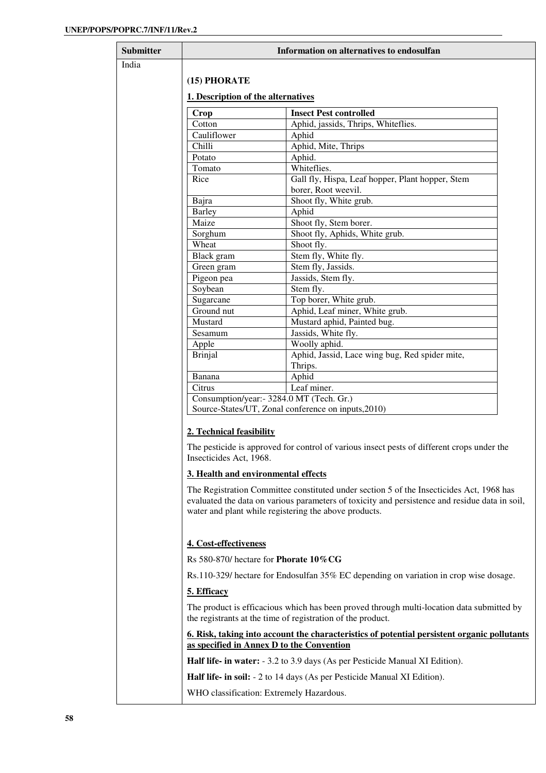| Submitter | Information on alternatives to endosulfan          |                                                                                                                                                          |
|-----------|----------------------------------------------------|----------------------------------------------------------------------------------------------------------------------------------------------------------|
| India     |                                                    |                                                                                                                                                          |
|           | (15) PHORATE<br>1. Description of the alternatives |                                                                                                                                                          |
|           |                                                    |                                                                                                                                                          |
|           |                                                    |                                                                                                                                                          |
|           | Crop                                               | <b>Insect Pest controlled</b>                                                                                                                            |
|           | Cotton                                             | Aphid, jassids, Thrips, Whiteflies.                                                                                                                      |
|           | Cauliflower                                        | Aphid                                                                                                                                                    |
|           | Chilli                                             | Aphid, Mite, Thrips                                                                                                                                      |
|           | Potato<br>Tomato                                   | Aphid.<br>Whiteflies.                                                                                                                                    |
|           | Rice                                               | Gall fly, Hispa, Leaf hopper, Plant hopper, Stem                                                                                                         |
|           |                                                    | borer, Root weevil.                                                                                                                                      |
|           | Bajra                                              | Shoot fly, White grub.                                                                                                                                   |
|           | <b>Barley</b>                                      | Aphid                                                                                                                                                    |
|           | Maize                                              | Shoot fly, Stem borer.                                                                                                                                   |
|           | Sorghum                                            | Shoot fly, Aphids, White grub.                                                                                                                           |
|           | Wheat                                              | Shoot fly.                                                                                                                                               |
|           | Black gram                                         | Stem fly, White fly.                                                                                                                                     |
|           | Green gram                                         | Stem fly, Jassids.                                                                                                                                       |
|           | Pigeon pea                                         | Jassids, Stem fly.                                                                                                                                       |
|           | Soybean                                            | Stem fly.                                                                                                                                                |
|           | Sugarcane                                          | Top borer, White grub.                                                                                                                                   |
|           | Ground nut                                         | Aphid, Leaf miner, White grub.                                                                                                                           |
|           | Mustard                                            | Mustard aphid, Painted bug.                                                                                                                              |
|           | Sesamum                                            | Jassids, White fly.<br>Woolly aphid.                                                                                                                     |
|           | Apple<br><b>Brinjal</b>                            | Aphid, Jassid, Lace wing bug, Red spider mite,                                                                                                           |
|           |                                                    | Thrips.                                                                                                                                                  |
|           | Banana                                             | Aphid                                                                                                                                                    |
|           | Citrus                                             | Leaf miner.                                                                                                                                              |
|           | Consumption/year: - 3284.0 MT (Tech. Gr.)          |                                                                                                                                                          |
|           |                                                    | Source-States/UT, Zonal conference on inputs, 2010)                                                                                                      |
|           |                                                    |                                                                                                                                                          |
|           | 2. Technical feasibility                           |                                                                                                                                                          |
|           |                                                    | The pesticide is approved for control of various insect pests of different crops under the                                                               |
|           | Insecticides Act, 1968.                            |                                                                                                                                                          |
|           |                                                    |                                                                                                                                                          |
|           | 3. Health and environmental effects                |                                                                                                                                                          |
|           |                                                    | The Registration Committee constituted under section 5 of the Insecticides Act, 1968 has                                                                 |
|           |                                                    | evaluated the data on various parameters of toxicity and persistence and residue data in soil,                                                           |
|           |                                                    | water and plant while registering the above products.                                                                                                    |
|           |                                                    |                                                                                                                                                          |
|           | 4. Cost-effectiveness                              |                                                                                                                                                          |
|           |                                                    |                                                                                                                                                          |
|           | Rs 580-870/ hectare for <b>Phorate 10% CG</b>      |                                                                                                                                                          |
|           |                                                    | Rs.110-329/ hectare for Endosulfan 35% EC depending on variation in crop wise dosage.                                                                    |
|           | 5. Efficacy                                        |                                                                                                                                                          |
|           |                                                    |                                                                                                                                                          |
|           |                                                    | The product is efficacious which has been proved through multi-location data submitted by<br>the registrants at the time of registration of the product. |
|           | as specified in Annex D to the Convention          | <u><b>6.</b> Risk, taking into account the characteristics of potential persistent organic pollutants</u>                                                |
|           |                                                    | <b>Half life- in water:</b> - 3.2 to 3.9 days (As per Pesticide Manual XI Edition).                                                                      |
|           |                                                    | <b>Half life- in soil:</b> - 2 to 14 days (As per Pesticide Manual XI Edition).                                                                          |
|           | WHO classification: Extremely Hazardous.           |                                                                                                                                                          |
|           |                                                    |                                                                                                                                                          |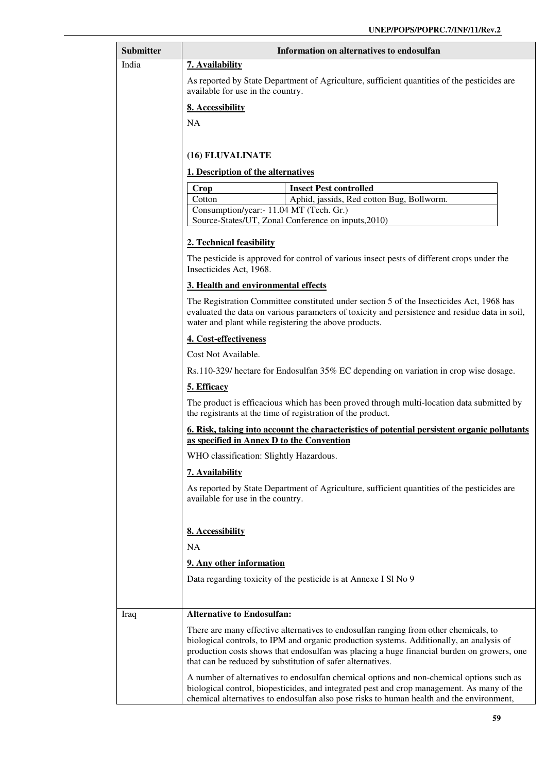| <b>Submitter</b> | Information on alternatives to endosulfan                                                                                                                                                                                                                                                                                                    |  |
|------------------|----------------------------------------------------------------------------------------------------------------------------------------------------------------------------------------------------------------------------------------------------------------------------------------------------------------------------------------------|--|
| India            | 7. Availability                                                                                                                                                                                                                                                                                                                              |  |
|                  | As reported by State Department of Agriculture, sufficient quantities of the pesticides are<br>available for use in the country.                                                                                                                                                                                                             |  |
|                  | 8. Accessibility                                                                                                                                                                                                                                                                                                                             |  |
|                  | <b>NA</b>                                                                                                                                                                                                                                                                                                                                    |  |
|                  |                                                                                                                                                                                                                                                                                                                                              |  |
|                  | (16) FLUVALINATE                                                                                                                                                                                                                                                                                                                             |  |
|                  | 1. Description of the alternatives                                                                                                                                                                                                                                                                                                           |  |
|                  | <b>Crop</b><br><b>Insect Pest controlled</b>                                                                                                                                                                                                                                                                                                 |  |
|                  | Aphid, jassids, Red cotton Bug, Bollworm.<br>Cotton                                                                                                                                                                                                                                                                                          |  |
|                  | Consumption/year: - 11.04 MT (Tech. Gr.)<br>Source-States/UT, Zonal Conference on inputs, 2010)                                                                                                                                                                                                                                              |  |
|                  |                                                                                                                                                                                                                                                                                                                                              |  |
|                  | 2. Technical feasibility                                                                                                                                                                                                                                                                                                                     |  |
|                  | The pesticide is approved for control of various insect pests of different crops under the<br>Insecticides Act, 1968.                                                                                                                                                                                                                        |  |
|                  | 3. Health and environmental effects                                                                                                                                                                                                                                                                                                          |  |
|                  | The Registration Committee constituted under section 5 of the Insecticides Act, 1968 has<br>evaluated the data on various parameters of toxicity and persistence and residue data in soil,<br>water and plant while registering the above products.                                                                                          |  |
|                  | 4. Cost-effectiveness                                                                                                                                                                                                                                                                                                                        |  |
|                  | Cost Not Available.                                                                                                                                                                                                                                                                                                                          |  |
|                  | Rs.110-329/ hectare for Endosulfan 35% EC depending on variation in crop wise dosage.                                                                                                                                                                                                                                                        |  |
|                  | 5. Efficacy                                                                                                                                                                                                                                                                                                                                  |  |
|                  | The product is efficacious which has been proved through multi-location data submitted by<br>the registrants at the time of registration of the product.                                                                                                                                                                                     |  |
|                  | 6. Risk, taking into account the characteristics of potential persistent organic pollutants<br>as specified in Annex D to the Convention                                                                                                                                                                                                     |  |
|                  | WHO classification: Slightly Hazardous.                                                                                                                                                                                                                                                                                                      |  |
|                  | 7. Availability                                                                                                                                                                                                                                                                                                                              |  |
|                  | As reported by State Department of Agriculture, sufficient quantities of the pesticides are<br>available for use in the country.                                                                                                                                                                                                             |  |
|                  | 8. Accessibility                                                                                                                                                                                                                                                                                                                             |  |
|                  | <b>NA</b>                                                                                                                                                                                                                                                                                                                                    |  |
|                  | 9. Any other information                                                                                                                                                                                                                                                                                                                     |  |
|                  | Data regarding toxicity of the pesticide is at Annexe I Sl No 9                                                                                                                                                                                                                                                                              |  |
|                  |                                                                                                                                                                                                                                                                                                                                              |  |
| Iraq             | <b>Alternative to Endosulfan:</b>                                                                                                                                                                                                                                                                                                            |  |
|                  | There are many effective alternatives to endosulfan ranging from other chemicals, to<br>biological controls, to IPM and organic production systems. Additionally, an analysis of<br>production costs shows that endosulfan was placing a huge financial burden on growers, one<br>that can be reduced by substitution of safer alternatives. |  |
|                  | A number of alternatives to endosulfan chemical options and non-chemical options such as<br>biological control, biopesticides, and integrated pest and crop management. As many of the<br>chemical alternatives to endosulfan also pose risks to human health and the environment,                                                           |  |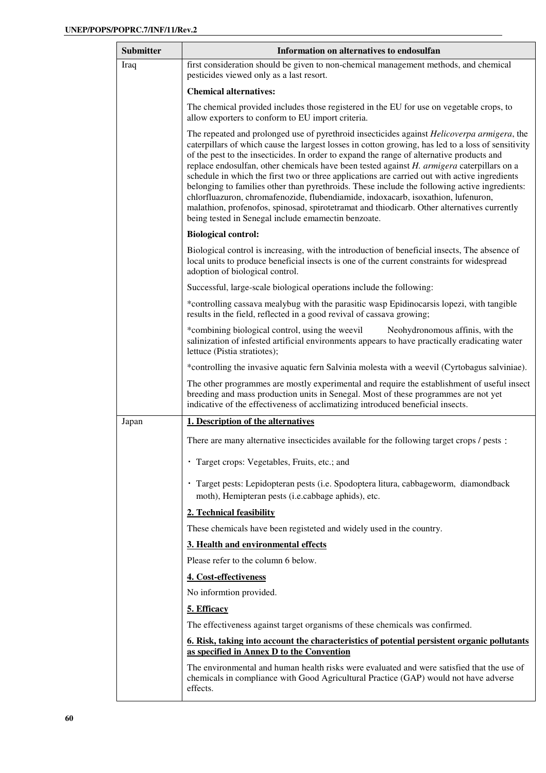| <b>Submitter</b> | Information on alternatives to endosulfan                                                                                                                                                                                                                                                                                                                                                                                                                                                                                                                                                                                                                                                                                                                                                                                                            |
|------------------|------------------------------------------------------------------------------------------------------------------------------------------------------------------------------------------------------------------------------------------------------------------------------------------------------------------------------------------------------------------------------------------------------------------------------------------------------------------------------------------------------------------------------------------------------------------------------------------------------------------------------------------------------------------------------------------------------------------------------------------------------------------------------------------------------------------------------------------------------|
| Iraq             | first consideration should be given to non-chemical management methods, and chemical<br>pesticides viewed only as a last resort.                                                                                                                                                                                                                                                                                                                                                                                                                                                                                                                                                                                                                                                                                                                     |
|                  | <b>Chemical alternatives:</b>                                                                                                                                                                                                                                                                                                                                                                                                                                                                                                                                                                                                                                                                                                                                                                                                                        |
|                  | The chemical provided includes those registered in the EU for use on vegetable crops, to<br>allow exporters to conform to EU import criteria.                                                                                                                                                                                                                                                                                                                                                                                                                                                                                                                                                                                                                                                                                                        |
|                  | The repeated and prolonged use of pyrethroid insecticides against <i>Helicoverpa armigera</i> , the<br>caterpillars of which cause the largest losses in cotton growing, has led to a loss of sensitivity<br>of the pest to the insecticides. In order to expand the range of alternative products and<br>replace endosulfan, other chemicals have been tested against $H$ . armigera caterpillars on a<br>schedule in which the first two or three applications are carried out with active ingredients<br>belonging to families other than pyrethroids. These include the following active ingredients:<br>chlorfluazuron, chromafenozide, flubendiamide, indoxacarb, isoxathion, lufenuron,<br>malathion, profenofos, spinosad, spirotetramat and thiodicarb. Other alternatives currently<br>being tested in Senegal include emamectin benzoate. |
|                  | <b>Biological control:</b>                                                                                                                                                                                                                                                                                                                                                                                                                                                                                                                                                                                                                                                                                                                                                                                                                           |
|                  | Biological control is increasing, with the introduction of beneficial insects, The absence of<br>local units to produce beneficial insects is one of the current constraints for widespread<br>adoption of biological control.                                                                                                                                                                                                                                                                                                                                                                                                                                                                                                                                                                                                                       |
|                  | Successful, large-scale biological operations include the following:                                                                                                                                                                                                                                                                                                                                                                                                                                                                                                                                                                                                                                                                                                                                                                                 |
|                  | *controlling cassava mealybug with the parasitic wasp Epidinocarsis lopezi, with tangible<br>results in the field, reflected in a good revival of cassava growing;                                                                                                                                                                                                                                                                                                                                                                                                                                                                                                                                                                                                                                                                                   |
|                  | *combining biological control, using the weevil<br>Neohydronomous affinis, with the<br>salinization of infested artificial environments appears to have practically eradicating water<br>lettuce (Pistia stratiotes);                                                                                                                                                                                                                                                                                                                                                                                                                                                                                                                                                                                                                                |
|                  | *controlling the invasive aquatic fern Salvinia molesta with a weevil (Cyrtobagus salviniae).                                                                                                                                                                                                                                                                                                                                                                                                                                                                                                                                                                                                                                                                                                                                                        |
|                  | The other programmes are mostly experimental and require the establishment of useful insect<br>breeding and mass production units in Senegal. Most of these programmes are not yet<br>indicative of the effectiveness of acclimatizing introduced beneficial insects.                                                                                                                                                                                                                                                                                                                                                                                                                                                                                                                                                                                |
| Japan            | 1. Description of the alternatives                                                                                                                                                                                                                                                                                                                                                                                                                                                                                                                                                                                                                                                                                                                                                                                                                   |
|                  | There are many alternative insecticides available for the following target crops / pests :                                                                                                                                                                                                                                                                                                                                                                                                                                                                                                                                                                                                                                                                                                                                                           |
|                  | · Target crops: Vegetables, Fruits, etc.; and                                                                                                                                                                                                                                                                                                                                                                                                                                                                                                                                                                                                                                                                                                                                                                                                        |
|                  | · Target pests: Lepidopteran pests (i.e. Spodoptera litura, cabbageworm, diamondback<br>moth), Hemipteran pests (i.e.cabbage aphids), etc.                                                                                                                                                                                                                                                                                                                                                                                                                                                                                                                                                                                                                                                                                                           |
|                  | 2. Technical feasibility                                                                                                                                                                                                                                                                                                                                                                                                                                                                                                                                                                                                                                                                                                                                                                                                                             |
|                  | These chemicals have been registeted and widely used in the country.                                                                                                                                                                                                                                                                                                                                                                                                                                                                                                                                                                                                                                                                                                                                                                                 |
|                  | 3. Health and environmental effects                                                                                                                                                                                                                                                                                                                                                                                                                                                                                                                                                                                                                                                                                                                                                                                                                  |
|                  | Please refer to the column 6 below.                                                                                                                                                                                                                                                                                                                                                                                                                                                                                                                                                                                                                                                                                                                                                                                                                  |
|                  | 4. Cost-effectiveness                                                                                                                                                                                                                                                                                                                                                                                                                                                                                                                                                                                                                                                                                                                                                                                                                                |
|                  | No informtion provided.                                                                                                                                                                                                                                                                                                                                                                                                                                                                                                                                                                                                                                                                                                                                                                                                                              |
|                  | 5. Efficacy                                                                                                                                                                                                                                                                                                                                                                                                                                                                                                                                                                                                                                                                                                                                                                                                                                          |
|                  | The effectiveness against target organisms of these chemicals was confirmed.                                                                                                                                                                                                                                                                                                                                                                                                                                                                                                                                                                                                                                                                                                                                                                         |
|                  | 6. Risk, taking into account the characteristics of potential persistent organic pollutants<br>as specified in Annex D to the Convention                                                                                                                                                                                                                                                                                                                                                                                                                                                                                                                                                                                                                                                                                                             |
|                  | The environmental and human health risks were evaluated and were satisfied that the use of<br>chemicals in compliance with Good Agricultural Practice (GAP) would not have adverse<br>effects.                                                                                                                                                                                                                                                                                                                                                                                                                                                                                                                                                                                                                                                       |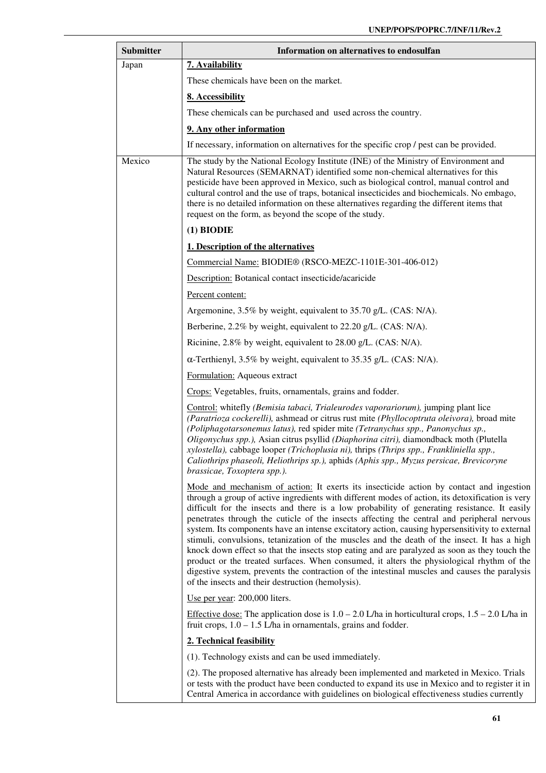| <b>Submitter</b> | Information on alternatives to endosulfan                                                                                                                                                                                                                                                                                                                                                                                                                                                                                                                                                                                                                                                                                                                                                                                                                                                                                                       |
|------------------|-------------------------------------------------------------------------------------------------------------------------------------------------------------------------------------------------------------------------------------------------------------------------------------------------------------------------------------------------------------------------------------------------------------------------------------------------------------------------------------------------------------------------------------------------------------------------------------------------------------------------------------------------------------------------------------------------------------------------------------------------------------------------------------------------------------------------------------------------------------------------------------------------------------------------------------------------|
| Japan            | 7. Availability                                                                                                                                                                                                                                                                                                                                                                                                                                                                                                                                                                                                                                                                                                                                                                                                                                                                                                                                 |
|                  | These chemicals have been on the market.                                                                                                                                                                                                                                                                                                                                                                                                                                                                                                                                                                                                                                                                                                                                                                                                                                                                                                        |
|                  | 8. Accessibility                                                                                                                                                                                                                                                                                                                                                                                                                                                                                                                                                                                                                                                                                                                                                                                                                                                                                                                                |
|                  | These chemicals can be purchased and used across the country.                                                                                                                                                                                                                                                                                                                                                                                                                                                                                                                                                                                                                                                                                                                                                                                                                                                                                   |
|                  | 9. Any other information                                                                                                                                                                                                                                                                                                                                                                                                                                                                                                                                                                                                                                                                                                                                                                                                                                                                                                                        |
|                  | If necessary, information on alternatives for the specific crop / pest can be provided.                                                                                                                                                                                                                                                                                                                                                                                                                                                                                                                                                                                                                                                                                                                                                                                                                                                         |
| Mexico           | The study by the National Ecology Institute (INE) of the Ministry of Environment and<br>Natural Resources (SEMARNAT) identified some non-chemical alternatives for this<br>pesticide have been approved in Mexico, such as biological control, manual control and<br>cultural control and the use of traps, botanical insecticides and biochemicals. No embago,<br>there is no detailed information on these alternatives regarding the different items that<br>request on the form, as beyond the scope of the study.                                                                                                                                                                                                                                                                                                                                                                                                                          |
|                  | $(1)$ BIODIE                                                                                                                                                                                                                                                                                                                                                                                                                                                                                                                                                                                                                                                                                                                                                                                                                                                                                                                                    |
|                  | 1. Description of the alternatives                                                                                                                                                                                                                                                                                                                                                                                                                                                                                                                                                                                                                                                                                                                                                                                                                                                                                                              |
|                  | Commercial Name: BIODIE® (RSCO-MEZC-1101E-301-406-012)                                                                                                                                                                                                                                                                                                                                                                                                                                                                                                                                                                                                                                                                                                                                                                                                                                                                                          |
|                  | Description: Botanical contact insecticide/acaricide                                                                                                                                                                                                                                                                                                                                                                                                                                                                                                                                                                                                                                                                                                                                                                                                                                                                                            |
|                  | Percent content:                                                                                                                                                                                                                                                                                                                                                                                                                                                                                                                                                                                                                                                                                                                                                                                                                                                                                                                                |
|                  | Argemonine, 3.5% by weight, equivalent to 35.70 g/L. (CAS: N/A).                                                                                                                                                                                                                                                                                                                                                                                                                                                                                                                                                                                                                                                                                                                                                                                                                                                                                |
|                  | Berberine, 2.2% by weight, equivalent to 22.20 g/L. (CAS: N/A).                                                                                                                                                                                                                                                                                                                                                                                                                                                                                                                                                                                                                                                                                                                                                                                                                                                                                 |
|                  | Ricinine, 2.8% by weight, equivalent to 28.00 g/L. (CAS: N/A).                                                                                                                                                                                                                                                                                                                                                                                                                                                                                                                                                                                                                                                                                                                                                                                                                                                                                  |
|                  | $\alpha$ -Terthienyl, 3.5% by weight, equivalent to 35.35 g/L. (CAS: N/A).                                                                                                                                                                                                                                                                                                                                                                                                                                                                                                                                                                                                                                                                                                                                                                                                                                                                      |
|                  | Formulation: Aqueous extract                                                                                                                                                                                                                                                                                                                                                                                                                                                                                                                                                                                                                                                                                                                                                                                                                                                                                                                    |
|                  | Crops: Vegetables, fruits, ornamentals, grains and fodder.                                                                                                                                                                                                                                                                                                                                                                                                                                                                                                                                                                                                                                                                                                                                                                                                                                                                                      |
|                  | Control: whitefly (Bemisia tabaci, Trialeurodes vaporariorum), jumping plant lice<br>(Paratrioza cockerelli), ashmead or citrus rust mite (Phyllocoptruta oleivora), broad mite<br>(Poliphagotarsonemus latus), red spider mite (Tetranychus spp., Panonychus sp.,<br>Oligonychus spp.), Asian citrus psyllid (Diaphorina citri), diamondback moth (Plutella<br>xylostella), cabbage looper (Trichoplusia ni), thrips (Thrips spp., Frankliniella spp.,<br>Caliothrips phaseoli, Heliothrips sp.), aphids (Aphis spp., Myzus persicae, Brevicoryne<br>brassicae, Toxoptera spp.).                                                                                                                                                                                                                                                                                                                                                               |
|                  | Mode and mechanism of action: It exerts its insecticide action by contact and ingestion<br>through a group of active ingredients with different modes of action, its detoxification is very<br>difficult for the insects and there is a low probability of generating resistance. It easily<br>penetrates through the cuticle of the insects affecting the central and peripheral nervous<br>system. Its components have an intense excitatory action, causing hypersensitivity to external<br>stimuli, convulsions, tetanization of the muscles and the death of the insect. It has a high<br>knock down effect so that the insects stop eating and are paralyzed as soon as they touch the<br>product or the treated surfaces. When consumed, it alters the physiological rhythm of the<br>digestive system, prevents the contraction of the intestinal muscles and causes the paralysis<br>of the insects and their destruction (hemolysis). |
|                  | Use per year: 200,000 liters.                                                                                                                                                                                                                                                                                                                                                                                                                                                                                                                                                                                                                                                                                                                                                                                                                                                                                                                   |
|                  | Effective dose: The application dose is $1.0 - 2.0$ L/ha in horticultural crops, $1.5 - 2.0$ L/ha in<br>fruit crops, $1.0 - 1.5$ L/ha in ornamentals, grains and fodder.                                                                                                                                                                                                                                                                                                                                                                                                                                                                                                                                                                                                                                                                                                                                                                        |
|                  | 2. Technical feasibility                                                                                                                                                                                                                                                                                                                                                                                                                                                                                                                                                                                                                                                                                                                                                                                                                                                                                                                        |
|                  | (1). Technology exists and can be used immediately.                                                                                                                                                                                                                                                                                                                                                                                                                                                                                                                                                                                                                                                                                                                                                                                                                                                                                             |
|                  | (2). The proposed alternative has already been implemented and marketed in Mexico. Trials<br>or tests with the product have been conducted to expand its use in Mexico and to register it in<br>Central America in accordance with guidelines on biological effectiveness studies currently                                                                                                                                                                                                                                                                                                                                                                                                                                                                                                                                                                                                                                                     |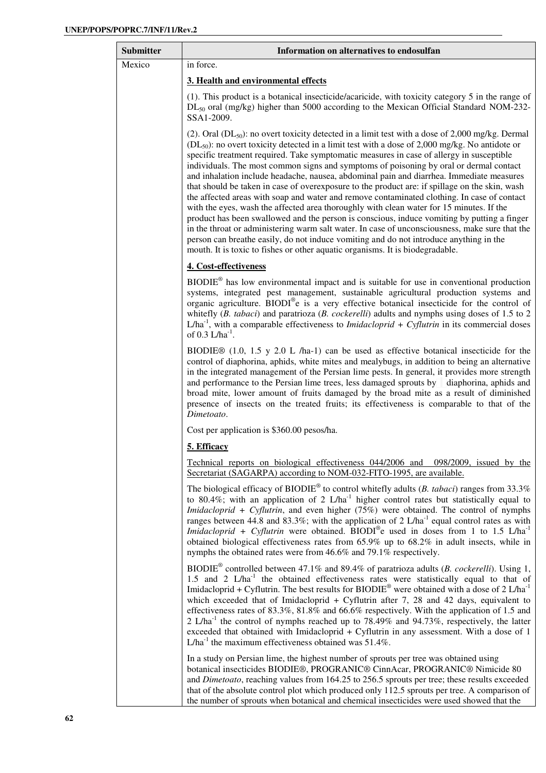| <b>Submitter</b> | Information on alternatives to endosulfan                                                                                                                                                                                                                                                                                                                                                                                                                                                                                                                                                                                                                                                                                                                                                                                                                                                                                                                                                                                                                                                                                                                                             |
|------------------|---------------------------------------------------------------------------------------------------------------------------------------------------------------------------------------------------------------------------------------------------------------------------------------------------------------------------------------------------------------------------------------------------------------------------------------------------------------------------------------------------------------------------------------------------------------------------------------------------------------------------------------------------------------------------------------------------------------------------------------------------------------------------------------------------------------------------------------------------------------------------------------------------------------------------------------------------------------------------------------------------------------------------------------------------------------------------------------------------------------------------------------------------------------------------------------|
| Mexico           | in force.                                                                                                                                                                                                                                                                                                                                                                                                                                                                                                                                                                                                                                                                                                                                                                                                                                                                                                                                                                                                                                                                                                                                                                             |
|                  | 3. Health and environmental effects                                                                                                                                                                                                                                                                                                                                                                                                                                                                                                                                                                                                                                                                                                                                                                                                                                                                                                                                                                                                                                                                                                                                                   |
|                  | (1). This product is a botanical insecticide/acaricide, with toxicity category 5 in the range of<br>$DL_{50}$ oral (mg/kg) higher than 5000 according to the Mexican Official Standard NOM-232-<br>SSA1-2009.                                                                                                                                                                                                                                                                                                                                                                                                                                                                                                                                                                                                                                                                                                                                                                                                                                                                                                                                                                         |
|                  | (2). Oral (DL <sub>50</sub> ): no overt toxicity detected in a limit test with a dose of 2,000 mg/kg. Dermal<br>(DL <sub>50</sub> ): no overt toxicity detected in a limit test with a dose of 2,000 mg/kg. No antidote or<br>specific treatment required. Take symptomatic measures in case of allergy in susceptible<br>individuals. The most common signs and symptoms of poisoning by oral or dermal contact<br>and inhalation include headache, nausea, abdominal pain and diarrhea. Immediate measures<br>that should be taken in case of overexposure to the product are: if spillage on the skin, wash<br>the affected areas with soap and water and remove contaminated clothing. In case of contact<br>with the eyes, wash the affected area thoroughly with clean water for 15 minutes. If the<br>product has been swallowed and the person is conscious, induce vomiting by putting a finger<br>in the throat or administering warm salt water. In case of unconsciousness, make sure that the<br>person can breathe easily, do not induce vomiting and do not introduce anything in the<br>mouth. It is toxic to fishes or other aquatic organisms. It is biodegradable. |
|                  | 4. Cost-effectiveness                                                                                                                                                                                                                                                                                                                                                                                                                                                                                                                                                                                                                                                                                                                                                                                                                                                                                                                                                                                                                                                                                                                                                                 |
|                  | $BIODIE®$ has low environmental impact and is suitable for use in conventional production<br>systems, integrated pest management, sustainable agricultural production systems and<br>organic agriculture. BIODI®e is a very effective botanical insecticide for the control of<br>whitefly $(B. tabaci)$ and paratrioza $(B. cockerelli)$ adults and nymphs using doses of 1.5 to 2<br>$L/ha^{-1}$ , with a comparable effectiveness to <i>Imidacloprid</i> + <i>Cyflutrin</i> in its commercial doses<br>of $0.3$ L/ha <sup>-1</sup> .                                                                                                                                                                                                                                                                                                                                                                                                                                                                                                                                                                                                                                               |
|                  | BIODIE <sup>®</sup> (1.0, 1.5 y 2.0 L /ha-1) can be used as effective botanical insecticide for the<br>control of diaphorina, aphids, white mites and mealybugs, in addition to being an alternative<br>in the integrated management of the Persian lime pests. In general, it provides more strength<br>and performance to the Persian lime trees, less damaged sprouts by diaphorina, aphids and<br>broad mite, lower amount of fruits damaged by the broad mite as a result of diminished<br>presence of insects on the treated fruits; its effectiveness is comparable to that of the<br>Dimetoato.                                                                                                                                                                                                                                                                                                                                                                                                                                                                                                                                                                               |
|                  | Cost per application is \$360.00 pesos/ha.                                                                                                                                                                                                                                                                                                                                                                                                                                                                                                                                                                                                                                                                                                                                                                                                                                                                                                                                                                                                                                                                                                                                            |
|                  | 5. Efficacy                                                                                                                                                                                                                                                                                                                                                                                                                                                                                                                                                                                                                                                                                                                                                                                                                                                                                                                                                                                                                                                                                                                                                                           |
|                  | Technical reports on biological effectiveness 044/2006 and 098/2009, issued by the<br>Secretariat (SAGARPA) according to NOM-032-FITO-1995, are available.                                                                                                                                                                                                                                                                                                                                                                                                                                                                                                                                                                                                                                                                                                                                                                                                                                                                                                                                                                                                                            |
|                  | The biological efficacy of $BIODIE^{\otimes}$ to control whitefly adults ( <i>B. tabaci</i> ) ranges from 33.3%<br>to 80.4%; with an application of 2 $L/ha^{-1}$ higher control rates but statistically equal to<br><i>Imidacloprid</i> + <i>Cyflutrin</i> , and even higher $(75%)$ were obtained. The control of nymphs<br>ranges between 44.8 and 83.3%; with the application of 2 $L/ha^{-1}$ equal control rates as with<br><i>Imidacloprid</i> + <i>Cyflutrin</i> were obtained. BIODI <sup>®</sup> e used in doses from 1 to 1.5 L/ha <sup>-1</sup><br>obtained biological effectiveness rates from $65.9\%$ up to $68.2\%$ in adult insects, while in<br>nymphs the obtained rates were from 46.6% and 79.1% respectively.                                                                                                                                                                                                                                                                                                                                                                                                                                                   |
|                  | BIODIE <sup>®</sup> controlled between 47.1% and 89.4% of paratrioza adults ( <i>B. cockerelli</i> ). Using 1,<br>1.5 and 2 L/ha <sup>-1</sup> the obtained effectiveness rates were statistically equal to that of<br>Imidacloprid + Cyflutrin. The best results for $BIODIE^{\circledast}$ were obtained with a dose of 2 L/ha <sup>-1</sup><br>which exceeded that of Imidacloprid + Cyflutrin after 7, 28 and 42 days, equivalent to<br>effectiveness rates of 83.3%, 81.8% and 66.6% respectively. With the application of 1.5 and<br>2 L/ha <sup>-1</sup> the control of nymphs reached up to 78.49% and 94.73%, respectively, the latter<br>exceeded that obtained with Imidacloprid + Cyflutrin in any assessment. With a dose of 1<br>$L/ha^{-1}$ the maximum effectiveness obtained was 51.4%.                                                                                                                                                                                                                                                                                                                                                                              |
|                  | In a study on Persian lime, the highest number of sprouts per tree was obtained using<br>botanical insecticides BIODIE®, PROGRANIC® CinnAcar, PROGRANIC® Nimicide 80<br>and Dimetoato, reaching values from 164.25 to 256.5 sprouts per tree; these results exceeded<br>that of the absolute control plot which produced only 112.5 sprouts per tree. A comparison of<br>the number of sprouts when botanical and chemical insecticides were used showed that the                                                                                                                                                                                                                                                                                                                                                                                                                                                                                                                                                                                                                                                                                                                     |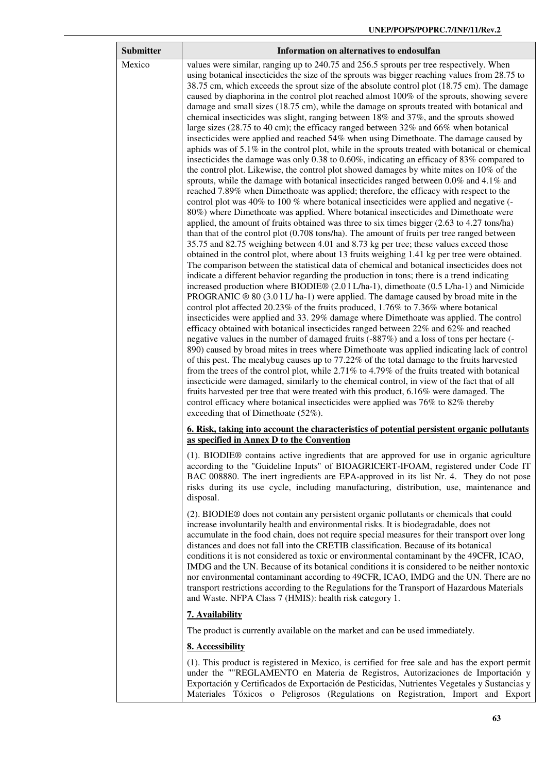| <b>Submitter</b> | Information on alternatives to endosulfan                                                                                                                                                                                                                                                                                                                                                                                                                                                                                                                                                                                                                                                                                                                                                                                                                                                                                                                                                                                                                                                                                                                                                                                                                                                                                                                                                                                                                                                                                                                                                                                                                                                                                                                                                                                                                                                                                                                                                                                                                                                                                                                                                                                                                                                                                                                                                                                                                                                                                                                                                                                                                                                                                                                                                                                                                                                                                                                                                                                                                                                                                                                                                                                   |
|------------------|-----------------------------------------------------------------------------------------------------------------------------------------------------------------------------------------------------------------------------------------------------------------------------------------------------------------------------------------------------------------------------------------------------------------------------------------------------------------------------------------------------------------------------------------------------------------------------------------------------------------------------------------------------------------------------------------------------------------------------------------------------------------------------------------------------------------------------------------------------------------------------------------------------------------------------------------------------------------------------------------------------------------------------------------------------------------------------------------------------------------------------------------------------------------------------------------------------------------------------------------------------------------------------------------------------------------------------------------------------------------------------------------------------------------------------------------------------------------------------------------------------------------------------------------------------------------------------------------------------------------------------------------------------------------------------------------------------------------------------------------------------------------------------------------------------------------------------------------------------------------------------------------------------------------------------------------------------------------------------------------------------------------------------------------------------------------------------------------------------------------------------------------------------------------------------------------------------------------------------------------------------------------------------------------------------------------------------------------------------------------------------------------------------------------------------------------------------------------------------------------------------------------------------------------------------------------------------------------------------------------------------------------------------------------------------------------------------------------------------------------------------------------------------------------------------------------------------------------------------------------------------------------------------------------------------------------------------------------------------------------------------------------------------------------------------------------------------------------------------------------------------------------------------------------------------------------------------------------------------|
| Mexico           | values were similar, ranging up to 240.75 and 256.5 sprouts per tree respectively. When<br>using botanical insecticides the size of the sprouts was bigger reaching values from 28.75 to<br>38.75 cm, which exceeds the sprout size of the absolute control plot (18.75 cm). The damage<br>caused by diaphorina in the control plot reached almost 100% of the sprouts, showing severe<br>damage and small sizes (18.75 cm), while the damage on sprouts treated with botanical and<br>chemical insecticides was slight, ranging between 18% and 37%, and the sprouts showed<br>large sizes (28.75 to 40 cm); the efficacy ranged between $32\%$ and 66% when botanical<br>insecticides were applied and reached 54% when using Dimethoate. The damage caused by<br>aphids was of 5.1% in the control plot, while in the sprouts treated with botanical or chemical<br>insecticides the damage was only 0.38 to 0.60%, indicating an efficacy of $83\%$ compared to<br>the control plot. Likewise, the control plot showed damages by white mites on 10% of the<br>sprouts, while the damage with botanical insecticides ranged between 0.0% and 4.1% and<br>reached 7.89% when Dimethoate was applied; therefore, the efficacy with respect to the<br>control plot was 40% to 100 % where botanical insecticides were applied and negative (-<br>80%) where Dimethoate was applied. Where botanical insecticides and Dimethoate were<br>applied, the amount of fruits obtained was three to six times bigger (2.63 to 4.27 tons/ha)<br>than that of the control plot $(0.708 \text{ tons/ha})$ . The amount of fruits per tree ranged between<br>35.75 and 82.75 weighing between 4.01 and 8.73 kg per tree; these values exceed those<br>obtained in the control plot, where about 13 fruits weighing 1.41 kg per tree were obtained.<br>The comparison between the statistical data of chemical and botanical insecticides does not<br>indicate a different behavior regarding the production in tons; there is a trend indicating<br>increased production where BIODIE® (2.01L/ha-1), dimethoate (0.5 L/ha-1) and Nimicide<br>PROGRANIC $\circledcirc$ 80 (3.0 1 L/ ha-1) were applied. The damage caused by broad mite in the<br>control plot affected 20.23% of the fruits produced, 1.76% to 7.36% where botanical<br>insecticides were applied and 33.29% damage where Dimethoate was applied. The control<br>efficacy obtained with botanical insecticides ranged between 22% and 62% and reached<br>negative values in the number of damaged fruits (-887%) and a loss of tons per hectare (-<br>890) caused by broad mites in trees where Dimethoate was applied indicating lack of control<br>of this pest. The mealybug causes up to 77.22% of the total damage to the fruits harvested<br>from the trees of the control plot, while 2.71% to 4.79% of the fruits treated with botanical<br>insecticide were damaged, similarly to the chemical control, in view of the fact that of all<br>fruits harvested per tree that were treated with this product, 6.16% were damaged. The<br>control efficacy where botanical insecticides were applied was 76% to 82% thereby<br>exceeding that of Dimethoate (52%). |
|                  | <u><b>6.</b> Risk, taking into account the characteristics of potential persistent organic pollutants</u><br>as specified in Annex D to the Convention                                                                                                                                                                                                                                                                                                                                                                                                                                                                                                                                                                                                                                                                                                                                                                                                                                                                                                                                                                                                                                                                                                                                                                                                                                                                                                                                                                                                                                                                                                                                                                                                                                                                                                                                                                                                                                                                                                                                                                                                                                                                                                                                                                                                                                                                                                                                                                                                                                                                                                                                                                                                                                                                                                                                                                                                                                                                                                                                                                                                                                                                      |
|                  | (1). BIODIE® contains active ingredients that are approved for use in organic agriculture<br>according to the "Guideline Inputs" of BIOAGRICERT-IFOAM, registered under Code IT<br>BAC 008880. The inert ingredients are EPA-approved in its list Nr. 4. They do not pose<br>risks during its use cycle, including manufacturing, distribution, use, maintenance and<br>disposal.                                                                                                                                                                                                                                                                                                                                                                                                                                                                                                                                                                                                                                                                                                                                                                                                                                                                                                                                                                                                                                                                                                                                                                                                                                                                                                                                                                                                                                                                                                                                                                                                                                                                                                                                                                                                                                                                                                                                                                                                                                                                                                                                                                                                                                                                                                                                                                                                                                                                                                                                                                                                                                                                                                                                                                                                                                           |
|                  | (2). BIODIE <sup>®</sup> does not contain any persistent organic pollutants or chemicals that could<br>increase involuntarily health and environmental risks. It is biodegradable, does not<br>accumulate in the food chain, does not require special measures for their transport over long<br>distances and does not fall into the CRETIB classification. Because of its botanical<br>conditions it is not considered as toxic or environmental contaminant by the 49CFR, ICAO,<br>IMDG and the UN. Because of its botanical conditions it is considered to be neither nontoxic<br>nor environmental contaminant according to 49CFR, ICAO, IMDG and the UN. There are no<br>transport restrictions according to the Regulations for the Transport of Hazardous Materials<br>and Waste. NFPA Class 7 (HMIS): health risk category 1.                                                                                                                                                                                                                                                                                                                                                                                                                                                                                                                                                                                                                                                                                                                                                                                                                                                                                                                                                                                                                                                                                                                                                                                                                                                                                                                                                                                                                                                                                                                                                                                                                                                                                                                                                                                                                                                                                                                                                                                                                                                                                                                                                                                                                                                                                                                                                                                       |
|                  | 7. Availability                                                                                                                                                                                                                                                                                                                                                                                                                                                                                                                                                                                                                                                                                                                                                                                                                                                                                                                                                                                                                                                                                                                                                                                                                                                                                                                                                                                                                                                                                                                                                                                                                                                                                                                                                                                                                                                                                                                                                                                                                                                                                                                                                                                                                                                                                                                                                                                                                                                                                                                                                                                                                                                                                                                                                                                                                                                                                                                                                                                                                                                                                                                                                                                                             |
|                  | The product is currently available on the market and can be used immediately.                                                                                                                                                                                                                                                                                                                                                                                                                                                                                                                                                                                                                                                                                                                                                                                                                                                                                                                                                                                                                                                                                                                                                                                                                                                                                                                                                                                                                                                                                                                                                                                                                                                                                                                                                                                                                                                                                                                                                                                                                                                                                                                                                                                                                                                                                                                                                                                                                                                                                                                                                                                                                                                                                                                                                                                                                                                                                                                                                                                                                                                                                                                                               |
|                  | 8. Accessibility                                                                                                                                                                                                                                                                                                                                                                                                                                                                                                                                                                                                                                                                                                                                                                                                                                                                                                                                                                                                                                                                                                                                                                                                                                                                                                                                                                                                                                                                                                                                                                                                                                                                                                                                                                                                                                                                                                                                                                                                                                                                                                                                                                                                                                                                                                                                                                                                                                                                                                                                                                                                                                                                                                                                                                                                                                                                                                                                                                                                                                                                                                                                                                                                            |
|                  | (1). This product is registered in Mexico, is certified for free sale and has the export permit<br>under the ""REGLAMENTO en Materia de Registros, Autorizaciones de Importación y<br>Exportación y Certificados de Exportación de Pesticidas, Nutrientes Vegetales y Sustancias y<br>Materiales Tóxicos o Peligrosos (Regulations on Registration, Import and Export                                                                                                                                                                                                                                                                                                                                                                                                                                                                                                                                                                                                                                                                                                                                                                                                                                                                                                                                                                                                                                                                                                                                                                                                                                                                                                                                                                                                                                                                                                                                                                                                                                                                                                                                                                                                                                                                                                                                                                                                                                                                                                                                                                                                                                                                                                                                                                                                                                                                                                                                                                                                                                                                                                                                                                                                                                                       |

ł.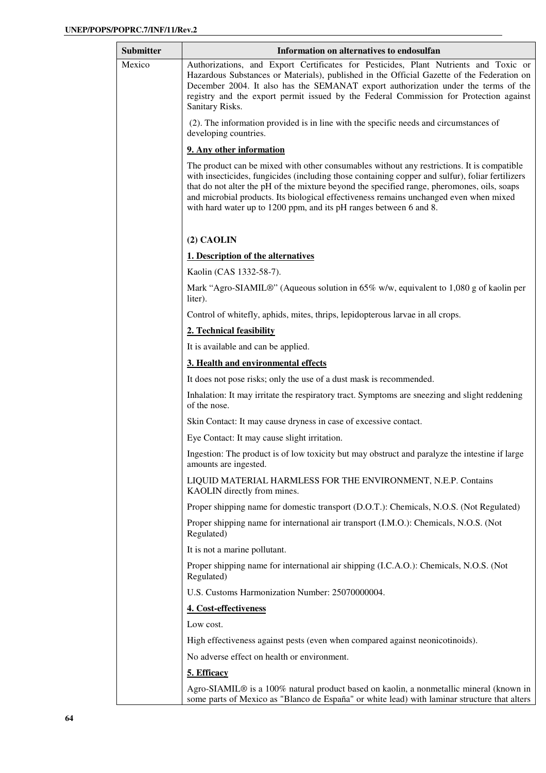| Submitter | Information on alternatives to endosulfan                                                                                                                                                                                                                                                                                                                                                                                                                     |
|-----------|---------------------------------------------------------------------------------------------------------------------------------------------------------------------------------------------------------------------------------------------------------------------------------------------------------------------------------------------------------------------------------------------------------------------------------------------------------------|
| Mexico    | Authorizations, and Export Certificates for Pesticides, Plant Nutrients and Toxic or<br>Hazardous Substances or Materials), published in the Official Gazette of the Federation on<br>December 2004. It also has the SEMANAT export authorization under the terms of the<br>registry and the export permit issued by the Federal Commission for Protection against<br>Sanitary Risks.                                                                         |
|           | (2). The information provided is in line with the specific needs and circumstances of<br>developing countries.                                                                                                                                                                                                                                                                                                                                                |
|           | 9. Any other information                                                                                                                                                                                                                                                                                                                                                                                                                                      |
|           | The product can be mixed with other consumables without any restrictions. It is compatible<br>with insecticides, fungicides (including those containing copper and sulfur), foliar fertilizers<br>that do not alter the pH of the mixture beyond the specified range, pheromones, oils, soaps<br>and microbial products. Its biological effectiveness remains unchanged even when mixed<br>with hard water up to 1200 ppm, and its pH ranges between 6 and 8. |
|           | $(2)$ CAOLIN                                                                                                                                                                                                                                                                                                                                                                                                                                                  |
|           | 1. Description of the alternatives                                                                                                                                                                                                                                                                                                                                                                                                                            |
|           | Kaolin (CAS 1332-58-7).                                                                                                                                                                                                                                                                                                                                                                                                                                       |
|           | Mark "Agro-SIAMIL®" (Aqueous solution in 65% w/w, equivalent to 1,080 g of kaolin per<br>liter).                                                                                                                                                                                                                                                                                                                                                              |
|           | Control of whitefly, aphids, mites, thrips, lepidopterous larvae in all crops.                                                                                                                                                                                                                                                                                                                                                                                |
|           | 2. Technical feasibility                                                                                                                                                                                                                                                                                                                                                                                                                                      |
|           | It is available and can be applied.                                                                                                                                                                                                                                                                                                                                                                                                                           |
|           | 3. Health and environmental effects                                                                                                                                                                                                                                                                                                                                                                                                                           |
|           | It does not pose risks; only the use of a dust mask is recommended.                                                                                                                                                                                                                                                                                                                                                                                           |
|           | Inhalation: It may irritate the respiratory tract. Symptoms are sneezing and slight reddening<br>of the nose.                                                                                                                                                                                                                                                                                                                                                 |
|           | Skin Contact: It may cause dryness in case of excessive contact.                                                                                                                                                                                                                                                                                                                                                                                              |
|           | Eye Contact: It may cause slight irritation.                                                                                                                                                                                                                                                                                                                                                                                                                  |
|           | Ingestion: The product is of low toxicity but may obstruct and paralyze the intestine if large<br>amounts are ingested.                                                                                                                                                                                                                                                                                                                                       |
|           | LIQUID MATERIAL HARMLESS FOR THE ENVIRONMENT, N.E.P. Contains<br>KAOLIN directly from mines.                                                                                                                                                                                                                                                                                                                                                                  |
|           | Proper shipping name for domestic transport (D.O.T.): Chemicals, N.O.S. (Not Regulated)                                                                                                                                                                                                                                                                                                                                                                       |
|           | Proper shipping name for international air transport (I.M.O.): Chemicals, N.O.S. (Not<br>Regulated)                                                                                                                                                                                                                                                                                                                                                           |
|           | It is not a marine pollutant.                                                                                                                                                                                                                                                                                                                                                                                                                                 |
|           | Proper shipping name for international air shipping (I.C.A.O.): Chemicals, N.O.S. (Not<br>Regulated)                                                                                                                                                                                                                                                                                                                                                          |
|           | U.S. Customs Harmonization Number: 25070000004.                                                                                                                                                                                                                                                                                                                                                                                                               |
|           | 4. Cost-effectiveness                                                                                                                                                                                                                                                                                                                                                                                                                                         |
|           | Low cost.                                                                                                                                                                                                                                                                                                                                                                                                                                                     |
|           | High effectiveness against pests (even when compared against neonicotinoids).                                                                                                                                                                                                                                                                                                                                                                                 |
|           | No adverse effect on health or environment.                                                                                                                                                                                                                                                                                                                                                                                                                   |
|           | 5. Efficacy                                                                                                                                                                                                                                                                                                                                                                                                                                                   |
|           | Agro-SIAMIL® is a 100% natural product based on kaolin, a nonmetallic mineral (known in                                                                                                                                                                                                                                                                                                                                                                       |

some parts of Mexico as "Blanco de España" or white lead) with laminar structure that alters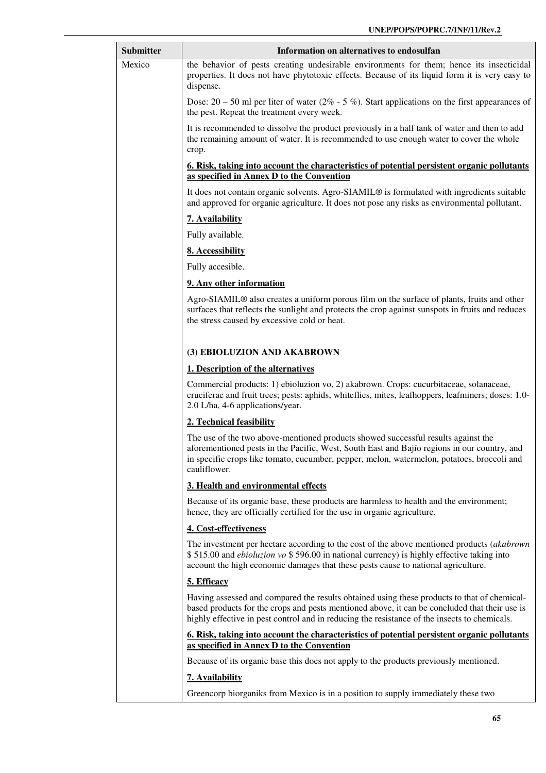| <b>Submitter</b> | Information on alternatives to endosulfan                                                                                                                                                                                                                                                      |
|------------------|------------------------------------------------------------------------------------------------------------------------------------------------------------------------------------------------------------------------------------------------------------------------------------------------|
| Mexico           | the behavior of pests creating undesirable environments for them; hence its insecticidal<br>properties. It does not have phytotoxic effects. Because of its liquid form it is very easy to<br>dispense.                                                                                        |
|                  | Dose: $20 - 50$ ml per liter of water ( $2\% - 5\%$ ). Start applications on the first appearances of<br>the pest. Repeat the treatment every week.                                                                                                                                            |
|                  | It is recommended to dissolve the product previously in a half tank of water and then to add<br>the remaining amount of water. It is recommended to use enough water to cover the whole<br>crop.                                                                                               |
|                  | <u><b>6. Risk, taking into account the characteristics of potential persistent organic pollutants</b></u><br>as specified in Annex D to the Convention                                                                                                                                         |
|                  | It does not contain organic solvents. Agro-SIAMIL® is formulated with ingredients suitable<br>and approved for organic agriculture. It does not pose any risks as environmental pollutant.                                                                                                     |
|                  | 7. Availability                                                                                                                                                                                                                                                                                |
|                  | Fully available.                                                                                                                                                                                                                                                                               |
|                  | 8. Accessibility                                                                                                                                                                                                                                                                               |
|                  | Fully accesible.                                                                                                                                                                                                                                                                               |
|                  | 9. Any other information                                                                                                                                                                                                                                                                       |
|                  | Agro-SIAMIL <sup>®</sup> also creates a uniform porous film on the surface of plants, fruits and other<br>surfaces that reflects the sunlight and protects the crop against sunspots in fruits and reduces<br>the stress caused by excessive cold or heat.                                     |
|                  | (3) EBIOLUZION AND AKABROWN                                                                                                                                                                                                                                                                    |
|                  | 1. Description of the alternatives                                                                                                                                                                                                                                                             |
|                  | Commercial products: 1) ebioluzion vo, 2) akabrown. Crops: cucurbitaceae, solanaceae,<br>cruciferae and fruit trees; pests: aphids, whiteflies, mites, leafhoppers, leafminers; doses: 1.0-<br>2.0 L/ha, 4-6 applications/year.                                                                |
|                  | 2. Technical feasibility                                                                                                                                                                                                                                                                       |
|                  | The use of the two above-mentioned products showed successful results against the<br>aforementioned pests in the Pacific, West, South East and Bajío regions in our country, and<br>in specific crops like tomato, cucumber, pepper, melon, watermelon, potatoes, broccoli and<br>cauliflower. |
|                  | 3. Health and environmental effects                                                                                                                                                                                                                                                            |
|                  | Because of its organic base, these products are harmless to health and the environment;<br>hence, they are officially certified for the use in organic agriculture.                                                                                                                            |
|                  | 4. Cost-effectiveness                                                                                                                                                                                                                                                                          |
|                  | The investment per hectare according to the cost of the above mentioned products (akabrown<br>\$515.00 and <i>ebioluzion vo</i> \$596.00 in national currency) is highly effective taking into<br>account the high economic damages that these pests cause to national agriculture.            |
|                  | 5. Efficacy                                                                                                                                                                                                                                                                                    |
|                  | Having assessed and compared the results obtained using these products to that of chemical-<br>based products for the crops and pests mentioned above, it can be concluded that their use is<br>highly effective in pest control and in reducing the resistance of the insects to chemicals.   |
|                  | 6. Risk, taking into account the characteristics of potential persistent organic pollutants<br>as specified in Annex D to the Convention                                                                                                                                                       |
|                  | Because of its organic base this does not apply to the products previously mentioned.                                                                                                                                                                                                          |
|                  | 7. Availability                                                                                                                                                                                                                                                                                |
|                  | Greencorp biorganiks from Mexico is in a position to supply immediately these two                                                                                                                                                                                                              |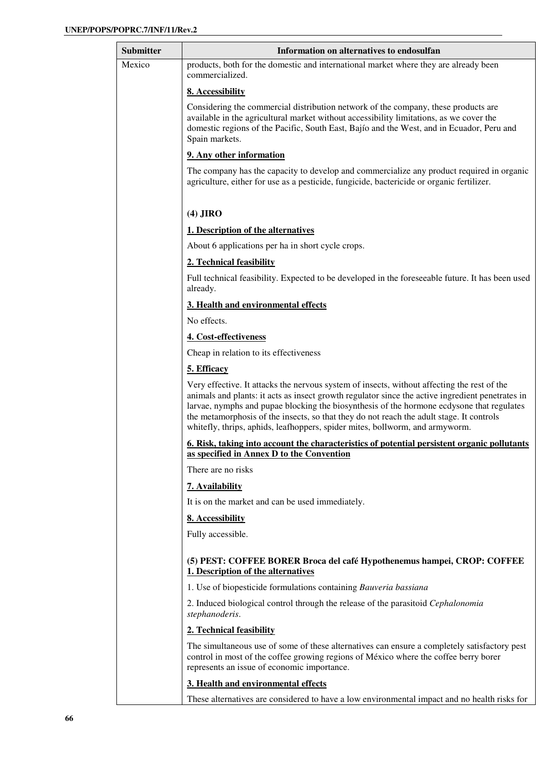| Submitter | Information on alternatives to endosulfan                                                                                                                                                                                                                                                                                                                                                                                                                                |
|-----------|--------------------------------------------------------------------------------------------------------------------------------------------------------------------------------------------------------------------------------------------------------------------------------------------------------------------------------------------------------------------------------------------------------------------------------------------------------------------------|
| Mexico    | products, both for the domestic and international market where they are already been<br>commercialized.                                                                                                                                                                                                                                                                                                                                                                  |
|           | 8. Accessibility                                                                                                                                                                                                                                                                                                                                                                                                                                                         |
|           | Considering the commercial distribution network of the company, these products are<br>available in the agricultural market without accessibility limitations, as we cover the<br>domestic regions of the Pacific, South East, Bajío and the West, and in Ecuador, Peru and<br>Spain markets.                                                                                                                                                                             |
|           | 9. Any other information                                                                                                                                                                                                                                                                                                                                                                                                                                                 |
|           | The company has the capacity to develop and commercialize any product required in organic<br>agriculture, either for use as a pesticide, fungicide, bactericide or organic fertilizer.                                                                                                                                                                                                                                                                                   |
|           | $(4)$ JIRO                                                                                                                                                                                                                                                                                                                                                                                                                                                               |
|           | 1. Description of the alternatives                                                                                                                                                                                                                                                                                                                                                                                                                                       |
|           | About 6 applications per ha in short cycle crops.                                                                                                                                                                                                                                                                                                                                                                                                                        |
|           | 2. Technical feasibility                                                                                                                                                                                                                                                                                                                                                                                                                                                 |
|           | Full technical feasibility. Expected to be developed in the foreseeable future. It has been used<br>already.                                                                                                                                                                                                                                                                                                                                                             |
|           | 3. Health and environmental effects                                                                                                                                                                                                                                                                                                                                                                                                                                      |
|           | No effects.                                                                                                                                                                                                                                                                                                                                                                                                                                                              |
|           | 4. Cost-effectiveness                                                                                                                                                                                                                                                                                                                                                                                                                                                    |
|           | Cheap in relation to its effectiveness                                                                                                                                                                                                                                                                                                                                                                                                                                   |
|           | 5. Efficacy                                                                                                                                                                                                                                                                                                                                                                                                                                                              |
|           | Very effective. It attacks the nervous system of insects, without affecting the rest of the<br>animals and plants: it acts as insect growth regulator since the active ingredient penetrates in<br>larvae, nymphs and pupae blocking the biosynthesis of the hormone ecdysone that regulates<br>the metamorphosis of the insects, so that they do not reach the adult stage. It controls<br>whitefly, thrips, aphids, leafhoppers, spider mites, bollworm, and armyworm. |
|           | 6. Risk, taking into account the characteristics of potential persistent organic pollutants<br>as specified in Annex D to the Convention                                                                                                                                                                                                                                                                                                                                 |
|           | There are no risks                                                                                                                                                                                                                                                                                                                                                                                                                                                       |
|           | 7. Availability                                                                                                                                                                                                                                                                                                                                                                                                                                                          |
|           | It is on the market and can be used immediately.                                                                                                                                                                                                                                                                                                                                                                                                                         |
|           | 8. Accessibility                                                                                                                                                                                                                                                                                                                                                                                                                                                         |
|           | Fully accessible.                                                                                                                                                                                                                                                                                                                                                                                                                                                        |
|           | (5) PEST: COFFEE BORER Broca del café Hypothenemus hampei, CROP: COFFEE<br>1. Description of the alternatives                                                                                                                                                                                                                                                                                                                                                            |
|           | 1. Use of biopesticide formulations containing Bauveria bassiana                                                                                                                                                                                                                                                                                                                                                                                                         |
|           | 2. Induced biological control through the release of the parasitoid Cephalonomia<br>stephanoderis.                                                                                                                                                                                                                                                                                                                                                                       |
|           | 2. Technical feasibility                                                                                                                                                                                                                                                                                                                                                                                                                                                 |
|           | The simultaneous use of some of these alternatives can ensure a completely satisfactory pest<br>control in most of the coffee growing regions of México where the coffee berry borer<br>represents an issue of economic importance.                                                                                                                                                                                                                                      |
|           | 3. Health and environmental effects                                                                                                                                                                                                                                                                                                                                                                                                                                      |
|           | These alternatives are considered to have a low environmental impact and no health risks for                                                                                                                                                                                                                                                                                                                                                                             |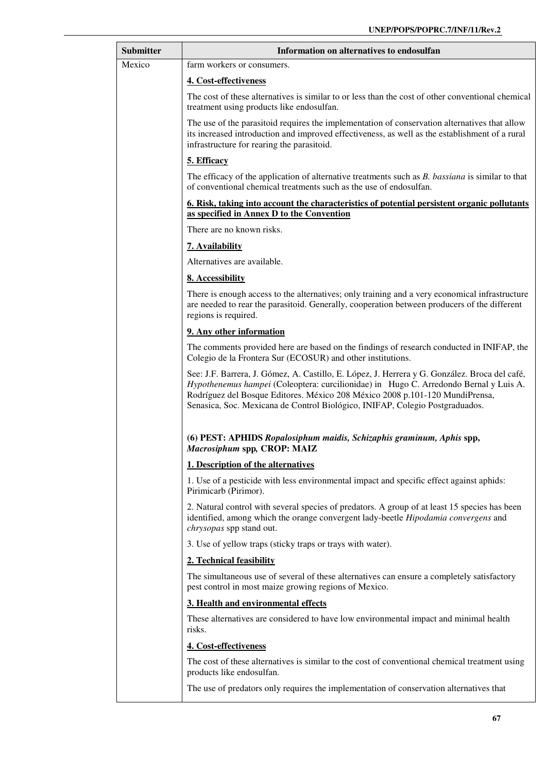| <b>Submitter</b> | Information on alternatives to endosulfan                                                                                                                                                                                                                                                                                                              |
|------------------|--------------------------------------------------------------------------------------------------------------------------------------------------------------------------------------------------------------------------------------------------------------------------------------------------------------------------------------------------------|
| Mexico           | farm workers or consumers.                                                                                                                                                                                                                                                                                                                             |
|                  | 4. Cost-effectiveness                                                                                                                                                                                                                                                                                                                                  |
|                  | The cost of these alternatives is similar to or less than the cost of other conventional chemical<br>treatment using products like endosulfan.                                                                                                                                                                                                         |
|                  | The use of the parasitoid requires the implementation of conservation alternatives that allow<br>its increased introduction and improved effectiveness, as well as the establishment of a rural<br>infrastructure for rearing the parasitoid.                                                                                                          |
|                  | 5. Efficacy                                                                                                                                                                                                                                                                                                                                            |
|                  | The efficacy of the application of alternative treatments such as <i>B</i> . <i>bassiana</i> is similar to that<br>of conventional chemical treatments such as the use of endosulfan.                                                                                                                                                                  |
|                  | <u>6. Risk, taking into account the characteristics of potential persistent organic pollutants</u><br>as specified in Annex D to the Convention                                                                                                                                                                                                        |
|                  | There are no known risks.                                                                                                                                                                                                                                                                                                                              |
|                  | 7. Availability                                                                                                                                                                                                                                                                                                                                        |
|                  | Alternatives are available.                                                                                                                                                                                                                                                                                                                            |
|                  | 8. Accessibility                                                                                                                                                                                                                                                                                                                                       |
|                  | There is enough access to the alternatives; only training and a very economical infrastructure<br>are needed to rear the parasitoid. Generally, cooperation between producers of the different<br>regions is required.                                                                                                                                 |
|                  | 9. Any other information                                                                                                                                                                                                                                                                                                                               |
|                  | The comments provided here are based on the findings of research conducted in INIFAP, the<br>Colegio de la Frontera Sur (ECOSUR) and other institutions.                                                                                                                                                                                               |
|                  | See: J.F. Barrera, J. Gómez, A. Castillo, E. López, J. Herrera y G. González. Broca del café,<br>Hypothenemus hampei (Coleoptera: curcilionidae) in Hugo C. Arredondo Bernal y Luis A.<br>Rodríguez del Bosque Editores. México 208 México 2008 p.101-120 MundiPrensa,<br>Senasica, Soc. Mexicana de Control Biológico, INIFAP, Colegio Postgraduados. |
|                  | (6) PEST: APHIDS Ropalosiphum maidis, Schizaphis graminum, Aphis spp,<br>Macrosiphum spp, CROP: MAIZ                                                                                                                                                                                                                                                   |
|                  | 1. Description of the alternatives                                                                                                                                                                                                                                                                                                                     |
|                  | 1. Use of a pesticide with less environmental impact and specific effect against aphids:<br>Pirimicarb (Pirimor).                                                                                                                                                                                                                                      |
|                  | 2. Natural control with several species of predators. A group of at least 15 species has been<br>identified, among which the orange convergent lady-beetle <i>Hipodamia convergens</i> and<br>chrysopas spp stand out.                                                                                                                                 |
|                  | 3. Use of yellow traps (sticky traps or trays with water).                                                                                                                                                                                                                                                                                             |
|                  | 2. Technical feasibility                                                                                                                                                                                                                                                                                                                               |
|                  | The simultaneous use of several of these alternatives can ensure a completely satisfactory<br>pest control in most maize growing regions of Mexico.                                                                                                                                                                                                    |
|                  | 3. Health and environmental effects                                                                                                                                                                                                                                                                                                                    |
|                  | These alternatives are considered to have low environmental impact and minimal health<br>risks.                                                                                                                                                                                                                                                        |
|                  | 4. Cost-effectiveness                                                                                                                                                                                                                                                                                                                                  |
|                  | The cost of these alternatives is similar to the cost of conventional chemical treatment using<br>products like endosulfan.                                                                                                                                                                                                                            |
|                  | The use of predators only requires the implementation of conservation alternatives that                                                                                                                                                                                                                                                                |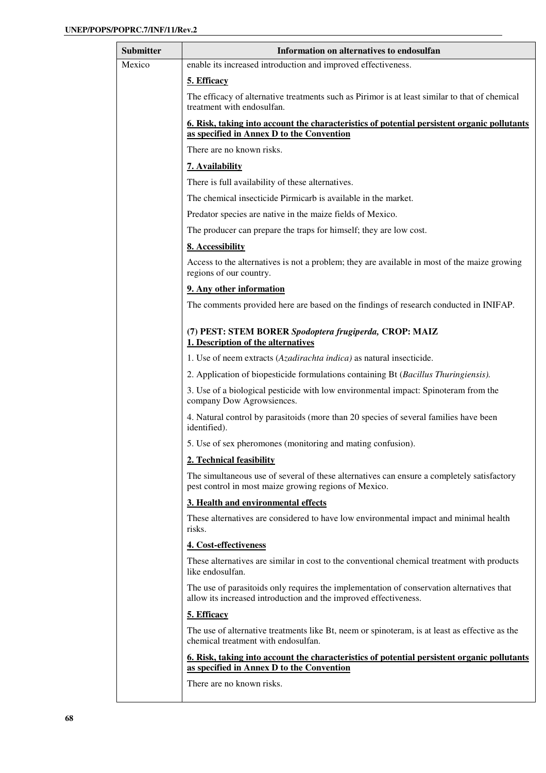| <b>Submitter</b> | Information on alternatives to endosulfan                                                                                                                     |
|------------------|---------------------------------------------------------------------------------------------------------------------------------------------------------------|
| Mexico           | enable its increased introduction and improved effectiveness.                                                                                                 |
|                  | 5. Efficacy                                                                                                                                                   |
|                  | The efficacy of alternative treatments such as Pirimor is at least similar to that of chemical<br>treatment with endosulfan.                                  |
|                  | <u>6. Risk, taking into account the characteristics of potential persistent organic pollutants</u>                                                            |
|                  | as specified in Annex D to the Convention                                                                                                                     |
|                  | There are no known risks.                                                                                                                                     |
|                  | 7. Availability                                                                                                                                               |
|                  | There is full availability of these alternatives.                                                                                                             |
|                  | The chemical insecticide Pirmicarb is available in the market.                                                                                                |
|                  | Predator species are native in the maize fields of Mexico.                                                                                                    |
|                  | The producer can prepare the traps for himself; they are low cost.                                                                                            |
|                  | 8. Accessibility                                                                                                                                              |
|                  | Access to the alternatives is not a problem; they are available in most of the maize growing<br>regions of our country.                                       |
|                  | 9. Any other information                                                                                                                                      |
|                  | The comments provided here are based on the findings of research conducted in INIFAP.                                                                         |
|                  | (7) PEST: STEM BORER Spodoptera frugiperda, CROP: MAIZ<br>1. Description of the alternatives                                                                  |
|                  | 1. Use of neem extracts (Azadirachta indica) as natural insecticide.                                                                                          |
|                  | 2. Application of biopesticide formulations containing Bt (Bacillus Thuringiensis).                                                                           |
|                  | 3. Use of a biological pesticide with low environmental impact: Spinoteram from the<br>company Dow Agrowsiences.                                              |
|                  | 4. Natural control by parasitoids (more than 20 species of several families have been<br>identified).                                                         |
|                  | 5. Use of sex pheromones (monitoring and mating confusion).                                                                                                   |
|                  | 2. Technical feasibility                                                                                                                                      |
|                  | The simultaneous use of several of these alternatives can ensure a completely satisfactory<br>pest control in most maize growing regions of Mexico.           |
|                  | 3. Health and environmental effects                                                                                                                           |
|                  | These alternatives are considered to have low environmental impact and minimal health<br>risks.                                                               |
|                  | 4. Cost-effectiveness                                                                                                                                         |
|                  | These alternatives are similar in cost to the conventional chemical treatment with products<br>like endosulfan.                                               |
|                  | The use of parasitoids only requires the implementation of conservation alternatives that<br>allow its increased introduction and the improved effectiveness. |
|                  | 5. Efficacy                                                                                                                                                   |
|                  | The use of alternative treatments like Bt, neem or spinoteram, is at least as effective as the<br>chemical treatment with endosulfan.                         |
|                  | <u>6. Risk, taking into account the characteristics of potential persistent organic pollutants</u><br>as specified in Annex D to the Convention               |

There are no known risks.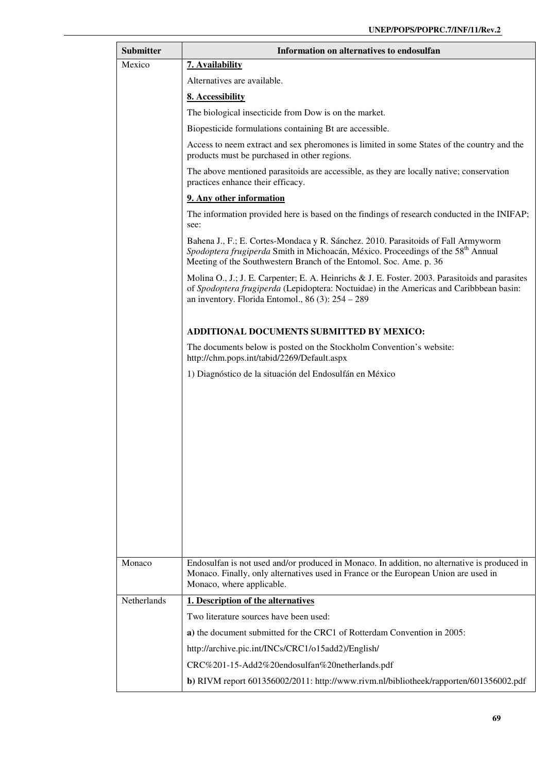| <b>Submitter</b> | Information on alternatives to endosulfan                                                                                                                                                                                                               |
|------------------|---------------------------------------------------------------------------------------------------------------------------------------------------------------------------------------------------------------------------------------------------------|
| Mexico           | 7. Availability                                                                                                                                                                                                                                         |
|                  | Alternatives are available.                                                                                                                                                                                                                             |
|                  | 8. Accessibility                                                                                                                                                                                                                                        |
|                  | The biological insecticide from Dow is on the market.                                                                                                                                                                                                   |
|                  | Biopesticide formulations containing Bt are accessible.                                                                                                                                                                                                 |
|                  | Access to neem extract and sex pheromones is limited in some States of the country and the<br>products must be purchased in other regions.                                                                                                              |
|                  | The above mentioned parasitoids are accessible, as they are locally native; conservation<br>practices enhance their efficacy.                                                                                                                           |
|                  | 9. Any other information                                                                                                                                                                                                                                |
|                  | The information provided here is based on the findings of research conducted in the INIFAP;<br>see:                                                                                                                                                     |
|                  | Bahena J., F.; E. Cortes-Mondaca y R. Sánchez. 2010. Parasitoids of Fall Armyworm<br>Spodoptera frugiperda Smith in Michoacán, México. Proceedings of the 58 <sup>th</sup> Annual<br>Meeting of the Southwestern Branch of the Entomol. Soc. Ame. p. 36 |
|                  | Molina O., J.; J. E. Carpenter; E. A. Heinrichs & J. E. Foster. 2003. Parasitoids and parasites<br>of Spodoptera frugiperda (Lepidoptera: Noctuidae) in the Americas and Caribbbean basin:<br>an inventory. Florida Entomol., 86 (3): $254 - 289$       |
|                  | ADDITIONAL DOCUMENTS SUBMITTED BY MEXICO:                                                                                                                                                                                                               |
|                  | The documents below is posted on the Stockholm Convention's website:<br>http://chm.pops.int/tabid/2269/Default.aspx                                                                                                                                     |
|                  | 1) Diagnóstico de la situación del Endosulfán en México                                                                                                                                                                                                 |
|                  |                                                                                                                                                                                                                                                         |
|                  |                                                                                                                                                                                                                                                         |
|                  |                                                                                                                                                                                                                                                         |
|                  |                                                                                                                                                                                                                                                         |
|                  |                                                                                                                                                                                                                                                         |
|                  |                                                                                                                                                                                                                                                         |
|                  |                                                                                                                                                                                                                                                         |
|                  |                                                                                                                                                                                                                                                         |
|                  |                                                                                                                                                                                                                                                         |
|                  |                                                                                                                                                                                                                                                         |
|                  |                                                                                                                                                                                                                                                         |
| Monaco           | Endosulfan is not used and/or produced in Monaco. In addition, no alternative is produced in<br>Monaco. Finally, only alternatives used in France or the European Union are used in<br>Monaco, where applicable.                                        |
| Netherlands      | 1. Description of the alternatives                                                                                                                                                                                                                      |
|                  | Two literature sources have been used:                                                                                                                                                                                                                  |
|                  | a) the document submitted for the CRC1 of Rotterdam Convention in 2005:                                                                                                                                                                                 |
|                  | http://archive.pic.int/INCs/CRC1/o15add2)/English/                                                                                                                                                                                                      |
|                  | CRC%201-15-Add2%20endosulfan%20netherlands.pdf                                                                                                                                                                                                          |
|                  | b) RIVM report 601356002/2011: http://www.rivm.nl/bibliotheek/rapporten/601356002.pdf                                                                                                                                                                   |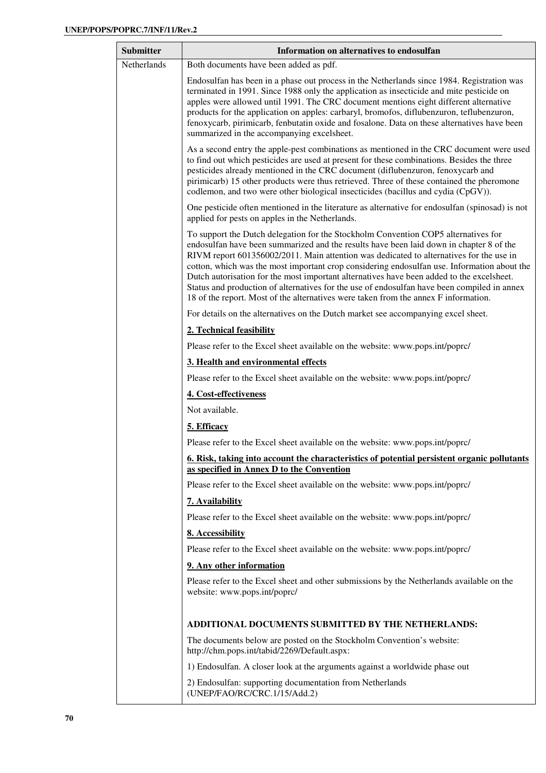| Netherlands<br>Both documents have been added as pdf.<br>Endosulfan has been in a phase out process in the Netherlands since 1984. Registration was<br>terminated in 1991. Since 1988 only the application as insecticide and mite pesticide on<br>apples were allowed until 1991. The CRC document mentions eight different alternative<br>products for the application on apples: carbaryl, bromofos, diflubenzuron, teflubenzuron,<br>fenoxycarb, pirimicarb, fenbutatin oxide and fosalone. Data on these alternatives have been<br>summarized in the accompanying excelsheet.<br>As a second entry the apple-pest combinations as mentioned in the CRC document were used<br>to find out which pesticides are used at present for these combinations. Besides the three<br>pesticides already mentioned in the CRC document (diflubenzuron, fenoxycarb and<br>pirimicarb) 15 other products were thus retrieved. Three of these contained the pheromone<br>codlemon, and two were other biological insecticides (bacillus and cydia (CpGV)).<br>One pesticide often mentioned in the literature as alternative for endosulfan (spinosad) is not<br>applied for pests on apples in the Netherlands.<br>To support the Dutch delegation for the Stockholm Convention COP5 alternatives for<br>endosulfan have been summarized and the results have been laid down in chapter 8 of the<br>RIVM report 601356002/2011. Main attention was dedicated to alternatives for the use in<br>cotton, which was the most important crop considering endosulfan use. Information about the<br>Dutch autorisation for the most important alternatives have been added to the excelsheet.<br>Status and production of alternatives for the use of endosulfan have been compiled in annex<br>18 of the report. Most of the alternatives were taken from the annex F information.<br>For details on the alternatives on the Dutch market see accompanying excel sheet.<br>2. Technical feasibility<br>Please refer to the Excel sheet available on the website: www.pops.int/poprc/<br>3. Health and environmental effects<br>Please refer to the Excel sheet available on the website: www.pops.int/poprc/<br>4. Cost-effectiveness<br>Not available.<br>5. Efficacy<br>Please refer to the Excel sheet available on the website: www.pops.int/poprc/<br><u><b>6. Risk, taking into account the characteristics of potential persistent organic pollutants</b></u> |  |
|---------------------------------------------------------------------------------------------------------------------------------------------------------------------------------------------------------------------------------------------------------------------------------------------------------------------------------------------------------------------------------------------------------------------------------------------------------------------------------------------------------------------------------------------------------------------------------------------------------------------------------------------------------------------------------------------------------------------------------------------------------------------------------------------------------------------------------------------------------------------------------------------------------------------------------------------------------------------------------------------------------------------------------------------------------------------------------------------------------------------------------------------------------------------------------------------------------------------------------------------------------------------------------------------------------------------------------------------------------------------------------------------------------------------------------------------------------------------------------------------------------------------------------------------------------------------------------------------------------------------------------------------------------------------------------------------------------------------------------------------------------------------------------------------------------------------------------------------------------------------------------------------------------------------------------------------------------------------------------------------------------------------------------------------------------------------------------------------------------------------------------------------------------------------------------------------------------------------------------------------------------------------------------------------------------------------------------------------------------------------------------------------------------------------------------------------------------|--|
|                                                                                                                                                                                                                                                                                                                                                                                                                                                                                                                                                                                                                                                                                                                                                                                                                                                                                                                                                                                                                                                                                                                                                                                                                                                                                                                                                                                                                                                                                                                                                                                                                                                                                                                                                                                                                                                                                                                                                                                                                                                                                                                                                                                                                                                                                                                                                                                                                                                         |  |
|                                                                                                                                                                                                                                                                                                                                                                                                                                                                                                                                                                                                                                                                                                                                                                                                                                                                                                                                                                                                                                                                                                                                                                                                                                                                                                                                                                                                                                                                                                                                                                                                                                                                                                                                                                                                                                                                                                                                                                                                                                                                                                                                                                                                                                                                                                                                                                                                                                                         |  |
|                                                                                                                                                                                                                                                                                                                                                                                                                                                                                                                                                                                                                                                                                                                                                                                                                                                                                                                                                                                                                                                                                                                                                                                                                                                                                                                                                                                                                                                                                                                                                                                                                                                                                                                                                                                                                                                                                                                                                                                                                                                                                                                                                                                                                                                                                                                                                                                                                                                         |  |
|                                                                                                                                                                                                                                                                                                                                                                                                                                                                                                                                                                                                                                                                                                                                                                                                                                                                                                                                                                                                                                                                                                                                                                                                                                                                                                                                                                                                                                                                                                                                                                                                                                                                                                                                                                                                                                                                                                                                                                                                                                                                                                                                                                                                                                                                                                                                                                                                                                                         |  |
|                                                                                                                                                                                                                                                                                                                                                                                                                                                                                                                                                                                                                                                                                                                                                                                                                                                                                                                                                                                                                                                                                                                                                                                                                                                                                                                                                                                                                                                                                                                                                                                                                                                                                                                                                                                                                                                                                                                                                                                                                                                                                                                                                                                                                                                                                                                                                                                                                                                         |  |
|                                                                                                                                                                                                                                                                                                                                                                                                                                                                                                                                                                                                                                                                                                                                                                                                                                                                                                                                                                                                                                                                                                                                                                                                                                                                                                                                                                                                                                                                                                                                                                                                                                                                                                                                                                                                                                                                                                                                                                                                                                                                                                                                                                                                                                                                                                                                                                                                                                                         |  |
|                                                                                                                                                                                                                                                                                                                                                                                                                                                                                                                                                                                                                                                                                                                                                                                                                                                                                                                                                                                                                                                                                                                                                                                                                                                                                                                                                                                                                                                                                                                                                                                                                                                                                                                                                                                                                                                                                                                                                                                                                                                                                                                                                                                                                                                                                                                                                                                                                                                         |  |
|                                                                                                                                                                                                                                                                                                                                                                                                                                                                                                                                                                                                                                                                                                                                                                                                                                                                                                                                                                                                                                                                                                                                                                                                                                                                                                                                                                                                                                                                                                                                                                                                                                                                                                                                                                                                                                                                                                                                                                                                                                                                                                                                                                                                                                                                                                                                                                                                                                                         |  |
|                                                                                                                                                                                                                                                                                                                                                                                                                                                                                                                                                                                                                                                                                                                                                                                                                                                                                                                                                                                                                                                                                                                                                                                                                                                                                                                                                                                                                                                                                                                                                                                                                                                                                                                                                                                                                                                                                                                                                                                                                                                                                                                                                                                                                                                                                                                                                                                                                                                         |  |
|                                                                                                                                                                                                                                                                                                                                                                                                                                                                                                                                                                                                                                                                                                                                                                                                                                                                                                                                                                                                                                                                                                                                                                                                                                                                                                                                                                                                                                                                                                                                                                                                                                                                                                                                                                                                                                                                                                                                                                                                                                                                                                                                                                                                                                                                                                                                                                                                                                                         |  |
|                                                                                                                                                                                                                                                                                                                                                                                                                                                                                                                                                                                                                                                                                                                                                                                                                                                                                                                                                                                                                                                                                                                                                                                                                                                                                                                                                                                                                                                                                                                                                                                                                                                                                                                                                                                                                                                                                                                                                                                                                                                                                                                                                                                                                                                                                                                                                                                                                                                         |  |
|                                                                                                                                                                                                                                                                                                                                                                                                                                                                                                                                                                                                                                                                                                                                                                                                                                                                                                                                                                                                                                                                                                                                                                                                                                                                                                                                                                                                                                                                                                                                                                                                                                                                                                                                                                                                                                                                                                                                                                                                                                                                                                                                                                                                                                                                                                                                                                                                                                                         |  |
|                                                                                                                                                                                                                                                                                                                                                                                                                                                                                                                                                                                                                                                                                                                                                                                                                                                                                                                                                                                                                                                                                                                                                                                                                                                                                                                                                                                                                                                                                                                                                                                                                                                                                                                                                                                                                                                                                                                                                                                                                                                                                                                                                                                                                                                                                                                                                                                                                                                         |  |
|                                                                                                                                                                                                                                                                                                                                                                                                                                                                                                                                                                                                                                                                                                                                                                                                                                                                                                                                                                                                                                                                                                                                                                                                                                                                                                                                                                                                                                                                                                                                                                                                                                                                                                                                                                                                                                                                                                                                                                                                                                                                                                                                                                                                                                                                                                                                                                                                                                                         |  |
| as specified in Annex D to the Convention                                                                                                                                                                                                                                                                                                                                                                                                                                                                                                                                                                                                                                                                                                                                                                                                                                                                                                                                                                                                                                                                                                                                                                                                                                                                                                                                                                                                                                                                                                                                                                                                                                                                                                                                                                                                                                                                                                                                                                                                                                                                                                                                                                                                                                                                                                                                                                                                               |  |
| Please refer to the Excel sheet available on the website: www.pops.int/poprc/                                                                                                                                                                                                                                                                                                                                                                                                                                                                                                                                                                                                                                                                                                                                                                                                                                                                                                                                                                                                                                                                                                                                                                                                                                                                                                                                                                                                                                                                                                                                                                                                                                                                                                                                                                                                                                                                                                                                                                                                                                                                                                                                                                                                                                                                                                                                                                           |  |
| 7. Availability                                                                                                                                                                                                                                                                                                                                                                                                                                                                                                                                                                                                                                                                                                                                                                                                                                                                                                                                                                                                                                                                                                                                                                                                                                                                                                                                                                                                                                                                                                                                                                                                                                                                                                                                                                                                                                                                                                                                                                                                                                                                                                                                                                                                                                                                                                                                                                                                                                         |  |
| Please refer to the Excel sheet available on the website: www.pops.int/poprc/                                                                                                                                                                                                                                                                                                                                                                                                                                                                                                                                                                                                                                                                                                                                                                                                                                                                                                                                                                                                                                                                                                                                                                                                                                                                                                                                                                                                                                                                                                                                                                                                                                                                                                                                                                                                                                                                                                                                                                                                                                                                                                                                                                                                                                                                                                                                                                           |  |
| 8. Accessibility                                                                                                                                                                                                                                                                                                                                                                                                                                                                                                                                                                                                                                                                                                                                                                                                                                                                                                                                                                                                                                                                                                                                                                                                                                                                                                                                                                                                                                                                                                                                                                                                                                                                                                                                                                                                                                                                                                                                                                                                                                                                                                                                                                                                                                                                                                                                                                                                                                        |  |
| Please refer to the Excel sheet available on the website: www.pops.int/poprc/                                                                                                                                                                                                                                                                                                                                                                                                                                                                                                                                                                                                                                                                                                                                                                                                                                                                                                                                                                                                                                                                                                                                                                                                                                                                                                                                                                                                                                                                                                                                                                                                                                                                                                                                                                                                                                                                                                                                                                                                                                                                                                                                                                                                                                                                                                                                                                           |  |
| 9. Any other information                                                                                                                                                                                                                                                                                                                                                                                                                                                                                                                                                                                                                                                                                                                                                                                                                                                                                                                                                                                                                                                                                                                                                                                                                                                                                                                                                                                                                                                                                                                                                                                                                                                                                                                                                                                                                                                                                                                                                                                                                                                                                                                                                                                                                                                                                                                                                                                                                                |  |
| Please refer to the Excel sheet and other submissions by the Netherlands available on the<br>website: www.pops.int/poprc/                                                                                                                                                                                                                                                                                                                                                                                                                                                                                                                                                                                                                                                                                                                                                                                                                                                                                                                                                                                                                                                                                                                                                                                                                                                                                                                                                                                                                                                                                                                                                                                                                                                                                                                                                                                                                                                                                                                                                                                                                                                                                                                                                                                                                                                                                                                               |  |
| ADDITIONAL DOCUMENTS SUBMITTED BY THE NETHERLANDS:                                                                                                                                                                                                                                                                                                                                                                                                                                                                                                                                                                                                                                                                                                                                                                                                                                                                                                                                                                                                                                                                                                                                                                                                                                                                                                                                                                                                                                                                                                                                                                                                                                                                                                                                                                                                                                                                                                                                                                                                                                                                                                                                                                                                                                                                                                                                                                                                      |  |
| The documents below are posted on the Stockholm Convention's website:<br>http://chm.pops.int/tabid/2269/Default.aspx:                                                                                                                                                                                                                                                                                                                                                                                                                                                                                                                                                                                                                                                                                                                                                                                                                                                                                                                                                                                                                                                                                                                                                                                                                                                                                                                                                                                                                                                                                                                                                                                                                                                                                                                                                                                                                                                                                                                                                                                                                                                                                                                                                                                                                                                                                                                                   |  |
| 1) Endosulfan. A closer look at the arguments against a worldwide phase out                                                                                                                                                                                                                                                                                                                                                                                                                                                                                                                                                                                                                                                                                                                                                                                                                                                                                                                                                                                                                                                                                                                                                                                                                                                                                                                                                                                                                                                                                                                                                                                                                                                                                                                                                                                                                                                                                                                                                                                                                                                                                                                                                                                                                                                                                                                                                                             |  |
| 2) Endosulfan: supporting documentation from Netherlands<br>(UNEP/FAO/RC/CRC.1/15/Add.2)                                                                                                                                                                                                                                                                                                                                                                                                                                                                                                                                                                                                                                                                                                                                                                                                                                                                                                                                                                                                                                                                                                                                                                                                                                                                                                                                                                                                                                                                                                                                                                                                                                                                                                                                                                                                                                                                                                                                                                                                                                                                                                                                                                                                                                                                                                                                                                |  |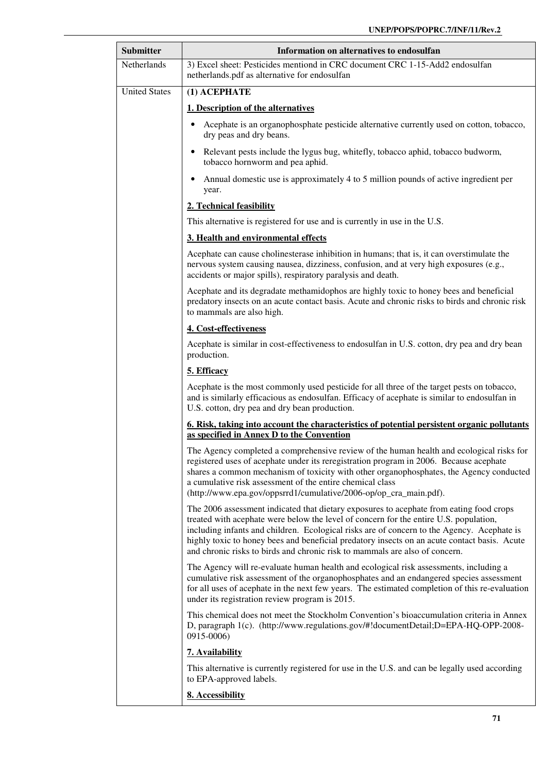| <b>Submitter</b>     | Information on alternatives to endosulfan                                                                                                                                                                                                                                                                                                                                                                                                                     |
|----------------------|---------------------------------------------------------------------------------------------------------------------------------------------------------------------------------------------------------------------------------------------------------------------------------------------------------------------------------------------------------------------------------------------------------------------------------------------------------------|
| <b>Netherlands</b>   | 3) Excel sheet: Pesticides mentiond in CRC document CRC 1-15-Add2 endosulfan<br>netherlands.pdf as alternative for endosulfan                                                                                                                                                                                                                                                                                                                                 |
| <b>United States</b> | (1) ACEPHATE                                                                                                                                                                                                                                                                                                                                                                                                                                                  |
|                      | 1. Description of the alternatives                                                                                                                                                                                                                                                                                                                                                                                                                            |
|                      | Acephate is an organophosphate pesticide alternative currently used on cotton, tobacco,<br>dry peas and dry beans.                                                                                                                                                                                                                                                                                                                                            |
|                      | Relevant pests include the lygus bug, whitefly, tobacco aphid, tobacco budworm,<br>٠<br>tobacco hornworm and pea aphid.                                                                                                                                                                                                                                                                                                                                       |
|                      | Annual domestic use is approximately 4 to 5 million pounds of active ingredient per<br>year.                                                                                                                                                                                                                                                                                                                                                                  |
|                      | 2. Technical feasibility                                                                                                                                                                                                                                                                                                                                                                                                                                      |
|                      | This alternative is registered for use and is currently in use in the U.S.                                                                                                                                                                                                                                                                                                                                                                                    |
|                      | 3. Health and environmental effects                                                                                                                                                                                                                                                                                                                                                                                                                           |
|                      | Acephate can cause cholinesterase inhibition in humans; that is, it can overstimulate the<br>nervous system causing nausea, dizziness, confusion, and at very high exposures (e.g.,<br>accidents or major spills), respiratory paralysis and death.                                                                                                                                                                                                           |
|                      | Acephate and its degradate methamidophos are highly toxic to honey bees and beneficial<br>predatory insects on an acute contact basis. Acute and chronic risks to birds and chronic risk<br>to mammals are also high.                                                                                                                                                                                                                                         |
|                      | 4. Cost-effectiveness                                                                                                                                                                                                                                                                                                                                                                                                                                         |
|                      | Acephate is similar in cost-effectiveness to endosulfan in U.S. cotton, dry pea and dry bean<br>production.                                                                                                                                                                                                                                                                                                                                                   |
|                      | 5. Efficacy                                                                                                                                                                                                                                                                                                                                                                                                                                                   |
|                      | Acephate is the most commonly used pesticide for all three of the target pests on tobacco,<br>and is similarly efficacious as endosulfan. Efficacy of acephate is similar to endosulfan in<br>U.S. cotton, dry pea and dry bean production.                                                                                                                                                                                                                   |
|                      | 6. Risk, taking into account the characteristics of potential persistent organic pollutants<br>as specified in Annex D to the Convention                                                                                                                                                                                                                                                                                                                      |
|                      | The Agency completed a comprehensive review of the human health and ecological risks for<br>registered uses of acephate under its reregistration program in 2006. Because acephate<br>shares a common mechanism of toxicity with other organophosphates, the Agency conducted<br>a cumulative risk assessment of the entire chemical class<br>(http://www.epa.gov/oppsrrd1/cumulative/2006-op/op_cra_main.pdf).                                               |
|                      | The 2006 assessment indicated that dietary exposures to acephate from eating food crops<br>treated with acephate were below the level of concern for the entire U.S. population,<br>including infants and children. Ecological risks are of concern to the Agency. Acephate is<br>highly toxic to honey bees and beneficial predatory insects on an acute contact basis. Acute<br>and chronic risks to birds and chronic risk to mammals are also of concern. |
|                      | The Agency will re-evaluate human health and ecological risk assessments, including a<br>cumulative risk assessment of the organophosphates and an endangered species assessment<br>for all uses of acephate in the next few years. The estimated completion of this re-evaluation<br>under its registration review program is 2015.                                                                                                                          |
|                      | This chemical does not meet the Stockholm Convention's bioaccumulation criteria in Annex<br>D, paragraph 1(c). (http://www.regulations.gov/#!documentDetail;D=EPA-HQ-OPP-2008-<br>0915-0006)                                                                                                                                                                                                                                                                  |
|                      | 7. Availability                                                                                                                                                                                                                                                                                                                                                                                                                                               |
|                      | This alternative is currently registered for use in the U.S. and can be legally used according<br>to EPA-approved labels.                                                                                                                                                                                                                                                                                                                                     |
|                      | 8. Accessibility                                                                                                                                                                                                                                                                                                                                                                                                                                              |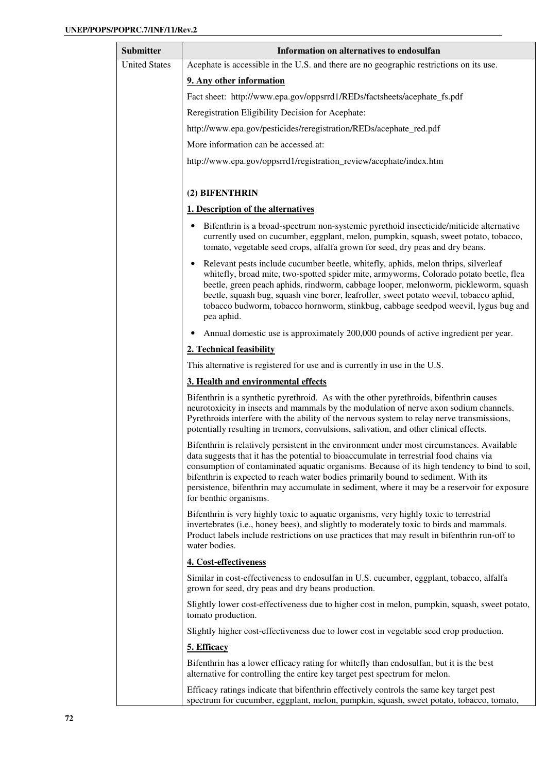| Submitter            | Information on alternatives to endosulfan                                                                                                                                                                                                                                                                                                                                                                                                                                                             |
|----------------------|-------------------------------------------------------------------------------------------------------------------------------------------------------------------------------------------------------------------------------------------------------------------------------------------------------------------------------------------------------------------------------------------------------------------------------------------------------------------------------------------------------|
| <b>United States</b> | Acephate is accessible in the U.S. and there are no geographic restrictions on its use.                                                                                                                                                                                                                                                                                                                                                                                                               |
|                      | 9. Any other information                                                                                                                                                                                                                                                                                                                                                                                                                                                                              |
|                      | Fact sheet: http://www.epa.gov/oppsrrd1/REDs/factsheets/acephate_fs.pdf                                                                                                                                                                                                                                                                                                                                                                                                                               |
|                      | Reregistration Eligibility Decision for Acephate:                                                                                                                                                                                                                                                                                                                                                                                                                                                     |
|                      | http://www.epa.gov/pesticides/reregistration/REDs/acephate_red.pdf                                                                                                                                                                                                                                                                                                                                                                                                                                    |
|                      | More information can be accessed at:                                                                                                                                                                                                                                                                                                                                                                                                                                                                  |
|                      | http://www.epa.gov/oppsrrd1/registration_review/acephate/index.htm                                                                                                                                                                                                                                                                                                                                                                                                                                    |
|                      |                                                                                                                                                                                                                                                                                                                                                                                                                                                                                                       |
|                      | (2) BIFENTHRIN                                                                                                                                                                                                                                                                                                                                                                                                                                                                                        |
|                      | 1. Description of the alternatives                                                                                                                                                                                                                                                                                                                                                                                                                                                                    |
|                      | Bifenthrin is a broad-spectrum non-systemic pyrethoid insecticide/miticide alternative<br>currently used on cucumber, eggplant, melon, pumpkin, squash, sweet potato, tobacco,<br>tomato, vegetable seed crops, alfalfa grown for seed, dry peas and dry beans.                                                                                                                                                                                                                                       |
|                      | Relevant pests include cucumber beetle, whitefly, aphids, melon thrips, silverleaf<br>whitefly, broad mite, two-spotted spider mite, armyworms, Colorado potato beetle, flea<br>beetle, green peach aphids, rindworm, cabbage looper, melonworm, pickleworm, squash<br>beetle, squash bug, squash vine borer, leafroller, sweet potato weevil, tobacco aphid,<br>tobacco budworm, tobacco hornworm, stinkbug, cabbage seedpod weevil, lygus bug and<br>pea aphid.                                     |
|                      | Annual domestic use is approximately 200,000 pounds of active ingredient per year.                                                                                                                                                                                                                                                                                                                                                                                                                    |
|                      | 2. Technical feasibility                                                                                                                                                                                                                                                                                                                                                                                                                                                                              |
|                      | This alternative is registered for use and is currently in use in the U.S.                                                                                                                                                                                                                                                                                                                                                                                                                            |
|                      | 3. Health and environmental effects                                                                                                                                                                                                                                                                                                                                                                                                                                                                   |
|                      | Bifenthrin is a synthetic pyrethroid. As with the other pyrethroids, bifenthrin causes<br>neurotoxicity in insects and mammals by the modulation of nerve axon sodium channels.<br>Pyrethroids interfere with the ability of the nervous system to relay nerve transmissions,<br>potentially resulting in tremors, convulsions, salivation, and other clinical effects.                                                                                                                               |
|                      | Bifenthrin is relatively persistent in the environment under most circumstances. Available<br>data suggests that it has the potential to bioaccumulate in terrestrial food chains via<br>consumption of contaminated aquatic organisms. Because of its high tendency to bind to soil,<br>bifenthrin is expected to reach water bodies primarily bound to sediment. With its<br>persistence, bifenthrin may accumulate in sediment, where it may be a reservoir for exposure<br>for benthic organisms. |
|                      | Bifenthrin is very highly toxic to aquatic organisms, very highly toxic to terrestrial<br>invertebrates (i.e., honey bees), and slightly to moderately toxic to birds and mammals.<br>Product labels include restrictions on use practices that may result in bifenthrin run-off to<br>water bodies.                                                                                                                                                                                                  |
|                      | 4. Cost-effectiveness                                                                                                                                                                                                                                                                                                                                                                                                                                                                                 |
|                      | Similar in cost-effectiveness to endosulfan in U.S. cucumber, eggplant, tobacco, alfalfa<br>grown for seed, dry peas and dry beans production.                                                                                                                                                                                                                                                                                                                                                        |
|                      | Slightly lower cost-effectiveness due to higher cost in melon, pumpkin, squash, sweet potato,<br>tomato production.                                                                                                                                                                                                                                                                                                                                                                                   |
|                      | Slightly higher cost-effectiveness due to lower cost in vegetable seed crop production.                                                                                                                                                                                                                                                                                                                                                                                                               |
|                      | 5. Efficacy                                                                                                                                                                                                                                                                                                                                                                                                                                                                                           |
|                      | Bifenthrin has a lower efficacy rating for whitefly than endosulfan, but it is the best<br>alternative for controlling the entire key target pest spectrum for melon.                                                                                                                                                                                                                                                                                                                                 |
|                      | Efficacy ratings indicate that bifenthrin effectively controls the same key target pest<br>spectrum for cucumber, eggplant, melon, pumpkin, squash, sweet potato, tobacco, tomato,                                                                                                                                                                                                                                                                                                                    |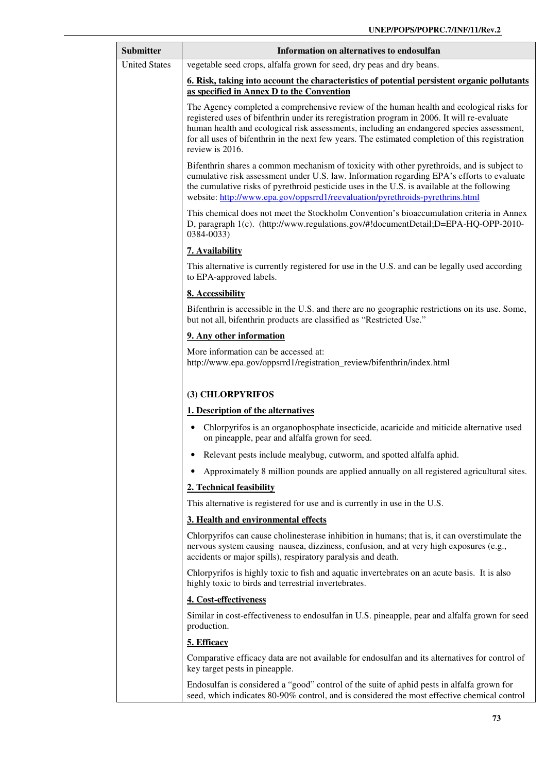| <b>Submitter</b>     | Information on alternatives to endosulfan                                                                                                                                                                                                                                                                                                                                                                  |
|----------------------|------------------------------------------------------------------------------------------------------------------------------------------------------------------------------------------------------------------------------------------------------------------------------------------------------------------------------------------------------------------------------------------------------------|
| <b>United States</b> | vegetable seed crops, alfalfa grown for seed, dry peas and dry beans.                                                                                                                                                                                                                                                                                                                                      |
|                      | 6. Risk, taking into account the characteristics of potential persistent organic pollutants<br>as specified in Annex D to the Convention                                                                                                                                                                                                                                                                   |
|                      | The Agency completed a comprehensive review of the human health and ecological risks for<br>registered uses of bifenthrin under its reregistration program in 2006. It will re-evaluate<br>human health and ecological risk assessments, including an endangered species assessment,<br>for all uses of bifenthrin in the next few years. The estimated completion of this registration<br>review is 2016. |
|                      | Bifenthrin shares a common mechanism of toxicity with other pyrethroids, and is subject to<br>cumulative risk assessment under U.S. law. Information regarding EPA's efforts to evaluate<br>the cumulative risks of pyrethroid pesticide uses in the U.S. is available at the following<br>website: http://www.epa.gov/oppsrrd1/reevaluation/pyrethroids-pyrethrins.html                                   |
|                      | This chemical does not meet the Stockholm Convention's bioaccumulation criteria in Annex<br>D, paragraph 1(c). (http://www.regulations.gov/#!documentDetail;D=EPA-HQ-OPP-2010-<br>0384-0033)                                                                                                                                                                                                               |
|                      | 7. Availability                                                                                                                                                                                                                                                                                                                                                                                            |
|                      | This alternative is currently registered for use in the U.S. and can be legally used according<br>to EPA-approved labels.                                                                                                                                                                                                                                                                                  |
|                      | 8. Accessibility                                                                                                                                                                                                                                                                                                                                                                                           |
|                      | Bifenthrin is accessible in the U.S. and there are no geographic restrictions on its use. Some,<br>but not all, bifenthrin products are classified as "Restricted Use."                                                                                                                                                                                                                                    |
|                      | 9. Any other information                                                                                                                                                                                                                                                                                                                                                                                   |
|                      | More information can be accessed at:<br>http://www.epa.gov/oppsrrd1/registration_review/bifenthrin/index.html                                                                                                                                                                                                                                                                                              |
|                      | (3) CHLORPYRIFOS                                                                                                                                                                                                                                                                                                                                                                                           |
|                      | 1. Description of the alternatives                                                                                                                                                                                                                                                                                                                                                                         |
|                      | Chlorpyrifos is an organophosphate insecticide, acaricide and miticide alternative used<br>٠<br>on pineapple, pear and alfalfa grown for seed.                                                                                                                                                                                                                                                             |
|                      | Relevant pests include mealybug, cutworm, and spotted alfalfa aphid.<br>٠                                                                                                                                                                                                                                                                                                                                  |
|                      | Approximately 8 million pounds are applied annually on all registered agricultural sites.                                                                                                                                                                                                                                                                                                                  |
|                      | 2. Technical feasibility                                                                                                                                                                                                                                                                                                                                                                                   |
|                      | This alternative is registered for use and is currently in use in the U.S.                                                                                                                                                                                                                                                                                                                                 |
|                      | 3. Health and environmental effects                                                                                                                                                                                                                                                                                                                                                                        |
|                      | Chlorpyrifos can cause cholinesterase inhibition in humans; that is, it can overstimulate the<br>nervous system causing nausea, dizziness, confusion, and at very high exposures (e.g.,<br>accidents or major spills), respiratory paralysis and death.                                                                                                                                                    |
|                      | Chlorpyrifos is highly toxic to fish and aquatic invertebrates on an acute basis. It is also<br>highly toxic to birds and terrestrial invertebrates.                                                                                                                                                                                                                                                       |
|                      | 4. Cost-effectiveness                                                                                                                                                                                                                                                                                                                                                                                      |
|                      | Similar in cost-effectiveness to endosulfan in U.S. pineapple, pear and alfalfa grown for seed<br>production.                                                                                                                                                                                                                                                                                              |
|                      | 5. Efficacy                                                                                                                                                                                                                                                                                                                                                                                                |
|                      | Comparative efficacy data are not available for endosulfan and its alternatives for control of<br>key target pests in pineapple.                                                                                                                                                                                                                                                                           |
|                      | Endosulfan is considered a "good" control of the suite of aphid pests in alfalfa grown for<br>seed, which indicates 80-90% control, and is considered the most effective chemical control                                                                                                                                                                                                                  |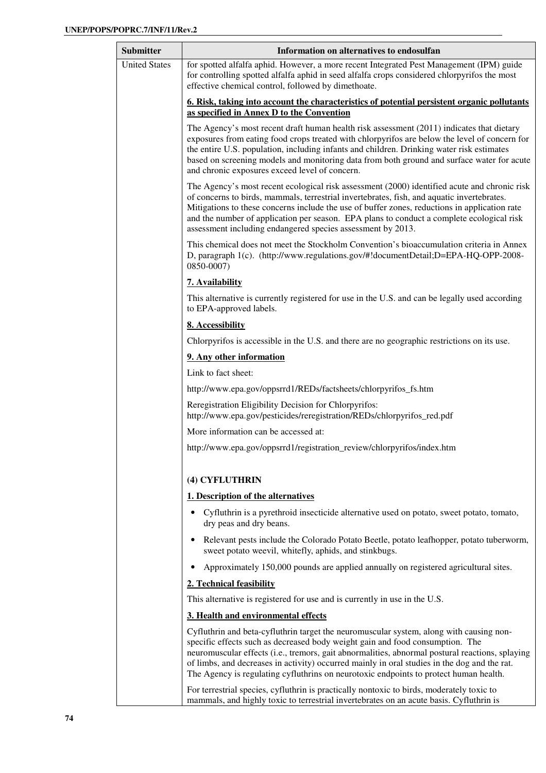| <b>Submitter</b>     | Information on alternatives to endosulfan                                                                                                                                                                                                                                                                                                                                                                                                                            |
|----------------------|----------------------------------------------------------------------------------------------------------------------------------------------------------------------------------------------------------------------------------------------------------------------------------------------------------------------------------------------------------------------------------------------------------------------------------------------------------------------|
| <b>United States</b> | for spotted alfalfa aphid. However, a more recent Integrated Pest Management (IPM) guide<br>for controlling spotted alfalfa aphid in seed alfalfa crops considered chlorpyrifos the most<br>effective chemical control, followed by dimethoate.                                                                                                                                                                                                                      |
|                      | <u><b>6. Risk, taking into account the characteristics of potential persistent organic pollutants</b></u><br>as specified in Annex D to the Convention                                                                                                                                                                                                                                                                                                               |
|                      | The Agency's most recent draft human health risk assessment (2011) indicates that dietary<br>exposures from eating food crops treated with chlorpyrifos are below the level of concern for<br>the entire U.S. population, including infants and children. Drinking water risk estimates<br>based on screening models and monitoring data from both ground and surface water for acute<br>and chronic exposures exceed level of concern.                              |
|                      | The Agency's most recent ecological risk assessment (2000) identified acute and chronic risk<br>of concerns to birds, mammals, terrestrial invertebrates, fish, and aquatic invertebrates.<br>Mitigations to these concerns include the use of buffer zones, reductions in application rate<br>and the number of application per season. EPA plans to conduct a complete ecological risk<br>assessment including endangered species assessment by 2013.              |
|                      | This chemical does not meet the Stockholm Convention's bioaccumulation criteria in Annex<br>D, paragraph 1(c). (http://www.regulations.gov/#!documentDetail;D=EPA-HQ-OPP-2008-<br>0850-0007)                                                                                                                                                                                                                                                                         |
|                      | 7. Availability                                                                                                                                                                                                                                                                                                                                                                                                                                                      |
|                      | This alternative is currently registered for use in the U.S. and can be legally used according<br>to EPA-approved labels.                                                                                                                                                                                                                                                                                                                                            |
|                      | 8. Accessibility                                                                                                                                                                                                                                                                                                                                                                                                                                                     |
|                      | Chlorpyrifos is accessible in the U.S. and there are no geographic restrictions on its use.                                                                                                                                                                                                                                                                                                                                                                          |
|                      | 9. Any other information                                                                                                                                                                                                                                                                                                                                                                                                                                             |
|                      | Link to fact sheet:                                                                                                                                                                                                                                                                                                                                                                                                                                                  |
|                      | http://www.epa.gov/oppsrrd1/REDs/factsheets/chlorpyrifos_fs.htm                                                                                                                                                                                                                                                                                                                                                                                                      |
|                      | Reregistration Eligibility Decision for Chlorpyrifos:<br>http://www.epa.gov/pesticides/reregistration/REDs/chlorpyrifos_red.pdf                                                                                                                                                                                                                                                                                                                                      |
|                      | More information can be accessed at:                                                                                                                                                                                                                                                                                                                                                                                                                                 |
|                      | http://www.epa.gov/oppsrrd1/registration_review/chlorpyrifos/index.htm                                                                                                                                                                                                                                                                                                                                                                                               |
|                      | (4) CYFLUTHRIN                                                                                                                                                                                                                                                                                                                                                                                                                                                       |
|                      | 1. Description of the alternatives                                                                                                                                                                                                                                                                                                                                                                                                                                   |
|                      | Cyfluthrin is a pyrethroid insecticide alternative used on potato, sweet potato, tomato,<br>dry peas and dry beans.                                                                                                                                                                                                                                                                                                                                                  |
|                      | Relevant pests include the Colorado Potato Beetle, potato leafhopper, potato tuberworm,<br>sweet potato weevil, whitefly, aphids, and stinkbugs.                                                                                                                                                                                                                                                                                                                     |
|                      | Approximately 150,000 pounds are applied annually on registered agricultural sites.                                                                                                                                                                                                                                                                                                                                                                                  |
|                      | 2. Technical feasibility                                                                                                                                                                                                                                                                                                                                                                                                                                             |
|                      | This alternative is registered for use and is currently in use in the U.S.                                                                                                                                                                                                                                                                                                                                                                                           |
|                      | 3. Health and environmental effects                                                                                                                                                                                                                                                                                                                                                                                                                                  |
|                      | Cyfluthrin and beta-cyfluthrin target the neuromuscular system, along with causing non-<br>specific effects such as decreased body weight gain and food consumption. The<br>neuromuscular effects (i.e., tremors, gait abnormalities, abnormal postural reactions, splaying<br>of limbs, and decreases in activity) occurred mainly in oral studies in the dog and the rat.<br>The Agency is regulating cyfluthrins on neurotoxic endpoints to protect human health. |
|                      | For terrestrial species, cyfluthrin is practically nontoxic to birds, moderately toxic to<br>mammals, and highly toxic to terrestrial invertebrates on an acute basis. Cyfluthrin is                                                                                                                                                                                                                                                                                 |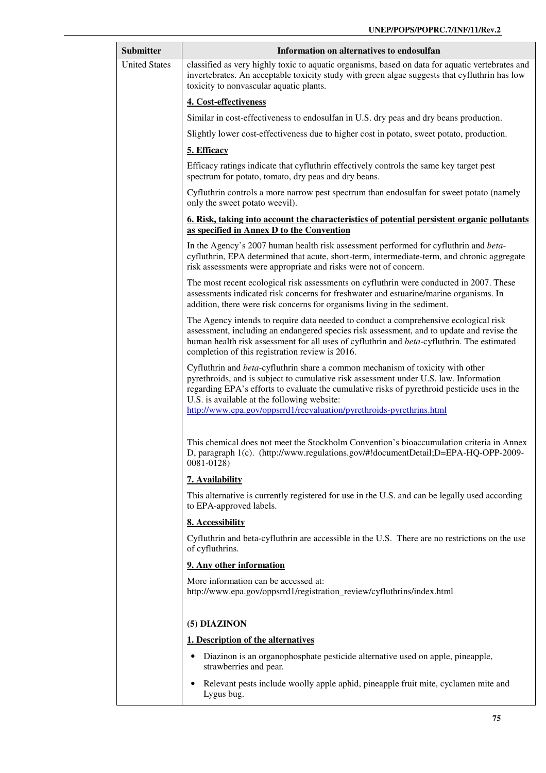| Submitter            | Information on alternatives to endosulfan                                                                                                                                                                                                                                                                                                                                                      |
|----------------------|------------------------------------------------------------------------------------------------------------------------------------------------------------------------------------------------------------------------------------------------------------------------------------------------------------------------------------------------------------------------------------------------|
| <b>United States</b> | classified as very highly toxic to aquatic organisms, based on data for aquatic vertebrates and<br>invertebrates. An acceptable toxicity study with green algae suggests that cyfluthrin has low<br>toxicity to nonvascular aquatic plants.                                                                                                                                                    |
|                      | 4. Cost-effectiveness                                                                                                                                                                                                                                                                                                                                                                          |
|                      | Similar in cost-effectiveness to endosulfan in U.S. dry peas and dry beans production.                                                                                                                                                                                                                                                                                                         |
|                      | Slightly lower cost-effectiveness due to higher cost in potato, sweet potato, production.                                                                                                                                                                                                                                                                                                      |
|                      | 5. Efficacy                                                                                                                                                                                                                                                                                                                                                                                    |
|                      | Efficacy ratings indicate that cyfluthrin effectively controls the same key target pest<br>spectrum for potato, tomato, dry peas and dry beans.                                                                                                                                                                                                                                                |
|                      | Cyfluthrin controls a more narrow pest spectrum than endosulfan for sweet potato (namely<br>only the sweet potato weevil).                                                                                                                                                                                                                                                                     |
|                      | <u>6. Risk, taking into account the characteristics of potential persistent organic pollutants</u><br>as specified in Annex D to the Convention                                                                                                                                                                                                                                                |
|                      | In the Agency's 2007 human health risk assessment performed for cyfluthrin and beta-<br>cyfluthrin, EPA determined that acute, short-term, intermediate-term, and chronic aggregate<br>risk assessments were appropriate and risks were not of concern.                                                                                                                                        |
|                      | The most recent ecological risk assessments on cyfluthrin were conducted in 2007. These<br>assessments indicated risk concerns for freshwater and estuarine/marine organisms. In<br>addition, there were risk concerns for organisms living in the sediment.                                                                                                                                   |
|                      | The Agency intends to require data needed to conduct a comprehensive ecological risk<br>assessment, including an endangered species risk assessment, and to update and revise the<br>human health risk assessment for all uses of cyfluthrin and beta-cyfluthrin. The estimated<br>completion of this registration review is 2016.                                                             |
|                      | Cyfluthrin and beta-cyfluthrin share a common mechanism of toxicity with other<br>pyrethroids, and is subject to cumulative risk assessment under U.S. law. Information<br>regarding EPA's efforts to evaluate the cumulative risks of pyrethroid pesticide uses in the<br>U.S. is available at the following website:<br>http://www.epa.gov/oppsrrd1/reevaluation/pyrethroids-pyrethrins.html |
|                      | This chemical does not meet the Stockholm Convention's bioaccumulation criteria in Annex<br>D, paragraph 1(c). (http://www.regulations.gov/#!documentDetail;D=EPA-HQ-OPP-2009-<br>0081-0128)                                                                                                                                                                                                   |
|                      | 7. Availability                                                                                                                                                                                                                                                                                                                                                                                |
|                      | This alternative is currently registered for use in the U.S. and can be legally used according<br>to EPA-approved labels.                                                                                                                                                                                                                                                                      |
|                      | 8. Accessibility                                                                                                                                                                                                                                                                                                                                                                               |
|                      | Cyfluthrin and beta-cyfluthrin are accessible in the U.S. There are no restrictions on the use<br>of cyfluthrins.                                                                                                                                                                                                                                                                              |
|                      | 9. Any other information                                                                                                                                                                                                                                                                                                                                                                       |
|                      | More information can be accessed at:<br>http://www.epa.gov/oppsrrd1/registration_review/cyfluthrins/index.html                                                                                                                                                                                                                                                                                 |
|                      | (5) DIAZINON                                                                                                                                                                                                                                                                                                                                                                                   |
|                      | 1. Description of the alternatives                                                                                                                                                                                                                                                                                                                                                             |
|                      | Diazinon is an organophosphate pesticide alternative used on apple, pineapple,<br>strawberries and pear.                                                                                                                                                                                                                                                                                       |
|                      | Relevant pests include woolly apple aphid, pineapple fruit mite, cyclamen mite and<br>Lygus bug.                                                                                                                                                                                                                                                                                               |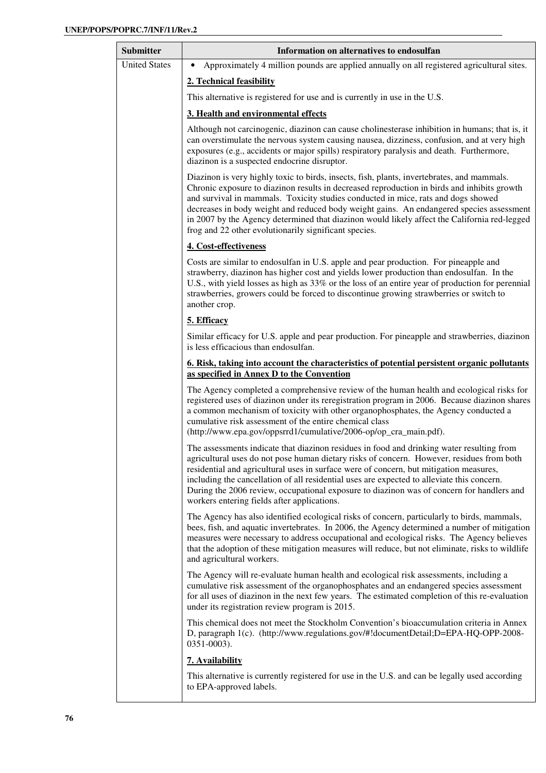| <b>Submitter</b>     | Information on alternatives to endosulfan                                                                                                                                                                                                                                                                                                                                                                                                                                                                                           |
|----------------------|-------------------------------------------------------------------------------------------------------------------------------------------------------------------------------------------------------------------------------------------------------------------------------------------------------------------------------------------------------------------------------------------------------------------------------------------------------------------------------------------------------------------------------------|
| <b>United States</b> | Approximately 4 million pounds are applied annually on all registered agricultural sites.<br>٠                                                                                                                                                                                                                                                                                                                                                                                                                                      |
|                      | 2. Technical feasibility                                                                                                                                                                                                                                                                                                                                                                                                                                                                                                            |
|                      | This alternative is registered for use and is currently in use in the U.S.                                                                                                                                                                                                                                                                                                                                                                                                                                                          |
|                      | 3. Health and environmental effects                                                                                                                                                                                                                                                                                                                                                                                                                                                                                                 |
|                      | Although not carcinogenic, diazinon can cause cholinesterase inhibition in humans; that is, it<br>can overstimulate the nervous system causing nausea, dizziness, confusion, and at very high<br>exposures (e.g., accidents or major spills) respiratory paralysis and death. Furthermore,<br>diazinon is a suspected endocrine disruptor.                                                                                                                                                                                          |
|                      | Diazinon is very highly toxic to birds, insects, fish, plants, invertebrates, and mammals.<br>Chronic exposure to diazinon results in decreased reproduction in birds and inhibits growth<br>and survival in mammals. Toxicity studies conducted in mice, rats and dogs showed<br>decreases in body weight and reduced body weight gains. An endangered species assessment<br>in 2007 by the Agency determined that diazinon would likely affect the California red-legged<br>frog and 22 other evolutionarily significant species. |
|                      | 4. Cost-effectiveness                                                                                                                                                                                                                                                                                                                                                                                                                                                                                                               |
|                      | Costs are similar to endosulfan in U.S. apple and pear production. For pineapple and<br>strawberry, diazinon has higher cost and yields lower production than endosulfan. In the<br>U.S., with yield losses as high as 33% or the loss of an entire year of production for perennial<br>strawberries, growers could be forced to discontinue growing strawberries or switch to<br>another crop.                                                                                                                                     |
|                      | 5. Efficacy                                                                                                                                                                                                                                                                                                                                                                                                                                                                                                                         |
|                      | Similar efficacy for U.S. apple and pear production. For pineapple and strawberries, diazinon<br>is less efficacious than endosulfan.                                                                                                                                                                                                                                                                                                                                                                                               |
|                      | 6. Risk, taking into account the characteristics of potential persistent organic pollutants<br>as specified in Annex D to the Convention                                                                                                                                                                                                                                                                                                                                                                                            |
|                      | The Agency completed a comprehensive review of the human health and ecological risks for<br>registered uses of diazinon under its reregistration program in 2006. Because diazinon shares<br>a common mechanism of toxicity with other organophosphates, the Agency conducted a<br>cumulative risk assessment of the entire chemical class<br>(http://www.epa.gov/oppsrrd1/cumulative/2006-op/op_cra_main.pdf).                                                                                                                     |
|                      | The assessments indicate that diazinon residues in food and drinking water resulting from<br>agricultural uses do not pose human dietary risks of concern. However, residues from both<br>residential and agricultural uses in surface were of concern, but mitigation measures,<br>including the cancellation of all residential uses are expected to alleviate this concern.<br>During the 2006 review, occupational exposure to diazinon was of concern for handlers and<br>workers entering fields after applications.          |
|                      | The Agency has also identified ecological risks of concern, particularly to birds, mammals,<br>bees, fish, and aquatic invertebrates. In 2006, the Agency determined a number of mitigation<br>measures were necessary to address occupational and ecological risks. The Agency believes<br>that the adoption of these mitigation measures will reduce, but not eliminate, risks to wildlife<br>and agricultural workers.                                                                                                           |
|                      | The Agency will re-evaluate human health and ecological risk assessments, including a<br>cumulative risk assessment of the organophosphates and an endangered species assessment<br>for all uses of diazinon in the next few years. The estimated completion of this re-evaluation<br>under its registration review program is 2015.                                                                                                                                                                                                |
|                      | This chemical does not meet the Stockholm Convention's bioaccumulation criteria in Annex<br>D, paragraph 1(c). (http://www.regulations.gov/#!documentDetail;D=EPA-HQ-OPP-2008-<br>0351-0003).                                                                                                                                                                                                                                                                                                                                       |
|                      | 7. Availability                                                                                                                                                                                                                                                                                                                                                                                                                                                                                                                     |
|                      | This alternative is currently registered for use in the U.S. and can be legally used according<br>to EPA-approved labels.                                                                                                                                                                                                                                                                                                                                                                                                           |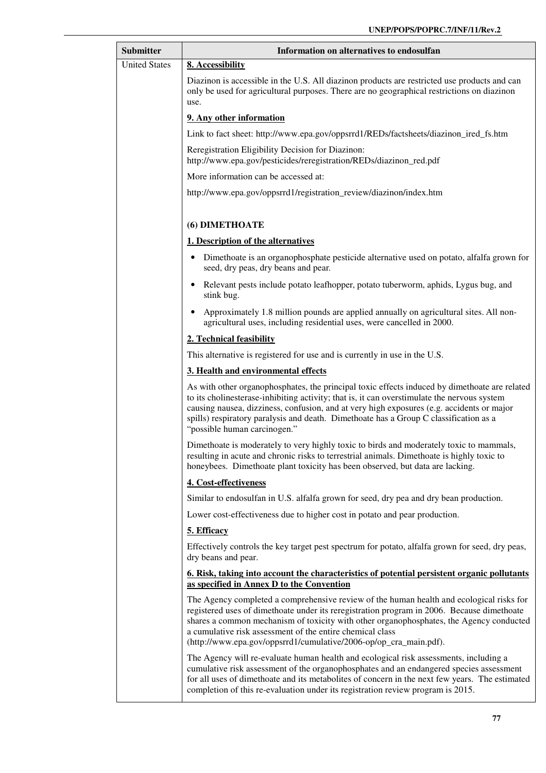| <b>Submitter</b>     | Information on alternatives to endosulfan                                                                                                                                                                                                                                                                                                                                                                           |
|----------------------|---------------------------------------------------------------------------------------------------------------------------------------------------------------------------------------------------------------------------------------------------------------------------------------------------------------------------------------------------------------------------------------------------------------------|
| <b>United States</b> | 8. Accessibility                                                                                                                                                                                                                                                                                                                                                                                                    |
|                      | Diazinon is accessible in the U.S. All diazinon products are restricted use products and can<br>only be used for agricultural purposes. There are no geographical restrictions on diazinon<br>use.                                                                                                                                                                                                                  |
|                      | 9. Any other information                                                                                                                                                                                                                                                                                                                                                                                            |
|                      | Link to fact sheet: http://www.epa.gov/oppsrrd1/REDs/factsheets/diazinon_ired_fs.htm                                                                                                                                                                                                                                                                                                                                |
|                      | Reregistration Eligibility Decision for Diazinon:<br>http://www.epa.gov/pesticides/reregistration/REDs/diazinon_red.pdf                                                                                                                                                                                                                                                                                             |
|                      | More information can be accessed at:                                                                                                                                                                                                                                                                                                                                                                                |
|                      | http://www.epa.gov/oppsrrd1/registration_review/diazinon/index.htm                                                                                                                                                                                                                                                                                                                                                  |
|                      | (6) DIMETHOATE                                                                                                                                                                                                                                                                                                                                                                                                      |
|                      | 1. Description of the alternatives                                                                                                                                                                                                                                                                                                                                                                                  |
|                      | Dimethoate is an organophosphate pesticide alternative used on potato, alfalfa grown for<br>$\bullet$<br>seed, dry peas, dry beans and pear.                                                                                                                                                                                                                                                                        |
|                      | Relevant pests include potato leafhopper, potato tuberworm, aphids, Lygus bug, and<br>stink bug.                                                                                                                                                                                                                                                                                                                    |
|                      | Approximately 1.8 million pounds are applied annually on agricultural sites. All non-<br>agricultural uses, including residential uses, were cancelled in 2000.                                                                                                                                                                                                                                                     |
|                      | 2. Technical feasibility                                                                                                                                                                                                                                                                                                                                                                                            |
|                      | This alternative is registered for use and is currently in use in the U.S.                                                                                                                                                                                                                                                                                                                                          |
|                      | 3. Health and environmental effects                                                                                                                                                                                                                                                                                                                                                                                 |
|                      | As with other organophosphates, the principal toxic effects induced by dimethoate are related<br>to its cholinesterase-inhibiting activity; that is, it can overstimulate the nervous system<br>causing nausea, dizziness, confusion, and at very high exposures (e.g. accidents or major<br>spills) respiratory paralysis and death. Dimethoate has a Group C classification as a<br>"possible human carcinogen."  |
|                      | Dimethoate is moderately to very highly toxic to birds and moderately toxic to mammals,<br>resulting in acute and chronic risks to terrestrial animals. Dimethoate is highly toxic to<br>honeybees. Dimethoate plant toxicity has been observed, but data are lacking.                                                                                                                                              |
|                      | 4. Cost-effectiveness                                                                                                                                                                                                                                                                                                                                                                                               |
|                      | Similar to endosulfan in U.S. alfalfa grown for seed, dry pea and dry bean production.                                                                                                                                                                                                                                                                                                                              |
|                      | Lower cost-effectiveness due to higher cost in potato and pear production.                                                                                                                                                                                                                                                                                                                                          |
|                      | 5. Efficacy                                                                                                                                                                                                                                                                                                                                                                                                         |
|                      | Effectively controls the key target pest spectrum for potato, alfalfa grown for seed, dry peas,<br>dry beans and pear.                                                                                                                                                                                                                                                                                              |
|                      | <u>6. Risk, taking into account the characteristics of potential persistent organic pollutants</u><br>as specified in Annex D to the Convention                                                                                                                                                                                                                                                                     |
|                      | The Agency completed a comprehensive review of the human health and ecological risks for<br>registered uses of dimethoate under its reregistration program in 2006. Because dimethoate<br>shares a common mechanism of toxicity with other organophosphates, the Agency conducted<br>a cumulative risk assessment of the entire chemical class<br>(http://www.epa.gov/oppsrrd1/cumulative/2006-op/op_cra_main.pdf). |
|                      | The Agency will re-evaluate human health and ecological risk assessments, including a<br>cumulative risk assessment of the organophosphates and an endangered species assessment<br>for all uses of dimethoate and its metabolites of concern in the next few years. The estimated<br>completion of this re-evaluation under its registration review program is 2015.                                               |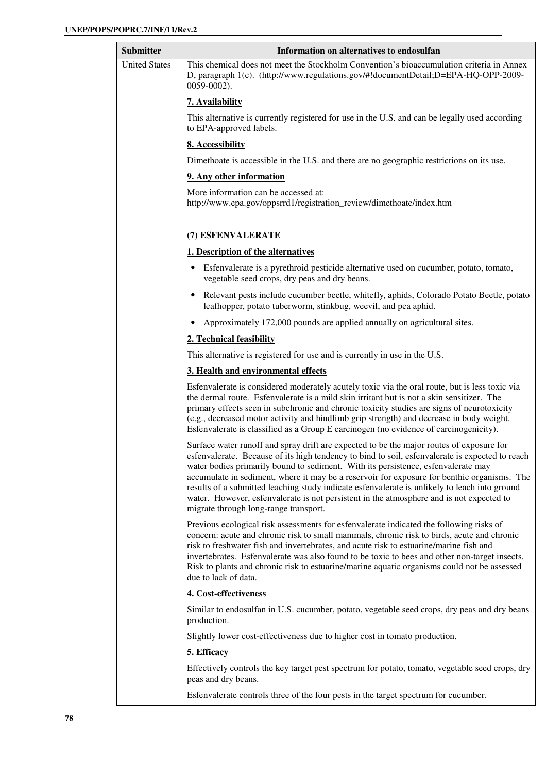| <b>Submitter</b>     | Information on alternatives to endosulfan                                                                                                                                                                                                                                                                                                                                                                                                                                                                                                                                                                             |
|----------------------|-----------------------------------------------------------------------------------------------------------------------------------------------------------------------------------------------------------------------------------------------------------------------------------------------------------------------------------------------------------------------------------------------------------------------------------------------------------------------------------------------------------------------------------------------------------------------------------------------------------------------|
| <b>United States</b> | This chemical does not meet the Stockholm Convention's bioaccumulation criteria in Annex<br>D, paragraph 1(c). (http://www.regulations.gov/#!documentDetail;D=EPA-HQ-OPP-2009-<br>$0059 - 0002$ ).                                                                                                                                                                                                                                                                                                                                                                                                                    |
|                      | 7. Availability                                                                                                                                                                                                                                                                                                                                                                                                                                                                                                                                                                                                       |
|                      | This alternative is currently registered for use in the U.S. and can be legally used according<br>to EPA-approved labels.                                                                                                                                                                                                                                                                                                                                                                                                                                                                                             |
|                      | 8. Accessibility                                                                                                                                                                                                                                                                                                                                                                                                                                                                                                                                                                                                      |
|                      | Dimethoate is accessible in the U.S. and there are no geographic restrictions on its use.                                                                                                                                                                                                                                                                                                                                                                                                                                                                                                                             |
|                      | 9. Any other information                                                                                                                                                                                                                                                                                                                                                                                                                                                                                                                                                                                              |
|                      | More information can be accessed at:<br>http://www.epa.gov/oppsrrd1/registration_review/dimethoate/index.htm                                                                                                                                                                                                                                                                                                                                                                                                                                                                                                          |
|                      | (7) ESFENVALERATE                                                                                                                                                                                                                                                                                                                                                                                                                                                                                                                                                                                                     |
|                      | 1. Description of the alternatives                                                                                                                                                                                                                                                                                                                                                                                                                                                                                                                                                                                    |
|                      | Esfenvalerate is a pyrethroid pesticide alternative used on cucumber, potato, tomato,<br>vegetable seed crops, dry peas and dry beans.                                                                                                                                                                                                                                                                                                                                                                                                                                                                                |
|                      | Relevant pests include cucumber beetle, whitefly, aphids, Colorado Potato Beetle, potato<br>leafhopper, potato tuberworm, stinkbug, weevil, and pea aphid.                                                                                                                                                                                                                                                                                                                                                                                                                                                            |
|                      | Approximately 172,000 pounds are applied annually on agricultural sites.                                                                                                                                                                                                                                                                                                                                                                                                                                                                                                                                              |
|                      | 2. Technical feasibility                                                                                                                                                                                                                                                                                                                                                                                                                                                                                                                                                                                              |
|                      | This alternative is registered for use and is currently in use in the U.S.                                                                                                                                                                                                                                                                                                                                                                                                                                                                                                                                            |
|                      | 3. Health and environmental effects                                                                                                                                                                                                                                                                                                                                                                                                                                                                                                                                                                                   |
|                      | Esfenvalerate is considered moderately acutely toxic via the oral route, but is less toxic via<br>the dermal route. Esfenvalerate is a mild skin irritant but is not a skin sensitizer. The<br>primary effects seen in subchronic and chronic toxicity studies are signs of neurotoxicity<br>(e.g., decreased motor activity and hindlimb grip strength) and decrease in body weight.<br>Esfenvalerate is classified as a Group E carcinogen (no evidence of carcinogenicity).                                                                                                                                        |
|                      | Surface water runoff and spray drift are expected to be the major routes of exposure for<br>esfenvalerate. Because of its high tendency to bind to soil, esfenvalerate is expected to reach<br>water bodies primarily bound to sediment. With its persistence, esfenvalerate may<br>accumulate in sediment, where it may be a reservoir for exposure for benthic organisms. The<br>results of a submitted leaching study indicate esfenvalerate is unlikely to leach into ground<br>water. However, esfenvalerate is not persistent in the atmosphere and is not expected to<br>migrate through long-range transport. |
|                      | Previous ecological risk assessments for esfenvalerate indicated the following risks of<br>concern: acute and chronic risk to small mammals, chronic risk to birds, acute and chronic<br>risk to freshwater fish and invertebrates, and acute risk to estuarine/marine fish and<br>invertebrates. Esfenvalerate was also found to be toxic to bees and other non-target insects.<br>Risk to plants and chronic risk to estuarine/marine aquatic organisms could not be assessed<br>due to lack of data.                                                                                                               |
|                      | 4. Cost-effectiveness                                                                                                                                                                                                                                                                                                                                                                                                                                                                                                                                                                                                 |
|                      | Similar to endosulfan in U.S. cucumber, potato, vegetable seed crops, dry peas and dry beans<br>production.                                                                                                                                                                                                                                                                                                                                                                                                                                                                                                           |
|                      | Slightly lower cost-effectiveness due to higher cost in tomato production.                                                                                                                                                                                                                                                                                                                                                                                                                                                                                                                                            |
|                      | 5. Efficacy                                                                                                                                                                                                                                                                                                                                                                                                                                                                                                                                                                                                           |
|                      | Effectively controls the key target pest spectrum for potato, tomato, vegetable seed crops, dry<br>peas and dry beans.                                                                                                                                                                                                                                                                                                                                                                                                                                                                                                |
|                      | Esfenvalerate controls three of the four pests in the target spectrum for cucumber.                                                                                                                                                                                                                                                                                                                                                                                                                                                                                                                                   |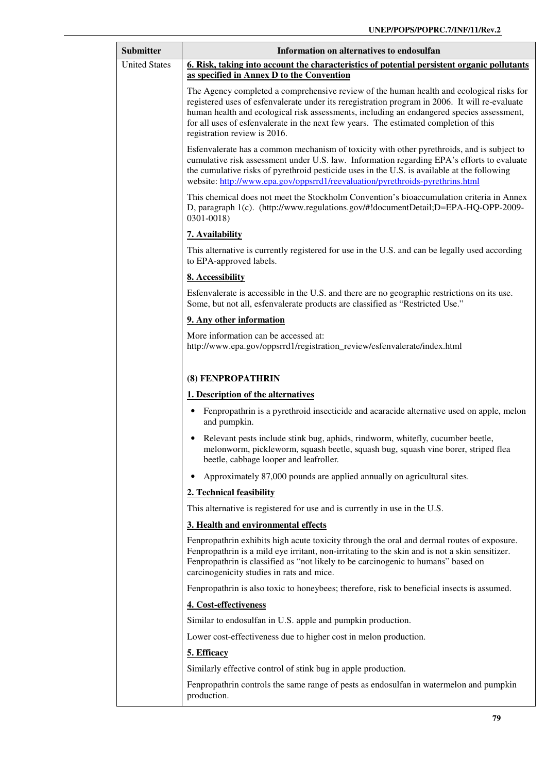| <b>Submitter</b>     | Information on alternatives to endosulfan                                                                                                                                                                                                                                                                                                                                                                        |
|----------------------|------------------------------------------------------------------------------------------------------------------------------------------------------------------------------------------------------------------------------------------------------------------------------------------------------------------------------------------------------------------------------------------------------------------|
| <b>United States</b> | 6. Risk, taking into account the characteristics of potential persistent organic pollutants                                                                                                                                                                                                                                                                                                                      |
|                      | as specified in Annex D to the Convention                                                                                                                                                                                                                                                                                                                                                                        |
|                      | The Agency completed a comprehensive review of the human health and ecological risks for<br>registered uses of esfenvalerate under its reregistration program in 2006. It will re-evaluate<br>human health and ecological risk assessments, including an endangered species assessment,<br>for all uses of esfenvalerate in the next few years. The estimated completion of this<br>registration review is 2016. |
|                      | Esfenvalerate has a common mechanism of toxicity with other pyrethroids, and is subject to<br>cumulative risk assessment under U.S. law. Information regarding EPA's efforts to evaluate<br>the cumulative risks of pyrethroid pesticide uses in the U.S. is available at the following<br>website: http://www.epa.gov/oppsrrd1/reevaluation/pyrethroids-pyrethrins.html                                         |
|                      | This chemical does not meet the Stockholm Convention's bioaccumulation criteria in Annex<br>D, paragraph 1(c). (http://www.regulations.gov/#!documentDetail;D=EPA-HQ-OPP-2009-<br>0301-0018)                                                                                                                                                                                                                     |
|                      | 7. Availability                                                                                                                                                                                                                                                                                                                                                                                                  |
|                      | This alternative is currently registered for use in the U.S. and can be legally used according<br>to EPA-approved labels.                                                                                                                                                                                                                                                                                        |
|                      | 8. Accessibility                                                                                                                                                                                                                                                                                                                                                                                                 |
|                      | Esfenvalerate is accessible in the U.S. and there are no geographic restrictions on its use.<br>Some, but not all, esfenvalerate products are classified as "Restricted Use."                                                                                                                                                                                                                                    |
|                      | 9. Any other information                                                                                                                                                                                                                                                                                                                                                                                         |
|                      | More information can be accessed at:<br>http://www.epa.gov/oppsrrd1/registration_review/esfenvalerate/index.html                                                                                                                                                                                                                                                                                                 |
|                      | (8) FENPROPATHRIN                                                                                                                                                                                                                                                                                                                                                                                                |
|                      | 1. Description of the alternatives                                                                                                                                                                                                                                                                                                                                                                               |
|                      | Fenpropathrin is a pyrethroid insecticide and acaracide alternative used on apple, melon<br>and pumpkin.                                                                                                                                                                                                                                                                                                         |
|                      | Relevant pests include stink bug, aphids, rindworm, whitefly, cucumber beetle,<br>melonworm, pickleworm, squash beetle, squash bug, squash vine borer, striped flea<br>beetle, cabbage looper and leafroller.                                                                                                                                                                                                    |
|                      | Approximately 87,000 pounds are applied annually on agricultural sites.                                                                                                                                                                                                                                                                                                                                          |
|                      | 2. Technical feasibility                                                                                                                                                                                                                                                                                                                                                                                         |
|                      | This alternative is registered for use and is currently in use in the U.S.                                                                                                                                                                                                                                                                                                                                       |
|                      | 3. Health and environmental effects                                                                                                                                                                                                                                                                                                                                                                              |
|                      | Fenpropathrin exhibits high acute toxicity through the oral and dermal routes of exposure.<br>Fenpropathrin is a mild eye irritant, non-irritating to the skin and is not a skin sensitizer.<br>Fenpropathrin is classified as "not likely to be carcinogenic to humans" based on<br>carcinogenicity studies in rats and mice.                                                                                   |
|                      | Fenpropathrin is also toxic to honeybees; therefore, risk to beneficial insects is assumed.                                                                                                                                                                                                                                                                                                                      |
|                      | 4. Cost-effectiveness                                                                                                                                                                                                                                                                                                                                                                                            |
|                      | Similar to endosulfan in U.S. apple and pumpkin production.                                                                                                                                                                                                                                                                                                                                                      |
|                      | Lower cost-effectiveness due to higher cost in melon production.                                                                                                                                                                                                                                                                                                                                                 |
|                      | 5. Efficacy                                                                                                                                                                                                                                                                                                                                                                                                      |
|                      | Similarly effective control of stink bug in apple production.                                                                                                                                                                                                                                                                                                                                                    |
|                      | Fenpropathrin controls the same range of pests as endosulfan in watermelon and pumpkin<br>production.                                                                                                                                                                                                                                                                                                            |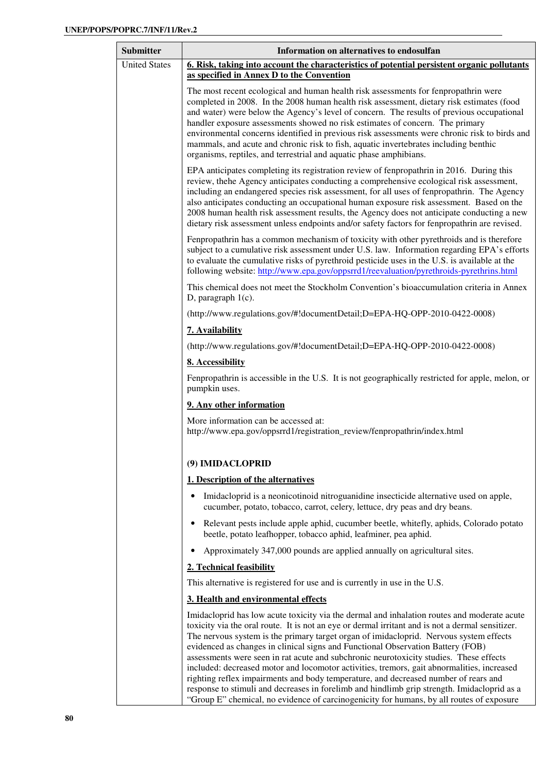| <b>Submitter</b>     | Information on alternatives to endosulfan                                                                                                                                                                                                                                                                                                                                                                                                                                                                                                                                                                                                                                                                                                                                                                                                              |
|----------------------|--------------------------------------------------------------------------------------------------------------------------------------------------------------------------------------------------------------------------------------------------------------------------------------------------------------------------------------------------------------------------------------------------------------------------------------------------------------------------------------------------------------------------------------------------------------------------------------------------------------------------------------------------------------------------------------------------------------------------------------------------------------------------------------------------------------------------------------------------------|
| <b>United States</b> | 6. Risk, taking into account the characteristics of potential persistent organic pollutants<br>as specified in Annex D to the Convention                                                                                                                                                                                                                                                                                                                                                                                                                                                                                                                                                                                                                                                                                                               |
|                      | The most recent ecological and human health risk assessments for fenpropathrin were<br>completed in 2008. In the 2008 human health risk assessment, dietary risk estimates (food<br>and water) were below the Agency's level of concern. The results of previous occupational<br>handler exposure assessments showed no risk estimates of concern. The primary<br>environmental concerns identified in previous risk assessments were chronic risk to birds and<br>mammals, and acute and chronic risk to fish, aquatic invertebrates including benthic<br>organisms, reptiles, and terrestrial and aquatic phase amphibians.                                                                                                                                                                                                                          |
|                      | EPA anticipates completing its registration review of fenpropathrin in 2016. During this<br>review, thehe Agency anticipates conducting a comprehensive ecological risk assessment,<br>including an endangered species risk assessment, for all uses of fenpropathrin. The Agency<br>also anticipates conducting an occupational human exposure risk assessment. Based on the<br>2008 human health risk assessment results, the Agency does not anticipate conducting a new<br>dietary risk assessment unless endpoints and/or safety factors for fenpropathrin are revised.                                                                                                                                                                                                                                                                           |
|                      | Fenpropathrin has a common mechanism of toxicity with other pyrethroids and is therefore<br>subject to a cumulative risk assessment under U.S. law. Information regarding EPA's efforts<br>to evaluate the cumulative risks of pyrethroid pesticide uses in the U.S. is available at the<br>following website: http://www.epa.gov/oppsrrd1/reevaluation/pyrethroids-pyrethrins.html                                                                                                                                                                                                                                                                                                                                                                                                                                                                    |
|                      | This chemical does not meet the Stockholm Convention's bioaccumulation criteria in Annex<br>D, paragraph $1(c)$ .                                                                                                                                                                                                                                                                                                                                                                                                                                                                                                                                                                                                                                                                                                                                      |
|                      | (http://www.regulations.gov/#!documentDetail;D=EPA-HQ-OPP-2010-0422-0008)                                                                                                                                                                                                                                                                                                                                                                                                                                                                                                                                                                                                                                                                                                                                                                              |
|                      | 7. Availability                                                                                                                                                                                                                                                                                                                                                                                                                                                                                                                                                                                                                                                                                                                                                                                                                                        |
|                      | (http://www.regulations.gov/#!documentDetail;D=EPA-HQ-OPP-2010-0422-0008)                                                                                                                                                                                                                                                                                                                                                                                                                                                                                                                                                                                                                                                                                                                                                                              |
|                      | 8. Accessibility                                                                                                                                                                                                                                                                                                                                                                                                                                                                                                                                                                                                                                                                                                                                                                                                                                       |
|                      | Fenpropathrin is accessible in the U.S. It is not geographically restricted for apple, melon, or<br>pumpkin uses.                                                                                                                                                                                                                                                                                                                                                                                                                                                                                                                                                                                                                                                                                                                                      |
|                      | 9. Any other information                                                                                                                                                                                                                                                                                                                                                                                                                                                                                                                                                                                                                                                                                                                                                                                                                               |
|                      | More information can be accessed at:<br>http://www.epa.gov/oppsrrd1/registration_review/fenpropathrin/index.html                                                                                                                                                                                                                                                                                                                                                                                                                                                                                                                                                                                                                                                                                                                                       |
|                      | (9) IMIDACLOPRID                                                                                                                                                                                                                                                                                                                                                                                                                                                                                                                                                                                                                                                                                                                                                                                                                                       |
|                      | 1. Description of the alternatives                                                                                                                                                                                                                                                                                                                                                                                                                                                                                                                                                                                                                                                                                                                                                                                                                     |
|                      | Imidacloprid is a neonicotinoid nitroguanidine insecticide alternative used on apple,<br>cucumber, potato, tobacco, carrot, celery, lettuce, dry peas and dry beans.                                                                                                                                                                                                                                                                                                                                                                                                                                                                                                                                                                                                                                                                                   |
|                      | Relevant pests include apple aphid, cucumber beetle, whitefly, aphids, Colorado potato<br>beetle, potato leafhopper, tobacco aphid, leafminer, pea aphid.                                                                                                                                                                                                                                                                                                                                                                                                                                                                                                                                                                                                                                                                                              |
|                      | Approximately 347,000 pounds are applied annually on agricultural sites.                                                                                                                                                                                                                                                                                                                                                                                                                                                                                                                                                                                                                                                                                                                                                                               |
|                      | 2. Technical feasibility                                                                                                                                                                                                                                                                                                                                                                                                                                                                                                                                                                                                                                                                                                                                                                                                                               |
|                      | This alternative is registered for use and is currently in use in the U.S.                                                                                                                                                                                                                                                                                                                                                                                                                                                                                                                                                                                                                                                                                                                                                                             |
|                      | 3. Health and environmental effects                                                                                                                                                                                                                                                                                                                                                                                                                                                                                                                                                                                                                                                                                                                                                                                                                    |
|                      | Imidacloprid has low acute toxicity via the dermal and inhalation routes and moderate acute<br>toxicity via the oral route. It is not an eye or dermal irritant and is not a dermal sensitizer.<br>The nervous system is the primary target organ of imidacloprid. Nervous system effects<br>evidenced as changes in clinical signs and Functional Observation Battery (FOB)<br>assessments were seen in rat acute and subchronic neurotoxicity studies. These effects<br>included: decreased motor and locomotor activities, tremors, gait abnormalities, increased<br>righting reflex impairments and body temperature, and decreased number of rears and<br>response to stimuli and decreases in forelimb and hindlimb grip strength. Imidacloprid as a<br>"Group E" chemical, no evidence of carcinogenicity for humans, by all routes of exposure |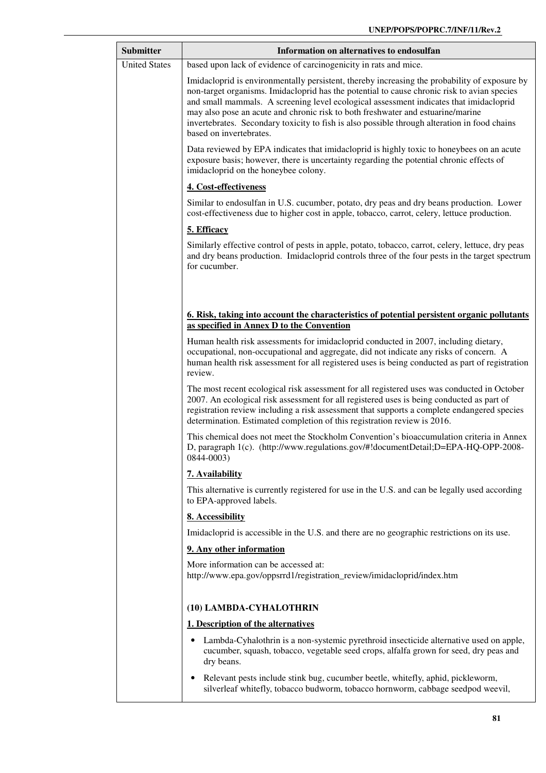| <b>Submitter</b>     | Information on alternatives to endosulfan                                                                                                                                                                                                                                                                                                                                                                                                                                                            |
|----------------------|------------------------------------------------------------------------------------------------------------------------------------------------------------------------------------------------------------------------------------------------------------------------------------------------------------------------------------------------------------------------------------------------------------------------------------------------------------------------------------------------------|
| <b>United States</b> | based upon lack of evidence of carcinogenicity in rats and mice.                                                                                                                                                                                                                                                                                                                                                                                                                                     |
|                      | Imidacloprid is environmentally persistent, thereby increasing the probability of exposure by<br>non-target organisms. Imidacloprid has the potential to cause chronic risk to avian species<br>and small mammals. A screening level ecological assessment indicates that imidacloprid<br>may also pose an acute and chronic risk to both freshwater and estuarine/marine<br>invertebrates. Secondary toxicity to fish is also possible through alteration in food chains<br>based on invertebrates. |
|                      | Data reviewed by EPA indicates that imidacloprid is highly toxic to honeybees on an acute<br>exposure basis; however, there is uncertainty regarding the potential chronic effects of<br>imidacloprid on the honeybee colony.                                                                                                                                                                                                                                                                        |
|                      | 4. Cost-effectiveness                                                                                                                                                                                                                                                                                                                                                                                                                                                                                |
|                      | Similar to endosulfan in U.S. cucumber, potato, dry peas and dry beans production. Lower<br>cost-effectiveness due to higher cost in apple, tobacco, carrot, celery, lettuce production.                                                                                                                                                                                                                                                                                                             |
|                      | 5. Efficacy                                                                                                                                                                                                                                                                                                                                                                                                                                                                                          |
|                      | Similarly effective control of pests in apple, potato, tobacco, carrot, celery, lettuce, dry peas<br>and dry beans production. Imidacloprid controls three of the four pests in the target spectrum<br>for cucumber.                                                                                                                                                                                                                                                                                 |
|                      | <u><b>6. Risk, taking into account the characteristics of potential persistent organic pollutants</b></u><br>as specified in Annex D to the Convention                                                                                                                                                                                                                                                                                                                                               |
|                      | Human health risk assessments for imidacloprid conducted in 2007, including dietary,<br>occupational, non-occupational and aggregate, did not indicate any risks of concern. A<br>human health risk assessment for all registered uses is being conducted as part of registration<br>review.                                                                                                                                                                                                         |
|                      | The most recent ecological risk assessment for all registered uses was conducted in October<br>2007. An ecological risk assessment for all registered uses is being conducted as part of<br>registration review including a risk assessment that supports a complete endangered species<br>determination. Estimated completion of this registration review is 2016.                                                                                                                                  |
|                      | This chemical does not meet the Stockholm Convention's bioaccumulation criteria in Annex<br>D, paragraph 1(c). (http://www.regulations.gov/#!documentDetail;D=EPA-HQ-OPP-2008-<br>0844-0003)                                                                                                                                                                                                                                                                                                         |
|                      | 7. Availability                                                                                                                                                                                                                                                                                                                                                                                                                                                                                      |
|                      | This alternative is currently registered for use in the U.S. and can be legally used according<br>to EPA-approved labels.                                                                                                                                                                                                                                                                                                                                                                            |
|                      | 8. Accessibility                                                                                                                                                                                                                                                                                                                                                                                                                                                                                     |
|                      | Imidacloprid is accessible in the U.S. and there are no geographic restrictions on its use.                                                                                                                                                                                                                                                                                                                                                                                                          |
|                      | 9. Any other information                                                                                                                                                                                                                                                                                                                                                                                                                                                                             |
|                      | More information can be accessed at:<br>http://www.epa.gov/oppsrrd1/registration_review/imidacloprid/index.htm                                                                                                                                                                                                                                                                                                                                                                                       |
|                      | (10) LAMBDA-CYHALOTHRIN                                                                                                                                                                                                                                                                                                                                                                                                                                                                              |
|                      | 1. Description of the alternatives                                                                                                                                                                                                                                                                                                                                                                                                                                                                   |
|                      | Lambda-Cyhalothrin is a non-systemic pyrethroid insecticide alternative used on apple,<br>cucumber, squash, tobacco, vegetable seed crops, alfalfa grown for seed, dry peas and<br>dry beans.                                                                                                                                                                                                                                                                                                        |
|                      | Relevant pests include stink bug, cucumber beetle, whitefly, aphid, pickleworm,<br>silverleaf whitefly, tobacco budworm, tobacco hornworm, cabbage seedpod weevil,                                                                                                                                                                                                                                                                                                                                   |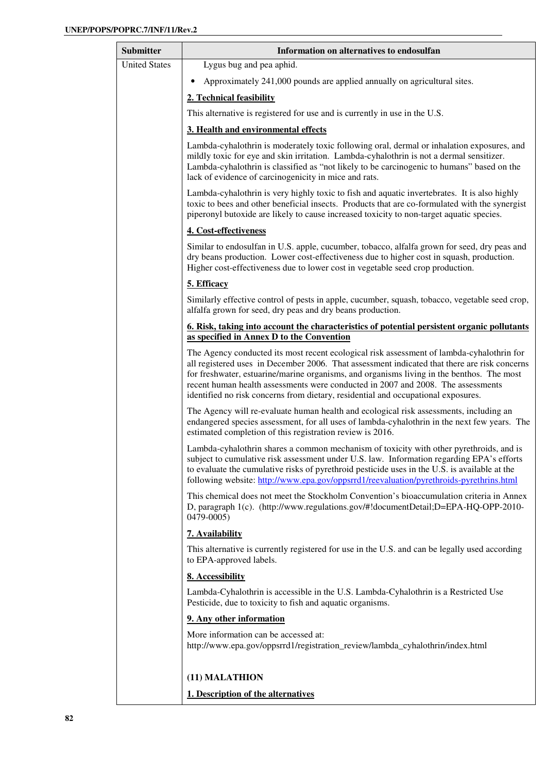| <b>Submitter</b>     | Information on alternatives to endosulfan                                                                                                                                                                                                                                                                                                                                                                                                                       |
|----------------------|-----------------------------------------------------------------------------------------------------------------------------------------------------------------------------------------------------------------------------------------------------------------------------------------------------------------------------------------------------------------------------------------------------------------------------------------------------------------|
| <b>United States</b> | Lygus bug and pea aphid.                                                                                                                                                                                                                                                                                                                                                                                                                                        |
|                      | Approximately 241,000 pounds are applied annually on agricultural sites.                                                                                                                                                                                                                                                                                                                                                                                        |
|                      | 2. Technical feasibility                                                                                                                                                                                                                                                                                                                                                                                                                                        |
|                      | This alternative is registered for use and is currently in use in the U.S.                                                                                                                                                                                                                                                                                                                                                                                      |
|                      | 3. Health and environmental effects                                                                                                                                                                                                                                                                                                                                                                                                                             |
|                      | Lambda-cyhalothrin is moderately toxic following oral, dermal or inhalation exposures, and<br>mildly toxic for eye and skin irritation. Lambda-cyhalothrin is not a dermal sensitizer.<br>Lambda-cyhalothrin is classified as "not likely to be carcinogenic to humans" based on the<br>lack of evidence of carcinogenicity in mice and rats.                                                                                                                   |
|                      | Lambda-cyhalothrin is very highly toxic to fish and aquatic invertebrates. It is also highly<br>toxic to bees and other beneficial insects. Products that are co-formulated with the synergist<br>piperonyl butoxide are likely to cause increased toxicity to non-target aquatic species.                                                                                                                                                                      |
|                      | 4. Cost-effectiveness                                                                                                                                                                                                                                                                                                                                                                                                                                           |
|                      | Similar to endosulfan in U.S. apple, cucumber, tobacco, alfalfa grown for seed, dry peas and<br>dry beans production. Lower cost-effectiveness due to higher cost in squash, production.<br>Higher cost-effectiveness due to lower cost in vegetable seed crop production.                                                                                                                                                                                      |
|                      | 5. Efficacy                                                                                                                                                                                                                                                                                                                                                                                                                                                     |
|                      | Similarly effective control of pests in apple, cucumber, squash, tobacco, vegetable seed crop,<br>alfalfa grown for seed, dry peas and dry beans production.                                                                                                                                                                                                                                                                                                    |
|                      | <u><b>6. Risk, taking into account the characteristics of potential persistent organic pollutants</b></u><br>as specified in Annex D to the Convention                                                                                                                                                                                                                                                                                                          |
|                      | The Agency conducted its most recent ecological risk assessment of lambda-cyhalothrin for<br>all registered uses in December 2006. That assessment indicated that there are risk concerns<br>for freshwater, estuarine/marine organisms, and organisms living in the benthos. The most<br>recent human health assessments were conducted in 2007 and 2008. The assessments<br>identified no risk concerns from dietary, residential and occupational exposures. |
|                      | The Agency will re-evaluate human health and ecological risk assessments, including an<br>endangered species assessment, for all uses of lambda-cyhalothrin in the next few years. The<br>estimated completion of this registration review is 2016.                                                                                                                                                                                                             |
|                      | Lambda-cyhalothrin shares a common mechanism of toxicity with other pyrethroids, and is<br>subject to cumulative risk assessment under U.S. law. Information regarding EPA's efforts<br>to evaluate the cumulative risks of pyrethroid pesticide uses in the U.S. is available at the<br>following website: http://www.epa.gov/oppsrrd1/reevaluation/pyrethroids-pyrethrins.html                                                                                |
|                      | This chemical does not meet the Stockholm Convention's bioaccumulation criteria in Annex<br>D, paragraph 1(c). (http://www.regulations.gov/#!documentDetail;D=EPA-HQ-OPP-2010-<br>0479-0005)                                                                                                                                                                                                                                                                    |
|                      | 7. Availability                                                                                                                                                                                                                                                                                                                                                                                                                                                 |
|                      | This alternative is currently registered for use in the U.S. and can be legally used according<br>to EPA-approved labels.                                                                                                                                                                                                                                                                                                                                       |
|                      | 8. Accessibility                                                                                                                                                                                                                                                                                                                                                                                                                                                |
|                      | Lambda-Cyhalothrin is accessible in the U.S. Lambda-Cyhalothrin is a Restricted Use<br>Pesticide, due to toxicity to fish and aquatic organisms.                                                                                                                                                                                                                                                                                                                |
|                      | 9. Any other information                                                                                                                                                                                                                                                                                                                                                                                                                                        |
|                      | More information can be accessed at:<br>http://www.epa.gov/oppsrrd1/registration_review/lambda_cyhalothrin/index.html                                                                                                                                                                                                                                                                                                                                           |
|                      | (11) MALATHION                                                                                                                                                                                                                                                                                                                                                                                                                                                  |

**1. Description of the alternatives**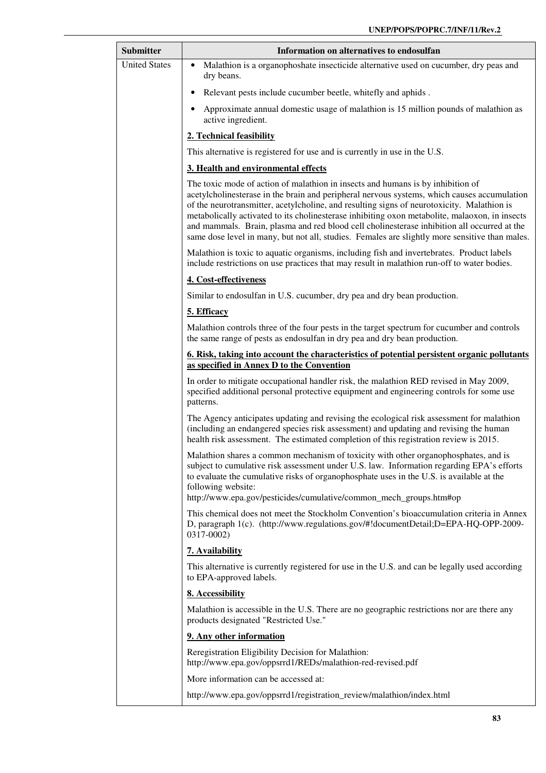| <b>Submitter</b>     | Information on alternatives to endosulfan                                                                                                                                                                                                                                                                                                                                                                                                                                                                                                                                       |
|----------------------|---------------------------------------------------------------------------------------------------------------------------------------------------------------------------------------------------------------------------------------------------------------------------------------------------------------------------------------------------------------------------------------------------------------------------------------------------------------------------------------------------------------------------------------------------------------------------------|
| <b>United States</b> | Malathion is a organophoshate insecticide alternative used on cucumber, dry peas and<br>$\bullet$<br>dry beans.                                                                                                                                                                                                                                                                                                                                                                                                                                                                 |
|                      | Relevant pests include cucumber beetle, whitefly and aphids.                                                                                                                                                                                                                                                                                                                                                                                                                                                                                                                    |
|                      | Approximate annual domestic usage of malathion is 15 million pounds of malathion as<br>active ingredient.                                                                                                                                                                                                                                                                                                                                                                                                                                                                       |
|                      | 2. Technical feasibility                                                                                                                                                                                                                                                                                                                                                                                                                                                                                                                                                        |
|                      | This alternative is registered for use and is currently in use in the U.S.                                                                                                                                                                                                                                                                                                                                                                                                                                                                                                      |
|                      | 3. Health and environmental effects                                                                                                                                                                                                                                                                                                                                                                                                                                                                                                                                             |
|                      | The toxic mode of action of malathion in insects and humans is by inhibition of<br>acetylcholinesterase in the brain and peripheral nervous systems, which causes accumulation<br>of the neurotransmitter, acetylcholine, and resulting signs of neurotoxicity. Malathion is<br>metabolically activated to its cholinesterase inhibiting oxon metabolite, malaoxon, in insects<br>and mammals. Brain, plasma and red blood cell cholinesterase inhibition all occurred at the<br>same dose level in many, but not all, studies. Females are slightly more sensitive than males. |
|                      | Malathion is toxic to aquatic organisms, including fish and invertebrates. Product labels<br>include restrictions on use practices that may result in malathion run-off to water bodies.                                                                                                                                                                                                                                                                                                                                                                                        |
|                      | 4. Cost-effectiveness                                                                                                                                                                                                                                                                                                                                                                                                                                                                                                                                                           |
|                      | Similar to endosulfan in U.S. cucumber, dry pea and dry bean production.                                                                                                                                                                                                                                                                                                                                                                                                                                                                                                        |
|                      | 5. Efficacy                                                                                                                                                                                                                                                                                                                                                                                                                                                                                                                                                                     |
|                      | Malathion controls three of the four pests in the target spectrum for cucumber and controls<br>the same range of pests as endosulfan in dry pea and dry bean production.                                                                                                                                                                                                                                                                                                                                                                                                        |
|                      | <u>6. Risk, taking into account the characteristics of potential persistent organic pollutants</u><br>as specified in Annex D to the Convention                                                                                                                                                                                                                                                                                                                                                                                                                                 |
|                      | In order to mitigate occupational handler risk, the malathion RED revised in May 2009,<br>specified additional personal protective equipment and engineering controls for some use<br>patterns.                                                                                                                                                                                                                                                                                                                                                                                 |
|                      | The Agency anticipates updating and revising the ecological risk assessment for malathion<br>(including an endangered species risk assessment) and updating and revising the human<br>health risk assessment. The estimated completion of this registration review is 2015.                                                                                                                                                                                                                                                                                                     |
|                      | Malathion shares a common mechanism of toxicity with other organophosphates, and is<br>subject to cumulative risk assessment under U.S. law. Information regarding EPA's efforts<br>to evaluate the cumulative risks of organophosphate uses in the U.S. is available at the<br>following website:<br>http://www.epa.gov/pesticides/cumulative/common_mech_groups.htm#op                                                                                                                                                                                                        |
|                      | This chemical does not meet the Stockholm Convention's bioaccumulation criteria in Annex                                                                                                                                                                                                                                                                                                                                                                                                                                                                                        |
|                      | D, paragraph 1(c). (http://www.regulations.gov/#!documentDetail;D=EPA-HQ-OPP-2009-<br>0317-0002)                                                                                                                                                                                                                                                                                                                                                                                                                                                                                |
|                      | 7. Availability                                                                                                                                                                                                                                                                                                                                                                                                                                                                                                                                                                 |
|                      | This alternative is currently registered for use in the U.S. and can be legally used according<br>to EPA-approved labels.                                                                                                                                                                                                                                                                                                                                                                                                                                                       |
|                      | 8. Accessibility                                                                                                                                                                                                                                                                                                                                                                                                                                                                                                                                                                |
|                      | Malathion is accessible in the U.S. There are no geographic restrictions nor are there any<br>products designated "Restricted Use."                                                                                                                                                                                                                                                                                                                                                                                                                                             |
|                      | 9. Any other information                                                                                                                                                                                                                                                                                                                                                                                                                                                                                                                                                        |
|                      | Reregistration Eligibility Decision for Malathion:<br>http://www.epa.gov/oppsrrd1/REDs/malathion-red-revised.pdf                                                                                                                                                                                                                                                                                                                                                                                                                                                                |
|                      | More information can be accessed at:                                                                                                                                                                                                                                                                                                                                                                                                                                                                                                                                            |
|                      | http://www.epa.gov/oppsrrd1/registration_review/malathion/index.html                                                                                                                                                                                                                                                                                                                                                                                                                                                                                                            |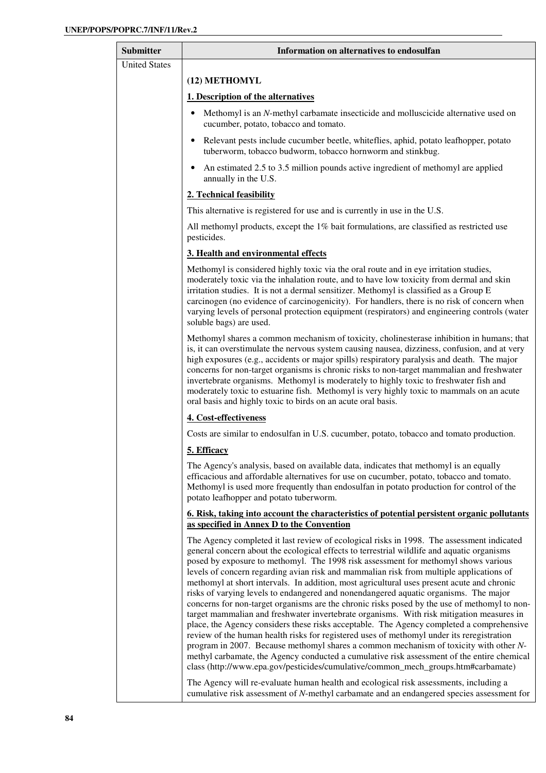| Submitter            | Information on alternatives to endosulfan                                                                                                                                                                                                                                                                                                                                                                                                                                                                                                                                                                                                                                                                                                                                                                                                                                                                                                                                                                                                                                                                                                                                                                                                                                                                                |
|----------------------|--------------------------------------------------------------------------------------------------------------------------------------------------------------------------------------------------------------------------------------------------------------------------------------------------------------------------------------------------------------------------------------------------------------------------------------------------------------------------------------------------------------------------------------------------------------------------------------------------------------------------------------------------------------------------------------------------------------------------------------------------------------------------------------------------------------------------------------------------------------------------------------------------------------------------------------------------------------------------------------------------------------------------------------------------------------------------------------------------------------------------------------------------------------------------------------------------------------------------------------------------------------------------------------------------------------------------|
| <b>United States</b> |                                                                                                                                                                                                                                                                                                                                                                                                                                                                                                                                                                                                                                                                                                                                                                                                                                                                                                                                                                                                                                                                                                                                                                                                                                                                                                                          |
|                      | (12) METHOMYL                                                                                                                                                                                                                                                                                                                                                                                                                                                                                                                                                                                                                                                                                                                                                                                                                                                                                                                                                                                                                                                                                                                                                                                                                                                                                                            |
|                      | 1. Description of the alternatives                                                                                                                                                                                                                                                                                                                                                                                                                                                                                                                                                                                                                                                                                                                                                                                                                                                                                                                                                                                                                                                                                                                                                                                                                                                                                       |
|                      | Methomyl is an N-methyl carbamate insecticide and molluscicide alternative used on<br>cucumber, potato, tobacco and tomato.                                                                                                                                                                                                                                                                                                                                                                                                                                                                                                                                                                                                                                                                                                                                                                                                                                                                                                                                                                                                                                                                                                                                                                                              |
|                      | • Relevant pests include cucumber beetle, whiteflies, aphid, potato leafhopper, potato<br>tuberworm, tobacco budworm, tobacco hornworm and stinkbug.                                                                                                                                                                                                                                                                                                                                                                                                                                                                                                                                                                                                                                                                                                                                                                                                                                                                                                                                                                                                                                                                                                                                                                     |
|                      | An estimated 2.5 to 3.5 million pounds active ingredient of methomyl are applied<br>$\bullet$<br>annually in the U.S.                                                                                                                                                                                                                                                                                                                                                                                                                                                                                                                                                                                                                                                                                                                                                                                                                                                                                                                                                                                                                                                                                                                                                                                                    |
|                      | 2. Technical feasibility                                                                                                                                                                                                                                                                                                                                                                                                                                                                                                                                                                                                                                                                                                                                                                                                                                                                                                                                                                                                                                                                                                                                                                                                                                                                                                 |
|                      | This alternative is registered for use and is currently in use in the U.S.                                                                                                                                                                                                                                                                                                                                                                                                                                                                                                                                                                                                                                                                                                                                                                                                                                                                                                                                                                                                                                                                                                                                                                                                                                               |
|                      | All methomyl products, except the $1\%$ bait formulations, are classified as restricted use<br>pesticides.                                                                                                                                                                                                                                                                                                                                                                                                                                                                                                                                                                                                                                                                                                                                                                                                                                                                                                                                                                                                                                                                                                                                                                                                               |
|                      | 3. Health and environmental effects                                                                                                                                                                                                                                                                                                                                                                                                                                                                                                                                                                                                                                                                                                                                                                                                                                                                                                                                                                                                                                                                                                                                                                                                                                                                                      |
|                      | Methomyl is considered highly toxic via the oral route and in eye irritation studies,<br>moderately toxic via the inhalation route, and to have low toxicity from dermal and skin<br>irritation studies. It is not a dermal sensitizer. Methomyl is classified as a Group E<br>carcinogen (no evidence of carcinogenicity). For handlers, there is no risk of concern when<br>varying levels of personal protection equipment (respirators) and engineering controls (water<br>soluble bags) are used.                                                                                                                                                                                                                                                                                                                                                                                                                                                                                                                                                                                                                                                                                                                                                                                                                   |
|                      | Methomyl shares a common mechanism of toxicity, cholinesterase inhibition in humans; that<br>is, it can overstimulate the nervous system causing nausea, dizziness, confusion, and at very<br>high exposures (e.g., accidents or major spills) respiratory paralysis and death. The major<br>concerns for non-target organisms is chronic risks to non-target mammalian and freshwater<br>invertebrate organisms. Methomyl is moderately to highly toxic to freshwater fish and<br>moderately toxic to estuarine fish. Methomyl is very highly toxic to mammals on an acute<br>oral basis and highly toxic to birds on an acute oral basis.                                                                                                                                                                                                                                                                                                                                                                                                                                                                                                                                                                                                                                                                              |
|                      | 4. Cost-effectiveness                                                                                                                                                                                                                                                                                                                                                                                                                                                                                                                                                                                                                                                                                                                                                                                                                                                                                                                                                                                                                                                                                                                                                                                                                                                                                                    |
|                      | Costs are similar to endosulfan in U.S. cucumber, potato, tobacco and tomato production.                                                                                                                                                                                                                                                                                                                                                                                                                                                                                                                                                                                                                                                                                                                                                                                                                                                                                                                                                                                                                                                                                                                                                                                                                                 |
|                      | 5. Efficacy                                                                                                                                                                                                                                                                                                                                                                                                                                                                                                                                                                                                                                                                                                                                                                                                                                                                                                                                                                                                                                                                                                                                                                                                                                                                                                              |
|                      | The Agency's analysis, based on available data, indicates that methomyl is an equally<br>efficacious and affordable alternatives for use on cucumber, potato, tobacco and tomato.<br>Methomyl is used more frequently than endosulfan in potato production for control of the<br>potato leafhopper and potato tuberworm.                                                                                                                                                                                                                                                                                                                                                                                                                                                                                                                                                                                                                                                                                                                                                                                                                                                                                                                                                                                                 |
|                      | <u><b>6. Risk, taking into account the characteristics of potential persistent organic pollutants</b></u><br>as specified in Annex D to the Convention                                                                                                                                                                                                                                                                                                                                                                                                                                                                                                                                                                                                                                                                                                                                                                                                                                                                                                                                                                                                                                                                                                                                                                   |
|                      | The Agency completed it last review of ecological risks in 1998. The assessment indicated<br>general concern about the ecological effects to terrestrial wildlife and aquatic organisms<br>posed by exposure to methomyl. The 1998 risk assessment for methomyl shows various<br>levels of concern regarding avian risk and mammalian risk from multiple applications of<br>methomyl at short intervals. In addition, most agricultural uses present acute and chronic<br>risks of varying levels to endangered and nonendangered aquatic organisms. The major<br>concerns for non-target organisms are the chronic risks posed by the use of methomyl to non-<br>target mammalian and freshwater invertebrate organisms. With risk mitigation measures in<br>place, the Agency considers these risks acceptable. The Agency completed a comprehensive<br>review of the human health risks for registered uses of methomyl under its reregistration<br>program in 2007. Because methomyl shares a common mechanism of toxicity with other N-<br>methyl carbamate, the Agency conducted a cumulative risk assessment of the entire chemical<br>class (http://www.epa.gov/pesticides/cumulative/common_mech_groups.htm#carbamate)<br>The Agency will re-evaluate human health and ecological risk assessments, including a |
|                      | cumulative risk assessment of N-methyl carbamate and an endangered species assessment for                                                                                                                                                                                                                                                                                                                                                                                                                                                                                                                                                                                                                                                                                                                                                                                                                                                                                                                                                                                                                                                                                                                                                                                                                                |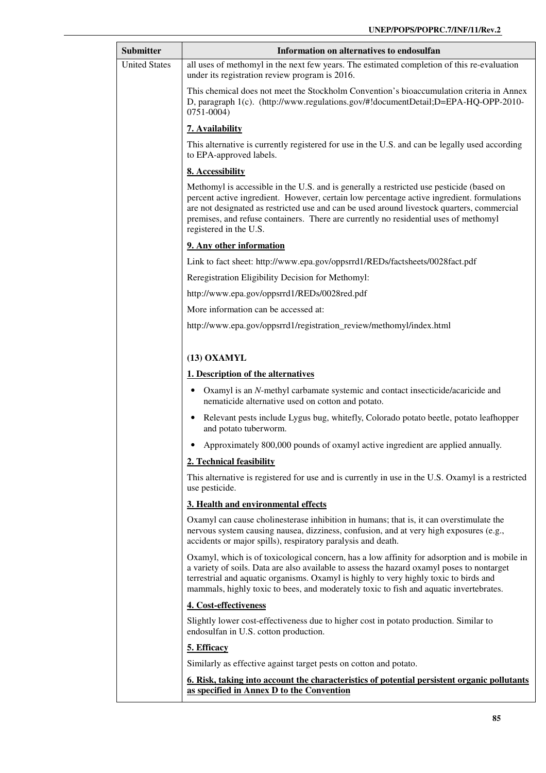| Submitter            | Information on alternatives to endosulfan                                                                                                                                                                                                                                                                                                                                                              |
|----------------------|--------------------------------------------------------------------------------------------------------------------------------------------------------------------------------------------------------------------------------------------------------------------------------------------------------------------------------------------------------------------------------------------------------|
| <b>United States</b> | all uses of methomyl in the next few years. The estimated completion of this re-evaluation<br>under its registration review program is 2016.                                                                                                                                                                                                                                                           |
|                      | This chemical does not meet the Stockholm Convention's bioaccumulation criteria in Annex<br>D, paragraph 1(c). (http://www.regulations.gov/#!documentDetail;D=EPA-HQ-OPP-2010-<br>$0751 - 0004$                                                                                                                                                                                                        |
|                      | 7. Availability                                                                                                                                                                                                                                                                                                                                                                                        |
|                      | This alternative is currently registered for use in the U.S. and can be legally used according<br>to EPA-approved labels.                                                                                                                                                                                                                                                                              |
|                      | 8. Accessibility                                                                                                                                                                                                                                                                                                                                                                                       |
|                      | Methomyl is accessible in the U.S. and is generally a restricted use pesticide (based on<br>percent active ingredient. However, certain low percentage active ingredient. formulations<br>are not designated as restricted use and can be used around livestock quarters, commercial<br>premises, and refuse containers. There are currently no residential uses of methomyl<br>registered in the U.S. |
|                      | 9. Any other information                                                                                                                                                                                                                                                                                                                                                                               |
|                      | Link to fact sheet: http://www.epa.gov/oppsrrd1/REDs/factsheets/0028fact.pdf                                                                                                                                                                                                                                                                                                                           |
|                      | Reregistration Eligibility Decision for Methomyl:                                                                                                                                                                                                                                                                                                                                                      |
|                      | http://www.epa.gov/oppsrrd1/REDs/0028red.pdf                                                                                                                                                                                                                                                                                                                                                           |
|                      | More information can be accessed at:                                                                                                                                                                                                                                                                                                                                                                   |
|                      | http://www.epa.gov/oppsrrd1/registration_review/methomyl/index.html                                                                                                                                                                                                                                                                                                                                    |
|                      | $(13)$ OXAMYL                                                                                                                                                                                                                                                                                                                                                                                          |
|                      | 1. Description of the alternatives                                                                                                                                                                                                                                                                                                                                                                     |
|                      | Oxamyl is an N-methyl carbamate systemic and contact insecticide/acaricide and<br>nematicide alternative used on cotton and potato.                                                                                                                                                                                                                                                                    |
|                      | Relevant pests include Lygus bug, whitefly, Colorado potato beetle, potato leafhopper<br>and potato tuberworm.                                                                                                                                                                                                                                                                                         |
|                      | Approximately 800,000 pounds of oxamyl active ingredient are applied annually.                                                                                                                                                                                                                                                                                                                         |
|                      | 2. Technical feasibility                                                                                                                                                                                                                                                                                                                                                                               |
|                      | This alternative is registered for use and is currently in use in the U.S. Oxamyl is a restricted<br>use pesticide.                                                                                                                                                                                                                                                                                    |
|                      | 3. Health and environmental effects                                                                                                                                                                                                                                                                                                                                                                    |
|                      | Oxamyl can cause cholinesterase inhibition in humans; that is, it can overstimulate the<br>nervous system causing nausea, dizziness, confusion, and at very high exposures (e.g.,<br>accidents or major spills), respiratory paralysis and death.                                                                                                                                                      |
|                      | Oxamyl, which is of toxicological concern, has a low affinity for adsorption and is mobile in<br>a variety of soils. Data are also available to assess the hazard oxamyl poses to nontarget<br>terrestrial and aquatic organisms. Oxamyl is highly to very highly toxic to birds and<br>mammals, highly toxic to bees, and moderately toxic to fish and aquatic invertebrates.                         |
|                      | 4. Cost-effectiveness                                                                                                                                                                                                                                                                                                                                                                                  |
|                      | Slightly lower cost-effectiveness due to higher cost in potato production. Similar to<br>endosulfan in U.S. cotton production.                                                                                                                                                                                                                                                                         |
|                      | 5. Efficacy                                                                                                                                                                                                                                                                                                                                                                                            |
|                      | Similarly as effective against target pests on cotton and potato.                                                                                                                                                                                                                                                                                                                                      |
|                      | 6. Risk, taking into account the characteristics of potential persistent organic pollutants<br>as specified in Annex D to the Convention                                                                                                                                                                                                                                                               |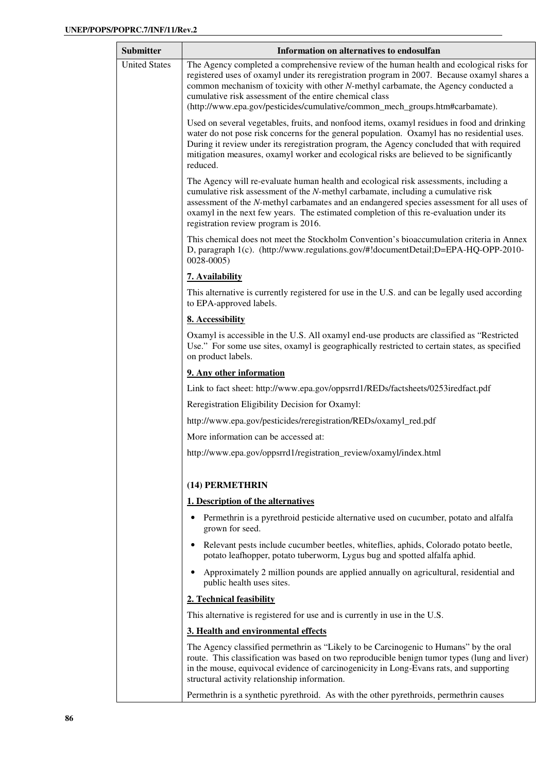| <b>Submitter</b>     | Information on alternatives to endosulfan                                                                                                                                                                                                                                                                                                                                                                                |
|----------------------|--------------------------------------------------------------------------------------------------------------------------------------------------------------------------------------------------------------------------------------------------------------------------------------------------------------------------------------------------------------------------------------------------------------------------|
| <b>United States</b> | The Agency completed a comprehensive review of the human health and ecological risks for<br>registered uses of oxamyl under its reregistration program in 2007. Because oxamyl shares a<br>common mechanism of toxicity with other N-methyl carbamate, the Agency conducted a<br>cumulative risk assessment of the entire chemical class<br>(http://www.epa.gov/pesticides/cumulative/common_mech_groups.htm#carbamate). |
|                      | Used on several vegetables, fruits, and nonfood items, oxamyl residues in food and drinking<br>water do not pose risk concerns for the general population. Oxamyl has no residential uses.<br>During it review under its reregistration program, the Agency concluded that with required<br>mitigation measures, oxamyl worker and ecological risks are believed to be significantly<br>reduced.                         |
|                      | The Agency will re-evaluate human health and ecological risk assessments, including a<br>cumulative risk assessment of the N-methyl carbamate, including a cumulative risk<br>assessment of the N-methyl carbamates and an endangered species assessment for all uses of<br>oxamyl in the next few years. The estimated completion of this re-evaluation under its<br>registration review program is 2016.               |
|                      | This chemical does not meet the Stockholm Convention's bioaccumulation criteria in Annex<br>D, paragraph 1(c). (http://www.regulations.gov/#!documentDetail;D=EPA-HQ-OPP-2010-<br>$0028 - 0005$                                                                                                                                                                                                                          |
|                      | 7. Availability                                                                                                                                                                                                                                                                                                                                                                                                          |
|                      | This alternative is currently registered for use in the U.S. and can be legally used according<br>to EPA-approved labels.                                                                                                                                                                                                                                                                                                |
|                      | 8. Accessibility                                                                                                                                                                                                                                                                                                                                                                                                         |
|                      | Oxamyl is accessible in the U.S. All oxamyl end-use products are classified as "Restricted"<br>Use." For some use sites, oxamyl is geographically restricted to certain states, as specified<br>on product labels.                                                                                                                                                                                                       |
|                      | 9. Any other information                                                                                                                                                                                                                                                                                                                                                                                                 |
|                      | Link to fact sheet: http://www.epa.gov/oppsrrd1/REDs/factsheets/0253iredfact.pdf                                                                                                                                                                                                                                                                                                                                         |
|                      | Reregistration Eligibility Decision for Oxamyl:                                                                                                                                                                                                                                                                                                                                                                          |
|                      | http://www.epa.gov/pesticides/reregistration/REDs/oxamyl_red.pdf                                                                                                                                                                                                                                                                                                                                                         |
|                      | More information can be accessed at:                                                                                                                                                                                                                                                                                                                                                                                     |
|                      | http://www.epa.gov/oppsrrd1/registration_review/oxamyl/index.html                                                                                                                                                                                                                                                                                                                                                        |
|                      | (14) PERMETHRIN                                                                                                                                                                                                                                                                                                                                                                                                          |
|                      | 1. Description of the alternatives                                                                                                                                                                                                                                                                                                                                                                                       |
|                      | Permethrin is a pyrethroid pesticide alternative used on cucumber, potato and alfalfa<br>grown for seed.                                                                                                                                                                                                                                                                                                                 |
|                      | Relevant pests include cucumber beetles, whiteflies, aphids, Colorado potato beetle,<br>potato leafhopper, potato tuberworm, Lygus bug and spotted alfalfa aphid.                                                                                                                                                                                                                                                        |
|                      | Approximately 2 million pounds are applied annually on agricultural, residential and<br>public health uses sites.                                                                                                                                                                                                                                                                                                        |
|                      | 2. Technical feasibility                                                                                                                                                                                                                                                                                                                                                                                                 |
|                      | This alternative is registered for use and is currently in use in the U.S.                                                                                                                                                                                                                                                                                                                                               |
|                      | 3. Health and environmental effects                                                                                                                                                                                                                                                                                                                                                                                      |
|                      | The Agency classified permethrin as "Likely to be Carcinogenic to Humans" by the oral<br>route. This classification was based on two reproducible benign tumor types (lung and liver)<br>in the mouse, equivocal evidence of carcinogenicity in Long-Evans rats, and supporting<br>structural activity relationship information.                                                                                         |
|                      | Permethrin is a synthetic pyrethroid. As with the other pyrethroids, permethrin causes                                                                                                                                                                                                                                                                                                                                   |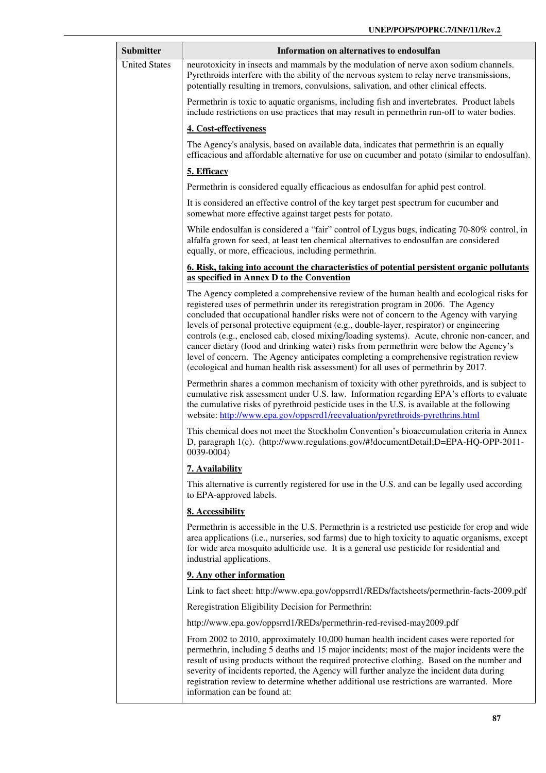| Submitter            | Information on alternatives to endosulfan                                                                                                                                                                                                                                                                                                                                                                                                                                                                                                                                                                                                                                                                                                       |
|----------------------|-------------------------------------------------------------------------------------------------------------------------------------------------------------------------------------------------------------------------------------------------------------------------------------------------------------------------------------------------------------------------------------------------------------------------------------------------------------------------------------------------------------------------------------------------------------------------------------------------------------------------------------------------------------------------------------------------------------------------------------------------|
| <b>United States</b> | neurotoxicity in insects and mammals by the modulation of nerve axon sodium channels.<br>Pyrethroids interfere with the ability of the nervous system to relay nerve transmissions,<br>potentially resulting in tremors, convulsions, salivation, and other clinical effects.                                                                                                                                                                                                                                                                                                                                                                                                                                                                   |
|                      | Permethrin is toxic to aquatic organisms, including fish and invertebrates. Product labels<br>include restrictions on use practices that may result in permethrin run-off to water bodies.                                                                                                                                                                                                                                                                                                                                                                                                                                                                                                                                                      |
|                      | 4. Cost-effectiveness                                                                                                                                                                                                                                                                                                                                                                                                                                                                                                                                                                                                                                                                                                                           |
|                      | The Agency's analysis, based on available data, indicates that permethrin is an equally<br>efficacious and affordable alternative for use on cucumber and potato (similar to endosulfan).                                                                                                                                                                                                                                                                                                                                                                                                                                                                                                                                                       |
|                      | 5. Efficacy                                                                                                                                                                                                                                                                                                                                                                                                                                                                                                                                                                                                                                                                                                                                     |
|                      | Permethrin is considered equally efficacious as endosulfan for aphid pest control.                                                                                                                                                                                                                                                                                                                                                                                                                                                                                                                                                                                                                                                              |
|                      | It is considered an effective control of the key target pest spectrum for cucumber and<br>somewhat more effective against target pests for potato.                                                                                                                                                                                                                                                                                                                                                                                                                                                                                                                                                                                              |
|                      | While endosulfan is considered a "fair" control of Lygus bugs, indicating 70-80% control, in<br>alfalfa grown for seed, at least ten chemical alternatives to endosulfan are considered<br>equally, or more, efficacious, including permethrin.                                                                                                                                                                                                                                                                                                                                                                                                                                                                                                 |
|                      | 6. Risk, taking into account the characteristics of potential persistent organic pollutants<br>as specified in Annex D to the Convention                                                                                                                                                                                                                                                                                                                                                                                                                                                                                                                                                                                                        |
|                      | The Agency completed a comprehensive review of the human health and ecological risks for<br>registered uses of permethrin under its reregistration program in 2006. The Agency<br>concluded that occupational handler risks were not of concern to the Agency with varying<br>levels of personal protective equipment (e.g., double-layer, respirator) or engineering<br>controls (e.g., enclosed cab, closed mixing/loading systems). Acute, chronic non-cancer, and<br>cancer dietary (food and drinking water) risks from permethrin were below the Agency's<br>level of concern. The Agency anticipates completing a comprehensive registration review<br>(ecological and human health risk assessment) for all uses of permethrin by 2017. |
|                      | Permethrin shares a common mechanism of toxicity with other pyrethroids, and is subject to<br>cumulative risk assessment under U.S. law. Information regarding EPA's efforts to evaluate<br>the cumulative risks of pyrethroid pesticide uses in the U.S. is available at the following<br>website: http://www.epa.gov/oppsrrd1/reevaluation/pyrethroids-pyrethrins.html                                                                                                                                                                                                                                                                                                                                                                        |
|                      | This chemical does not meet the Stockholm Convention's bioaccumulation criteria in Annex<br>D, paragraph 1(c). (http://www.regulations.gov/#!documentDetail;D=EPA-HQ-OPP-2011-<br>0039-0004)                                                                                                                                                                                                                                                                                                                                                                                                                                                                                                                                                    |
|                      | 7. Availability                                                                                                                                                                                                                                                                                                                                                                                                                                                                                                                                                                                                                                                                                                                                 |
|                      | This alternative is currently registered for use in the U.S. and can be legally used according<br>to EPA-approved labels.                                                                                                                                                                                                                                                                                                                                                                                                                                                                                                                                                                                                                       |
|                      | 8. Accessibility                                                                                                                                                                                                                                                                                                                                                                                                                                                                                                                                                                                                                                                                                                                                |
|                      | Permethrin is accessible in the U.S. Permethrin is a restricted use pesticide for crop and wide<br>area applications (i.e., nurseries, sod farms) due to high toxicity to aquatic organisms, except<br>for wide area mosquito adulticide use. It is a general use pesticide for residential and<br>industrial applications.                                                                                                                                                                                                                                                                                                                                                                                                                     |
|                      | 9. Any other information                                                                                                                                                                                                                                                                                                                                                                                                                                                                                                                                                                                                                                                                                                                        |
|                      | Link to fact sheet: http://www.epa.gov/oppsrrd1/REDs/factsheets/permethrin-facts-2009.pdf                                                                                                                                                                                                                                                                                                                                                                                                                                                                                                                                                                                                                                                       |
|                      | Reregistration Eligibility Decision for Permethrin:                                                                                                                                                                                                                                                                                                                                                                                                                                                                                                                                                                                                                                                                                             |
|                      | http://www.epa.gov/oppsrrd1/REDs/permethrin-red-revised-may2009.pdf                                                                                                                                                                                                                                                                                                                                                                                                                                                                                                                                                                                                                                                                             |
|                      | From 2002 to 2010, approximately 10,000 human health incident cases were reported for<br>permethrin, including 5 deaths and 15 major incidents; most of the major incidents were the<br>result of using products without the required protective clothing. Based on the number and<br>severity of incidents reported, the Agency will further analyze the incident data during<br>registration review to determine whether additional use restrictions are warranted. More<br>information can be found at:                                                                                                                                                                                                                                      |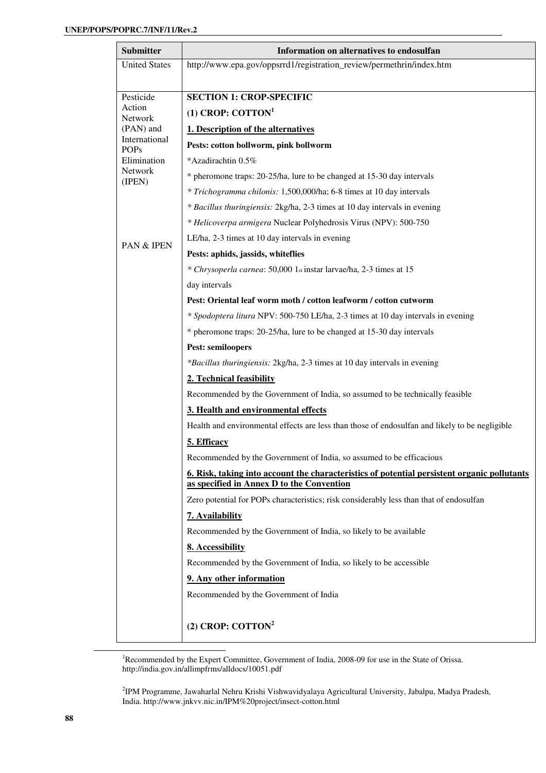| <b>Submitter</b>             | Information on alternatives to endosulfan                                                                                                |
|------------------------------|------------------------------------------------------------------------------------------------------------------------------------------|
| <b>United States</b>         | http://www.epa.gov/oppsrrd1/registration_review/permethrin/index.htm                                                                     |
|                              |                                                                                                                                          |
| Pesticide                    | <b>SECTION 1: CROP-SPECIFIC</b>                                                                                                          |
| Action<br><b>Network</b>     | $(1)$ CROP: COTTON <sup>1</sup>                                                                                                          |
| (PAN) and                    | 1. Description of the alternatives                                                                                                       |
| International<br><b>POPs</b> | Pests: cotton bollworm, pink bollworm                                                                                                    |
| Elimination                  | *Azadirachtin 0.5%                                                                                                                       |
| Network<br>(IPEN)            | * pheromone traps: 20-25/ha, lure to be changed at 15-30 day intervals                                                                   |
|                              | * Trichogramma chilonis: 1,500,000/ha; 6-8 times at 10 day intervals                                                                     |
|                              | * Bacillus thuringiensis: 2kg/ha, 2-3 times at 10 day intervals in evening                                                               |
|                              | * Helicoverpa armigera Nuclear Polyhedrosis Virus (NPV): 500-750                                                                         |
| <b>PAN &amp; IPEN</b>        | LE/ha, 2-3 times at 10 day intervals in evening                                                                                          |
|                              | Pests: aphids, jassids, whiteflies                                                                                                       |
|                              | * Chrysoperla carnea: 50,000 1st instar larvae/ha, 2-3 times at 15                                                                       |
|                              | day intervals                                                                                                                            |
|                              | Pest: Oriental leaf worm moth / cotton leafworm / cotton cutworm                                                                         |
|                              | * Spodoptera litura NPV: 500-750 LE/ha, 2-3 times at 10 day intervals in evening                                                         |
|                              | * pheromone traps: 20-25/ha, lure to be changed at 15-30 day intervals                                                                   |
|                              | <b>Pest: semiloopers</b>                                                                                                                 |
|                              | *Bacillus thuringiensis: 2kg/ha, 2-3 times at 10 day intervals in evening                                                                |
|                              | 2. Technical feasibility                                                                                                                 |
|                              | Recommended by the Government of India, so assumed to be technically feasible                                                            |
|                              | 3. Health and environmental effects                                                                                                      |
|                              | Health and environmental effects are less than those of endosulfan and likely to be negligible                                           |
|                              | 5. Efficacy                                                                                                                              |
|                              | Recommended by the Government of India, so assumed to be efficacious                                                                     |
|                              | 6. Risk, taking into account the characteristics of potential persistent organic pollutants<br>as specified in Annex D to the Convention |
|                              | Zero potential for POPs characteristics; risk considerably less than that of endosulfan                                                  |
|                              | 7. Availability                                                                                                                          |
|                              | Recommended by the Government of India, so likely to be available                                                                        |
|                              | 8. Accessibility                                                                                                                         |
|                              | Recommended by the Government of India, so likely to be accessible                                                                       |
|                              | 9. Any other information                                                                                                                 |
|                              | Recommended by the Government of India                                                                                                   |
|                              |                                                                                                                                          |
|                              | (2) CROP: COTTON <sup>2</sup>                                                                                                            |

<sup>1</sup>Recommended by the Expert Committee, Government of India, 2008-09 for use in the State of Orissa. http://india.gov.in/allimpfrms/alldocs/10051.pdf

2 IPM Programme, Jawaharlal Nehru Krishi Vishwavidyalaya Agricultural University, Jabalpu, Madya Pradesh, India. http://www.jnkvv.nic.in/IPM%20project/insect-cotton.html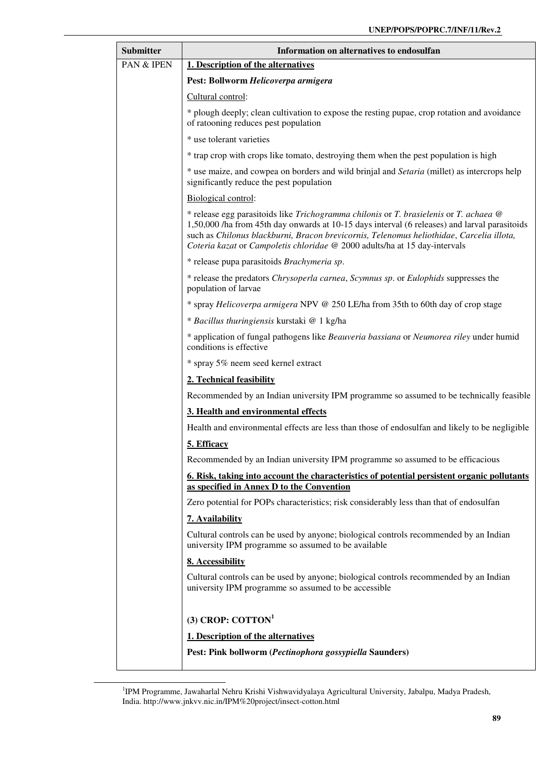| <b>Submitter</b> | Information on alternatives to endosulfan                                                                                                                                                                                                                                                                                                                        |
|------------------|------------------------------------------------------------------------------------------------------------------------------------------------------------------------------------------------------------------------------------------------------------------------------------------------------------------------------------------------------------------|
| PAN & IPEN       | 1. Description of the alternatives                                                                                                                                                                                                                                                                                                                               |
|                  | Pest: Bollworm Helicoverpa armigera                                                                                                                                                                                                                                                                                                                              |
|                  | Cultural control:                                                                                                                                                                                                                                                                                                                                                |
|                  | * plough deeply; clean cultivation to expose the resting pupae, crop rotation and avoidance<br>of ratooning reduces pest population                                                                                                                                                                                                                              |
|                  | * use tolerant varieties                                                                                                                                                                                                                                                                                                                                         |
|                  | * trap crop with crops like tomato, destroying them when the pest population is high                                                                                                                                                                                                                                                                             |
|                  | * use maize, and cowpea on borders and wild brinjal and Setaria (millet) as intercrops help<br>significantly reduce the pest population                                                                                                                                                                                                                          |
|                  | Biological control:                                                                                                                                                                                                                                                                                                                                              |
|                  | * release egg parasitoids like Trichogramma chilonis or T. brasielenis or T. achaea @<br>1,50,000 /ha from 45th day onwards at 10-15 days interval (6 releases) and larval parasitoids<br>such as Chilonus blackburni, Bracon brevicornis, Telenomus heliothidae, Carcelia illota,<br>Coteria kazat or Campoletis chloridae @ 2000 adults/ha at 15 day-intervals |
|                  | * release pupa parasitoids Brachymeria sp.                                                                                                                                                                                                                                                                                                                       |
|                  | * release the predators Chrysoperla carnea, Scymnus sp. or Eulophids suppresses the<br>population of larvae                                                                                                                                                                                                                                                      |
|                  | * spray Helicoverpa armigera NPV @ 250 LE/ha from 35th to 60th day of crop stage                                                                                                                                                                                                                                                                                 |
|                  | * Bacillus thuringiensis kurstaki @ 1 kg/ha                                                                                                                                                                                                                                                                                                                      |
|                  | * application of fungal pathogens like Beauveria bassiana or Neumorea riley under humid<br>conditions is effective                                                                                                                                                                                                                                               |
|                  | * spray 5% neem seed kernel extract                                                                                                                                                                                                                                                                                                                              |
|                  | 2. Technical feasibility                                                                                                                                                                                                                                                                                                                                         |
|                  | Recommended by an Indian university IPM programme so assumed to be technically feasible                                                                                                                                                                                                                                                                          |
|                  | 3. Health and environmental effects                                                                                                                                                                                                                                                                                                                              |
|                  | Health and environmental effects are less than those of endosulfan and likely to be negligible                                                                                                                                                                                                                                                                   |
|                  | 5. Efficacy                                                                                                                                                                                                                                                                                                                                                      |
|                  | Recommended by an Indian university IPM programme so assumed to be efficacious                                                                                                                                                                                                                                                                                   |
|                  | 6. Risk, taking into account the characteristics of potential persistent organic pollutants<br>as specified in Annex D to the Convention                                                                                                                                                                                                                         |
|                  | Zero potential for POPs characteristics; risk considerably less than that of endosulfan                                                                                                                                                                                                                                                                          |
|                  | 7. Availability                                                                                                                                                                                                                                                                                                                                                  |
|                  | Cultural controls can be used by anyone; biological controls recommended by an Indian<br>university IPM programme so assumed to be available                                                                                                                                                                                                                     |
|                  | 8. Accessibility                                                                                                                                                                                                                                                                                                                                                 |
|                  | Cultural controls can be used by anyone; biological controls recommended by an Indian<br>university IPM programme so assumed to be accessible                                                                                                                                                                                                                    |
|                  | $(3)$ CROP: COTTON <sup>1</sup>                                                                                                                                                                                                                                                                                                                                  |
|                  | 1. Description of the alternatives                                                                                                                                                                                                                                                                                                                               |
|                  | Pest: Pink bollworm (Pectinophora gossypiella Saunders)                                                                                                                                                                                                                                                                                                          |

<sup>&</sup>lt;sup>1</sup>IPM Programme, Jawaharlal Nehru Krishi Vishwavidyalaya Agricultural University, Jabalpu, Madya Pradesh, India. http://www.jnkvv.nic.in/IPM%20project/insect-cotton.html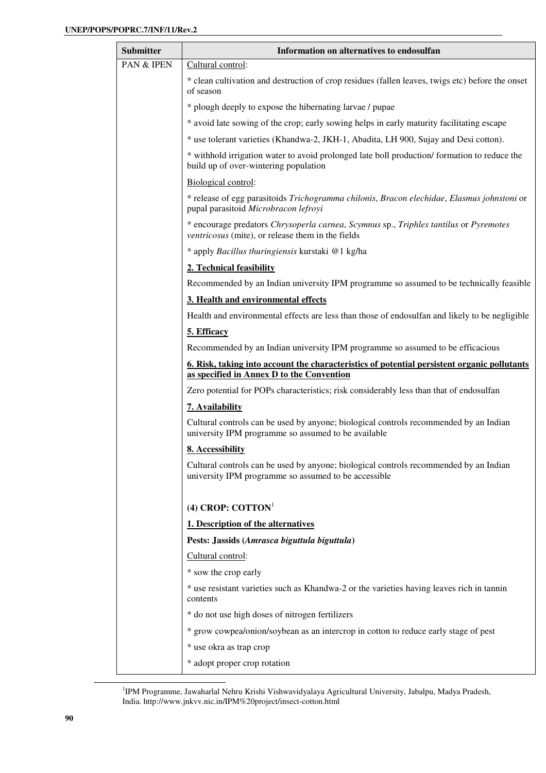| <b>Submitter</b>      | Information on alternatives to endosulfan                                                                                                     |
|-----------------------|-----------------------------------------------------------------------------------------------------------------------------------------------|
| <b>PAN &amp; IPEN</b> | Cultural control:                                                                                                                             |
|                       | * clean cultivation and destruction of crop residues (fallen leaves, twigs etc) before the onset<br>of season                                 |
|                       | * plough deeply to expose the hibernating larvae / pupae                                                                                      |
|                       | * avoid late sowing of the crop; early sowing helps in early maturity facilitating escape                                                     |
|                       | * use tolerant varieties (Khandwa-2, JKH-1, Abadita, LH 900, Sujay and Desi cotton).                                                          |
|                       | * withhold irrigation water to avoid prolonged late boll production/ formation to reduce the<br>build up of over-wintering population         |
|                       | Biological control:                                                                                                                           |
|                       | * release of egg parasitoids Trichogramma chilonis, Bracon elechidae, Elasmus johnstoni or<br>pupal parasitoid Microbracon lefroyi            |
|                       | * encourage predators Chrysoperla carnea, Scymnus sp., Triphles tantilus or Pyremotes<br>ventricosus (mite), or release them in the fields    |
|                       | * apply Bacillus thuringiensis kurstaki @1 kg/ha                                                                                              |
|                       | 2. Technical feasibility                                                                                                                      |
|                       | Recommended by an Indian university IPM programme so assumed to be technically feasible                                                       |
|                       | 3. Health and environmental effects                                                                                                           |
|                       | Health and environmental effects are less than those of endosulfan and likely to be negligible                                                |
|                       | 5. Efficacy                                                                                                                                   |
|                       | Recommended by an Indian university IPM programme so assumed to be efficacious                                                                |
|                       | 6. Risk, taking into account the characteristics of potential persistent organic pollutants<br>as specified in Annex D to the Convention      |
|                       | Zero potential for POPs characteristics; risk considerably less than that of endosulfan                                                       |
|                       | 7. Availability                                                                                                                               |
|                       | Cultural controls can be used by anyone; biological controls recommended by an Indian<br>university IPM programme so assumed to be available  |
|                       | 8. Accessibility                                                                                                                              |
|                       | Cultural controls can be used by anyone; biological controls recommended by an Indian<br>university IPM programme so assumed to be accessible |
|                       | (4) CROP: $COTTON1$                                                                                                                           |
|                       | 1. Description of the alternatives                                                                                                            |
|                       | Pests: Jassids (Amrasca biguttula biguttula)                                                                                                  |
|                       | Cultural control:                                                                                                                             |
|                       | * sow the crop early                                                                                                                          |
|                       | * use resistant varieties such as Khandwa-2 or the varieties having leaves rich in tannin<br>contents                                         |
|                       | * do not use high doses of nitrogen fertilizers                                                                                               |
|                       | * grow cowpea/onion/soybean as an intercrop in cotton to reduce early stage of pest                                                           |
|                       | * use okra as trap crop                                                                                                                       |
|                       | * adopt proper crop rotation                                                                                                                  |

<sup>1</sup>IPM Programme, Jawaharlal Nehru Krishi Vishwavidyalaya Agricultural University, Jabalpu, Madya Pradesh, India. http://www.jnkvv.nic.in/IPM%20project/insect-cotton.html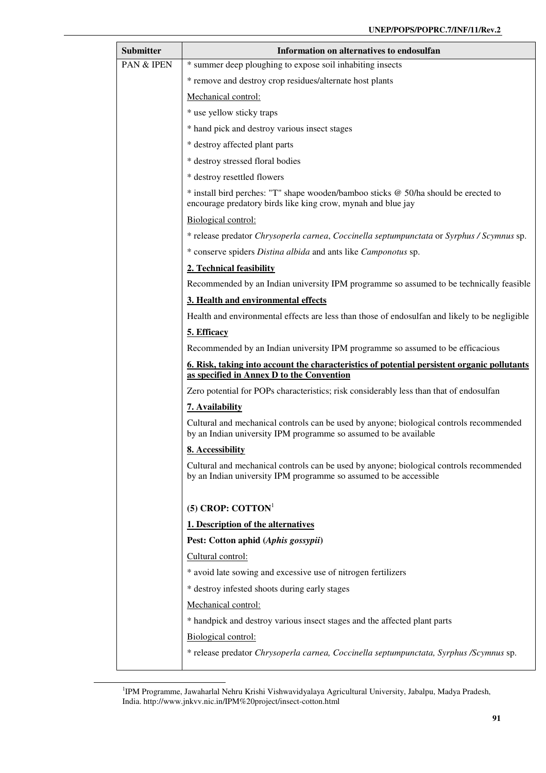| <b>Submitter</b> | Information on alternatives to endosulfan                                                                                                                    |
|------------------|--------------------------------------------------------------------------------------------------------------------------------------------------------------|
| PAN & IPEN       | * summer deep ploughing to expose soil inhabiting insects                                                                                                    |
|                  | * remove and destroy crop residues/alternate host plants                                                                                                     |
|                  | Mechanical control:                                                                                                                                          |
|                  | * use yellow sticky traps                                                                                                                                    |
|                  | * hand pick and destroy various insect stages                                                                                                                |
|                  | * destroy affected plant parts                                                                                                                               |
|                  | * destroy stressed floral bodies                                                                                                                             |
|                  | * destroy resettled flowers                                                                                                                                  |
|                  | * install bird perches: "T" shape wooden/bamboo sticks @ 50/ha should be erected to<br>encourage predatory birds like king crow, mynah and blue jay          |
|                  | Biological control:                                                                                                                                          |
|                  | * release predator Chrysoperla carnea, Coccinella septumpunctata or Syrphus / Scymnus sp.                                                                    |
|                  | * conserve spiders Distina albida and ants like Camponotus sp.                                                                                               |
|                  | 2. Technical feasibility                                                                                                                                     |
|                  | Recommended by an Indian university IPM programme so assumed to be technically feasible                                                                      |
|                  | 3. Health and environmental effects                                                                                                                          |
|                  | Health and environmental effects are less than those of endosulfan and likely to be negligible                                                               |
|                  | 5. Efficacy                                                                                                                                                  |
|                  | Recommended by an Indian university IPM programme so assumed to be efficacious                                                                               |
|                  | 6. Risk, taking into account the characteristics of potential persistent organic pollutants<br>as specified in Annex D to the Convention                     |
|                  | Zero potential for POPs characteristics; risk considerably less than that of endosulfan                                                                      |
|                  | 7. Availability                                                                                                                                              |
|                  | Cultural and mechanical controls can be used by anyone; biological controls recommended<br>by an Indian university IPM programme so assumed to be available  |
|                  | 8. Accessibility                                                                                                                                             |
|                  | Cultural and mechanical controls can be used by anyone; biological controls recommended<br>by an Indian university IPM programme so assumed to be accessible |
|                  | (5) CROP: $COTTON1$                                                                                                                                          |
|                  | 1. Description of the alternatives                                                                                                                           |
|                  | Pest: Cotton aphid (Aphis gossypii)                                                                                                                          |
|                  | Cultural control:                                                                                                                                            |
|                  | * avoid late sowing and excessive use of nitrogen fertilizers                                                                                                |
|                  | * destroy infested shoots during early stages                                                                                                                |
|                  | Mechanical control:                                                                                                                                          |
|                  | * handpick and destroy various insect stages and the affected plant parts                                                                                    |
|                  | Biological control:                                                                                                                                          |
|                  | * release predator Chrysoperla carnea, Coccinella septumpunctata, Syrphus /Scymnus sp.                                                                       |
|                  |                                                                                                                                                              |

<sup>&</sup>lt;sup>1</sup>IPM Programme, Jawaharlal Nehru Krishi Vishwavidyalaya Agricultural University, Jabalpu, Madya Pradesh, India. http://www.jnkvv.nic.in/IPM%20project/insect-cotton.html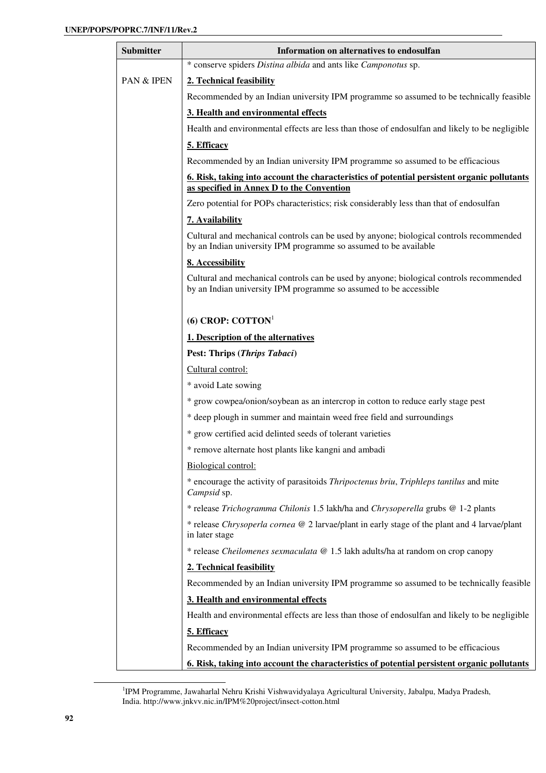| <b>Submitter</b> | Information on alternatives to endosulfan                                                                                                                    |
|------------------|--------------------------------------------------------------------------------------------------------------------------------------------------------------|
|                  | * conserve spiders Distina albida and ants like Camponotus sp.                                                                                               |
| PAN & IPEN       | 2. Technical feasibility                                                                                                                                     |
|                  | Recommended by an Indian university IPM programme so assumed to be technically feasible                                                                      |
|                  | 3. Health and environmental effects                                                                                                                          |
|                  | Health and environmental effects are less than those of endosulfan and likely to be negligible                                                               |
|                  | 5. Efficacy                                                                                                                                                  |
|                  | Recommended by an Indian university IPM programme so assumed to be efficacious                                                                               |
|                  | <u><b>6. Risk, taking into account the characteristics of potential persistent organic pollutants</b></u><br>as specified in Annex D to the Convention       |
|                  | Zero potential for POPs characteristics; risk considerably less than that of endosulfan                                                                      |
|                  | 7. Availability                                                                                                                                              |
|                  | Cultural and mechanical controls can be used by anyone; biological controls recommended<br>by an Indian university IPM programme so assumed to be available  |
|                  | 8. Accessibility                                                                                                                                             |
|                  | Cultural and mechanical controls can be used by anyone; biological controls recommended<br>by an Indian university IPM programme so assumed to be accessible |
|                  | (6) CROP: $COTTON1$                                                                                                                                          |
|                  | 1. Description of the alternatives                                                                                                                           |
|                  | Pest: Thrips (Thrips Tabaci)                                                                                                                                 |
|                  | Cultural control:                                                                                                                                            |
|                  | * avoid Late sowing                                                                                                                                          |
|                  | * grow cowpea/onion/soybean as an intercrop in cotton to reduce early stage pest                                                                             |
|                  | * deep plough in summer and maintain weed free field and surroundings                                                                                        |
|                  | * grow certified acid delinted seeds of tolerant varieties                                                                                                   |
|                  | * remove alternate host plants like kangni and ambadi                                                                                                        |
|                  | Biological control:                                                                                                                                          |
|                  | * encourage the activity of parasitoids Thripoctenus briu, Triphleps tantilus and mite<br>Campsid sp.                                                        |
|                  | * release Trichogramma Chilonis 1.5 lakh/ha and Chrysoperella grubs @ 1-2 plants                                                                             |
|                  | * release Chrysoperla cornea @ 2 larvae/plant in early stage of the plant and 4 larvae/plant<br>in later stage                                               |
|                  | * release Cheilomenes sexmaculata @ 1.5 lakh adults/ha at random on crop canopy                                                                              |
|                  | 2. Technical feasibility                                                                                                                                     |
|                  | Recommended by an Indian university IPM programme so assumed to be technically feasible                                                                      |
|                  | 3. Health and environmental effects                                                                                                                          |
|                  | Health and environmental effects are less than those of endosulfan and likely to be negligible                                                               |
|                  | 5. Efficacy                                                                                                                                                  |
|                  | Recommended by an Indian university IPM programme so assumed to be efficacious                                                                               |
|                  | 6. Risk, taking into account the characteristics of potential persistent organic pollutants                                                                  |

<sup>&</sup>lt;sup>1</sup>IPM Programme, Jawaharlal Nehru Krishi Vishwavidyalaya Agricultural University, Jabalpu, Madya Pradesh, India. http://www.jnkvv.nic.in/IPM%20project/insect-cotton.html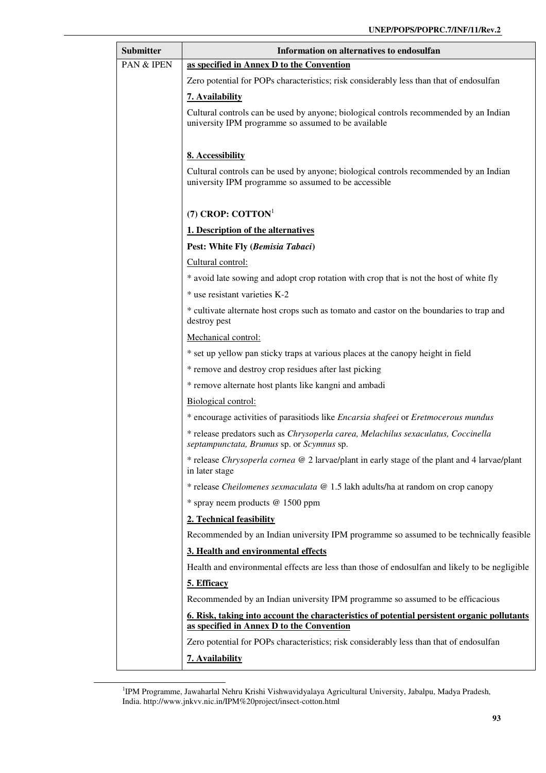| Submitter  | Information on alternatives to endosulfan                                                                                                     |
|------------|-----------------------------------------------------------------------------------------------------------------------------------------------|
| PAN & IPEN | as specified in Annex D to the Convention                                                                                                     |
|            | Zero potential for POPs characteristics; risk considerably less than that of endosulfan                                                       |
|            | 7. Availability                                                                                                                               |
|            | Cultural controls can be used by anyone; biological controls recommended by an Indian<br>university IPM programme so assumed to be available  |
|            | 8. Accessibility                                                                                                                              |
|            | Cultural controls can be used by anyone; biological controls recommended by an Indian<br>university IPM programme so assumed to be accessible |
|            | (7) CROP: $COTTON1$                                                                                                                           |
|            | 1. Description of the alternatives                                                                                                            |
|            | Pest: White Fly (Bemisia Tabaci)                                                                                                              |
|            | Cultural control:                                                                                                                             |
|            | * avoid late sowing and adopt crop rotation with crop that is not the host of white fly                                                       |
|            | * use resistant varieties K-2                                                                                                                 |
|            | * cultivate alternate host crops such as tomato and castor on the boundaries to trap and<br>destroy pest                                      |
|            | Mechanical control:                                                                                                                           |
|            | * set up yellow pan sticky traps at various places at the canopy height in field                                                              |
|            | * remove and destroy crop residues after last picking                                                                                         |
|            | * remove alternate host plants like kangni and ambadi                                                                                         |
|            | Biological control:                                                                                                                           |
|            | * encourage activities of parasitiods like Encarsia shafeei or Eretmocerous mundus                                                            |
|            | * release predators such as Chrysoperla carea, Melachilus sexaculatus, Coccinella<br>septampunctata, Brumus sp. or Scymnus sp.                |
|            | * release Chrysoperla cornea @ 2 larvae/plant in early stage of the plant and 4 larvae/plant<br>in later stage                                |
|            | * release Cheilomenes sexmaculata @ 1.5 lakh adults/ha at random on crop canopy                                                               |
|            | * spray neem products @ 1500 ppm                                                                                                              |
|            | 2. Technical feasibility                                                                                                                      |
|            | Recommended by an Indian university IPM programme so assumed to be technically feasible                                                       |
|            | 3. Health and environmental effects                                                                                                           |
|            | Health and environmental effects are less than those of endosulfan and likely to be negligible                                                |
|            | 5. Efficacy                                                                                                                                   |
|            | Recommended by an Indian university IPM programme so assumed to be efficacious                                                                |
|            | 6. Risk, taking into account the characteristics of potential persistent organic pollutants                                                   |
|            | as specified in Annex D to the Convention<br>Zero potential for POPs characteristics; risk considerably less than that of endosulfan          |
|            |                                                                                                                                               |
|            | 7. Availability                                                                                                                               |

<sup>&</sup>lt;sup>1</sup>IPM Programme, Jawaharlal Nehru Krishi Vishwavidyalaya Agricultural University, Jabalpu, Madya Pradesh, India. http://www.jnkvv.nic.in/IPM%20project/insect-cotton.html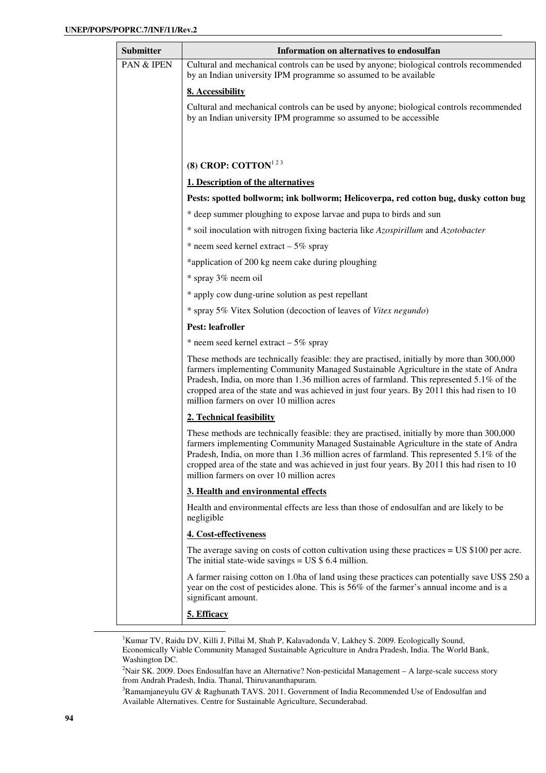| <b>Submitter</b> | Information on alternatives to endosulfan                                                                                                                                                                                                                                                                                                                                                                                  |
|------------------|----------------------------------------------------------------------------------------------------------------------------------------------------------------------------------------------------------------------------------------------------------------------------------------------------------------------------------------------------------------------------------------------------------------------------|
| PAN & IPEN       | Cultural and mechanical controls can be used by anyone; biological controls recommended<br>by an Indian university IPM programme so assumed to be available                                                                                                                                                                                                                                                                |
|                  | 8. Accessibility                                                                                                                                                                                                                                                                                                                                                                                                           |
|                  | Cultural and mechanical controls can be used by anyone; biological controls recommended<br>by an Indian university IPM programme so assumed to be accessible                                                                                                                                                                                                                                                               |
|                  | (8) CROP: COTTON <sup>123</sup>                                                                                                                                                                                                                                                                                                                                                                                            |
|                  | 1. Description of the alternatives                                                                                                                                                                                                                                                                                                                                                                                         |
|                  | Pests: spotted bollworm; ink bollworm; Helicoverpa, red cotton bug, dusky cotton bug                                                                                                                                                                                                                                                                                                                                       |
|                  | * deep summer ploughing to expose larvae and pupa to birds and sun                                                                                                                                                                                                                                                                                                                                                         |
|                  | * soil inoculation with nitrogen fixing bacteria like Azospirillum and Azotobacter                                                                                                                                                                                                                                                                                                                                         |
|                  | $*$ neem seed kernel extract - 5% spray                                                                                                                                                                                                                                                                                                                                                                                    |
|                  | *application of 200 kg neem cake during ploughing                                                                                                                                                                                                                                                                                                                                                                          |
|                  | * spray 3% neem oil                                                                                                                                                                                                                                                                                                                                                                                                        |
|                  | * apply cow dung-urine solution as pest repellant                                                                                                                                                                                                                                                                                                                                                                          |
|                  | * spray 5% Vitex Solution (decoction of leaves of Vitex negundo)                                                                                                                                                                                                                                                                                                                                                           |
|                  | <b>Pest: leafroller</b>                                                                                                                                                                                                                                                                                                                                                                                                    |
|                  | * neem seed kernel extract $-5\%$ spray                                                                                                                                                                                                                                                                                                                                                                                    |
|                  | These methods are technically feasible: they are practised, initially by more than 300,000<br>farmers implementing Community Managed Sustainable Agriculture in the state of Andra<br>Pradesh, India, on more than 1.36 million acres of farmland. This represented 5.1% of the<br>cropped area of the state and was achieved in just four years. By 2011 this had risen to 10<br>million farmers on over 10 million acres |
|                  | 2. Technical feasibility                                                                                                                                                                                                                                                                                                                                                                                                   |
|                  | These methods are technically feasible: they are practised, initially by more than 300,000<br>farmers implementing Community Managed Sustainable Agriculture in the state of Andra<br>Pradesh, India, on more than 1.36 million acres of farmland. This represented 5.1% of the<br>cropped area of the state and was achieved in just four years. By 2011 this had risen to 10<br>million farmers on over 10 million acres |
|                  | 3. Health and environmental effects                                                                                                                                                                                                                                                                                                                                                                                        |
|                  | Health and environmental effects are less than those of endosulfan and are likely to be<br>negligible                                                                                                                                                                                                                                                                                                                      |
|                  | 4. Cost-effectiveness                                                                                                                                                                                                                                                                                                                                                                                                      |
|                  | The average saving on costs of cotton cultivation using these practices $=$ US \$100 per acre.<br>The initial state-wide savings $=$ US \$ 6.4 million.                                                                                                                                                                                                                                                                    |
|                  | A farmer raising cotton on 1.0ha of land using these practices can potentially save US\$ 250 a<br>year on the cost of pesticides alone. This is 56% of the farmer's annual income and is a<br>significant amount.                                                                                                                                                                                                          |
|                  | 5. Efficacy                                                                                                                                                                                                                                                                                                                                                                                                                |

<sup>1</sup>Kumar TV, Raidu DV, Killi J, Pillai M, Shah P, Kalavadonda V, Lakhey S. 2009. Ecologically Sound, Economically Viable Community Managed Sustainable Agriculture in Andra Pradesh, India. The World Bank, Washington DC.

<sup>2</sup>Nair SK. 2009. Does Endosulfan have an Alternative? Non-pesticidal Management – A large-scale success story from Andrah Pradesh, India. Thanal, Thiruvananthapuram.

<sup>3</sup>Ramamjaneyulu GV & Raghunath TAVS. 2011. Government of India Recommended Use of Endosulfan and Available Alternatives. Centre for Sustainable Agriculture, Secunderabad.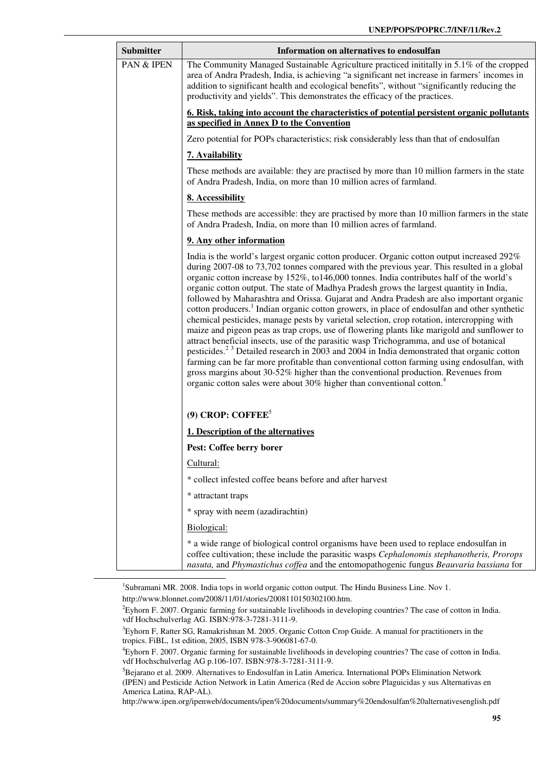| <b>Submitter</b> | Information on alternatives to endosulfan                                                                                                                                                                                                                                                                                                                                                                                                                                                                                                                                                                                                                                                                                                                                                                                                                                                                                                                                                                                                                                                                                                                                                                                                                           |
|------------------|---------------------------------------------------------------------------------------------------------------------------------------------------------------------------------------------------------------------------------------------------------------------------------------------------------------------------------------------------------------------------------------------------------------------------------------------------------------------------------------------------------------------------------------------------------------------------------------------------------------------------------------------------------------------------------------------------------------------------------------------------------------------------------------------------------------------------------------------------------------------------------------------------------------------------------------------------------------------------------------------------------------------------------------------------------------------------------------------------------------------------------------------------------------------------------------------------------------------------------------------------------------------|
| PAN & IPEN       | The Community Managed Sustainable Agriculture practiced initially in 5.1% of the cropped<br>area of Andra Pradesh, India, is achieving "a significant net increase in farmers' incomes in<br>addition to significant health and ecological benefits", without "significantly reducing the<br>productivity and yields". This demonstrates the efficacy of the practices.                                                                                                                                                                                                                                                                                                                                                                                                                                                                                                                                                                                                                                                                                                                                                                                                                                                                                             |
|                  | <u><b>6. Risk, taking into account the characteristics of potential persistent organic pollutants</b></u><br>as specified in Annex D to the Convention                                                                                                                                                                                                                                                                                                                                                                                                                                                                                                                                                                                                                                                                                                                                                                                                                                                                                                                                                                                                                                                                                                              |
|                  | Zero potential for POPs characteristics; risk considerably less than that of endosulfan                                                                                                                                                                                                                                                                                                                                                                                                                                                                                                                                                                                                                                                                                                                                                                                                                                                                                                                                                                                                                                                                                                                                                                             |
|                  | 7. Availability                                                                                                                                                                                                                                                                                                                                                                                                                                                                                                                                                                                                                                                                                                                                                                                                                                                                                                                                                                                                                                                                                                                                                                                                                                                     |
|                  | These methods are available: they are practised by more than 10 million farmers in the state<br>of Andra Pradesh, India, on more than 10 million acres of farmland.                                                                                                                                                                                                                                                                                                                                                                                                                                                                                                                                                                                                                                                                                                                                                                                                                                                                                                                                                                                                                                                                                                 |
|                  | 8. Accessibility                                                                                                                                                                                                                                                                                                                                                                                                                                                                                                                                                                                                                                                                                                                                                                                                                                                                                                                                                                                                                                                                                                                                                                                                                                                    |
|                  | These methods are accessible: they are practised by more than 10 million farmers in the state<br>of Andra Pradesh, India, on more than 10 million acres of farmland.                                                                                                                                                                                                                                                                                                                                                                                                                                                                                                                                                                                                                                                                                                                                                                                                                                                                                                                                                                                                                                                                                                |
|                  | 9. Any other information                                                                                                                                                                                                                                                                                                                                                                                                                                                                                                                                                                                                                                                                                                                                                                                                                                                                                                                                                                                                                                                                                                                                                                                                                                            |
|                  | India is the world's largest organic cotton producer. Organic cotton output increased 292%<br>during 2007-08 to 73,702 tonnes compared with the previous year. This resulted in a global<br>organic cotton increase by 152%, to 146,000 tonnes. India contributes half of the world's<br>organic cotton output. The state of Madhya Pradesh grows the largest quantity in India,<br>followed by Maharashtra and Orissa. Gujarat and Andra Pradesh are also important organic<br>cotton producers. <sup>1</sup> Indian organic cotton growers, in place of endosulfan and other synthetic<br>chemical pesticides, manage pests by varietal selection, crop rotation, intercropping with<br>maize and pigeon peas as trap crops, use of flowering plants like marigold and sunflower to<br>attract beneficial insects, use of the parasitic wasp Trichogramma, and use of botanical<br>pesticides. <sup>23</sup> Detailed research in 2003 and 2004 in India demonstrated that organic cotton<br>farming can be far more profitable than conventional cotton farming using endosulfan, with<br>gross margins about 30-52% higher than the conventional production. Revenues from<br>organic cotton sales were about 30% higher than conventional cotton. <sup>4</sup> |
|                  | $(9)$ CROP: COFFEE <sup>5</sup>                                                                                                                                                                                                                                                                                                                                                                                                                                                                                                                                                                                                                                                                                                                                                                                                                                                                                                                                                                                                                                                                                                                                                                                                                                     |
|                  | 1. Description of the alternatives                                                                                                                                                                                                                                                                                                                                                                                                                                                                                                                                                                                                                                                                                                                                                                                                                                                                                                                                                                                                                                                                                                                                                                                                                                  |
|                  | Pest: Coffee berry borer                                                                                                                                                                                                                                                                                                                                                                                                                                                                                                                                                                                                                                                                                                                                                                                                                                                                                                                                                                                                                                                                                                                                                                                                                                            |
|                  | Cultural:                                                                                                                                                                                                                                                                                                                                                                                                                                                                                                                                                                                                                                                                                                                                                                                                                                                                                                                                                                                                                                                                                                                                                                                                                                                           |
|                  | * collect infested coffee beans before and after harvest                                                                                                                                                                                                                                                                                                                                                                                                                                                                                                                                                                                                                                                                                                                                                                                                                                                                                                                                                                                                                                                                                                                                                                                                            |
|                  | * attractant traps                                                                                                                                                                                                                                                                                                                                                                                                                                                                                                                                                                                                                                                                                                                                                                                                                                                                                                                                                                                                                                                                                                                                                                                                                                                  |
|                  | * spray with neem (azadirachtin)                                                                                                                                                                                                                                                                                                                                                                                                                                                                                                                                                                                                                                                                                                                                                                                                                                                                                                                                                                                                                                                                                                                                                                                                                                    |
|                  | Biological:                                                                                                                                                                                                                                                                                                                                                                                                                                                                                                                                                                                                                                                                                                                                                                                                                                                                                                                                                                                                                                                                                                                                                                                                                                                         |
|                  | * a wide range of biological control organisms have been used to replace endosulfan in<br>coffee cultivation; these include the parasitic wasps Cephalonomis stephanotheris, Prorops<br>nasuta, and Phymastichus coffea and the entomopathogenic fungus Beauvaria bassiana for                                                                                                                                                                                                                                                                                                                                                                                                                                                                                                                                                                                                                                                                                                                                                                                                                                                                                                                                                                                      |

<sup>&</sup>lt;sup>1</sup>Subramani MR. 2008. India tops in world organic cotton output. The Hindu Business Line. Nov 1.

http://www.blonnet.com/2008/11/01/stories/2008110150302100.htm.

<sup>&</sup>lt;sup>2</sup>Eyhorn F. 2007. Organic farming for sustainable livelihoods in developing countries? The case of cotton in India. vdf Hochschulverlag AG. ISBN:978-3-7281-3111-9.

<sup>&</sup>lt;sup>3</sup>Eyhorn F, Ratter SG, Ramakrishnan M. 2005. Organic Cotton Crop Guide. A manual for practitioners in the tropics. FiBL, 1st edition, 2005, ISBN 978-3-906081-67-0.

<sup>4</sup>Eyhorn F. 2007. Organic farming for sustainable livelihoods in developing countries? The case of cotton in India. vdf Hochschulverlag AG p.106-107. ISBN:978-3-7281-3111-9.

<sup>&</sup>lt;sup>5</sup>Bejarano et al. 2009. Alternatives to Endosulfan in Latin America. International POPs Elimination Network (IPEN) and Pesticide Action Network in Latin America (Red de Accion sobre Plaguicidas y sus Alternativas en America Latina, RAP-AL).

http://www.ipen.org/ipenweb/documents/ipen%20documents/summary%20endosulfan%20alternativesenglish.pdf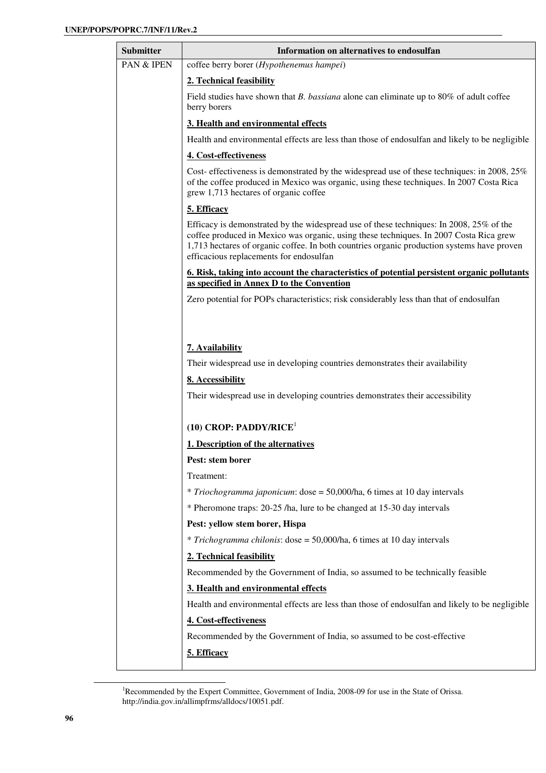| <b>Submitter</b>      | Information on alternatives to endosulfan                                                                                                                                                                                                                                                                                  |
|-----------------------|----------------------------------------------------------------------------------------------------------------------------------------------------------------------------------------------------------------------------------------------------------------------------------------------------------------------------|
| <b>PAN &amp; IPEN</b> | coffee berry borer (Hypothenemus hampei)                                                                                                                                                                                                                                                                                   |
|                       | 2. Technical feasibility                                                                                                                                                                                                                                                                                                   |
|                       | Field studies have shown that <i>B. bassiana</i> alone can eliminate up to 80% of adult coffee<br>berry borers                                                                                                                                                                                                             |
|                       | 3. Health and environmental effects                                                                                                                                                                                                                                                                                        |
|                       | Health and environmental effects are less than those of endosulfan and likely to be negligible                                                                                                                                                                                                                             |
|                       | 4. Cost-effectiveness                                                                                                                                                                                                                                                                                                      |
|                       | Cost-effectiveness is demonstrated by the widespread use of these techniques: in 2008, 25%<br>of the coffee produced in Mexico was organic, using these techniques. In 2007 Costa Rica<br>grew 1,713 hectares of organic coffee                                                                                            |
|                       | 5. Efficacy                                                                                                                                                                                                                                                                                                                |
|                       | Efficacy is demonstrated by the widespread use of these techniques: In 2008, 25% of the<br>coffee produced in Mexico was organic, using these techniques. In 2007 Costa Rica grew<br>1,713 hectares of organic coffee. In both countries organic production systems have proven<br>efficacious replacements for endosulfan |
|                       | 6. Risk, taking into account the characteristics of potential persistent organic pollutants                                                                                                                                                                                                                                |
|                       | as specified in Annex D to the Convention                                                                                                                                                                                                                                                                                  |
|                       | Zero potential for POPs characteristics; risk considerably less than that of endosulfan                                                                                                                                                                                                                                    |
|                       |                                                                                                                                                                                                                                                                                                                            |
|                       | 7. Availability                                                                                                                                                                                                                                                                                                            |
|                       | Their widespread use in developing countries demonstrates their availability                                                                                                                                                                                                                                               |
|                       | 8. Accessibility                                                                                                                                                                                                                                                                                                           |
|                       | Their widespread use in developing countries demonstrates their accessibility                                                                                                                                                                                                                                              |
|                       |                                                                                                                                                                                                                                                                                                                            |
|                       | $(10)$ CROP: PADDY/RICE <sup>1</sup>                                                                                                                                                                                                                                                                                       |
|                       | 1. Description of the alternatives                                                                                                                                                                                                                                                                                         |
|                       | Pest: stem borer                                                                                                                                                                                                                                                                                                           |
|                       | Treatment:                                                                                                                                                                                                                                                                                                                 |
|                       | * Triochogramma japonicum: dose = 50,000/ha, 6 times at 10 day intervals                                                                                                                                                                                                                                                   |
|                       | * Pheromone traps: 20-25 /ha, lure to be changed at 15-30 day intervals                                                                                                                                                                                                                                                    |
|                       | Pest: yellow stem borer, Hispa                                                                                                                                                                                                                                                                                             |
|                       | * Trichogramma chilonis: dose = 50,000/ha, 6 times at 10 day intervals                                                                                                                                                                                                                                                     |
|                       | 2. Technical feasibility                                                                                                                                                                                                                                                                                                   |
|                       | Recommended by the Government of India, so assumed to be technically feasible                                                                                                                                                                                                                                              |
|                       | 3. Health and environmental effects                                                                                                                                                                                                                                                                                        |
|                       | Health and environmental effects are less than those of endosulfan and likely to be negligible                                                                                                                                                                                                                             |
|                       | 4. Cost-effectiveness                                                                                                                                                                                                                                                                                                      |
|                       | Recommended by the Government of India, so assumed to be cost-effective                                                                                                                                                                                                                                                    |
|                       | 5. Efficacy                                                                                                                                                                                                                                                                                                                |
|                       |                                                                                                                                                                                                                                                                                                                            |

<sup>&</sup>lt;sup>1</sup>Recommended by the Expert Committee, Government of India, 2008-09 for use in the State of Orissa. http://india.gov.in/allimpfrms/alldocs/10051.pdf.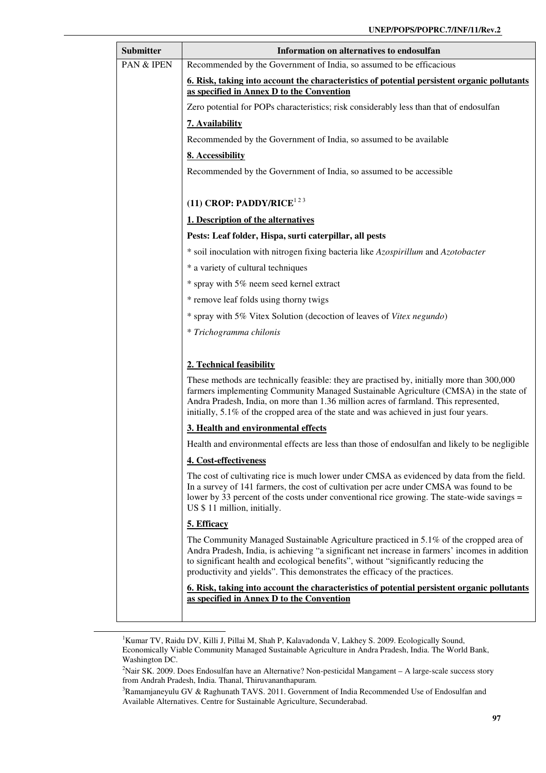| Submitter  | Information on alternatives to endosulfan                                                                                                                                                                                                                                                                                                                            |
|------------|----------------------------------------------------------------------------------------------------------------------------------------------------------------------------------------------------------------------------------------------------------------------------------------------------------------------------------------------------------------------|
| PAN & IPEN | Recommended by the Government of India, so assumed to be efficacious                                                                                                                                                                                                                                                                                                 |
|            | 6. Risk, taking into account the characteristics of potential persistent organic pollutants<br>as specified in Annex D to the Convention                                                                                                                                                                                                                             |
|            | Zero potential for POPs characteristics; risk considerably less than that of endosulfan                                                                                                                                                                                                                                                                              |
|            | 7. Availability                                                                                                                                                                                                                                                                                                                                                      |
|            | Recommended by the Government of India, so assumed to be available                                                                                                                                                                                                                                                                                                   |
|            | 8. Accessibility                                                                                                                                                                                                                                                                                                                                                     |
|            | Recommended by the Government of India, so assumed to be accessible                                                                                                                                                                                                                                                                                                  |
|            | (11) CROP: PADDY/RICE <sup>123</sup>                                                                                                                                                                                                                                                                                                                                 |
|            | 1. Description of the alternatives                                                                                                                                                                                                                                                                                                                                   |
|            | Pests: Leaf folder, Hispa, surti caterpillar, all pests                                                                                                                                                                                                                                                                                                              |
|            | * soil inoculation with nitrogen fixing bacteria like Azospirillum and Azotobacter                                                                                                                                                                                                                                                                                   |
|            | * a variety of cultural techniques                                                                                                                                                                                                                                                                                                                                   |
|            | * spray with 5% neem seed kernel extract                                                                                                                                                                                                                                                                                                                             |
|            | * remove leaf folds using thorny twigs                                                                                                                                                                                                                                                                                                                               |
|            | * spray with 5% Vitex Solution (decoction of leaves of Vitex negundo)                                                                                                                                                                                                                                                                                                |
|            | * Trichogramma chilonis                                                                                                                                                                                                                                                                                                                                              |
|            | 2. Technical feasibility                                                                                                                                                                                                                                                                                                                                             |
|            | These methods are technically feasible: they are practised by, initially more than 300,000<br>farmers implementing Community Managed Sustainable Agriculture (CMSA) in the state of<br>Andra Pradesh, India, on more than 1.36 million acres of farmland. This represented,<br>initially, 5.1% of the cropped area of the state and was achieved in just four years. |
|            | 3. Health and environmental effects                                                                                                                                                                                                                                                                                                                                  |
|            | Health and environmental effects are less than those of endosulfan and likely to be negligible                                                                                                                                                                                                                                                                       |
|            | 4. Cost-effectiveness                                                                                                                                                                                                                                                                                                                                                |
|            | The cost of cultivating rice is much lower under CMSA as evidenced by data from the field.<br>In a survey of 141 farmers, the cost of cultivation per acre under CMSA was found to be<br>lower by 33 percent of the costs under conventional rice growing. The state-wide savings =<br>US \$ 11 million, initially.                                                  |
|            | 5. Efficacy                                                                                                                                                                                                                                                                                                                                                          |
|            | The Community Managed Sustainable Agriculture practiced in 5.1% of the cropped area of<br>Andra Pradesh, India, is achieving "a significant net increase in farmers' incomes in addition<br>to significant health and ecological benefits", without "significantly reducing the<br>productivity and yields". This demonstrates the efficacy of the practices.        |
|            | <u><b>6. Risk, taking into account the characteristics of potential persistent organic pollutants</b></u><br>as specified in Annex D to the Convention                                                                                                                                                                                                               |
|            |                                                                                                                                                                                                                                                                                                                                                                      |

<sup>&</sup>lt;sup>1</sup>Kumar TV, Raidu DV, Killi J, Pillai M, Shah P, Kalavadonda V, Lakhey S. 2009. Ecologically Sound, Economically Viable Community Managed Sustainable Agriculture in Andra Pradesh, India. The World Bank, Washington DC.

<sup>&</sup>lt;sup>2</sup>Nair SK. 2009. Does Endosulfan have an Alternative? Non-pesticidal Mangament – A large-scale success story from Andrah Pradesh, India. Thanal, Thiruvananthapuram.

<sup>&</sup>lt;sup>3</sup>Ramamjaneyulu GV & Raghunath TAVS. 2011. Government of India Recommended Use of Endosulfan and Available Alternatives. Centre for Sustainable Agriculture, Secunderabad.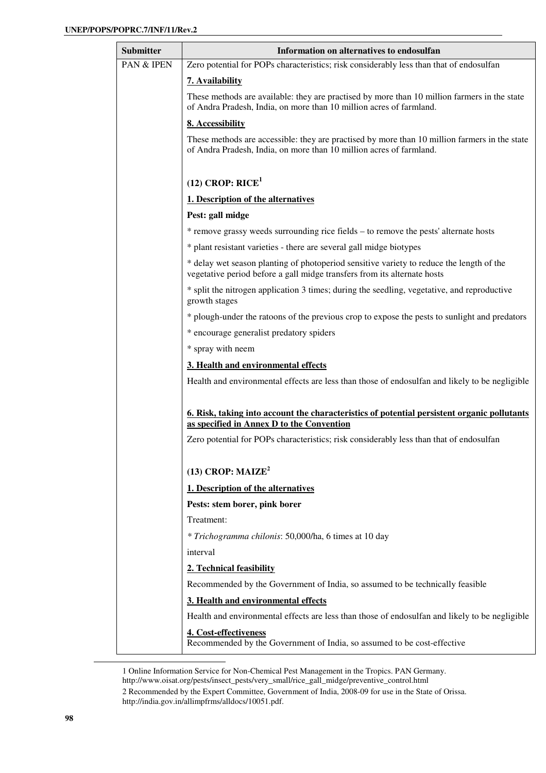| <b>Submitter</b> | Information on alternatives to endosulfan                                                                                                                            |
|------------------|----------------------------------------------------------------------------------------------------------------------------------------------------------------------|
| PAN & IPEN       | Zero potential for POPs characteristics; risk considerably less than that of endosulfan                                                                              |
|                  | 7. Availability                                                                                                                                                      |
|                  | These methods are available: they are practised by more than 10 million farmers in the state<br>of Andra Pradesh, India, on more than 10 million acres of farmland.  |
|                  | 8. Accessibility                                                                                                                                                     |
|                  | These methods are accessible: they are practised by more than 10 million farmers in the state<br>of Andra Pradesh, India, on more than 10 million acres of farmland. |
|                  | $(12)$ CROP: RICE <sup>1</sup>                                                                                                                                       |
|                  | 1. Description of the alternatives                                                                                                                                   |
|                  | Pest: gall midge                                                                                                                                                     |
|                  | * remove grassy weeds surrounding rice fields - to remove the pests' alternate hosts                                                                                 |
|                  | * plant resistant varieties - there are several gall midge biotypes                                                                                                  |
|                  | * delay wet season planting of photoperiod sensitive variety to reduce the length of the<br>vegetative period before a gall midge transfers from its alternate hosts |
|                  | * split the nitrogen application 3 times; during the seedling, vegetative, and reproductive<br>growth stages                                                         |
|                  | * plough-under the ratoons of the previous crop to expose the pests to sunlight and predators                                                                        |
|                  | * encourage generalist predatory spiders                                                                                                                             |
|                  | * spray with neem                                                                                                                                                    |
|                  | 3. Health and environmental effects                                                                                                                                  |
|                  | Health and environmental effects are less than those of endosulfan and likely to be negligible                                                                       |
|                  | 6. Risk, taking into account the characteristics of potential persistent organic pollutants                                                                          |
|                  | as specified in Annex D to the Convention                                                                                                                            |
|                  | Zero potential for POPs characteristics; risk considerably less than that of endosulfan                                                                              |
|                  | (13) CROP: $MAIZE2$                                                                                                                                                  |
|                  | 1. Description of the alternatives                                                                                                                                   |
|                  | Pests: stem borer, pink borer                                                                                                                                        |
|                  | Treatment:                                                                                                                                                           |
|                  | * Trichogramma chilonis: 50,000/ha, 6 times at 10 day                                                                                                                |
|                  | interval                                                                                                                                                             |
|                  | 2. Technical feasibility                                                                                                                                             |
|                  | Recommended by the Government of India, so assumed to be technically feasible                                                                                        |
|                  | 3. Health and environmental effects                                                                                                                                  |
|                  | Health and environmental effects are less than those of endosulfan and likely to be negligible                                                                       |
|                  | 4. Cost-effectiveness<br>Recommended by the Government of India, so assumed to be cost-effective                                                                     |

<sup>1</sup> Online Information Service for Non-Chemical Pest Management in the Tropics. PAN Germany. http://www.oisat.org/pests/insect\_pests/very\_small/rice\_gall\_midge/preventive\_control.html

<sup>2</sup> Recommended by the Expert Committee, Government of India, 2008-09 for use in the State of Orissa. http://india.gov.in/allimpfrms/alldocs/10051.pdf.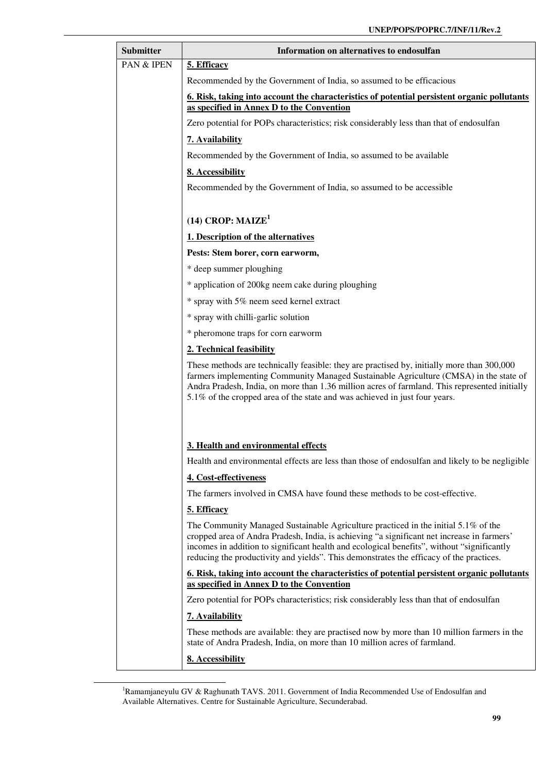| <b>Submitter</b> | Information on alternatives to endosulfan                                                                                                                                                                                                                                                                                                                          |
|------------------|--------------------------------------------------------------------------------------------------------------------------------------------------------------------------------------------------------------------------------------------------------------------------------------------------------------------------------------------------------------------|
| PAN & IPEN       | 5. Efficacy                                                                                                                                                                                                                                                                                                                                                        |
|                  | Recommended by the Government of India, so assumed to be efficacious                                                                                                                                                                                                                                                                                               |
|                  | 6. Risk, taking into account the characteristics of potential persistent organic pollutants<br>as specified in Annex D to the Convention                                                                                                                                                                                                                           |
|                  | Zero potential for POPs characteristics; risk considerably less than that of endosulfan                                                                                                                                                                                                                                                                            |
|                  | 7. Availability                                                                                                                                                                                                                                                                                                                                                    |
|                  | Recommended by the Government of India, so assumed to be available                                                                                                                                                                                                                                                                                                 |
|                  | 8. Accessibility                                                                                                                                                                                                                                                                                                                                                   |
|                  | Recommended by the Government of India, so assumed to be accessible                                                                                                                                                                                                                                                                                                |
|                  | $(14)$ CROP: MAIZE <sup>1</sup>                                                                                                                                                                                                                                                                                                                                    |
|                  | 1. Description of the alternatives                                                                                                                                                                                                                                                                                                                                 |
|                  | Pests: Stem borer, corn earworm,                                                                                                                                                                                                                                                                                                                                   |
|                  | * deep summer ploughing                                                                                                                                                                                                                                                                                                                                            |
|                  | * application of 200kg neem cake during ploughing                                                                                                                                                                                                                                                                                                                  |
|                  | * spray with 5% neem seed kernel extract                                                                                                                                                                                                                                                                                                                           |
|                  | * spray with chilli-garlic solution                                                                                                                                                                                                                                                                                                                                |
|                  | * pheromone traps for corn earworm                                                                                                                                                                                                                                                                                                                                 |
|                  | 2. Technical feasibility                                                                                                                                                                                                                                                                                                                                           |
|                  | These methods are technically feasible: they are practised by, initially more than 300,000<br>farmers implementing Community Managed Sustainable Agriculture (CMSA) in the state of<br>Andra Pradesh, India, on more than 1.36 million acres of farmland. This represented initially<br>5.1% of the cropped area of the state and was achieved in just four years. |
|                  | 3. Health and environmental effects                                                                                                                                                                                                                                                                                                                                |
|                  | Health and environmental effects are less than those of endosulfan and likely to be negligible                                                                                                                                                                                                                                                                     |
|                  | 4. Cost-effectiveness<br>The farmers involved in CMSA have found these methods to be cost-effective.                                                                                                                                                                                                                                                               |
|                  |                                                                                                                                                                                                                                                                                                                                                                    |
|                  | 5. Efficacy<br>The Community Managed Sustainable Agriculture practiced in the initial 5.1% of the                                                                                                                                                                                                                                                                  |
|                  | cropped area of Andra Pradesh, India, is achieving "a significant net increase in farmers"<br>incomes in addition to significant health and ecological benefits", without "significantly<br>reducing the productivity and yields". This demonstrates the efficacy of the practices.                                                                                |
|                  | 6. Risk, taking into account the characteristics of potential persistent organic pollutants<br>as specified in Annex D to the Convention                                                                                                                                                                                                                           |
|                  | Zero potential for POPs characteristics; risk considerably less than that of endosulfan                                                                                                                                                                                                                                                                            |
|                  | 7. Availability                                                                                                                                                                                                                                                                                                                                                    |
|                  | These methods are available: they are practised now by more than 10 million farmers in the<br>state of Andra Pradesh, India, on more than 10 million acres of farmland.                                                                                                                                                                                            |
|                  | 8. Accessibility                                                                                                                                                                                                                                                                                                                                                   |

<sup>&</sup>lt;sup>1</sup>Ramamjaneyulu GV & Raghunath TAVS. 2011. Government of India Recommended Use of Endosulfan and Available Alternatives. Centre for Sustainable Agriculture, Secunderabad.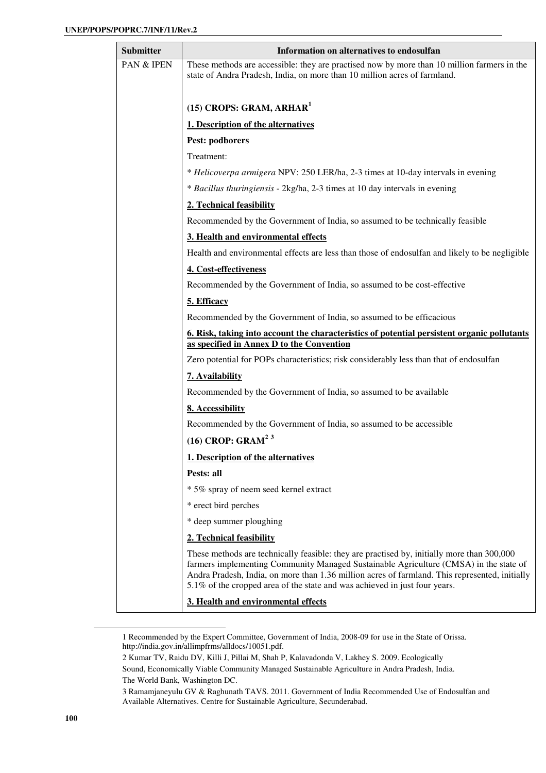| <b>Submitter</b> | Information on alternatives to endosulfan                                                                                                                                                                                                                                                                                                                           |
|------------------|---------------------------------------------------------------------------------------------------------------------------------------------------------------------------------------------------------------------------------------------------------------------------------------------------------------------------------------------------------------------|
| PAN & IPEN       | These methods are accessible: they are practised now by more than 10 million farmers in the<br>state of Andra Pradesh, India, on more than 10 million acres of farmland.                                                                                                                                                                                            |
|                  | $(15)$ CROPS: GRAM, ARHAR <sup>1</sup>                                                                                                                                                                                                                                                                                                                              |
|                  | 1. Description of the alternatives                                                                                                                                                                                                                                                                                                                                  |
|                  | Pest: podborers                                                                                                                                                                                                                                                                                                                                                     |
|                  | Treatment:                                                                                                                                                                                                                                                                                                                                                          |
|                  | * Helicoverpa armigera NPV: 250 LER/ha, 2-3 times at 10-day intervals in evening                                                                                                                                                                                                                                                                                    |
|                  | * Bacillus thuringiensis - 2kg/ha, 2-3 times at 10 day intervals in evening                                                                                                                                                                                                                                                                                         |
|                  | 2. Technical feasibility                                                                                                                                                                                                                                                                                                                                            |
|                  | Recommended by the Government of India, so assumed to be technically feasible                                                                                                                                                                                                                                                                                       |
|                  | 3. Health and environmental effects                                                                                                                                                                                                                                                                                                                                 |
|                  | Health and environmental effects are less than those of endosulfan and likely to be negligible                                                                                                                                                                                                                                                                      |
|                  | 4. Cost-effectiveness                                                                                                                                                                                                                                                                                                                                               |
|                  | Recommended by the Government of India, so assumed to be cost-effective                                                                                                                                                                                                                                                                                             |
|                  | 5. Efficacy                                                                                                                                                                                                                                                                                                                                                         |
|                  | Recommended by the Government of India, so assumed to be efficacious                                                                                                                                                                                                                                                                                                |
|                  | <u><b>6. Risk, taking into account the characteristics of potential persistent organic pollutants</b></u><br>as specified in Annex D to the Convention                                                                                                                                                                                                              |
|                  | Zero potential for POPs characteristics; risk considerably less than that of endosulfan                                                                                                                                                                                                                                                                             |
|                  | 7. Availability                                                                                                                                                                                                                                                                                                                                                     |
|                  | Recommended by the Government of India, so assumed to be available                                                                                                                                                                                                                                                                                                  |
|                  | 8. Accessibility                                                                                                                                                                                                                                                                                                                                                    |
|                  | Recommended by the Government of India, so assumed to be accessible                                                                                                                                                                                                                                                                                                 |
|                  | $(16)$ CROP: GRAM <sup>23</sup>                                                                                                                                                                                                                                                                                                                                     |
|                  | 1. Description of the alternatives                                                                                                                                                                                                                                                                                                                                  |
|                  | Pests: all                                                                                                                                                                                                                                                                                                                                                          |
|                  | * 5% spray of neem seed kernel extract                                                                                                                                                                                                                                                                                                                              |
|                  | * erect bird perches                                                                                                                                                                                                                                                                                                                                                |
|                  | * deep summer ploughing                                                                                                                                                                                                                                                                                                                                             |
|                  | 2. Technical feasibility                                                                                                                                                                                                                                                                                                                                            |
|                  | These methods are technically feasible: they are practised by, initially more than 300,000<br>farmers implementing Community Managed Sustainable Agriculture (CMSA) in the state of<br>Andra Pradesh, India, on more than 1.36 million acres of farmland. This represented, initially<br>5.1% of the cropped area of the state and was achieved in just four years. |
|                  | 3. Health and environmental effects                                                                                                                                                                                                                                                                                                                                 |

<sup>1</sup> Recommended by the Expert Committee, Government of India, 2008-09 for use in the State of Orissa. http://india.gov.in/allimpfrms/alldocs/10051.pdf.

<sup>2</sup> Kumar TV, Raidu DV, Killi J, Pillai M, Shah P, Kalavadonda V, Lakhey S. 2009. Ecologically

Sound, Economically Viable Community Managed Sustainable Agriculture in Andra Pradesh, India. The World Bank, Washington DC.

<sup>3</sup> Ramamjaneyulu GV & Raghunath TAVS. 2011. Government of India Recommended Use of Endosulfan and Available Alternatives. Centre for Sustainable Agriculture, Secunderabad.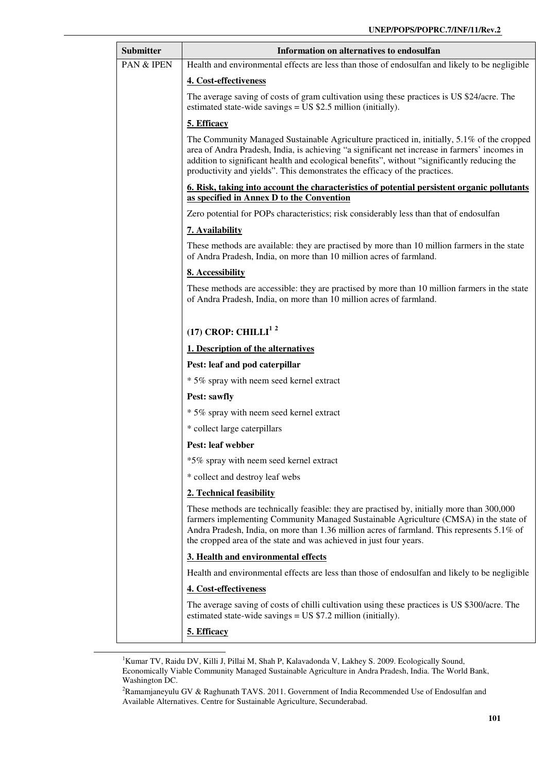| <b>Submitter</b> | Information on alternatives to endosulfan                                                                                                                                                                                                                                                                                                                                 |
|------------------|---------------------------------------------------------------------------------------------------------------------------------------------------------------------------------------------------------------------------------------------------------------------------------------------------------------------------------------------------------------------------|
| PAN & IPEN       | Health and environmental effects are less than those of endosulfan and likely to be negligible                                                                                                                                                                                                                                                                            |
|                  | 4. Cost-effectiveness                                                                                                                                                                                                                                                                                                                                                     |
|                  | The average saving of costs of gram cultivation using these practices is US \$24/acre. The<br>estimated state-wide savings = $US $2.5$ million (initially).                                                                                                                                                                                                               |
|                  | 5. Efficacy                                                                                                                                                                                                                                                                                                                                                               |
|                  | The Community Managed Sustainable Agriculture practiced in, initially, 5.1% of the cropped<br>area of Andra Pradesh, India, is achieving "a significant net increase in farmers' incomes in<br>addition to significant health and ecological benefits", without "significantly reducing the<br>productivity and yields". This demonstrates the efficacy of the practices. |
|                  | 6. Risk, taking into account the characteristics of potential persistent organic pollutants<br>as specified in Annex D to the Convention                                                                                                                                                                                                                                  |
|                  | Zero potential for POPs characteristics; risk considerably less than that of endosulfan                                                                                                                                                                                                                                                                                   |
|                  | 7. Availability                                                                                                                                                                                                                                                                                                                                                           |
|                  | These methods are available: they are practised by more than 10 million farmers in the state<br>of Andra Pradesh, India, on more than 10 million acres of farmland.                                                                                                                                                                                                       |
|                  | 8. Accessibility                                                                                                                                                                                                                                                                                                                                                          |
|                  | These methods are accessible: they are practised by more than 10 million farmers in the state<br>of Andra Pradesh, India, on more than 10 million acres of farmland.                                                                                                                                                                                                      |
|                  | (17) CROP: CHILLI <sup>12</sup>                                                                                                                                                                                                                                                                                                                                           |
|                  | 1. Description of the alternatives                                                                                                                                                                                                                                                                                                                                        |
|                  | Pest: leaf and pod caterpillar                                                                                                                                                                                                                                                                                                                                            |
|                  | * 5% spray with neem seed kernel extract                                                                                                                                                                                                                                                                                                                                  |
|                  | <b>Pest: sawfly</b>                                                                                                                                                                                                                                                                                                                                                       |
|                  | * 5% spray with neem seed kernel extract                                                                                                                                                                                                                                                                                                                                  |
|                  | * collect large caterpillars                                                                                                                                                                                                                                                                                                                                              |
|                  | <b>Pest: leaf webber</b>                                                                                                                                                                                                                                                                                                                                                  |
|                  | *5% spray with neem seed kernel extract                                                                                                                                                                                                                                                                                                                                   |
|                  | * collect and destroy leaf webs                                                                                                                                                                                                                                                                                                                                           |
|                  | 2. Technical feasibility                                                                                                                                                                                                                                                                                                                                                  |
|                  | These methods are technically feasible: they are practised by, initially more than 300,000<br>farmers implementing Community Managed Sustainable Agriculture (CMSA) in the state of<br>Andra Pradesh, India, on more than 1.36 million acres of farmland. This represents 5.1% of<br>the cropped area of the state and was achieved in just four years.                   |
|                  | 3. Health and environmental effects                                                                                                                                                                                                                                                                                                                                       |
|                  | Health and environmental effects are less than those of endosulfan and likely to be negligible                                                                                                                                                                                                                                                                            |
|                  | 4. Cost-effectiveness                                                                                                                                                                                                                                                                                                                                                     |
|                  | The average saving of costs of chilli cultivation using these practices is US \$300/acre. The<br>estimated state-wide savings = $US $7.2$ million (initially).                                                                                                                                                                                                            |
|                  | 5. Efficacy                                                                                                                                                                                                                                                                                                                                                               |

<sup>1</sup>Kumar TV, Raidu DV, Killi J, Pillai M, Shah P, Kalavadonda V, Lakhey S. 2009. Ecologically Sound, Economically Viable Community Managed Sustainable Agriculture in Andra Pradesh, India. The World Bank, Washington DC.

-

<sup>2</sup>Ramamjaneyulu GV & Raghunath TAVS. 2011. Government of India Recommended Use of Endosulfan and Available Alternatives. Centre for Sustainable Agriculture, Secunderabad.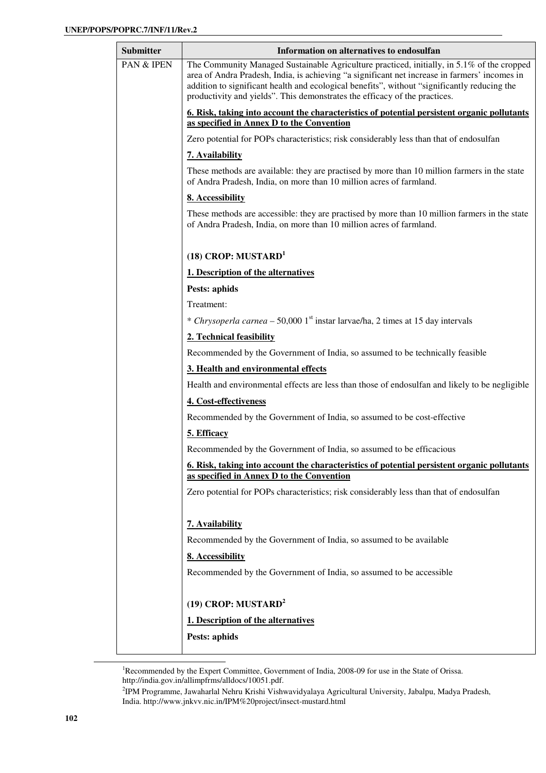| <b>Submitter</b> | Information on alternatives to endosulfan                                                                                                                                                                                                                                                                                                                                 |
|------------------|---------------------------------------------------------------------------------------------------------------------------------------------------------------------------------------------------------------------------------------------------------------------------------------------------------------------------------------------------------------------------|
| PAN & IPEN       | The Community Managed Sustainable Agriculture practiced, initially, in 5.1% of the cropped<br>area of Andra Pradesh, India, is achieving "a significant net increase in farmers' incomes in<br>addition to significant health and ecological benefits", without "significantly reducing the<br>productivity and yields". This demonstrates the efficacy of the practices. |
|                  | 6. Risk, taking into account the characteristics of potential persistent organic pollutants<br>as specified in Annex D to the Convention                                                                                                                                                                                                                                  |
|                  | Zero potential for POPs characteristics; risk considerably less than that of endosulfan                                                                                                                                                                                                                                                                                   |
|                  | 7. Availability                                                                                                                                                                                                                                                                                                                                                           |
|                  | These methods are available: they are practised by more than 10 million farmers in the state<br>of Andra Pradesh, India, on more than 10 million acres of farmland.                                                                                                                                                                                                       |
|                  | 8. Accessibility                                                                                                                                                                                                                                                                                                                                                          |
|                  | These methods are accessible: they are practised by more than 10 million farmers in the state<br>of Andra Pradesh, India, on more than 10 million acres of farmland.                                                                                                                                                                                                      |
|                  | $(18)$ CROP: MUSTARD <sup>1</sup>                                                                                                                                                                                                                                                                                                                                         |
|                  | 1. Description of the alternatives                                                                                                                                                                                                                                                                                                                                        |
|                  | <b>Pests: aphids</b>                                                                                                                                                                                                                                                                                                                                                      |
|                  | Treatment:                                                                                                                                                                                                                                                                                                                                                                |
|                  | * Chrysoperla carnea – 50,000 1 <sup>st</sup> instar larvae/ha, 2 times at 15 day intervals                                                                                                                                                                                                                                                                               |
|                  | 2. Technical feasibility                                                                                                                                                                                                                                                                                                                                                  |
|                  | Recommended by the Government of India, so assumed to be technically feasible                                                                                                                                                                                                                                                                                             |
|                  | 3. Health and environmental effects                                                                                                                                                                                                                                                                                                                                       |
|                  | Health and environmental effects are less than those of endosulfan and likely to be negligible                                                                                                                                                                                                                                                                            |
|                  | 4. Cost-effectiveness                                                                                                                                                                                                                                                                                                                                                     |
|                  | Recommended by the Government of India, so assumed to be cost-effective                                                                                                                                                                                                                                                                                                   |
|                  | 5. Efficacy                                                                                                                                                                                                                                                                                                                                                               |
|                  | Recommended by the Government of India, so assumed to be efficacious                                                                                                                                                                                                                                                                                                      |
|                  | 6. Risk, taking into account the characteristics of potential persistent organic pollutants<br>as specified in Annex D to the Convention                                                                                                                                                                                                                                  |
|                  | Zero potential for POPs characteristics; risk considerably less than that of endosulfan                                                                                                                                                                                                                                                                                   |
|                  | 7. Availability                                                                                                                                                                                                                                                                                                                                                           |
|                  | Recommended by the Government of India, so assumed to be available                                                                                                                                                                                                                                                                                                        |
|                  | 8. Accessibility                                                                                                                                                                                                                                                                                                                                                          |
|                  | Recommended by the Government of India, so assumed to be accessible                                                                                                                                                                                                                                                                                                       |
|                  | $(19)$ CROP: MUSTARD <sup>2</sup>                                                                                                                                                                                                                                                                                                                                         |
|                  | 1. Description of the alternatives                                                                                                                                                                                                                                                                                                                                        |
|                  | Pests: aphids                                                                                                                                                                                                                                                                                                                                                             |
|                  |                                                                                                                                                                                                                                                                                                                                                                           |

<sup>&</sup>lt;sup>1</sup>Recommended by the Expert Committee, Government of India, 2008-09 for use in the State of Orissa. http://india.gov.in/allimpfrms/alldocs/10051.pdf.

<sup>2</sup> IPM Programme, Jawaharlal Nehru Krishi Vishwavidyalaya Agricultural University, Jabalpu, Madya Pradesh, India. http://www.jnkvv.nic.in/IPM%20project/insect-mustard.html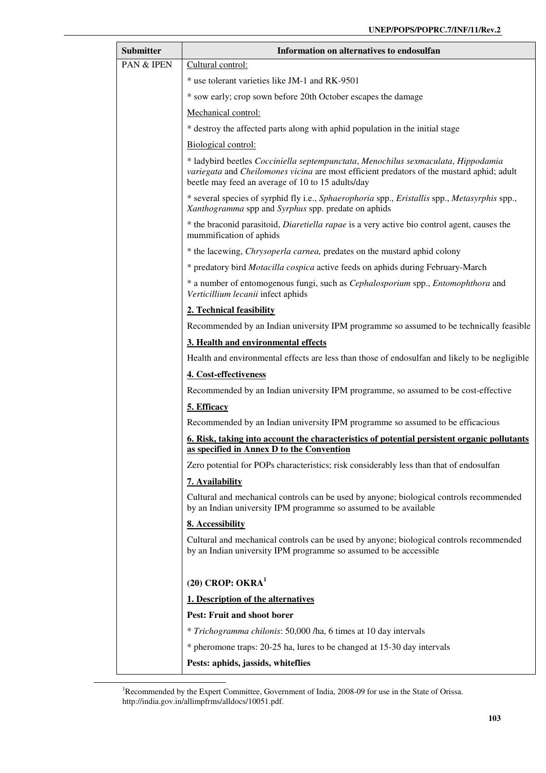| Submitter  | Information on alternatives to endosulfan                                                                                                                                                                                           |
|------------|-------------------------------------------------------------------------------------------------------------------------------------------------------------------------------------------------------------------------------------|
| PAN & IPEN | Cultural control:                                                                                                                                                                                                                   |
|            | * use tolerant varieties like JM-1 and RK-9501                                                                                                                                                                                      |
|            | * sow early; crop sown before 20th October escapes the damage                                                                                                                                                                       |
|            | Mechanical control:                                                                                                                                                                                                                 |
|            | * destroy the affected parts along with aphid population in the initial stage                                                                                                                                                       |
|            | Biological control:                                                                                                                                                                                                                 |
|            | * ladybird beetles Cocciniella septempunctata, Menochilus sexmaculata, Hippodamia<br>variegata and Cheilomones vicina are most efficient predators of the mustard aphid; adult<br>beetle may feed an average of 10 to 15 adults/day |
|            | * several species of syrphid fly i.e., Sphaerophoria spp., Eristallis spp., Metasyrphis spp.,<br>Xanthogramma spp and Syrphus spp. predate on aphids                                                                                |
|            | * the braconid parasitoid, <i>Diaretiella rapae</i> is a very active bio control agent, causes the<br>mummification of aphids                                                                                                       |
|            | * the lacewing, <i>Chrysoperla carnea</i> , predates on the mustard aphid colony                                                                                                                                                    |
|            | * predatory bird Motacilla cospica active feeds on aphids during February-March                                                                                                                                                     |
|            | * a number of entomogenous fungi, such as Cephalosporium spp., Entomophthora and<br>Verticillium lecanii infect aphids                                                                                                              |
|            | 2. Technical feasibility                                                                                                                                                                                                            |
|            | Recommended by an Indian university IPM programme so assumed to be technically feasible                                                                                                                                             |
|            | 3. Health and environmental effects                                                                                                                                                                                                 |
|            | Health and environmental effects are less than those of endosulfan and likely to be negligible                                                                                                                                      |
|            | 4. Cost-effectiveness                                                                                                                                                                                                               |
|            | Recommended by an Indian university IPM programme, so assumed to be cost-effective                                                                                                                                                  |
|            | 5. Efficacy                                                                                                                                                                                                                         |
|            | Recommended by an Indian university IPM programme so assumed to be efficacious                                                                                                                                                      |
|            | 6. Risk, taking into account the characteristics of potential persistent organic pollutants<br>as specified in Annex D to the Convention                                                                                            |
|            | Zero potential for POPs characteristics; risk considerably less than that of endosulfan                                                                                                                                             |
|            | 7. Availability                                                                                                                                                                                                                     |
|            | Cultural and mechanical controls can be used by anyone; biological controls recommended<br>by an Indian university IPM programme so assumed to be available                                                                         |
|            | 8. Accessibility                                                                                                                                                                                                                    |
|            | Cultural and mechanical controls can be used by anyone; biological controls recommended<br>by an Indian university IPM programme so assumed to be accessible                                                                        |
|            | $(20)$ CROP: OKRA <sup>1</sup>                                                                                                                                                                                                      |
|            | 1. Description of the alternatives                                                                                                                                                                                                  |
|            | Pest: Fruit and shoot borer                                                                                                                                                                                                         |
|            | * Trichogramma chilonis: 50,000 /ha, 6 times at 10 day intervals                                                                                                                                                                    |
|            | * pheromone traps: 20-25 ha, lures to be changed at 15-30 day intervals                                                                                                                                                             |
|            | Pests: aphids, jassids, whiteflies                                                                                                                                                                                                  |

<sup>&</sup>lt;sup>1</sup>Recommended by the Expert Committee, Government of India, 2008-09 for use in the State of Orissa. http://india.gov.in/allimpfrms/alldocs/10051.pdf.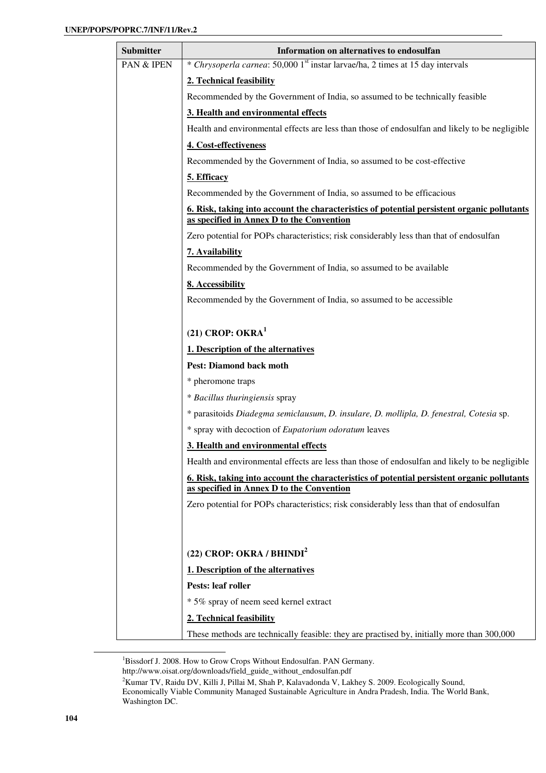| <b>Submitter</b> | Information on alternatives to endosulfan                                                                                                |
|------------------|------------------------------------------------------------------------------------------------------------------------------------------|
| PAN & IPEN       | * Chrysoperla carnea: 50,000 1 <sup>st</sup> instar larvae/ha, 2 times at 15 day intervals                                               |
|                  | 2. Technical feasibility                                                                                                                 |
|                  | Recommended by the Government of India, so assumed to be technically feasible                                                            |
|                  | 3. Health and environmental effects                                                                                                      |
|                  | Health and environmental effects are less than those of endosulfan and likely to be negligible                                           |
|                  | 4. Cost-effectiveness                                                                                                                    |
|                  | Recommended by the Government of India, so assumed to be cost-effective                                                                  |
|                  | 5. Efficacy                                                                                                                              |
|                  | Recommended by the Government of India, so assumed to be efficacious                                                                     |
|                  | 6. Risk, taking into account the characteristics of potential persistent organic pollutants<br>as specified in Annex D to the Convention |
|                  | Zero potential for POPs characteristics; risk considerably less than that of endosulfan                                                  |
|                  | 7. Availability                                                                                                                          |
|                  | Recommended by the Government of India, so assumed to be available                                                                       |
|                  | 8. Accessibility                                                                                                                         |
|                  | Recommended by the Government of India, so assumed to be accessible                                                                      |
|                  |                                                                                                                                          |
|                  | $(21)$ CROP: OKRA <sup>1</sup>                                                                                                           |
|                  | 1. Description of the alternatives                                                                                                       |
|                  | <b>Pest: Diamond back moth</b>                                                                                                           |
|                  | * pheromone traps                                                                                                                        |
|                  | * Bacillus thuringiensis spray                                                                                                           |
|                  | * parasitoids Diadegma semiclausum, D. insulare, D. mollipla, D. fenestral, Cotesia sp.                                                  |
|                  | * spray with decoction of Eupatorium odoratum leaves                                                                                     |
|                  | 3. Health and environmental effects                                                                                                      |
|                  | Health and environmental effects are less than those of endosulfan and likely to be negligible                                           |
|                  | 6. Risk, taking into account the characteristics of potential persistent organic pollutants<br>as specified in Annex D to the Convention |
|                  | Zero potential for POPs characteristics; risk considerably less than that of endosulfan                                                  |
|                  |                                                                                                                                          |
|                  |                                                                                                                                          |
|                  | (22) CROP: OKRA / BHINDI <sup>2</sup>                                                                                                    |
|                  | 1. Description of the alternatives                                                                                                       |
|                  | Pests: leaf roller                                                                                                                       |
|                  | * 5% spray of neem seed kernel extract                                                                                                   |
|                  | 2. Technical feasibility                                                                                                                 |
|                  | These methods are technically feasible: they are practised by, initially more than 300,000                                               |

<sup>&</sup>lt;sup>1</sup>Bissdorf J. 2008. How to Grow Crops Without Endosulfan. PAN Germany.

http://www.oisat.org/downloads/field\_guide\_without\_endosulfan.pdf

<sup>&</sup>lt;sup>2</sup>Kumar TV, Raidu DV, Killi J, Pillai M, Shah P, Kalavadonda V, Lakhey S. 2009. Ecologically Sound, Economically Viable Community Managed Sustainable Agriculture in Andra Pradesh, India. The World Bank, Washington DC.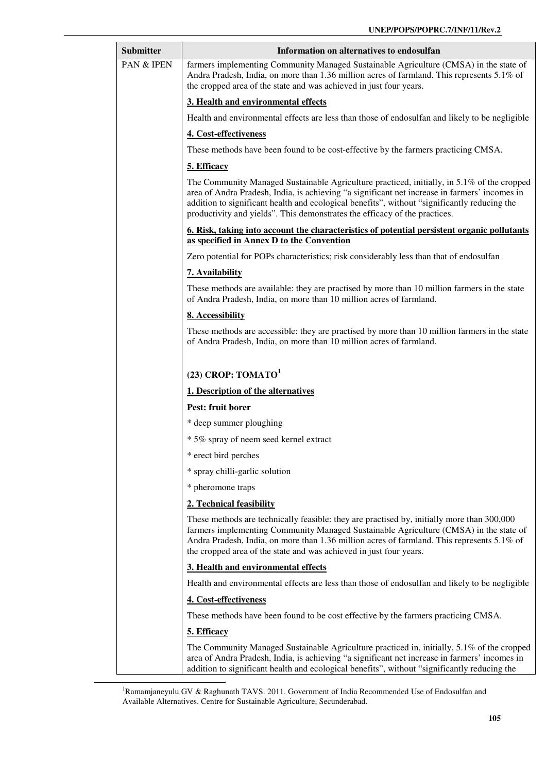| <b>Submitter</b> | Information on alternatives to endosulfan                                                                                                                                                                                                                                                                                                                                 |
|------------------|---------------------------------------------------------------------------------------------------------------------------------------------------------------------------------------------------------------------------------------------------------------------------------------------------------------------------------------------------------------------------|
| PAN & IPEN       | farmers implementing Community Managed Sustainable Agriculture (CMSA) in the state of<br>Andra Pradesh, India, on more than 1.36 million acres of farmland. This represents 5.1% of<br>the cropped area of the state and was achieved in just four years.                                                                                                                 |
|                  | 3. Health and environmental effects                                                                                                                                                                                                                                                                                                                                       |
|                  | Health and environmental effects are less than those of endosulfan and likely to be negligible                                                                                                                                                                                                                                                                            |
|                  | 4. Cost-effectiveness                                                                                                                                                                                                                                                                                                                                                     |
|                  | These methods have been found to be cost-effective by the farmers practicing CMSA.                                                                                                                                                                                                                                                                                        |
|                  | 5. Efficacy                                                                                                                                                                                                                                                                                                                                                               |
|                  | The Community Managed Sustainable Agriculture practiced, initially, in 5.1% of the cropped<br>area of Andra Pradesh, India, is achieving "a significant net increase in farmers' incomes in<br>addition to significant health and ecological benefits", without "significantly reducing the<br>productivity and yields". This demonstrates the efficacy of the practices. |
|                  | 6. Risk, taking into account the characteristics of potential persistent organic pollutants<br>as specified in Annex D to the Convention                                                                                                                                                                                                                                  |
|                  | Zero potential for POPs characteristics; risk considerably less than that of endosulfan                                                                                                                                                                                                                                                                                   |
|                  | 7. Availability                                                                                                                                                                                                                                                                                                                                                           |
|                  | These methods are available: they are practised by more than 10 million farmers in the state<br>of Andra Pradesh, India, on more than 10 million acres of farmland.                                                                                                                                                                                                       |
|                  | 8. Accessibility                                                                                                                                                                                                                                                                                                                                                          |
|                  | These methods are accessible: they are practised by more than 10 million farmers in the state<br>of Andra Pradesh, India, on more than 10 million acres of farmland.                                                                                                                                                                                                      |
|                  | (23) CROP: $TOMATO1$                                                                                                                                                                                                                                                                                                                                                      |
|                  | 1. Description of the alternatives                                                                                                                                                                                                                                                                                                                                        |
|                  | Pest: fruit borer                                                                                                                                                                                                                                                                                                                                                         |
|                  | * deep summer ploughing                                                                                                                                                                                                                                                                                                                                                   |
|                  | * 5% spray of neem seed kernel extract                                                                                                                                                                                                                                                                                                                                    |
|                  | * erect bird perches                                                                                                                                                                                                                                                                                                                                                      |
|                  | * spray chilli-garlic solution                                                                                                                                                                                                                                                                                                                                            |
|                  | * pheromone traps                                                                                                                                                                                                                                                                                                                                                         |
|                  | 2. Technical feasibility                                                                                                                                                                                                                                                                                                                                                  |
|                  | These methods are technically feasible: they are practised by, initially more than 300,000<br>farmers implementing Community Managed Sustainable Agriculture (CMSA) in the state of<br>Andra Pradesh, India, on more than 1.36 million acres of farmland. This represents 5.1% of<br>the cropped area of the state and was achieved in just four years.                   |
|                  | 3. Health and environmental effects                                                                                                                                                                                                                                                                                                                                       |
|                  | Health and environmental effects are less than those of endosulfan and likely to be negligible                                                                                                                                                                                                                                                                            |
|                  | 4. Cost-effectiveness                                                                                                                                                                                                                                                                                                                                                     |
|                  | These methods have been found to be cost effective by the farmers practicing CMSA.                                                                                                                                                                                                                                                                                        |
|                  | 5. Efficacy                                                                                                                                                                                                                                                                                                                                                               |
|                  | The Community Managed Sustainable Agriculture practiced in, initially, 5.1% of the cropped<br>area of Andra Pradesh, India, is achieving "a significant net increase in farmers' incomes in<br>addition to significant health and ecological benefits", without "significantly reducing the                                                                               |

<sup>&</sup>lt;sup>1</sup>Ramamjaneyulu GV & Raghunath TAVS. 2011. Government of India Recommended Use of Endosulfan and Available Alternatives. Centre for Sustainable Agriculture, Secunderabad.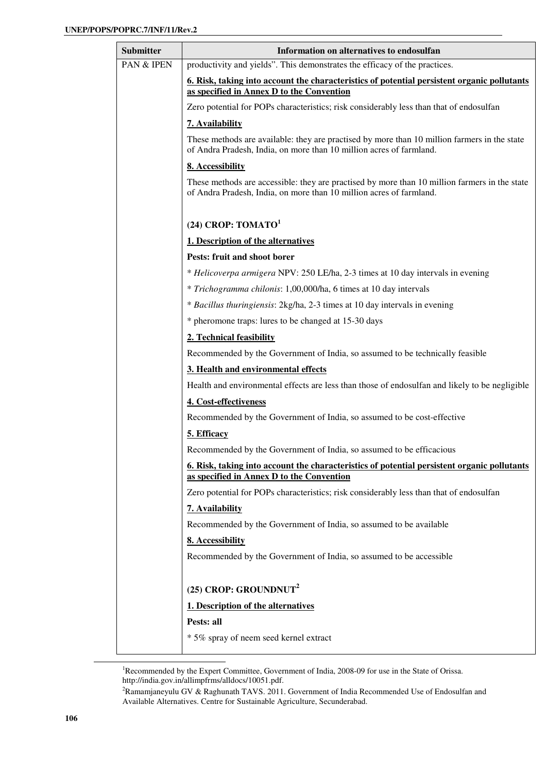| <b>Submitter</b>      | Information on alternatives to endosulfan                                                                                                                            |
|-----------------------|----------------------------------------------------------------------------------------------------------------------------------------------------------------------|
| <b>PAN &amp; IPEN</b> | productivity and yields". This demonstrates the efficacy of the practices.                                                                                           |
|                       | 6. Risk, taking into account the characteristics of potential persistent organic pollutants<br>as specified in Annex D to the Convention                             |
|                       | Zero potential for POPs characteristics; risk considerably less than that of endosulfan                                                                              |
|                       | 7. Availability                                                                                                                                                      |
|                       | These methods are available: they are practised by more than 10 million farmers in the state<br>of Andra Pradesh, India, on more than 10 million acres of farmland.  |
|                       | 8. Accessibility                                                                                                                                                     |
|                       | These methods are accessible: they are practised by more than 10 million farmers in the state<br>of Andra Pradesh, India, on more than 10 million acres of farmland. |
|                       | (24) CROP: $TOMATO1$                                                                                                                                                 |
|                       | 1. Description of the alternatives                                                                                                                                   |
|                       | Pests: fruit and shoot borer                                                                                                                                         |
|                       | * Helicoverpa armigera NPV: 250 LE/ha, 2-3 times at 10 day intervals in evening                                                                                      |
|                       | * Trichogramma chilonis: 1,00,000/ha, 6 times at 10 day intervals                                                                                                    |
|                       | * Bacillus thuringiensis: 2kg/ha, 2-3 times at 10 day intervals in evening                                                                                           |
|                       | * pheromone traps: lures to be changed at 15-30 days                                                                                                                 |
|                       | 2. Technical feasibility                                                                                                                                             |
|                       | Recommended by the Government of India, so assumed to be technically feasible                                                                                        |
|                       | 3. Health and environmental effects                                                                                                                                  |
|                       | Health and environmental effects are less than those of endosulfan and likely to be negligible                                                                       |
|                       | 4. Cost-effectiveness                                                                                                                                                |
|                       | Recommended by the Government of India, so assumed to be cost-effective                                                                                              |
|                       | 5. Efficacy                                                                                                                                                          |
|                       | Recommended by the Government of India, so assumed to be efficacious                                                                                                 |
|                       | 6. Risk, taking into account the characteristics of potential persistent organic pollutants<br>as specified in Annex D to the Convention                             |
|                       | Zero potential for POPs characteristics; risk considerably less than that of endosulfan                                                                              |
|                       | 7. Availability                                                                                                                                                      |
|                       | Recommended by the Government of India, so assumed to be available                                                                                                   |
|                       | 8. Accessibility                                                                                                                                                     |
|                       | Recommended by the Government of India, so assumed to be accessible                                                                                                  |
|                       | (25) CROP: GROUNDNUT <sup>2</sup>                                                                                                                                    |
|                       | 1. Description of the alternatives                                                                                                                                   |
|                       | Pests: all                                                                                                                                                           |
|                       | * 5% spray of neem seed kernel extract                                                                                                                               |

<sup>&</sup>lt;sup>1</sup>Recommended by the Expert Committee, Government of India, 2008-09 for use in the State of Orissa. http://india.gov.in/allimpfrms/alldocs/10051.pdf.

<sup>&</sup>lt;sup>2</sup>Ramamjaneyulu GV & Raghunath TAVS. 2011. Government of India Recommended Use of Endosulfan and Available Alternatives. Centre for Sustainable Agriculture, Secunderabad.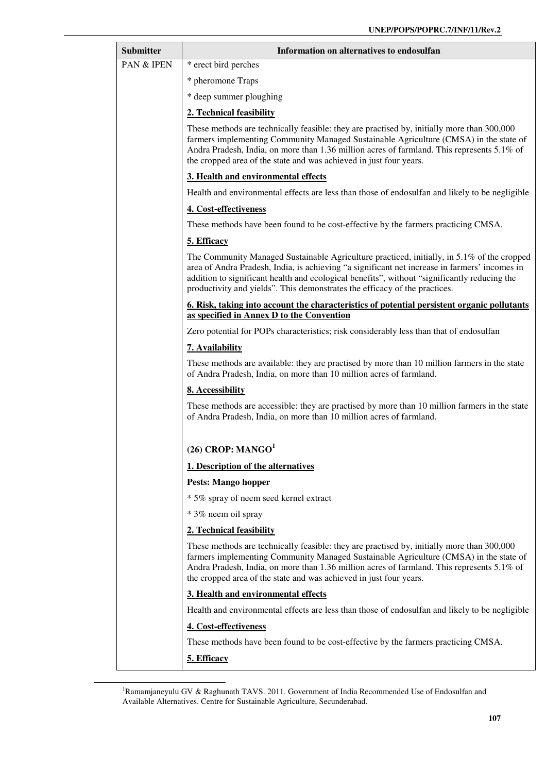| <b>Submitter</b> | Information on alternatives to endosulfan                                                                                                                                                                                                                                                                                                                                 |
|------------------|---------------------------------------------------------------------------------------------------------------------------------------------------------------------------------------------------------------------------------------------------------------------------------------------------------------------------------------------------------------------------|
| PAN & IPEN       | * erect bird perches                                                                                                                                                                                                                                                                                                                                                      |
|                  | * pheromone Traps                                                                                                                                                                                                                                                                                                                                                         |
|                  | * deep summer ploughing                                                                                                                                                                                                                                                                                                                                                   |
|                  | 2. Technical feasibility                                                                                                                                                                                                                                                                                                                                                  |
|                  | These methods are technically feasible: they are practised by, initially more than 300,000<br>farmers implementing Community Managed Sustainable Agriculture (CMSA) in the state of<br>Andra Pradesh, India, on more than 1.36 million acres of farmland. This represents 5.1% of<br>the cropped area of the state and was achieved in just four years.                   |
|                  | 3. Health and environmental effects                                                                                                                                                                                                                                                                                                                                       |
|                  | Health and environmental effects are less than those of endosulfan and likely to be negligible                                                                                                                                                                                                                                                                            |
|                  | 4. Cost-effectiveness                                                                                                                                                                                                                                                                                                                                                     |
|                  | These methods have been found to be cost-effective by the farmers practicing CMSA.                                                                                                                                                                                                                                                                                        |
|                  | 5. Efficacy                                                                                                                                                                                                                                                                                                                                                               |
|                  | The Community Managed Sustainable Agriculture practiced, initially, in 5.1% of the cropped<br>area of Andra Pradesh, India, is achieving "a significant net increase in farmers' incomes in<br>addition to significant health and ecological benefits", without "significantly reducing the<br>productivity and yields". This demonstrates the efficacy of the practices. |
|                  | <u><b>6. Risk, taking into account the characteristics of potential persistent organic pollutants</b></u><br>as specified in Annex D to the Convention                                                                                                                                                                                                                    |
|                  | Zero potential for POPs characteristics; risk considerably less than that of endosulfan                                                                                                                                                                                                                                                                                   |
|                  | 7. Availability                                                                                                                                                                                                                                                                                                                                                           |
|                  | These methods are available: they are practised by more than 10 million farmers in the state<br>of Andra Pradesh, India, on more than 10 million acres of farmland.                                                                                                                                                                                                       |
|                  | 8. Accessibility                                                                                                                                                                                                                                                                                                                                                          |
|                  | These methods are accessible: they are practised by more than 10 million farmers in the state<br>of Andra Pradesh, India, on more than 10 million acres of farmland.                                                                                                                                                                                                      |
|                  | $(26)$ CROP: MANGO <sup>1</sup>                                                                                                                                                                                                                                                                                                                                           |
|                  | 1. Description of the alternatives                                                                                                                                                                                                                                                                                                                                        |
|                  | <b>Pests: Mango hopper</b>                                                                                                                                                                                                                                                                                                                                                |
|                  | * 5% spray of neem seed kernel extract                                                                                                                                                                                                                                                                                                                                    |
|                  | * 3% neem oil spray                                                                                                                                                                                                                                                                                                                                                       |
|                  | 2. Technical feasibility                                                                                                                                                                                                                                                                                                                                                  |
|                  | These methods are technically feasible: they are practised by, initially more than 300,000<br>farmers implementing Community Managed Sustainable Agriculture (CMSA) in the state of<br>Andra Pradesh, India, on more than 1.36 million acres of farmland. This represents 5.1% of<br>the cropped area of the state and was achieved in just four years.                   |
|                  | 3. Health and environmental effects                                                                                                                                                                                                                                                                                                                                       |
|                  | Health and environmental effects are less than those of endosulfan and likely to be negligible                                                                                                                                                                                                                                                                            |
|                  | 4. Cost-effectiveness                                                                                                                                                                                                                                                                                                                                                     |
|                  | These methods have been found to be cost-effective by the farmers practicing CMSA.                                                                                                                                                                                                                                                                                        |
|                  | 5. Efficacy                                                                                                                                                                                                                                                                                                                                                               |

<sup>&</sup>lt;sup>1</sup>Ramamjaneyulu GV & Raghunath TAVS. 2011. Government of India Recommended Use of Endosulfan and Available Alternatives. Centre for Sustainable Agriculture, Secunderabad.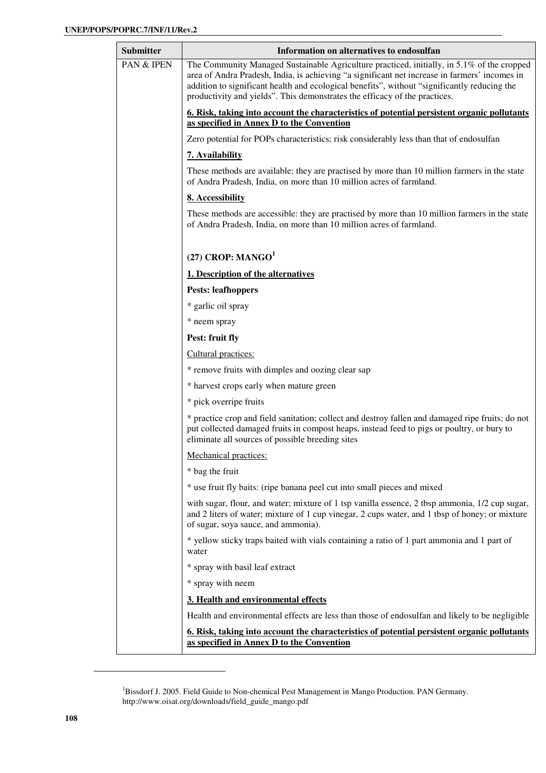| Information on alternatives to endosulfan                                                                                                                                                                                                                                                                                                                                 |
|---------------------------------------------------------------------------------------------------------------------------------------------------------------------------------------------------------------------------------------------------------------------------------------------------------------------------------------------------------------------------|
| The Community Managed Sustainable Agriculture practiced, initially, in 5.1% of the cropped<br>area of Andra Pradesh, India, is achieving "a significant net increase in farmers' incomes in<br>addition to significant health and ecological benefits", without "significantly reducing the<br>productivity and yields". This demonstrates the efficacy of the practices. |
| 6. Risk, taking into account the characteristics of potential persistent organic pollutants<br>as specified in Annex D to the Convention                                                                                                                                                                                                                                  |
| Zero potential for POPs characteristics; risk considerably less than that of endosulfan                                                                                                                                                                                                                                                                                   |
| 7. Availability                                                                                                                                                                                                                                                                                                                                                           |
| These methods are available: they are practised by more than 10 million farmers in the state<br>of Andra Pradesh, India, on more than 10 million acres of farmland.                                                                                                                                                                                                       |
| 8. Accessibility                                                                                                                                                                                                                                                                                                                                                          |
| These methods are accessible: they are practised by more than 10 million farmers in the state<br>of Andra Pradesh, India, on more than 10 million acres of farmland.                                                                                                                                                                                                      |
| (27) CROP: $MANGO1$                                                                                                                                                                                                                                                                                                                                                       |
| 1. Description of the alternatives                                                                                                                                                                                                                                                                                                                                        |
| <b>Pests: leafhoppers</b>                                                                                                                                                                                                                                                                                                                                                 |
| * garlic oil spray                                                                                                                                                                                                                                                                                                                                                        |
| * neem spray                                                                                                                                                                                                                                                                                                                                                              |
| Pest: fruit fly                                                                                                                                                                                                                                                                                                                                                           |
| Cultural practices:                                                                                                                                                                                                                                                                                                                                                       |
| * remove fruits with dimples and oozing clear sap                                                                                                                                                                                                                                                                                                                         |
| * harvest crops early when mature green                                                                                                                                                                                                                                                                                                                                   |
| * pick overripe fruits                                                                                                                                                                                                                                                                                                                                                    |
| * practice crop and field sanitation; collect and destroy fallen and damaged ripe fruits; do not<br>put collected damaged fruits in compost heaps, instead feed to pigs or poultry, or bury to<br>eliminate all sources of possible breeding sites                                                                                                                        |
| Mechanical practices:                                                                                                                                                                                                                                                                                                                                                     |
| * bag the fruit                                                                                                                                                                                                                                                                                                                                                           |
| * use fruit fly baits: (ripe banana peel cut into small pieces and mixed                                                                                                                                                                                                                                                                                                  |
| with sugar, flour, and water; mixture of 1 tsp vanilla essence, 2 tbsp ammonia, 1/2 cup sugar,<br>and 2 liters of water; mixture of 1 cup vinegar, 2 cups water, and 1 tbsp of honey; or mixture<br>of sugar, soya sauce, and ammonia).                                                                                                                                   |
| * yellow sticky traps baited with vials containing a ratio of 1 part ammonia and 1 part of<br>water                                                                                                                                                                                                                                                                       |
| * spray with basil leaf extract                                                                                                                                                                                                                                                                                                                                           |
| * spray with neem                                                                                                                                                                                                                                                                                                                                                         |
| 3. Health and environmental effects                                                                                                                                                                                                                                                                                                                                       |
| Health and environmental effects are less than those of endosulfan and likely to be negligible                                                                                                                                                                                                                                                                            |
|                                                                                                                                                                                                                                                                                                                                                                           |
|                                                                                                                                                                                                                                                                                                                                                                           |

<sup>&</sup>lt;sup>1</sup>Bissdorf J. 2005. Field Guide to Non-chemical Pest Management in Mango Production. PAN Germany. http://www.oisat.org/downloads/field\_guide\_mango.pdf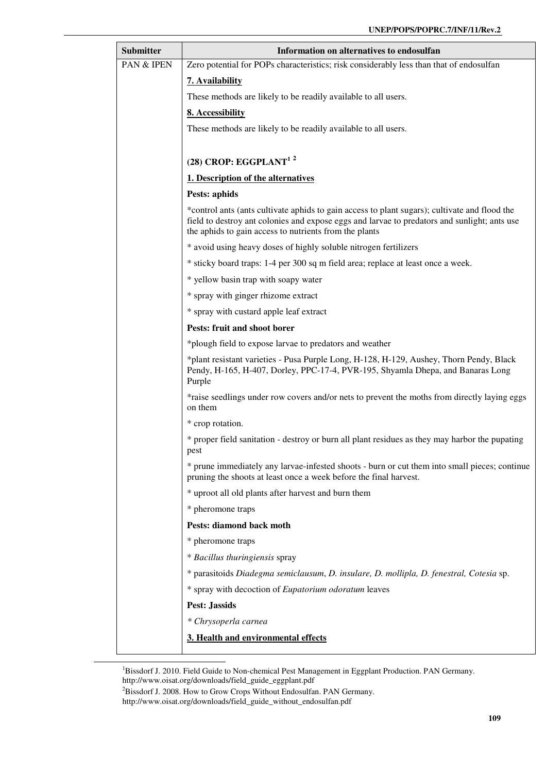| <b>Submitter</b> | Information on alternatives to endosulfan                                                                                                                                                                                                               |  |  |  |  |  |  |  |  |  |  |
|------------------|---------------------------------------------------------------------------------------------------------------------------------------------------------------------------------------------------------------------------------------------------------|--|--|--|--|--|--|--|--|--|--|
| PAN & IPEN       | Zero potential for POPs characteristics; risk considerably less than that of endosulfan                                                                                                                                                                 |  |  |  |  |  |  |  |  |  |  |
|                  | 7. Availability                                                                                                                                                                                                                                         |  |  |  |  |  |  |  |  |  |  |
|                  | These methods are likely to be readily available to all users.                                                                                                                                                                                          |  |  |  |  |  |  |  |  |  |  |
|                  | 8. Accessibility                                                                                                                                                                                                                                        |  |  |  |  |  |  |  |  |  |  |
|                  | These methods are likely to be readily available to all users.                                                                                                                                                                                          |  |  |  |  |  |  |  |  |  |  |
|                  | $(28)$ CROP: EGGPLANT <sup>12</sup>                                                                                                                                                                                                                     |  |  |  |  |  |  |  |  |  |  |
|                  | 1. Description of the alternatives                                                                                                                                                                                                                      |  |  |  |  |  |  |  |  |  |  |
|                  | Pests: aphids                                                                                                                                                                                                                                           |  |  |  |  |  |  |  |  |  |  |
|                  | *control ants (ants cultivate aphids to gain access to plant sugars); cultivate and flood the<br>field to destroy ant colonies and expose eggs and larvae to predators and sunlight; ants use<br>the aphids to gain access to nutrients from the plants |  |  |  |  |  |  |  |  |  |  |
|                  | * avoid using heavy doses of highly soluble nitrogen fertilizers                                                                                                                                                                                        |  |  |  |  |  |  |  |  |  |  |
|                  | * sticky board traps: 1-4 per 300 sq m field area; replace at least once a week.                                                                                                                                                                        |  |  |  |  |  |  |  |  |  |  |
|                  | * yellow basin trap with soapy water                                                                                                                                                                                                                    |  |  |  |  |  |  |  |  |  |  |
|                  | * spray with ginger rhizome extract                                                                                                                                                                                                                     |  |  |  |  |  |  |  |  |  |  |
|                  | * spray with custard apple leaf extract                                                                                                                                                                                                                 |  |  |  |  |  |  |  |  |  |  |
|                  | Pests: fruit and shoot borer                                                                                                                                                                                                                            |  |  |  |  |  |  |  |  |  |  |
|                  | *plough field to expose larvae to predators and weather                                                                                                                                                                                                 |  |  |  |  |  |  |  |  |  |  |
|                  | *plant resistant varieties - Pusa Purple Long, H-128, H-129, Aushey, Thorn Pendy, Black<br>Pendy, H-165, H-407, Dorley, PPC-17-4, PVR-195, Shyamla Dhepa, and Banaras Long<br>Purple                                                                    |  |  |  |  |  |  |  |  |  |  |
|                  | *raise seedlings under row covers and/or nets to prevent the moths from directly laying eggs<br>on them                                                                                                                                                 |  |  |  |  |  |  |  |  |  |  |
|                  | * crop rotation.                                                                                                                                                                                                                                        |  |  |  |  |  |  |  |  |  |  |
|                  | * proper field sanitation - destroy or burn all plant residues as they may harbor the pupating<br>pest                                                                                                                                                  |  |  |  |  |  |  |  |  |  |  |
|                  | * prune immediately any larvae-infested shoots - burn or cut them into small pieces; continue<br>pruning the shoots at least once a week before the final harvest.                                                                                      |  |  |  |  |  |  |  |  |  |  |
|                  | * uproot all old plants after harvest and burn them                                                                                                                                                                                                     |  |  |  |  |  |  |  |  |  |  |
|                  | * pheromone traps                                                                                                                                                                                                                                       |  |  |  |  |  |  |  |  |  |  |
|                  | Pests: diamond back moth                                                                                                                                                                                                                                |  |  |  |  |  |  |  |  |  |  |
|                  | * pheromone traps                                                                                                                                                                                                                                       |  |  |  |  |  |  |  |  |  |  |
|                  | * Bacillus thuringiensis spray                                                                                                                                                                                                                          |  |  |  |  |  |  |  |  |  |  |
|                  | * parasitoids Diadegma semiclausum, D. insulare, D. mollipla, D. fenestral, Cotesia sp.                                                                                                                                                                 |  |  |  |  |  |  |  |  |  |  |
|                  | * spray with decoction of Eupatorium odoratum leaves                                                                                                                                                                                                    |  |  |  |  |  |  |  |  |  |  |
|                  | <b>Pest: Jassids</b>                                                                                                                                                                                                                                    |  |  |  |  |  |  |  |  |  |  |
|                  | * Chrysoperla carnea                                                                                                                                                                                                                                    |  |  |  |  |  |  |  |  |  |  |
|                  | 3. Health and environmental effects                                                                                                                                                                                                                     |  |  |  |  |  |  |  |  |  |  |

<sup>&</sup>lt;sup>1</sup>Bissdorf J. 2010. Field Guide to Non-chemical Pest Management in Eggplant Production. PAN Germany. http://www.oisat.org/downloads/field\_guide\_eggplant.pdf

<sup>2</sup>Bissdorf J. 2008. How to Grow Crops Without Endosulfan. PAN Germany. http://www.oisat.org/downloads/field\_guide\_without\_endosulfan.pdf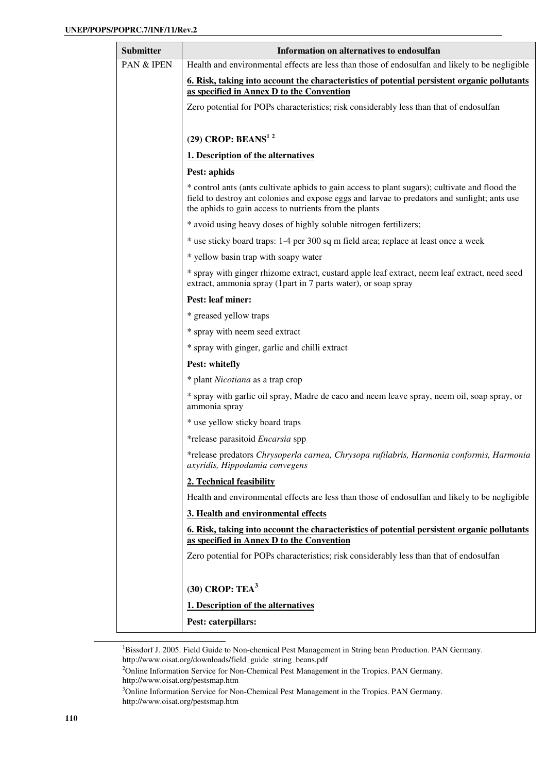| <b>Submitter</b> | Information on alternatives to endosulfan                                                                                                                                                                                                                |  |  |  |  |  |  |  |  |  |  |
|------------------|----------------------------------------------------------------------------------------------------------------------------------------------------------------------------------------------------------------------------------------------------------|--|--|--|--|--|--|--|--|--|--|
| PAN & IPEN       | Health and environmental effects are less than those of endosulfan and likely to be negligible                                                                                                                                                           |  |  |  |  |  |  |  |  |  |  |
|                  | 6. Risk, taking into account the characteristics of potential persistent organic pollutants<br>as specified in Annex D to the Convention                                                                                                                 |  |  |  |  |  |  |  |  |  |  |
|                  | Zero potential for POPs characteristics; risk considerably less than that of endosulfan                                                                                                                                                                  |  |  |  |  |  |  |  |  |  |  |
|                  | $(29)$ CROP: BEANS <sup>12</sup>                                                                                                                                                                                                                         |  |  |  |  |  |  |  |  |  |  |
|                  | 1. Description of the alternatives                                                                                                                                                                                                                       |  |  |  |  |  |  |  |  |  |  |
|                  | Pest: aphids                                                                                                                                                                                                                                             |  |  |  |  |  |  |  |  |  |  |
|                  | * control ants (ants cultivate aphids to gain access to plant sugars); cultivate and flood the<br>field to destroy ant colonies and expose eggs and larvae to predators and sunlight; ants use<br>the aphids to gain access to nutrients from the plants |  |  |  |  |  |  |  |  |  |  |
|                  | * avoid using heavy doses of highly soluble nitrogen fertilizers;                                                                                                                                                                                        |  |  |  |  |  |  |  |  |  |  |
|                  | * use sticky board traps: 1-4 per 300 sq m field area; replace at least once a week                                                                                                                                                                      |  |  |  |  |  |  |  |  |  |  |
|                  | * yellow basin trap with soapy water                                                                                                                                                                                                                     |  |  |  |  |  |  |  |  |  |  |
|                  | * spray with ginger rhizome extract, custard apple leaf extract, neem leaf extract, need seed<br>extract, ammonia spray (1part in 7 parts water), or soap spray                                                                                          |  |  |  |  |  |  |  |  |  |  |
|                  | <b>Pest: leaf miner:</b>                                                                                                                                                                                                                                 |  |  |  |  |  |  |  |  |  |  |
|                  | * greased yellow traps                                                                                                                                                                                                                                   |  |  |  |  |  |  |  |  |  |  |
|                  | * spray with neem seed extract                                                                                                                                                                                                                           |  |  |  |  |  |  |  |  |  |  |
|                  | * spray with ginger, garlic and chilli extract                                                                                                                                                                                                           |  |  |  |  |  |  |  |  |  |  |
|                  | Pest: whitefly                                                                                                                                                                                                                                           |  |  |  |  |  |  |  |  |  |  |
|                  | * plant Nicotiana as a trap crop                                                                                                                                                                                                                         |  |  |  |  |  |  |  |  |  |  |
|                  | * spray with garlic oil spray, Madre de caco and neem leave spray, neem oil, soap spray, or<br>ammonia spray                                                                                                                                             |  |  |  |  |  |  |  |  |  |  |
|                  | * use yellow sticky board traps                                                                                                                                                                                                                          |  |  |  |  |  |  |  |  |  |  |
|                  | *release parasitoid Encarsia spp                                                                                                                                                                                                                         |  |  |  |  |  |  |  |  |  |  |
|                  | *release predators Chrysoperla carnea, Chrysopa rufilabris, Harmonia conformis, Harmonia<br>axyridis, Hippodamia convegens                                                                                                                               |  |  |  |  |  |  |  |  |  |  |
|                  | 2. Technical feasibility                                                                                                                                                                                                                                 |  |  |  |  |  |  |  |  |  |  |
|                  | Health and environmental effects are less than those of endosulfan and likely to be negligible                                                                                                                                                           |  |  |  |  |  |  |  |  |  |  |
|                  | 3. Health and environmental effects                                                                                                                                                                                                                      |  |  |  |  |  |  |  |  |  |  |
|                  | <u><b>6.</b> Risk, taking into account the characteristics of potential persistent organic pollutants</u><br>as specified in Annex D to the Convention                                                                                                   |  |  |  |  |  |  |  |  |  |  |
|                  | Zero potential for POPs characteristics; risk considerably less than that of endosulfan                                                                                                                                                                  |  |  |  |  |  |  |  |  |  |  |
|                  | $(30)$ CROP: TEA <sup>3</sup>                                                                                                                                                                                                                            |  |  |  |  |  |  |  |  |  |  |
|                  | 1. Description of the alternatives                                                                                                                                                                                                                       |  |  |  |  |  |  |  |  |  |  |
|                  | Pest: caterpillars:                                                                                                                                                                                                                                      |  |  |  |  |  |  |  |  |  |  |

<sup>1</sup>Bissdorf J. 2005. Field Guide to Non-chemical Pest Management in String bean Production. PAN Germany. http://www.oisat.org/downloads/field\_guide\_string\_beans.pdf

<sup>2</sup>Online Information Service for Non-Chemical Pest Management in the Tropics. PAN Germany. http://www.oisat.org/pestsmap.htm

<sup>3</sup>Online Information Service for Non-Chemical Pest Management in the Tropics. PAN Germany. http://www.oisat.org/pestsmap.htm

l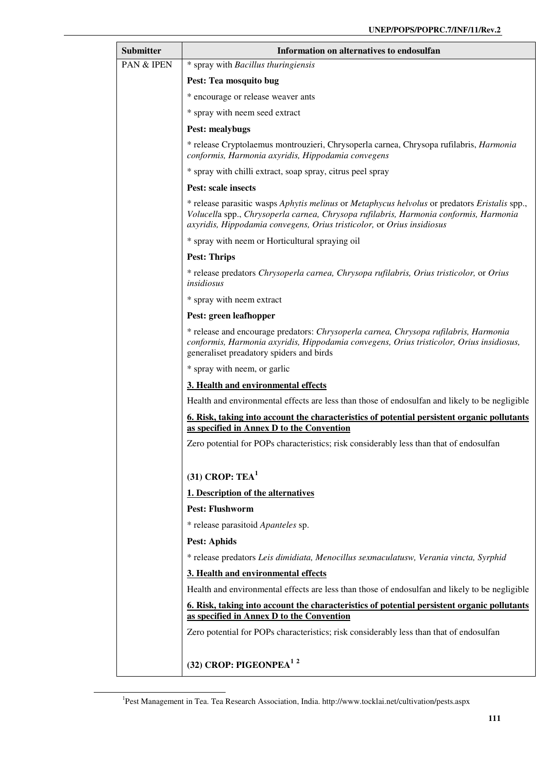| <b>Submitter</b> | Information on alternatives to endosulfan                                                                                                                                                                                                                        |  |  |  |  |  |  |  |  |  |  |
|------------------|------------------------------------------------------------------------------------------------------------------------------------------------------------------------------------------------------------------------------------------------------------------|--|--|--|--|--|--|--|--|--|--|
| PAN & IPEN       | * spray with Bacillus thuringiensis                                                                                                                                                                                                                              |  |  |  |  |  |  |  |  |  |  |
|                  | Pest: Tea mosquito bug                                                                                                                                                                                                                                           |  |  |  |  |  |  |  |  |  |  |
|                  | * encourage or release weaver ants                                                                                                                                                                                                                               |  |  |  |  |  |  |  |  |  |  |
|                  | * spray with neem seed extract                                                                                                                                                                                                                                   |  |  |  |  |  |  |  |  |  |  |
|                  | <b>Pest: mealybugs</b>                                                                                                                                                                                                                                           |  |  |  |  |  |  |  |  |  |  |
|                  | * release Cryptolaemus montrouzieri, Chrysoperla carnea, Chrysopa rufilabris, Harmonia<br>conformis, Harmonia axyridis, Hippodamia convegens                                                                                                                     |  |  |  |  |  |  |  |  |  |  |
|                  | * spray with chilli extract, soap spray, citrus peel spray                                                                                                                                                                                                       |  |  |  |  |  |  |  |  |  |  |
|                  | Pest: scale insects                                                                                                                                                                                                                                              |  |  |  |  |  |  |  |  |  |  |
|                  | * release parasitic wasps Aphytis melinus or Metaphycus helvolus or predators Eristalis spp.,<br>Volucella spp., Chrysoperla carnea, Chrysopa rufilabris, Harmonia conformis, Harmonia<br>axyridis, Hippodamia convegens, Orius tristicolor, or Orius insidiosus |  |  |  |  |  |  |  |  |  |  |
|                  | * spray with neem or Horticultural spraying oil                                                                                                                                                                                                                  |  |  |  |  |  |  |  |  |  |  |
|                  | <b>Pest: Thrips</b>                                                                                                                                                                                                                                              |  |  |  |  |  |  |  |  |  |  |
|                  | * release predators Chrysoperla carnea, Chrysopa rufilabris, Orius tristicolor, or Orius<br>insidiosus                                                                                                                                                           |  |  |  |  |  |  |  |  |  |  |
|                  | * spray with neem extract                                                                                                                                                                                                                                        |  |  |  |  |  |  |  |  |  |  |
|                  | Pest: green leafhopper                                                                                                                                                                                                                                           |  |  |  |  |  |  |  |  |  |  |
|                  | * release and encourage predators: Chrysoperla carnea, Chrysopa rufilabris, Harmonia<br>conformis, Harmonia axyridis, Hippodamia convegens, Orius tristicolor, Orius insidiosus,<br>generaliset preadatory spiders and birds                                     |  |  |  |  |  |  |  |  |  |  |
|                  | * spray with neem, or garlic                                                                                                                                                                                                                                     |  |  |  |  |  |  |  |  |  |  |
|                  | 3. Health and environmental effects                                                                                                                                                                                                                              |  |  |  |  |  |  |  |  |  |  |
|                  | Health and environmental effects are less than those of endosulfan and likely to be negligible                                                                                                                                                                   |  |  |  |  |  |  |  |  |  |  |
|                  | 6. Risk, taking into account the characteristics of potential persistent organic pollutants<br>as specified in Annex D to the Convention                                                                                                                         |  |  |  |  |  |  |  |  |  |  |
|                  | Zero potential for POPs characteristics; risk considerably less than that of endosulfan                                                                                                                                                                          |  |  |  |  |  |  |  |  |  |  |
|                  |                                                                                                                                                                                                                                                                  |  |  |  |  |  |  |  |  |  |  |
|                  | $(31)$ CROP: TEA <sup>1</sup>                                                                                                                                                                                                                                    |  |  |  |  |  |  |  |  |  |  |
|                  | 1. Description of the alternatives                                                                                                                                                                                                                               |  |  |  |  |  |  |  |  |  |  |
|                  | <b>Pest: Flushworm</b>                                                                                                                                                                                                                                           |  |  |  |  |  |  |  |  |  |  |
|                  | * release parasitoid Apanteles sp.                                                                                                                                                                                                                               |  |  |  |  |  |  |  |  |  |  |
|                  | <b>Pest: Aphids</b>                                                                                                                                                                                                                                              |  |  |  |  |  |  |  |  |  |  |
|                  | * release predators Leis dimidiata, Menocillus sexmaculatusw, Verania vincta, Syrphid                                                                                                                                                                            |  |  |  |  |  |  |  |  |  |  |
|                  | 3. Health and environmental effects                                                                                                                                                                                                                              |  |  |  |  |  |  |  |  |  |  |
|                  | Health and environmental effects are less than those of endosulfan and likely to be negligible                                                                                                                                                                   |  |  |  |  |  |  |  |  |  |  |
|                  | 6. Risk, taking into account the characteristics of potential persistent organic pollutants                                                                                                                                                                      |  |  |  |  |  |  |  |  |  |  |
|                  | as specified in Annex D to the Convention                                                                                                                                                                                                                        |  |  |  |  |  |  |  |  |  |  |
|                  | Zero potential for POPs characteristics; risk considerably less than that of endosulfan                                                                                                                                                                          |  |  |  |  |  |  |  |  |  |  |
|                  | (32) CROP: PIGEONPEA <sup>12</sup>                                                                                                                                                                                                                               |  |  |  |  |  |  |  |  |  |  |
|                  |                                                                                                                                                                                                                                                                  |  |  |  |  |  |  |  |  |  |  |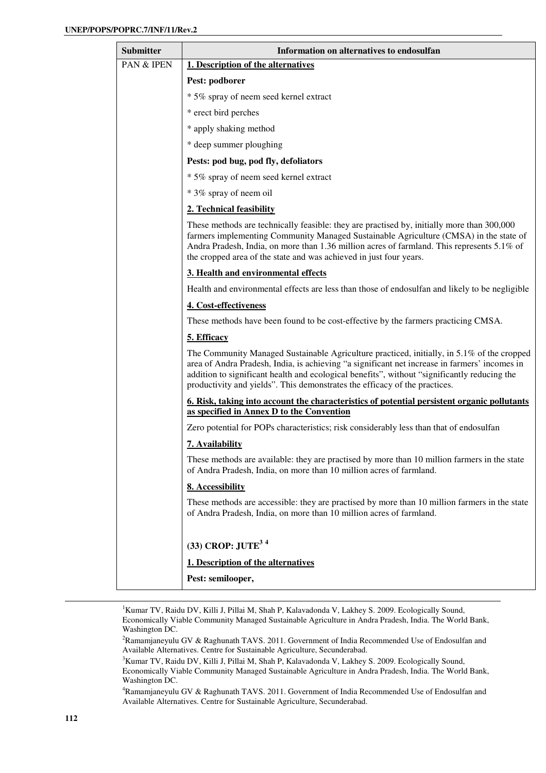| <b>Submitter</b> | Information on alternatives to endosulfan                                                                                                                                                                                                                                                                                                                                 |  |  |  |  |
|------------------|---------------------------------------------------------------------------------------------------------------------------------------------------------------------------------------------------------------------------------------------------------------------------------------------------------------------------------------------------------------------------|--|--|--|--|
| PAN & IPEN       | 1. Description of the alternatives                                                                                                                                                                                                                                                                                                                                        |  |  |  |  |
|                  | Pest: podborer                                                                                                                                                                                                                                                                                                                                                            |  |  |  |  |
|                  | * 5% spray of neem seed kernel extract                                                                                                                                                                                                                                                                                                                                    |  |  |  |  |
|                  | * erect bird perches                                                                                                                                                                                                                                                                                                                                                      |  |  |  |  |
|                  | * apply shaking method                                                                                                                                                                                                                                                                                                                                                    |  |  |  |  |
|                  | * deep summer ploughing                                                                                                                                                                                                                                                                                                                                                   |  |  |  |  |
|                  | Pests: pod bug, pod fly, defoliators                                                                                                                                                                                                                                                                                                                                      |  |  |  |  |
|                  | * 5% spray of neem seed kernel extract                                                                                                                                                                                                                                                                                                                                    |  |  |  |  |
|                  | * 3% spray of neem oil                                                                                                                                                                                                                                                                                                                                                    |  |  |  |  |
|                  | 2. Technical feasibility                                                                                                                                                                                                                                                                                                                                                  |  |  |  |  |
|                  | These methods are technically feasible: they are practised by, initially more than 300,000<br>farmers implementing Community Managed Sustainable Agriculture (CMSA) in the state of<br>Andra Pradesh, India, on more than 1.36 million acres of farmland. This represents 5.1% of<br>the cropped area of the state and was achieved in just four years.                   |  |  |  |  |
|                  | 3. Health and environmental effects                                                                                                                                                                                                                                                                                                                                       |  |  |  |  |
|                  | Health and environmental effects are less than those of endosulfan and likely to be negligible                                                                                                                                                                                                                                                                            |  |  |  |  |
|                  | 4. Cost-effectiveness                                                                                                                                                                                                                                                                                                                                                     |  |  |  |  |
|                  | These methods have been found to be cost-effective by the farmers practicing CMSA.                                                                                                                                                                                                                                                                                        |  |  |  |  |
|                  | 5. Efficacy                                                                                                                                                                                                                                                                                                                                                               |  |  |  |  |
|                  | The Community Managed Sustainable Agriculture practiced, initially, in 5.1% of the cropped<br>area of Andra Pradesh, India, is achieving "a significant net increase in farmers' incomes in<br>addition to significant health and ecological benefits", without "significantly reducing the<br>productivity and yields". This demonstrates the efficacy of the practices. |  |  |  |  |
|                  | 6. Risk, taking into account the characteristics of potential persistent organic pollutants<br>as specified in Annex D to the Convention                                                                                                                                                                                                                                  |  |  |  |  |
|                  | Zero potential for POPs characteristics; risk considerably less than that of endosulfan                                                                                                                                                                                                                                                                                   |  |  |  |  |
|                  | 7. Availability                                                                                                                                                                                                                                                                                                                                                           |  |  |  |  |
|                  | These methods are available: they are practised by more than 10 million farmers in the state<br>of Andra Pradesh, India, on more than 10 million acres of farmland.                                                                                                                                                                                                       |  |  |  |  |
|                  | 8. Accessibility                                                                                                                                                                                                                                                                                                                                                          |  |  |  |  |
|                  | These methods are accessible: they are practised by more than 10 million farmers in the state<br>of Andra Pradesh, India, on more than 10 million acres of farmland.                                                                                                                                                                                                      |  |  |  |  |
|                  | $(33)$ CROP: $JUTE3 4$                                                                                                                                                                                                                                                                                                                                                    |  |  |  |  |
|                  | 1. Description of the alternatives                                                                                                                                                                                                                                                                                                                                        |  |  |  |  |
|                  | Pest: semilooper,                                                                                                                                                                                                                                                                                                                                                         |  |  |  |  |

<sup>1</sup>Kumar TV, Raidu DV, Killi J, Pillai M, Shah P, Kalavadonda V, Lakhey S. 2009. Ecologically Sound, Economically Viable Community Managed Sustainable Agriculture in Andra Pradesh, India. The World Bank, Washington DC.

<sup>2</sup>Ramamjaneyulu GV & Raghunath TAVS. 2011. Government of India Recommended Use of Endosulfan and Available Alternatives. Centre for Sustainable Agriculture, Secunderabad.

<sup>3</sup>Kumar TV, Raidu DV, Killi J, Pillai M, Shah P, Kalavadonda V, Lakhey S. 2009. Ecologically Sound, Economically Viable Community Managed Sustainable Agriculture in Andra Pradesh, India. The World Bank, Washington DC.

<sup>4</sup>Ramamjaneyulu GV & Raghunath TAVS. 2011. Government of India Recommended Use of Endosulfan and Available Alternatives. Centre for Sustainable Agriculture, Secunderabad.

 $\overline{a}$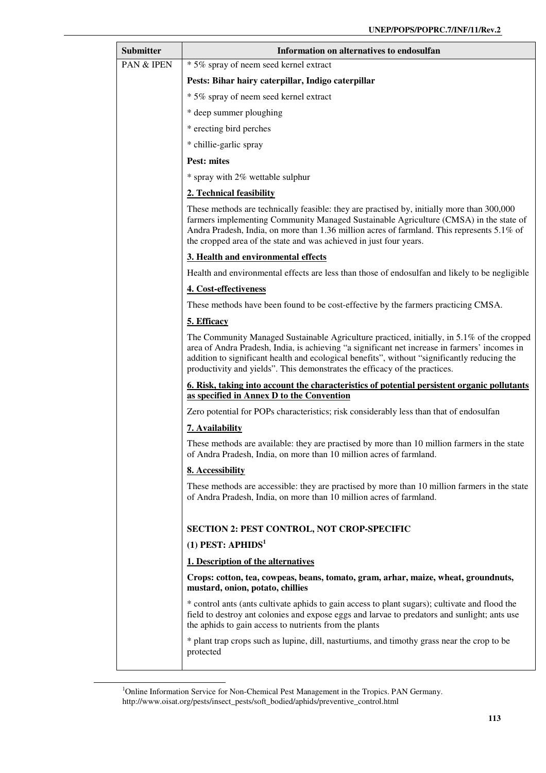| <b>Submitter</b> | Information on alternatives to endosulfan                                                                                                                                                                                                                                                                                                                                 |  |  |  |  |  |  |  |  |
|------------------|---------------------------------------------------------------------------------------------------------------------------------------------------------------------------------------------------------------------------------------------------------------------------------------------------------------------------------------------------------------------------|--|--|--|--|--|--|--|--|
| PAN & IPEN       | * 5% spray of neem seed kernel extract                                                                                                                                                                                                                                                                                                                                    |  |  |  |  |  |  |  |  |
|                  | Pests: Bihar hairy caterpillar, Indigo caterpillar                                                                                                                                                                                                                                                                                                                        |  |  |  |  |  |  |  |  |
|                  | * 5% spray of neem seed kernel extract                                                                                                                                                                                                                                                                                                                                    |  |  |  |  |  |  |  |  |
|                  | * deep summer ploughing                                                                                                                                                                                                                                                                                                                                                   |  |  |  |  |  |  |  |  |
|                  | * erecting bird perches                                                                                                                                                                                                                                                                                                                                                   |  |  |  |  |  |  |  |  |
|                  | * chillie-garlic spray                                                                                                                                                                                                                                                                                                                                                    |  |  |  |  |  |  |  |  |
|                  | <b>Pest: mites</b>                                                                                                                                                                                                                                                                                                                                                        |  |  |  |  |  |  |  |  |
|                  | * spray with 2% wettable sulphur                                                                                                                                                                                                                                                                                                                                          |  |  |  |  |  |  |  |  |
|                  | 2. Technical feasibility                                                                                                                                                                                                                                                                                                                                                  |  |  |  |  |  |  |  |  |
|                  | These methods are technically feasible: they are practised by, initially more than 300,000<br>farmers implementing Community Managed Sustainable Agriculture (CMSA) in the state of<br>Andra Pradesh, India, on more than 1.36 million acres of farmland. This represents 5.1% of<br>the cropped area of the state and was achieved in just four years.                   |  |  |  |  |  |  |  |  |
|                  | 3. Health and environmental effects                                                                                                                                                                                                                                                                                                                                       |  |  |  |  |  |  |  |  |
|                  | Health and environmental effects are less than those of endosulfan and likely to be negligible                                                                                                                                                                                                                                                                            |  |  |  |  |  |  |  |  |
|                  | 4. Cost-effectiveness                                                                                                                                                                                                                                                                                                                                                     |  |  |  |  |  |  |  |  |
|                  | These methods have been found to be cost-effective by the farmers practicing CMSA.                                                                                                                                                                                                                                                                                        |  |  |  |  |  |  |  |  |
|                  | 5. Efficacy                                                                                                                                                                                                                                                                                                                                                               |  |  |  |  |  |  |  |  |
|                  | The Community Managed Sustainable Agriculture practiced, initially, in 5.1% of the cropped<br>area of Andra Pradesh, India, is achieving "a significant net increase in farmers' incomes in<br>addition to significant health and ecological benefits", without "significantly reducing the<br>productivity and yields". This demonstrates the efficacy of the practices. |  |  |  |  |  |  |  |  |
|                  | <u><b>6. Risk, taking into account the characteristics of potential persistent organic pollutants</b></u><br>as specified in Annex D to the Convention                                                                                                                                                                                                                    |  |  |  |  |  |  |  |  |
|                  | Zero potential for POPs characteristics; risk considerably less than that of endosulfan                                                                                                                                                                                                                                                                                   |  |  |  |  |  |  |  |  |
|                  | 7. Availability                                                                                                                                                                                                                                                                                                                                                           |  |  |  |  |  |  |  |  |
|                  | These methods are available: they are practised by more than 10 million farmers in the state<br>of Andra Pradesh, India, on more than 10 million acres of farmland.                                                                                                                                                                                                       |  |  |  |  |  |  |  |  |
|                  | 8. Accessibility                                                                                                                                                                                                                                                                                                                                                          |  |  |  |  |  |  |  |  |
|                  | These methods are accessible: they are practised by more than 10 million farmers in the state<br>of Andra Pradesh, India, on more than 10 million acres of farmland.                                                                                                                                                                                                      |  |  |  |  |  |  |  |  |
|                  | <b>SECTION 2: PEST CONTROL, NOT CROP-SPECIFIC</b>                                                                                                                                                                                                                                                                                                                         |  |  |  |  |  |  |  |  |
|                  | (1) PEST: $APHIDS1$                                                                                                                                                                                                                                                                                                                                                       |  |  |  |  |  |  |  |  |
|                  | 1. Description of the alternatives                                                                                                                                                                                                                                                                                                                                        |  |  |  |  |  |  |  |  |
|                  | Crops: cotton, tea, cowpeas, beans, tomato, gram, arhar, maize, wheat, groundnuts,<br>mustard, onion, potato, chillies                                                                                                                                                                                                                                                    |  |  |  |  |  |  |  |  |
|                  | * control ants (ants cultivate aphids to gain access to plant sugars); cultivate and flood the<br>field to destroy ant colonies and expose eggs and larvae to predators and sunlight; ants use<br>the aphids to gain access to nutrients from the plants                                                                                                                  |  |  |  |  |  |  |  |  |
|                  | * plant trap crops such as lupine, dill, nasturtiums, and timothy grass near the crop to be<br>protected                                                                                                                                                                                                                                                                  |  |  |  |  |  |  |  |  |

<sup>&</sup>lt;sup>1</sup>Online Information Service for Non-Chemical Pest Management in the Tropics. PAN Germany. http://www.oisat.org/pests/insect\_pests/soft\_bodied/aphids/preventive\_control.html

l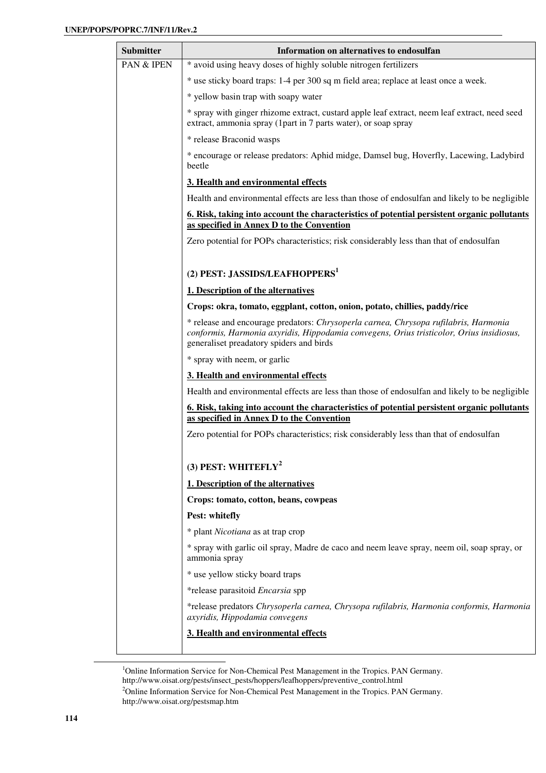| <b>Submitter</b> | Information on alternatives to endosulfan                                                                                                                                                                                    |  |  |  |  |  |  |  |  |  |  |
|------------------|------------------------------------------------------------------------------------------------------------------------------------------------------------------------------------------------------------------------------|--|--|--|--|--|--|--|--|--|--|
| PAN & IPEN       | * avoid using heavy doses of highly soluble nitrogen fertilizers                                                                                                                                                             |  |  |  |  |  |  |  |  |  |  |
|                  | * use sticky board traps: 1-4 per 300 sq m field area; replace at least once a week.                                                                                                                                         |  |  |  |  |  |  |  |  |  |  |
|                  | * yellow basin trap with soapy water                                                                                                                                                                                         |  |  |  |  |  |  |  |  |  |  |
|                  | * spray with ginger rhizome extract, custard apple leaf extract, neem leaf extract, need seed<br>extract, ammonia spray (1part in 7 parts water), or soap spray                                                              |  |  |  |  |  |  |  |  |  |  |
|                  | * release Braconid wasps                                                                                                                                                                                                     |  |  |  |  |  |  |  |  |  |  |
|                  | * encourage or release predators: Aphid midge, Damsel bug, Hoverfly, Lacewing, Ladybird<br>beetle                                                                                                                            |  |  |  |  |  |  |  |  |  |  |
|                  | 3. Health and environmental effects                                                                                                                                                                                          |  |  |  |  |  |  |  |  |  |  |
|                  | Health and environmental effects are less than those of endosulfan and likely to be negligible                                                                                                                               |  |  |  |  |  |  |  |  |  |  |
|                  | <u>6. Risk, taking into account the characteristics of potential persistent organic pollutants</u><br>as specified in Annex D to the Convention                                                                              |  |  |  |  |  |  |  |  |  |  |
|                  | Zero potential for POPs characteristics; risk considerably less than that of endosulfan                                                                                                                                      |  |  |  |  |  |  |  |  |  |  |
|                  | (2) PEST: JASSIDS/LEAFHOPPERS <sup>1</sup>                                                                                                                                                                                   |  |  |  |  |  |  |  |  |  |  |
|                  | 1. Description of the alternatives                                                                                                                                                                                           |  |  |  |  |  |  |  |  |  |  |
|                  | Crops: okra, tomato, eggplant, cotton, onion, potato, chillies, paddy/rice                                                                                                                                                   |  |  |  |  |  |  |  |  |  |  |
|                  | * release and encourage predators: Chrysoperla carnea, Chrysopa rufilabris, Harmonia<br>conformis, Harmonia axyridis, Hippodamia convegens, Orius tristicolor, Orius insidiosus,<br>generaliset preadatory spiders and birds |  |  |  |  |  |  |  |  |  |  |
|                  | * spray with neem, or garlic                                                                                                                                                                                                 |  |  |  |  |  |  |  |  |  |  |
|                  | 3. Health and environmental effects                                                                                                                                                                                          |  |  |  |  |  |  |  |  |  |  |
|                  | Health and environmental effects are less than those of endosulfan and likely to be negligible                                                                                                                               |  |  |  |  |  |  |  |  |  |  |
|                  | 6. Risk, taking into account the characteristics of potential persistent organic pollutants<br>as specified in Annex D to the Convention                                                                                     |  |  |  |  |  |  |  |  |  |  |
|                  | Zero potential for POPs characteristics; risk considerably less than that of endosulfan                                                                                                                                      |  |  |  |  |  |  |  |  |  |  |
|                  | (3) PEST: WHITEFLY <sup>2</sup>                                                                                                                                                                                              |  |  |  |  |  |  |  |  |  |  |
|                  | 1. Description of the alternatives                                                                                                                                                                                           |  |  |  |  |  |  |  |  |  |  |
|                  | Crops: tomato, cotton, beans, cowpeas                                                                                                                                                                                        |  |  |  |  |  |  |  |  |  |  |
|                  | Pest: whitefly                                                                                                                                                                                                               |  |  |  |  |  |  |  |  |  |  |
|                  | * plant Nicotiana as at trap crop                                                                                                                                                                                            |  |  |  |  |  |  |  |  |  |  |
|                  | * spray with garlic oil spray, Madre de caco and neem leave spray, neem oil, soap spray, or<br>ammonia spray                                                                                                                 |  |  |  |  |  |  |  |  |  |  |
|                  | * use yellow sticky board traps                                                                                                                                                                                              |  |  |  |  |  |  |  |  |  |  |
|                  | *release parasitoid Encarsia spp                                                                                                                                                                                             |  |  |  |  |  |  |  |  |  |  |
|                  | *release predators Chrysoperla carnea, Chrysopa rufilabris, Harmonia conformis, Harmonia<br>axyridis, Hippodamia convegens                                                                                                   |  |  |  |  |  |  |  |  |  |  |
|                  | 3. Health and environmental effects                                                                                                                                                                                          |  |  |  |  |  |  |  |  |  |  |
|                  |                                                                                                                                                                                                                              |  |  |  |  |  |  |  |  |  |  |

<sup>&</sup>lt;sup>1</sup>Online Information Service for Non-Chemical Pest Management in the Tropics. PAN Germany. http://www.oisat.org/pests/insect\_pests/hoppers/leafhoppers/preventive\_control.html

<sup>&</sup>lt;sup>2</sup>Online Information Service for Non-Chemical Pest Management in the Tropics. PAN Germany. http://www.oisat.org/pestsmap.htm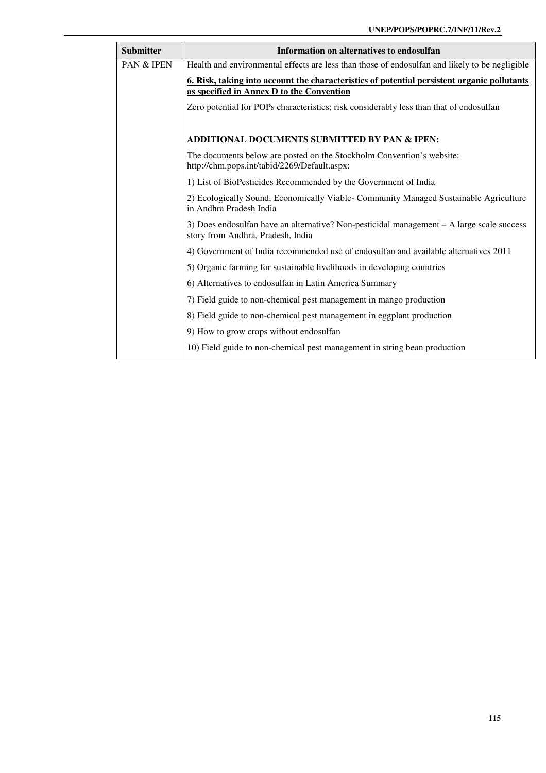| <b>Submitter</b>      | Information on alternatives to endosulfan                                                                                                |
|-----------------------|------------------------------------------------------------------------------------------------------------------------------------------|
| <b>PAN &amp; IPEN</b> | Health and environmental effects are less than those of endosulfan and likely to be negligible                                           |
|                       | 6. Risk, taking into account the characteristics of potential persistent organic pollutants<br>as specified in Annex D to the Convention |
|                       | Zero potential for POPs characteristics; risk considerably less than that of endosulfan                                                  |
|                       | ADDITIONAL DOCUMENTS SUBMITTED BY PAN & IPEN:                                                                                            |
|                       | The documents below are posted on the Stockholm Convention's website:<br>http://chm.pops.int/tabid/2269/Default.aspx:                    |
|                       | 1) List of BioPesticides Recommended by the Government of India                                                                          |
|                       | 2) Ecologically Sound, Economically Viable- Community Managed Sustainable Agriculture<br>in Andhra Pradesh India                         |
|                       | 3) Does endosulfan have an alternative? Non-pesticidal management – A large scale success<br>story from Andhra, Pradesh, India           |
|                       | 4) Government of India recommended use of endosulfan and available alternatives 2011                                                     |
|                       | 5) Organic farming for sustainable livelihoods in developing countries                                                                   |
|                       | 6) Alternatives to endosulfan in Latin America Summary                                                                                   |
|                       | 7) Field guide to non-chemical pest management in mango production                                                                       |
|                       | 8) Field guide to non-chemical pest management in eggplant production                                                                    |
|                       | 9) How to grow crops without endosulfan                                                                                                  |
|                       | 10) Field guide to non-chemical pest management in string bean production                                                                |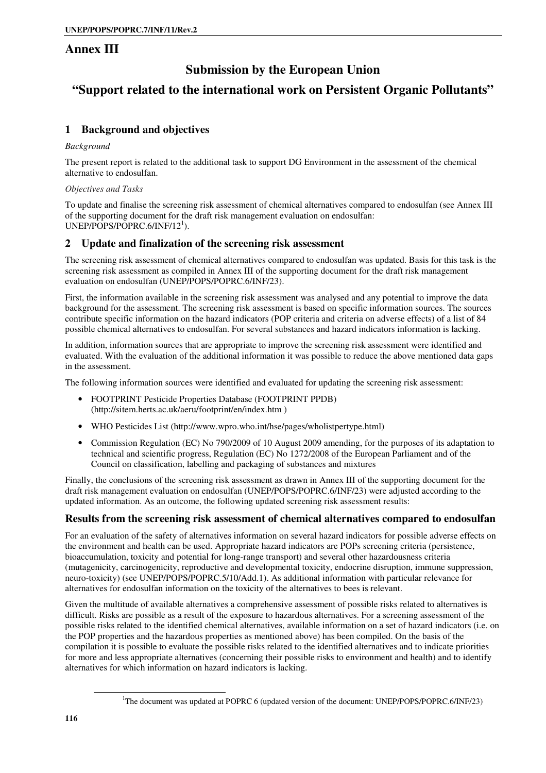## **Annex III**

## **Submission by the European Union**

## **"Support related to the international work on Persistent Organic Pollutants"**

### **1 Background and objectives**

#### *Background*

The present report is related to the additional task to support DG Environment in the assessment of the chemical alternative to endosulfan.

#### *Objectives and Tasks*

To update and finalise the screening risk assessment of chemical alternatives compared to endosulfan (see Annex III of the supporting document for the draft risk management evaluation on endosulfan:  $UNEP/POPS/POPRC.6/INF/12<sup>1</sup>).$ 

### **2 Update and finalization of the screening risk assessment**

The screening risk assessment of chemical alternatives compared to endosulfan was updated. Basis for this task is the screening risk assessment as compiled in Annex III of the supporting document for the draft risk management evaluation on endosulfan (UNEP/POPS/POPRC.6/INF/23).

First, the information available in the screening risk assessment was analysed and any potential to improve the data background for the assessment. The screening risk assessment is based on specific information sources. The sources contribute specific information on the hazard indicators (POP criteria and criteria on adverse effects) of a list of 84 possible chemical alternatives to endosulfan. For several substances and hazard indicators information is lacking.

In addition, information sources that are appropriate to improve the screening risk assessment were identified and evaluated. With the evaluation of the additional information it was possible to reduce the above mentioned data gaps in the assessment.

The following information sources were identified and evaluated for updating the screening risk assessment:

- FOOTPRINT Pesticide Properties Database (FOOTPRINT PPDB) (http://sitem.herts.ac.uk/aeru/footprint/en/index.htm )
- WHO Pesticides List (http://www.wpro.who.int/hse/pages/wholistpertype.html)
- Commission Regulation (EC) No 790/2009 of 10 August 2009 amending, for the purposes of its adaptation to technical and scientific progress, Regulation (EC) No 1272/2008 of the European Parliament and of the Council on classification, labelling and packaging of substances and mixtures

Finally, the conclusions of the screening risk assessment as drawn in Annex III of the supporting document for the draft risk management evaluation on endosulfan (UNEP/POPS/POPRC.6/INF/23) were adjusted according to the updated information. As an outcome, the following updated screening risk assessment results:

### **Results from the screening risk assessment of chemical alternatives compared to endosulfan**

For an evaluation of the safety of alternatives information on several hazard indicators for possible adverse effects on the environment and health can be used. Appropriate hazard indicators are POPs screening criteria (persistence, bioaccumulation, toxicity and potential for long-range transport) and several other hazardousness criteria (mutagenicity, carcinogenicity, reproductive and developmental toxicity, endocrine disruption, immune suppression, neuro-toxicity) (see UNEP/POPS/POPRC.5/10/Add.1). As additional information with particular relevance for alternatives for endosulfan information on the toxicity of the alternatives to bees is relevant.

Given the multitude of available alternatives a comprehensive assessment of possible risks related to alternatives is difficult. Risks are possible as a result of the exposure to hazardous alternatives. For a screening assessment of the possible risks related to the identified chemical alternatives, available information on a set of hazard indicators (i.e. on the POP properties and the hazardous properties as mentioned above) has been compiled. On the basis of the compilation it is possible to evaluate the possible risks related to the identified alternatives and to indicate priorities for more and less appropriate alternatives (concerning their possible risks to environment and health) and to identify alternatives for which information on hazard indicators is lacking.

<sup>&</sup>lt;sup>1</sup>The document was updated at POPRC 6 (updated version of the document: UNEP/POPS/POPRC.6/INF/23)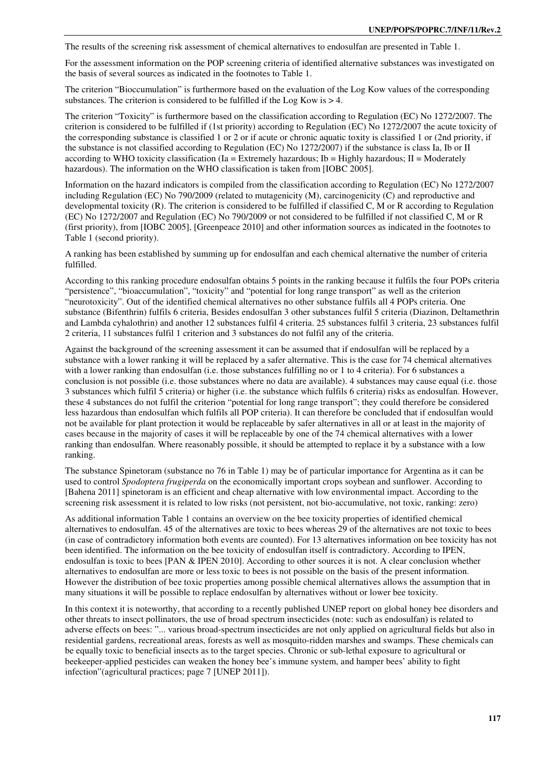The results of the screening risk assessment of chemical alternatives to endosulfan are presented in Table 1.

For the assessment information on the POP screening criteria of identified alternative substances was investigated on the basis of several sources as indicated in the footnotes to Table 1.

The criterion "Bioccumulation" is furthermore based on the evaluation of the Log Kow values of the corresponding substances. The criterion is considered to be fulfilled if the Log Kow is  $> 4$ .

The criterion "Toxicity" is furthermore based on the classification according to Regulation (EC) No 1272/2007. The criterion is considered to be fulfilled if (1st priority) according to Regulation (EC) No 1272/2007 the acute toxicity of the corresponding substance is classified 1 or 2 or if acute or chronic aquatic toxity is classified 1 or (2nd priority, if the substance is not classified according to Regulation (EC) No 1272/2007) if the substance is class Ia, Ib or II according to WHO toxicity classification (Ia = Extremely hazardous; Ib = Highly hazardous; II = Moderately hazardous). The information on the WHO classification is taken from [IOBC 2005].

Information on the hazard indicators is compiled from the classification according to Regulation (EC) No 1272/2007 including Regulation (EC) No 790/2009 (related to mutagenicity (M), carcinogenicity (C) and reproductive and developmental toxicity (R). The criterion is considered to be fulfilled if classified C, M or R according to Regulation (EC) No 1272/2007 and Regulation (EC) No 790/2009 or not considered to be fulfilled if not classified C, M or R (first priority), from [IOBC 2005], [Greenpeace 2010] and other information sources as indicated in the footnotes to Table 1 (second priority).

A ranking has been established by summing up for endosulfan and each chemical alternative the number of criteria fulfilled.

According to this ranking procedure endosulfan obtains 5 points in the ranking because it fulfils the four POPs criteria "persistence", "bioaccumulation", "toxicity" and "potential for long range transport" as well as the criterion "neurotoxicity". Out of the identified chemical alternatives no other substance fulfils all 4 POPs criteria. One substance (Bifenthrin) fulfils 6 criteria, Besides endosulfan 3 other substances fulfil 5 criteria (Diazinon, Deltamethrin and Lambda cyhalothrin) and another 12 substances fulfil 4 criteria. 25 substances fulfil 3 criteria, 23 substances fulfil 2 criteria, 11 substances fulfil 1 criterion and 3 substances do not fulfil any of the criteria.

Against the background of the screening assessment it can be assumed that if endosulfan will be replaced by a substance with a lower ranking it will be replaced by a safer alternative. This is the case for 74 chemical alternatives with a lower ranking than endosulfan (i.e. those substances fulfilling no or 1 to 4 criteria). For 6 substances a conclusion is not possible (i.e. those substances where no data are available). 4 substances may cause equal (i.e. those 3 substances which fulfil 5 criteria) or higher (i.e. the substance which fulfils 6 criteria) risks as endosulfan. However, these 4 substances do not fulfil the criterion "potential for long range transport"; they could therefore be considered less hazardous than endosulfan which fulfils all POP criteria). It can therefore be concluded that if endosulfan would not be available for plant protection it would be replaceable by safer alternatives in all or at least in the majority of cases because in the majority of cases it will be replaceable by one of the 74 chemical alternatives with a lower ranking than endosulfan. Where reasonably possible, it should be attempted to replace it by a substance with a low ranking.

The substance Spinetoram (substance no 76 in Table 1) may be of particular importance for Argentina as it can be used to control *Spodoptera frugiperda* on the economically important crops soybean and sunflower. According to [Bahena 2011] spinetoram is an efficient and cheap alternative with low environmental impact. According to the screening risk assessment it is related to low risks (not persistent, not bio-accumulative, not toxic, ranking: zero)

As additional information Table 1 contains an overview on the bee toxicity properties of identified chemical alternatives to endosulfan. 45 of the alternatives are toxic to bees whereas 29 of the alternatives are not toxic to bees (in case of contradictory information both events are counted). For 13 alternatives information on bee toxicity has not been identified. The information on the bee toxicity of endosulfan itself is contradictory. According to IPEN, endosulfan is toxic to bees [PAN & IPEN 2010]. According to other sources it is not. A clear conclusion whether alternatives to endosulfan are more or less toxic to bees is not possible on the basis of the present information. However the distribution of bee toxic properties among possible chemical alternatives allows the assumption that in many situations it will be possible to replace endosulfan by alternatives without or lower bee toxicity.

In this context it is noteworthy, that according to a recently published UNEP report on global honey bee disorders and other threats to insect pollinators, the use of broad spectrum insecticides (note: such as endosulfan) is related to adverse effects on bees: "... various broad-spectrum insecticides are not only applied on agricultural fields but also in residential gardens, recreational areas, forests as well as mosquito-ridden marshes and swamps. These chemicals can be equally toxic to beneficial insects as to the target species. Chronic or sub-lethal exposure to agricultural or beekeeper-applied pesticides can weaken the honey bee's immune system, and hamper bees' ability to fight infection"(agricultural practices; page 7 [UNEP 2011]).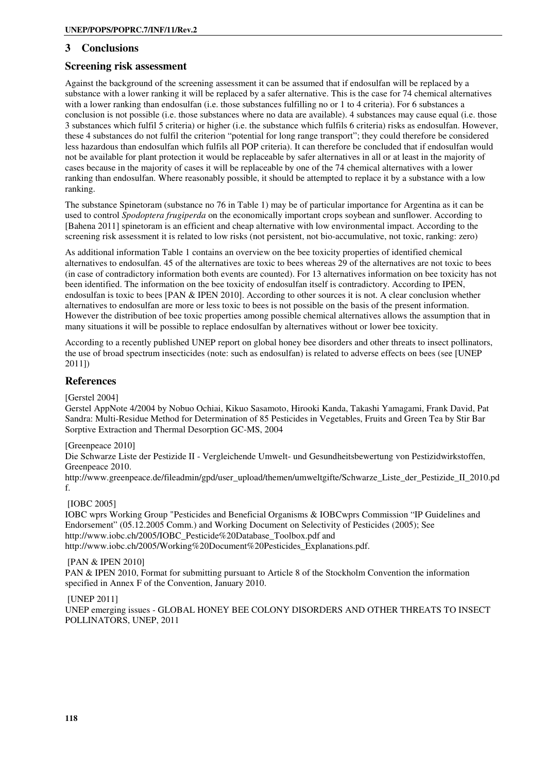#### **3 Conclusions**

#### **Screening risk assessment**

Against the background of the screening assessment it can be assumed that if endosulfan will be replaced by a substance with a lower ranking it will be replaced by a safer alternative. This is the case for 74 chemical alternatives with a lower ranking than endosulfan (i.e. those substances fulfilling no or 1 to 4 criteria). For 6 substances a conclusion is not possible (i.e. those substances where no data are available). 4 substances may cause equal (i.e. those 3 substances which fulfil 5 criteria) or higher (i.e. the substance which fulfils 6 criteria) risks as endosulfan. However, these 4 substances do not fulfil the criterion "potential for long range transport"; they could therefore be considered less hazardous than endosulfan which fulfils all POP criteria). It can therefore be concluded that if endosulfan would not be available for plant protection it would be replaceable by safer alternatives in all or at least in the majority of cases because in the majority of cases it will be replaceable by one of the 74 chemical alternatives with a lower ranking than endosulfan. Where reasonably possible, it should be attempted to replace it by a substance with a low ranking.

The substance Spinetoram (substance no 76 in Table 1) may be of particular importance for Argentina as it can be used to control *Spodoptera frugiperda* on the economically important crops soybean and sunflower. According to [Bahena 2011] spinetoram is an efficient and cheap alternative with low environmental impact. According to the screening risk assessment it is related to low risks (not persistent, not bio-accumulative, not toxic, ranking: zero)

As additional information Table 1 contains an overview on the bee toxicity properties of identified chemical alternatives to endosulfan. 45 of the alternatives are toxic to bees whereas 29 of the alternatives are not toxic to bees (in case of contradictory information both events are counted). For 13 alternatives information on bee toxicity has not been identified. The information on the bee toxicity of endosulfan itself is contradictory. According to IPEN, endosulfan is toxic to bees [PAN & IPEN 2010]. According to other sources it is not. A clear conclusion whether alternatives to endosulfan are more or less toxic to bees is not possible on the basis of the present information. However the distribution of bee toxic properties among possible chemical alternatives allows the assumption that in many situations it will be possible to replace endosulfan by alternatives without or lower bee toxicity.

According to a recently published UNEP report on global honey bee disorders and other threats to insect pollinators, the use of broad spectrum insecticides (note: such as endosulfan) is related to adverse effects on bees (see [UNEP 2011])

#### **References**

[Gerstel 2004]

Gerstel AppNote 4/2004 by Nobuo Ochiai, Kikuo Sasamoto, Hirooki Kanda, Takashi Yamagami, Frank David, Pat Sandra: Multi-Residue Method for Determination of 85 Pesticides in Vegetables, Fruits and Green Tea by Stir Bar Sorptive Extraction and Thermal Desorption GC-MS, 2004

#### [Greenpeace 2010]

Die Schwarze Liste der Pestizide II - Vergleichende Umwelt- und Gesundheitsbewertung von Pestizidwirkstoffen, Greenpeace 2010.

http://www.greenpeace.de/fileadmin/gpd/user\_upload/themen/umweltgifte/Schwarze\_Liste\_der\_Pestizide\_II\_2010.pd f.

#### [IOBC 2005]

IOBC wprs Working Group "Pesticides and Beneficial Organisms & IOBCwprs Commission "IP Guidelines and Endorsement" (05.12.2005 Comm.) and Working Document on Selectivity of Pesticides (2005); See http://www.iobc.ch/2005/IOBC\_Pesticide%20Database\_Toolbox.pdf and http://www.iobc.ch/2005/Working%20Document%20Pesticides\_Explanations.pdf.

#### [PAN & IPEN 2010]

PAN & IPEN 2010, Format for submitting pursuant to Article 8 of the Stockholm Convention the information specified in Annex F of the Convention, January 2010.

#### [UNEP 2011]

UNEP emerging issues - GLOBAL HONEY BEE COLONY DISORDERS AND OTHER THREATS TO INSECT POLLINATORS, UNEP, 2011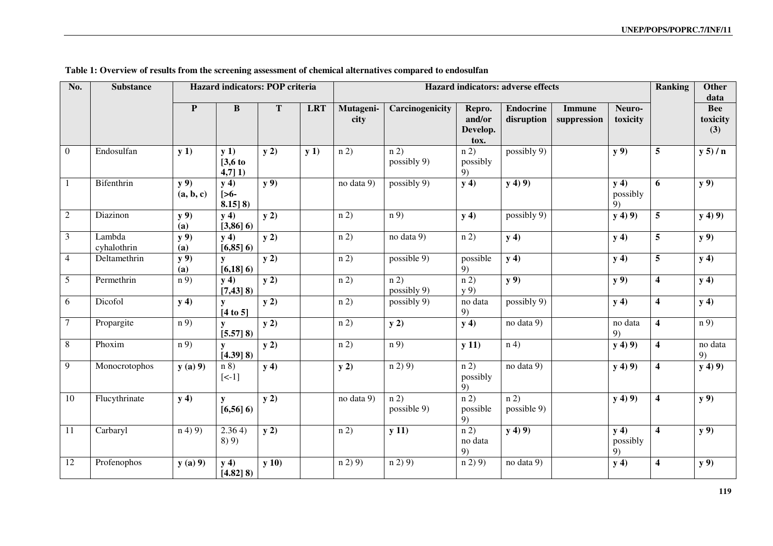| No.            | <b>Substance</b>      | Hazard indicators: POP criteria<br>Hazard indicators: adverse effects |                                          |        |            |                   |                     |                                      |                                | <b>Ranking</b>               | <b>Other</b><br>data   |                         |                               |
|----------------|-----------------------|-----------------------------------------------------------------------|------------------------------------------|--------|------------|-------------------|---------------------|--------------------------------------|--------------------------------|------------------------------|------------------------|-------------------------|-------------------------------|
|                |                       | $\mathbf{P}$                                                          | $\bf{B}$                                 | T      | <b>LRT</b> | Mutageni-<br>city | Carcinogenicity     | Repro.<br>and/or<br>Develop.<br>tox. | <b>Endocrine</b><br>disruption | <b>Immune</b><br>suppression | Neuro-<br>toxicity     |                         | <b>Bee</b><br>toxicity<br>(3) |
| $\overline{0}$ | Endosulfan            | y(1)                                                                  | y(1)<br>$[3,6]$ to<br>$4,7$ ] 1)         | y(2)   | y(1)       | n(2)              | n(2)<br>possibly 9) | n(2)<br>possibly<br>9)               | possibly 9)                    |                              | y 9)                   | 5                       | y 5)/n                        |
| $\mathbf{1}$   | Bifenthrin            | $y$ 9)<br>(a, b, c)                                                   | y(4)<br>$\mathop{[>6-}$<br>$8.15$ ] $8)$ | $y$ 9) |            | no data 9)        | possibly 9)         | y(4)                                 | y(4)9                          |                              | y(4)<br>possibly<br>9) | 6                       | $y$ 9)                        |
| $\overline{2}$ | Diazinon              | y 9)<br>(a)                                                           | y(4)<br>$[3,86]$ 6)                      | y(2)   |            | n(2)              | n(9)                | y(4)                                 | possibly 9)                    |                              | y(4)9)                 | 5                       | y(4)9                         |
| 3              | Lambda<br>cyhalothrin | $y$ 9)<br>(a)                                                         | y(4)<br>$[6,85]$ 6)                      | y(2)   |            | n(2)              | no data 9)          | n(2)                                 | y(4)                           |                              | y(4)                   | 5                       | y 9)                          |
| $\overline{4}$ | Deltamethrin          | $y$ 9)<br>(a)                                                         | $\mathbf{y}$<br>$[6,18]$ 6)              | y(2)   |            | n(2)              | possible 9)         | possible<br>9)                       | y(4)                           |                              | y(4)                   | 5                       | y(4)                          |
| $\sqrt{5}$     | Permethrin            | $\overline{n(9)}$                                                     | y(4)<br>$[7,43]$ 8)                      | $y$ 2) |            | n 2)              | n 2)<br>possibly 9) | n 2)<br>y(9)                         | y 9)                           |                              | y 9)                   | $\overline{\mathbf{4}}$ | y(4)                          |
| 6              | Dicofol               | y(4)                                                                  | y<br>$[4 \text{ to } 5]$                 | y2)    |            | n(2)              | possibly 9)         | no data<br>9)                        | possibly 9)                    |                              | y(4)                   | $\overline{\mathbf{4}}$ | y(4)                          |
| $\overline{7}$ | Propargite            | n 9)                                                                  | y<br>$[5.57]$ 8)                         | y2)    |            | n(2)              | y(2)                | y(4)                                 | no data 9)                     |                              | no data<br>9)          | $\overline{\mathbf{4}}$ | n 9)                          |
| $\overline{8}$ | Phoxim                | n 9)                                                                  | ${\bf v}$<br>$[4.39]$ 8)                 | y2)    |            | n(2)              | n(9)                | y(11)                                | n(4)                           |                              | y(4)9                  | $\overline{\mathbf{4}}$ | no data<br>9)                 |
| $\overline{9}$ | Monocrotophos         | $y(a)$ 9)                                                             | n 8<br>$[-1]$                            | y(4)   |            | y(2)              | n(2)9               | n(2)<br>possibly<br>9)               | no data 9)                     |                              | y(4)9                  | $\overline{\mathbf{4}}$ | y(4)9                         |
| 10             | Flucythrinate         | y(4)                                                                  | ${\bf y}$<br>$[6,56]$ 6)                 | y(2)   |            | no data 9)        | n(2)<br>possible 9) | $\overline{n(2)}$<br>possible<br>9)  | n(2)<br>possible 9)            |                              | y(4)9                  | $\overline{\mathbf{4}}$ | y 9)                          |
| 11             | Carbaryl              | n(4)9                                                                 | 2.364<br>8)9)                            | y2)    |            | n(2)              | y(11)               | $\overline{n(2)}$<br>no data<br>9)   | y(4)9                          |                              | y(4)<br>possibly<br>9) | $\overline{\mathbf{4}}$ | y 9)                          |
| 12             | Profenophos           | y(a) 9                                                                | y(4)<br>$[4.82]$ 8)                      | y(10)  |            | n(2)9             | n(2)9               | n(2)9                                | no data 9)                     |                              | y(4)                   | $\overline{\mathbf{4}}$ | y 9)                          |

#### Table 1: Overview of results from the screening assessment of chemical alternatives compared to endosulfan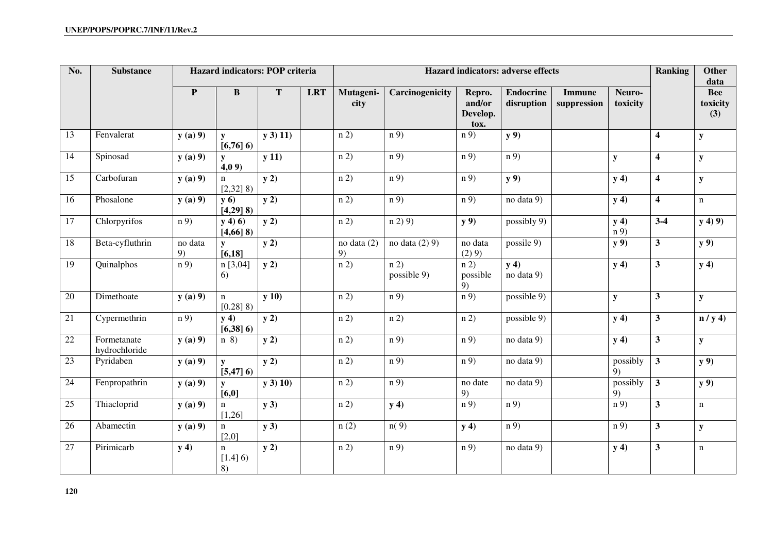| No. | <b>Substance</b>             |               | Hazard indicators: POP criteria |                  |            |                   |                                  |                                      | Hazard indicators: adverse effects |                              |                    | Ranking                 | <b>Other</b><br>data          |
|-----|------------------------------|---------------|---------------------------------|------------------|------------|-------------------|----------------------------------|--------------------------------------|------------------------------------|------------------------------|--------------------|-------------------------|-------------------------------|
|     |                              | $\mathbf{P}$  | $\bf{B}$                        | $\mathbf T$      | <b>LRT</b> | Mutageni-<br>city | Carcinogenicity                  | Repro.<br>and/or<br>Develop.<br>tox. | <b>Endocrine</b><br>disruption     | <b>Immune</b><br>suppression | Neuro-<br>toxicity |                         | <b>Bee</b><br>toxicity<br>(3) |
| 13  | Fenvalerat                   | y(a) 9        | y<br>$[6,76]$ 6)                | $y$ 3) 11)       |            | n(2)              | n(9)                             | n 9)                                 | y 9)                               |                              |                    | $\overline{\mathbf{4}}$ | ${\bf y}$                     |
| 14  | Spinosad                     | y(a) 9        | y<br>4,09                       | y(11)            |            | n(2)              | n(9)                             | n 9)                                 | n(9)                               |                              | ${\bf y}$          | $\overline{\mathbf{4}}$ | ${\bf y}$                     |
| 15  | Carbofuran                   | y(a) 9        | n<br>$[2,32]$ 8)                | $y$ 2)           |            | n(2)              | n(9)                             | n 9)                                 | y 9)                               |                              | y(4)               | $\overline{\mathbf{4}}$ | ${\bf y}$                     |
| 16  | Phosalone                    | y(a) 9        | y(6)<br>$[4,29]$ 8)             | $y\overline{2)}$ |            | $\overline{n(2)}$ | n(9)                             | n 9)                                 | no data 9)                         |                              | y(4)               | $\overline{\mathbf{4}}$ | $\mathbf n$                   |
| 17  | Chlorpyrifos                 | n 9)          | $y(4)$ 6)<br>$[4,66]$ 8)        | $y$ 2)           |            | n 2)              | n(2)9                            | y 9)                                 | possibly 9)                        |                              | y(4)<br>n(9)       | $3 - 4$                 | y(4)9                         |
| 18  | Beta-cyfluthrin              | no data<br>9) | [6, 18]                         | $y$ 2)           |            | no data (2)<br>9) | no data $(2)$ 9)                 | no data<br>(2) 9)                    | possile $9$                        |                              | y 9)               | $\mathbf{3}$            | y 9)                          |
| 19  | Quinalphos                   | n 9)          | n [3,04]<br>6)                  | $y$ 2)           |            | n 2)              | $\overline{n(2)}$<br>possible 9) | n 2)<br>possible<br>9)               | y(4)<br>no data 9)                 |                              | y(4)               | $\overline{\mathbf{3}}$ | y(4)                          |
| 20  | Dimethoate                   | y(a) 9        | n<br>$[0.28]$ 8)                | y(10)            |            | n(2)              | n(9)                             | n 9)                                 | possible 9)                        |                              | ${\bf y}$          | $\mathbf{3}$            | ${\bf y}$                     |
| 21  | Cypermethrin                 | n 9)          | y(4)<br>$[6,38]$ 6)             | y2)              |            | n(2)              | n(2)                             | n 2)                                 | possible 9)                        |                              | y(4)               | $\overline{\mathbf{3}}$ | n / y 4                       |
| 22  | Formetanate<br>hydrochloride | y(a) 9        | $n \space 8)$                   | y(2)             |            | n(2)              | n 9)                             | n 9)                                 | no data 9)                         |                              | y(4)               | $\overline{\mathbf{3}}$ | ${\bf y}$                     |
| 23  | Pyridaben                    | y(a) 9        | ${\bf v}$<br>$[5,47]$ 6)        | y(2)             |            | n(2)              | $\overline{n(9)}$                | n 9)                                 | no data 9)                         |                              | possibly<br>9)     | 3 <sup>1</sup>          | <b>y</b> 9)                   |
| 24  | Fenpropathrin                | y(a) 9        | $\mathbf{v}$<br>[6,0]           | $y$ 3) 10)       |            | n(2)              | n 9)                             | no date<br>9)                        | no data 9)                         |                              | possibly<br>9)     | $\mathbf{3}$            | <b>y</b> 9)                   |
| 25  | Thiacloprid                  | y(a) 9        | n<br>[1,26]                     | $y$ 3)           |            | n(2)              | y(4)                             | n 9)                                 | n(9)                               |                              | n 9)               | $\overline{\mathbf{3}}$ | $\mathbf n$                   |
| 26  | Abamectin                    | y(a) 9        | n<br>[2,0]                      | $y$ 3)           |            | n(2)              | n(9)                             | y(4)                                 | n(9)                               |                              | n 9)               | $\mathbf{3}$            | ${\bf y}$                     |
| 27  | Pirimicarb                   | y(4)          | n<br>[1.4] 6)<br>8)             | y(2)             |            | n(2)              | n 9)                             | n 9)                                 | no data 9)                         |                              | y(4)               | $\overline{\mathbf{3}}$ | n                             |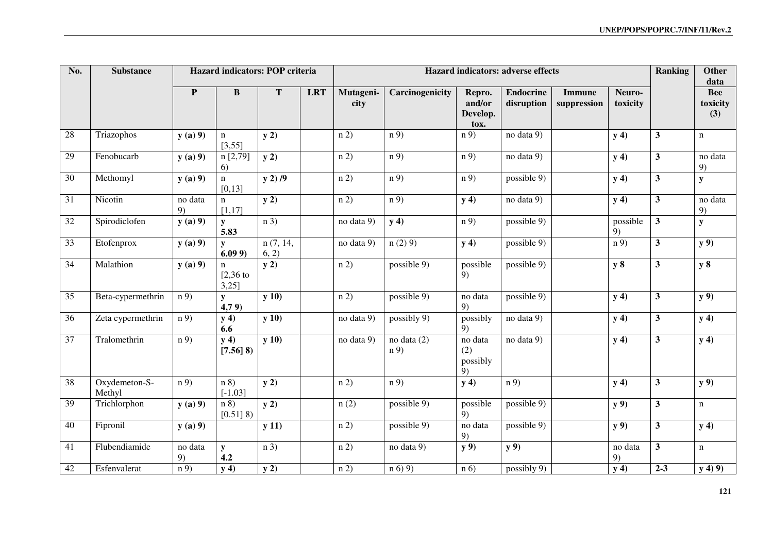| No. | <b>Substance</b>        |               | Hazard indicators: POP criteria        |                   |            |                   | Hazard indicators: adverse effects |                                      |                                |                              |                    |                         | <b>Other</b><br>data          |
|-----|-------------------------|---------------|----------------------------------------|-------------------|------------|-------------------|------------------------------------|--------------------------------------|--------------------------------|------------------------------|--------------------|-------------------------|-------------------------------|
|     |                         | ${\bf P}$     | $\bf{B}$                               | T                 | <b>LRT</b> | Mutageni-<br>city | Carcinogenicity                    | Repro.<br>and/or<br>Develop.<br>tox. | <b>Endocrine</b><br>disruption | <b>Immune</b><br>suppression | Neuro-<br>toxicity |                         | <b>Bee</b><br>toxicity<br>(3) |
| 28  | Triazophos              | y(a) 9        | $\mathbf n$<br>[3,55]                  | y(2)              |            | n 2)              | n(9)                               | n 9)                                 | no data 9)                     |                              | y(4)               | $\mathbf{3}$            | $\mathbf n$                   |
| 29  | Fenobucarb              | y(a) 9        | n[2,79]<br>6)                          | y2)               |            | n 2)              | n(9)                               | n 9)                                 | no data 9)                     |                              | y(4)               | $\overline{\mathbf{3}}$ | no data<br>9)                 |
| 30  | Methomyl                | y(a) 9        | $\mathbf{n}$<br>[0, 13]                | $y$ 2) $/9$       |            | n(2)              | n(9)                               | n 9)                                 | possible 9)                    |                              | y(4)               | $\overline{\mathbf{3}}$ | ${\bf y}$                     |
| 31  | Nicotin                 | no data<br>9) | $\mathbf n$<br>[1,17]                  | y2)               |            | n(2)              | n 9)                               | y(4)                                 | no data 9)                     |                              | y(4)               | $\overline{\mathbf{3}}$ | no data<br>9)                 |
| 32  | Spirodiclofen           | $y(a)$ 9)     | ${\bf y}$<br>5.83                      | n 3               |            | no data 9)        | y(4)                               | n 9)                                 | possible 9)                    |                              | possible<br>9)     | $\overline{\mathbf{3}}$ | ${\bf y}$                     |
| 33  | Etofenprox              | y(a) 9        | $\mathbf{v}$<br>6.099                  | n(7, 14,<br>6, 2) |            | no data 9)        | n(2)9                              | y(4)                                 | possible $9)$                  |                              | $\overline{n(9)}$  | $\overline{\mathbf{3}}$ | y 9)                          |
| 34  | Malathion               | y(a) 9        | $\mathbf n$<br>$[2,36]$ to<br>$3,25$ ] | y(2)              |            | n(2)              | possible 9)                        | possible<br>9)                       | possible 9)                    |                              | y 8                | $\mathbf{3}$            | y 8                           |
| 35  | Beta-cypermethrin       | n 9)          | y<br>4,79                              | y(10)             |            | n 2)              | possible 9)                        | no data<br>9)                        | possible 9)                    |                              | y(4)               | $\overline{\mathbf{3}}$ | y 9)                          |
| 36  | Zeta cypermethrin       | n(9)          | y(4)<br>6.6                            | y(10)             |            | no data 9)        | possibly 9)                        | possibly<br>9)                       | no data 9)                     |                              | y(4)               | $\overline{\mathbf{3}}$ | y(4)                          |
| 37  | Tralomethrin            | n(9)          | y(4)<br>$[7.56]$ 8)                    | y(10)             |            | no data 9)        | no data $(2)$<br>n 9)              | no data<br>(2)<br>possibly<br>9)     | no data 9)                     |                              | y(4)               | $\overline{\mathbf{3}}$ | y(4)                          |
| 38  | Oxydemeton-S-<br>Methyl | n 9)          | n 8<br>$[-1.03]$                       | y2)               |            | n 2)              | n 9)                               | y(4)                                 | n 9)                           |                              | y(4)               | $\mathbf{3}$            | y 9)                          |
| 39  | Trichlorphon            | y(a) 9        | n 8<br>$[0.51]$ 8)                     | y2)               |            | n(2)              | possible 9)                        | possible<br>9)                       | possible 9)                    |                              | y 9)               | $\overline{\mathbf{3}}$ | $\mathbf n$                   |
| 40  | Fipronil                | y(a) 9        |                                        | y(11)             |            | n 2)              | possible 9)                        | no data<br>9)                        | possible 9)                    |                              | y 9)               | $\mathbf{3}$            | y(4)                          |
| 41  | Flubendiamide           | no data<br>9) | ${\bf y}$<br>4.2                       | n 3               |            | n(2)              | no data 9)                         | $y$ 9)                               | y 9)                           |                              | no data<br>9)      | 3                       | $\mathbf n$                   |
| 42  | Esfenvalerat            | n 9)          | y(4)                                   | y(2)              |            | n(2)              | n(6)9                              | n(6)                                 | possibly 9)                    |                              | y(4)               | $2 - 3$                 | y(4)9                         |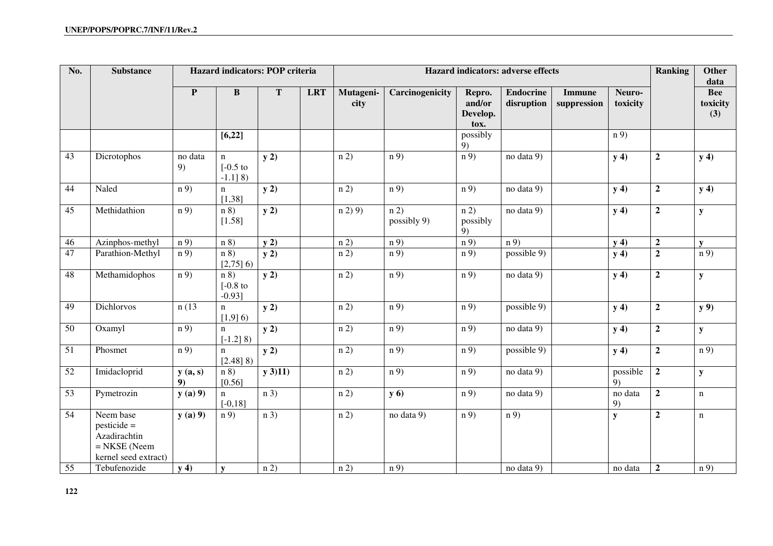| No.             | <b>Substance</b>                                                                     |               | Hazard indicators: POP criteria               |                   |            |                   | Hazard indicators: adverse effects |                                      |                                |                              |                    |                  |                                       |
|-----------------|--------------------------------------------------------------------------------------|---------------|-----------------------------------------------|-------------------|------------|-------------------|------------------------------------|--------------------------------------|--------------------------------|------------------------------|--------------------|------------------|---------------------------------------|
|                 |                                                                                      | P             | $\bf{B}$                                      | ${\bf T}$         | <b>LRT</b> | Mutageni-<br>city | Carcinogenicity                    | Repro.<br>and/or<br>Develop.<br>tox. | <b>Endocrine</b><br>disruption | <b>Immune</b><br>suppression | Neuro-<br>toxicity |                  | data<br><b>Bee</b><br>toxicity<br>(3) |
|                 |                                                                                      |               | [6,22]                                        |                   |            |                   |                                    | possibly<br>9)                       |                                |                              | n(9)               |                  |                                       |
| 43              | Dicrotophos                                                                          | no data<br>9) | $\mathbf n$<br>$[-0.5]$ to<br>$-1.1$ ] 8)     | y2)               |            | n(2)              | n(9)                               | n 9)                                 | no data 9)                     |                              | y(4)               | $\mathbf 2$      | y(4)                                  |
| 44              | Naled                                                                                | n 9)          | $\mathbf n$<br>[1,38]                         | y(2)              |            | $\overline{n(2)}$ | $\overline{n(9)}$                  | $\overline{n(9)}$                    | no data 9)                     |                              | y(4)               | $\mathbf 2$      | y(4)                                  |
| 45              | Methidathion                                                                         | n(9)          | $\overline{n\ 8}$<br>[1.58]                   | $\overline{y(2)}$ |            | n(2)9             | $\overline{n(2)}$<br>possibly 9)   | $\overline{n(2)}$<br>possibly<br>9)  | no data $\overline{9}$         |                              | y(4)               | $\boldsymbol{2}$ | ${\bf y}$                             |
| 46              | Azinphos-methyl                                                                      | n(9)          | n 8                                           | y(2)              |            | n(2)              | n(9)                               | $\overline{n(9)}$                    | n(9)                           |                              | y(4)               | $\mathbf 2$      | $\mathbf{v}$                          |
| 47              | Parathion-Methyl                                                                     | n 9)          | n 8<br>$[2,75]$ 6)                            | y2)               |            | n 2)              | n 9)                               | n 9)                                 | possible $\overline{9}$        |                              | y(4)               | $\boldsymbol{2}$ | n 9)                                  |
| 48              | Methamidophos                                                                        | n 9)          | $\overline{n\ 8}$<br>$[-0.8]$ to<br>$-0.93$ ] | $\overline{y(2)}$ |            | n(2)              | n(9)                               | n 9)                                 | no data 9)                     |                              | y(4)               | $\overline{2}$   | ${\bf y}$                             |
| 49              | Dichlorvos                                                                           | n(13)         | $\mathbf n$<br>$[1,9]$ 6)                     | y(2)              |            | n(2)              | n 9)                               | n 9)                                 | possible 9)                    |                              | y(4)               | $\mathbf 2$      | $y$ 9)                                |
| 50              | Oxamyl                                                                               | n 9)          | $\mathbf n$<br>$[-1.2]$ 8)                    | y2)               |            | n 2)              | n 9)                               | n 9)                                 | no data 9)                     |                              | y(4)               | $\boldsymbol{2}$ | ${\bf y}$                             |
| $\overline{51}$ | Phosmet                                                                              | n(9)          | $\mathbf n$<br>$[2.48]$ 8)                    | y(2)              |            | $\overline{n(2)}$ | $\overline{n(9)}$                  | n 9)                                 | possible $\overline{9}$        |                              | y(4)               | $\overline{2}$   | $\overline{n(9)}$                     |
| 52              | Imidacloprid                                                                         | y(a, s)<br>9) | n 8<br>[0.56]                                 | y(3)11)           |            | n(2)              | n 9)                               | n 9)                                 | no data 9)                     |                              | possible<br>9)     | $\mathbf 2$      | ${\bf y}$                             |
| 53              | Pymetrozin                                                                           | y(a) 9        | $\mathbf n$<br>$[-0, 18]$                     | n 3               |            | n(2)              | <b>y</b> 6)                        | n 9)                                 | no data 9)                     |                              | no data<br>9)      | $\mathbf 2$      | $\mathbf n$                           |
| 54              | Neem base<br>$pesticide =$<br>Azadirachtin<br>$=$ NKSE (Neem<br>kernel seed extract) | y(a) 9        | n 9                                           | n 3               |            | n(2)              | no data 9)                         | n 9)                                 | n 9)                           |                              | ${\bf y}$          | $\mathbf 2$      | $\mathbf n$                           |
| 55              | Tebufenozide                                                                         | y(4)          | ${\bf v}$                                     | n(2)              |            | n(2)              | n(9)                               |                                      | no data 9)                     |                              | no data            | $\boldsymbol{2}$ | n(9)                                  |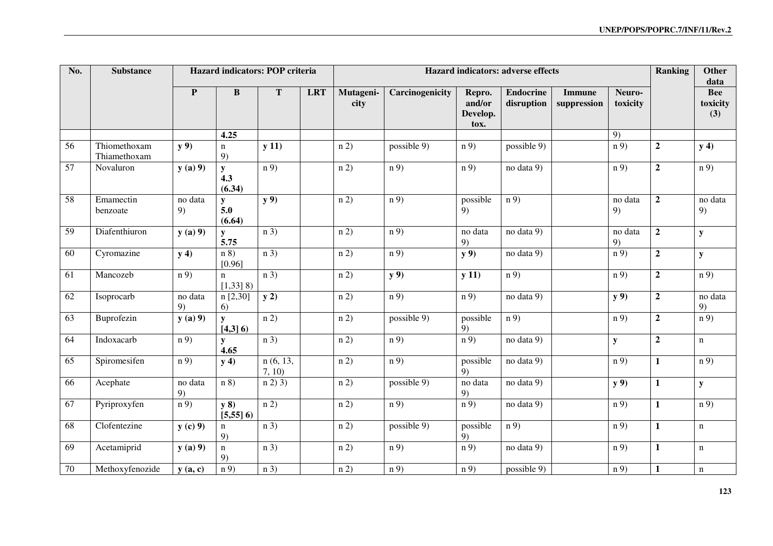| No. | <b>Substance</b>             |                   | Hazard indicators: POP criteria |                   |            | Hazard indicators: adverse effects |                   |                                      |                                |                              |                    |                  | <b>Other</b><br>data          |
|-----|------------------------------|-------------------|---------------------------------|-------------------|------------|------------------------------------|-------------------|--------------------------------------|--------------------------------|------------------------------|--------------------|------------------|-------------------------------|
|     |                              | $\mathbf{P}$      | $\bf{B}$                        | $\mathbf T$       | <b>LRT</b> | Mutageni-<br>city                  | Carcinogenicity   | Repro.<br>and/or<br>Develop.<br>tox. | <b>Endocrine</b><br>disruption | <b>Immune</b><br>suppression | Neuro-<br>toxicity |                  | <b>Bee</b><br>toxicity<br>(3) |
|     |                              |                   | 4.25                            |                   |            |                                    |                   |                                      |                                |                              | 9)                 |                  |                               |
| 56  | Thiomethoxam<br>Thiamethoxam | y 9)              | $\mathbf n$<br>9)               | y(11)             |            | n 2)                               | possible 9)       | n 9)                                 | possible 9)                    |                              | n 9)               | $\mathbf 2$      | y(4)                          |
| 57  | Novaluron                    | y(a) 9            | ${\bf y}$<br>4.3<br>(6.34)      | n(9)              |            | n(2)                               | n 9)              | n 9)                                 | no data 9)                     |                              | n 9)               | $\overline{2}$   | n 9)                          |
| 58  | Emamectin<br>benzoate        | no data<br>9)     | ${\bf y}$<br>5.0<br>(6.64)      | y 9)              |            | n(2)                               | $\overline{n(9)}$ | possible<br>9)                       | $\overline{n(9)}$              |                              | no data<br>9)      | $\overline{2}$   | no data<br>9)                 |
| 59  | Diafenthiuron                | $y(a)$ 9)         | y<br>5.75                       | n 3               |            | n(2)                               | $\overline{n(9)}$ | no data<br>9)                        | no data 9)                     |                              | no data<br>9)      | $\overline{2}$   | ${\bf y}$                     |
| 60  | Cyromazine                   | y(4)              | n 8)<br>[0.96]                  | n 3               |            | n 2)                               | n 9)              | y 9)                                 | no data 9)                     |                              | n 9)               | $\mathbf{2}$     | ${\bf y}$                     |
| 61  | Mancozeb                     | n 9)              | $\mathbf{n}$<br>$[1,33]$ 8)     | n 3               |            | n(2)                               | y 9)              | y(11)                                | n(9)                           |                              | n 9)               | $\overline{2}$   | n 9)                          |
| 62  | Isoprocarb                   | no data<br>9)     | n[2,30]<br>6)                   | y(2)              |            | n 2)                               | n 9)              | n 9)                                 | no data 9)                     |                              | y 9)               | $\overline{2}$   | no data<br>9)                 |
| 63  | Buprofezin                   | y(a) 9            | y<br>$[4,3]$ 6)                 | n(2)              |            | n(2)                               | possible 9)       | possible<br>9)                       | n(9)                           |                              | n 9)               | $\overline{2}$   | n 9)                          |
| 64  | Indoxacarb                   | n 9)              | y<br>4.65                       | n 3               |            | n(2)                               | n 9)              | n 9)                                 | no data 9)                     |                              | ${\bf y}$          | $\boldsymbol{2}$ | $\mathbf n$                   |
| 65  | Spiromesifen                 | n 9)              | y(4)                            | n(6, 13,<br>7, 10 |            | n(2)                               | n 9)              | possible<br>9)                       | no data 9)                     |                              | n 9)               | $\mathbf{1}$     | n 9)                          |
| 66  | Acephate                     | no data<br>9)     | $\overline{n\,8)}$              | $n(2)$ 3)         |            | $\overline{n(2)}$                  | possible $9)$     | no data<br>9)                        | no data 9)                     |                              | y 9)               | $\mathbf{1}$     | ${\bf y}$                     |
| 67  | Pyriproxyfen                 | $\overline{n(9)}$ | y(8)<br>$[5,55]$ 6)             | n(2)              |            | n(2)                               | n(9)              | n(9)                                 | no data 9)                     |                              | n 9)               | $\mathbf{1}$     | n 9)                          |
| 68  | Clofentezine                 | $y(c)$ 9)         | $\mathbf n$<br>9)               | n 3               |            | n(2)                               | possible 9)       | possible<br>9)                       | n 9)                           |                              | n 9)               | $\mathbf{1}$     | $\mathbf n$                   |
| 69  | Acetamiprid                  | y(a) 9            | $\mathbf n$<br>9)               | n 3               |            | n(2)                               | n 9)              | n 9)                                 | no data 9)                     |                              | n 9)               | 1                | $\mathbf n$                   |
| 70  | Methoxyfenozide              | y(a, c)           | n 9)                            | n 3)              |            | n(2)                               | n(9)              | n(9)                                 | possible 9)                    |                              | n 9)               | 1                | $\mathbf n$                   |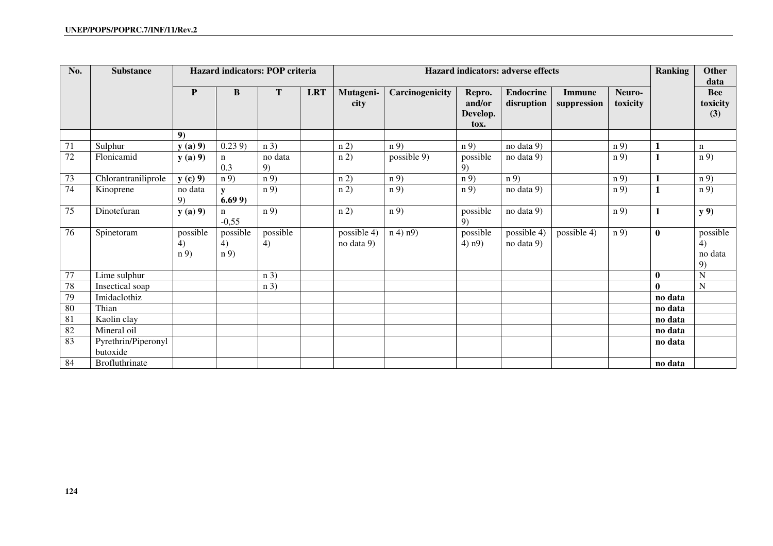| No.             | <b>Substance</b>                | <b>Hazard indicators: POP criteria</b> |                        |                |            | Hazard indicators: adverse effects |                 |                                      |                                |                       |                    | <b>Ranking</b> | Other<br>data                   |
|-----------------|---------------------------------|----------------------------------------|------------------------|----------------|------------|------------------------------------|-----------------|--------------------------------------|--------------------------------|-----------------------|--------------------|----------------|---------------------------------|
|                 |                                 | P                                      | $\bf{B}$               | T              | <b>LRT</b> | Mutageni-<br>city                  | Carcinogenicity | Repro.<br>and/or<br>Develop.<br>tox. | <b>Endocrine</b><br>disruption | Immune<br>suppression | Neuro-<br>toxicity |                | <b>Bee</b><br>toxicity<br>(3)   |
|                 |                                 | 9)                                     |                        |                |            |                                    |                 |                                      |                                |                       |                    |                |                                 |
| 71              | Sulphur                         | y(a) 9                                 | 0.239                  | n 3)           |            | n(2)                               | n(9)            | n 9)                                 | no data 9)                     |                       | n 9)               |                | n                               |
| 72              | Flonicamid                      | y(a) 9                                 | n<br>0.3               | no data<br>9)  |            | n 2)                               | possible 9)     | possible<br>9)                       | no data 9)                     |                       | n 9)               | 1              | n 9)                            |
| 73              | Chlorantraniliprole             | $y(c)$ 9)                              | n 9)                   | n 9)           |            | n(2)                               | n(9)            | n(9)                                 | n 9)                           |                       | n 9)               | 1              | n 9)                            |
| 74              | Kinoprene                       | no data<br>9)                          | 6.699                  | n 9)           |            | n 2)                               | n 9)            | n 9)                                 | no data 9)                     |                       | n 9)               | $\mathbf{1}$   | n 9)                            |
| 75              | Dinotefuran                     | y(a) 9                                 | n<br>$-0,55$           | n 9)           |            | n(2)                               | n 9)            | possible<br>9)                       | no data 9)                     |                       | n 9)               | 1              | y 9)                            |
| 76              | Spinetoram                      | possible<br>4)<br>n 9)                 | possible<br>4)<br>n 9) | possible<br>4) |            | possible 4)<br>no data 9)          | $n(4)$ $n(9)$   | possible<br>$4)$ n $9)$              | possible 4)<br>no data 9)      | possible 4)           | n 9)               | $\bf{0}$       | possible<br>4)<br>no data<br>9) |
| 77              | Lime sulphur                    |                                        |                        | n 3)           |            |                                    |                 |                                      |                                |                       |                    | $\bf{0}$       | $\mathbf N$                     |
| 78              | Insectical soap                 |                                        |                        | n 3)           |            |                                    |                 |                                      |                                |                       |                    | $\mathbf{0}$   | $\mathbf N$                     |
| 79              | Imidaclothiz                    |                                        |                        |                |            |                                    |                 |                                      |                                |                       |                    | no data        |                                 |
| 80              | Thian                           |                                        |                        |                |            |                                    |                 |                                      |                                |                       |                    | no data        |                                 |
| 81              | Kaolin clay                     |                                        |                        |                |            |                                    |                 |                                      |                                |                       |                    | no data        |                                 |
| $\overline{82}$ | Mineral oil                     |                                        |                        |                |            |                                    |                 |                                      |                                |                       |                    | no data        |                                 |
| 83              | Pyrethrin/Piperonyl<br>butoxide |                                        |                        |                |            |                                    |                 |                                      |                                |                       |                    | no data        |                                 |
| 84              | <b>Brofluthrinate</b>           |                                        |                        |                |            |                                    |                 |                                      |                                |                       |                    | no data        |                                 |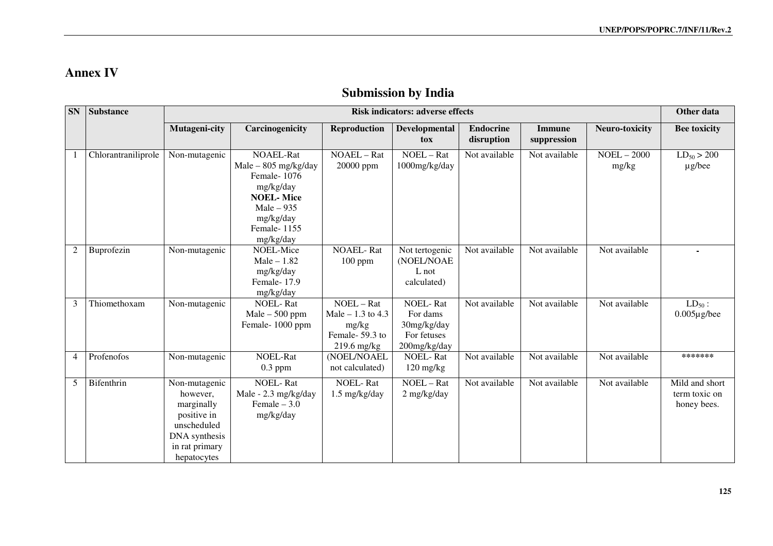## **Annex IV**

# **Submission by India**

| <b>SN</b>      | <b>Substance</b>    | <b>Risk indicators: adverse effects</b>                                                                                 |                                                                                                                                                     |                                                                              |                                                                           |                                |                              |                        |                                                |
|----------------|---------------------|-------------------------------------------------------------------------------------------------------------------------|-----------------------------------------------------------------------------------------------------------------------------------------------------|------------------------------------------------------------------------------|---------------------------------------------------------------------------|--------------------------------|------------------------------|------------------------|------------------------------------------------|
|                |                     | Mutageni-city                                                                                                           | Carcinogenicity                                                                                                                                     | <b>Reproduction</b>                                                          | Developmental<br>tox                                                      | <b>Endocrine</b><br>disruption | <b>Immune</b><br>suppression | <b>Neuro-toxicity</b>  | <b>Bee toxicity</b>                            |
|                | Chlorantraniliprole | Non-mutagenic                                                                                                           | <b>NOAEL-Rat</b><br>$Male - 805 mg/kg/day$<br>Female-1076<br>mg/kg/day<br><b>NOEL-Mice</b><br>$Male - 935$<br>mg/kg/day<br>Female-1155<br>mg/kg/day | NOAEL - Rat<br>20000 ppm                                                     | NOEL - Rat<br>1000mg/kg/day                                               | Not available                  | Not available                | $NOEL - 2000$<br>mg/kg | $LD_{50} > 200$<br>$\mu$ g/bee                 |
| 2              | Buprofezin          | Non-mutagenic                                                                                                           | NOEL-Mice<br>$Male - 1.82$<br>mg/kg/day<br>Female-17.9<br>mg/kg/day                                                                                 | <b>NOAEL-Rat</b><br>100 ppm                                                  | Not tertogenic<br>(NOEL/NOAE<br>L not<br>calculated)                      | Not available                  | Not available                | Not available          | $\blacksquare$                                 |
| 3              | Thiomethoxam        | Non-mutagenic                                                                                                           | <b>NOEL-Rat</b><br>$Male - 500 ppm$<br>Female-1000 ppm                                                                                              | NOEL - Rat<br>Male $-1.3$ to 4.3<br>mg/kg<br>Female-59.3 to<br>$219.6$ mg/kg | <b>NOEL-Rat</b><br>For dams<br>30mg/kg/day<br>For fetuses<br>200mg/kg/day | Not available                  | Not available                | Not available          | $LD_{50}$ :<br>$0.005\mu$ g/bee                |
| $\overline{4}$ | Profenofos          | Non-mutagenic                                                                                                           | <b>NOEL-Rat</b><br>$0.3$ ppm                                                                                                                        | (NOEL/NOAEL<br>not calculated)                                               | <b>NOEL-Rat</b><br>$120 \frac{\text{mg}}{\text{kg}}$                      | Not available                  | Not available                | Not available          | *******                                        |
| 5              | Bifenthrin          | Non-mutagenic<br>however.<br>marginally<br>positive in<br>unscheduled<br>DNA synthesis<br>in rat primary<br>hepatocytes | <b>NOEL-Rat</b><br>Male - 2.3 mg/kg/day<br>Female $-3.0$<br>mg/kg/day                                                                               | <b>NOEL-Rat</b><br>1.5 mg/kg/day                                             | NOEL - Rat<br>2 mg/kg/day                                                 | Not available                  | Not available                | Not available          | Mild and short<br>term toxic on<br>honey bees. |